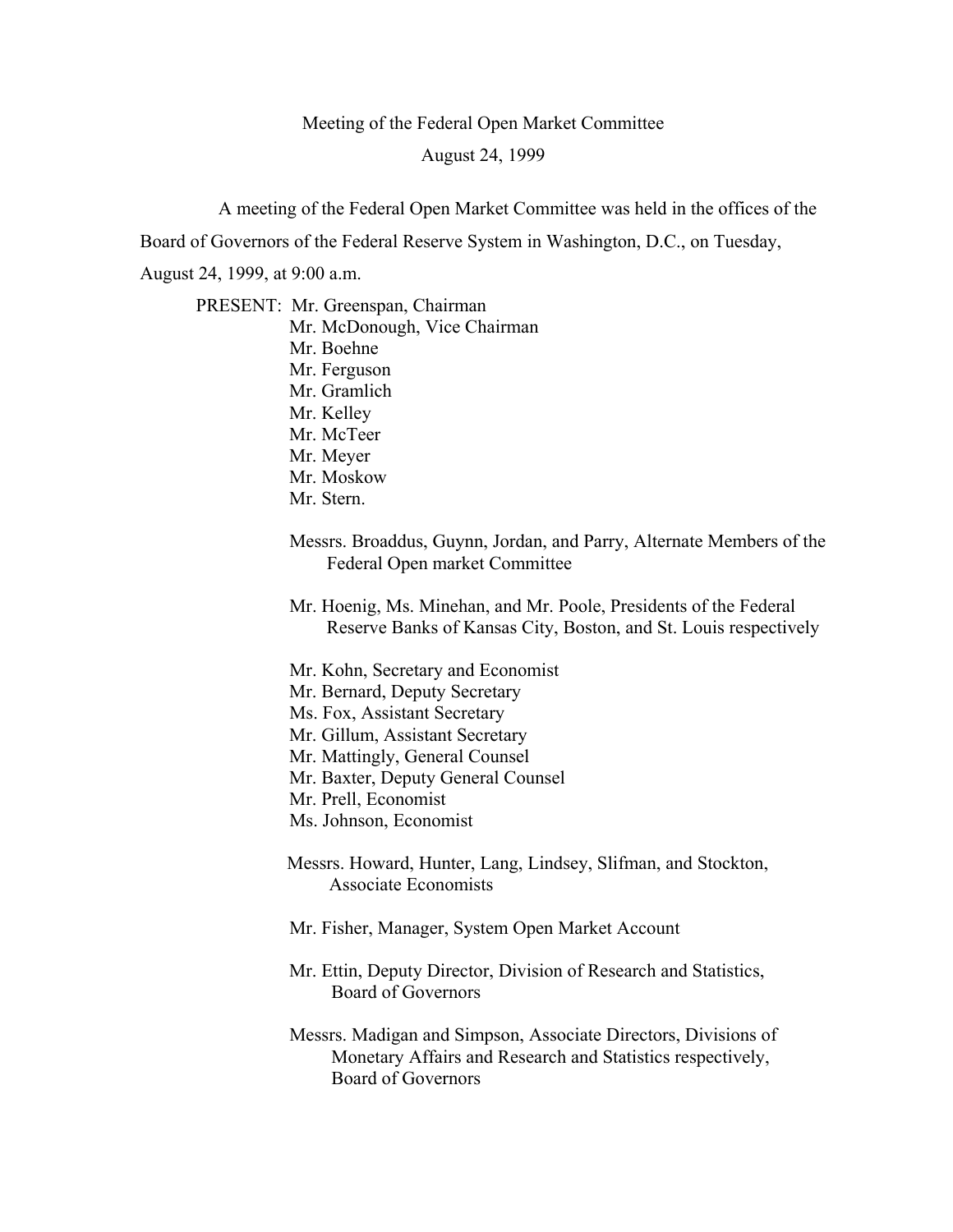## Meeting of the Federal Open Market Committee August 24, 1999

A meeting of the Federal Open Market Committee was held in the offices of the

Board of Governors of the Federal Reserve System in Washington, D.C., on Tuesday,

August 24, 1999, at 9:00 a.m.

PRESENT: Mr. Greenspan, Chairman Mr. McDonough, Vice Chairman Mr. Boehne Mr. Ferguson Mr. Gramlich Mr. Kelley Mr. McTeer Mr. Meyer Mr. Moskow Mr. Stern.

> Messrs. Broaddus, Guynn, Jordan, and Parry, Alternate Members of the Federal Open market Committee

Mr. Hoenig, Ms. Minehan, and Mr. Poole, Presidents of the Federal Reserve Banks of Kansas City, Boston, and St. Louis respectively

- Mr. Kohn, Secretary and Economist
- Mr. Bernard, Deputy Secretary
- Ms. Fox, Assistant Secretary
- Mr. Gillum, Assistant Secretary
- Mr. Mattingly, General Counsel
- Mr. Baxter, Deputy General Counsel
- Mr. Prell, Economist
- Ms. Johnson, Economist
- Messrs. Howard, Hunter, Lang, Lindsey, Slifman, and Stockton, Associate Economists
- Mr. Fisher, Manager, System Open Market Account
- Mr. Ettin, Deputy Director, Division of Research and Statistics, Board of Governors
- Messrs. Madigan and Simpson, Associate Directors, Divisions of Monetary Affairs and Research and Statistics respectively, Board of Governors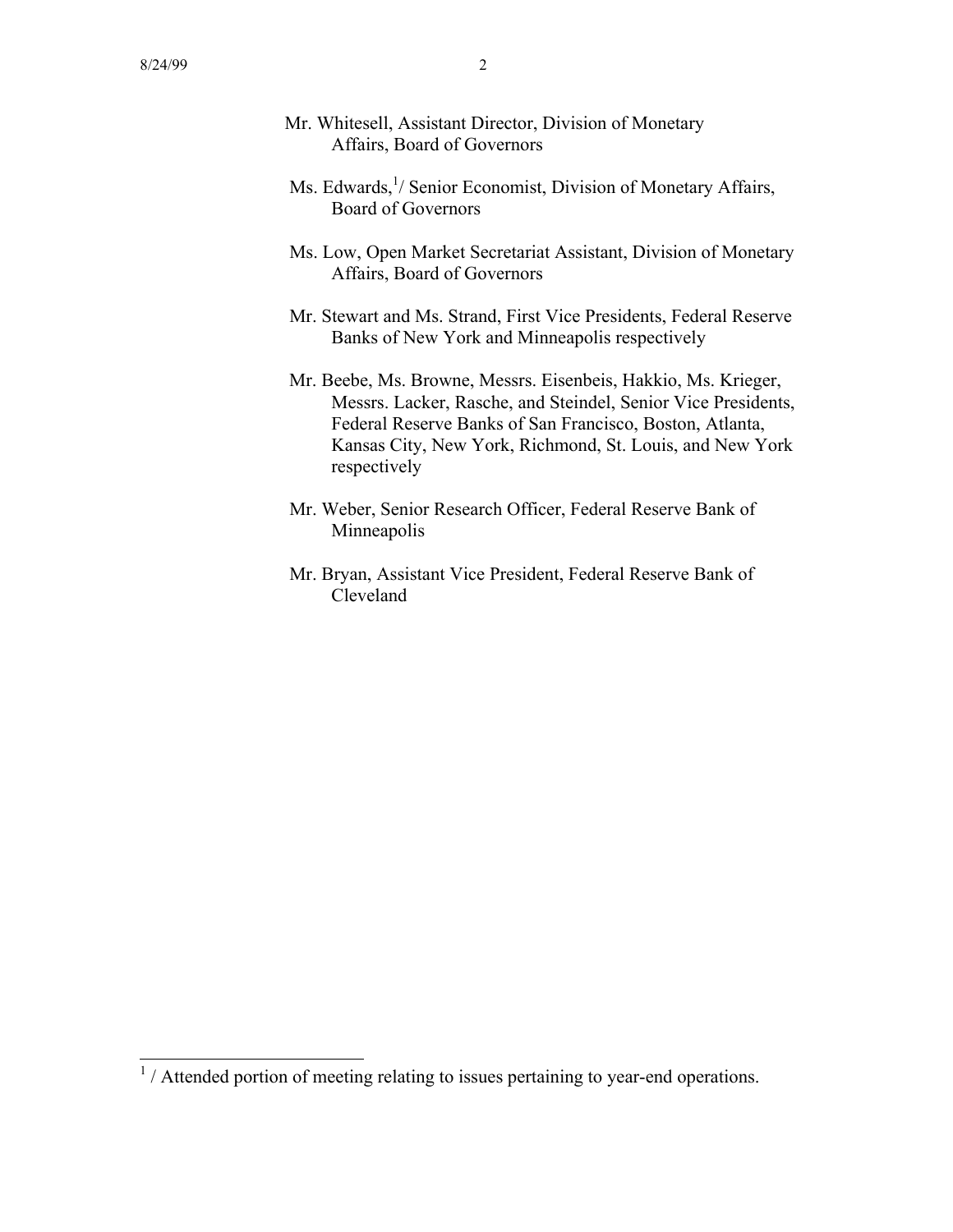- Mr. Whitesell, Assistant Director, Division of Monetary Affairs, Board of Governors
- Ms. Edwards,<sup>1</sup>/ Senior Economist, Division of Monetary Affairs, Board of Governors
- Ms. Low, Open Market Secretariat Assistant, Division of Monetary Affairs, Board of Governors
- Mr. Stewart and Ms. Strand, First Vice Presidents, Federal Reserve Banks of New York and Minneapolis respectively
- Mr. Beebe, Ms. Browne, Messrs. Eisenbeis, Hakkio, Ms. Krieger, Messrs. Lacker, Rasche, and Steindel, Senior Vice Presidents, Federal Reserve Banks of San Francisco, Boston, Atlanta, Kansas City, New York, Richmond, St. Louis, and New York respectively
- Mr. Weber, Senior Research Officer, Federal Reserve Bank of Minneapolis
- Mr. Bryan, Assistant Vice President, Federal Reserve Bank of Cleveland

<sup>&</sup>lt;sup>1</sup>/Attended portion of meeting relating to issues pertaining to year-end operations.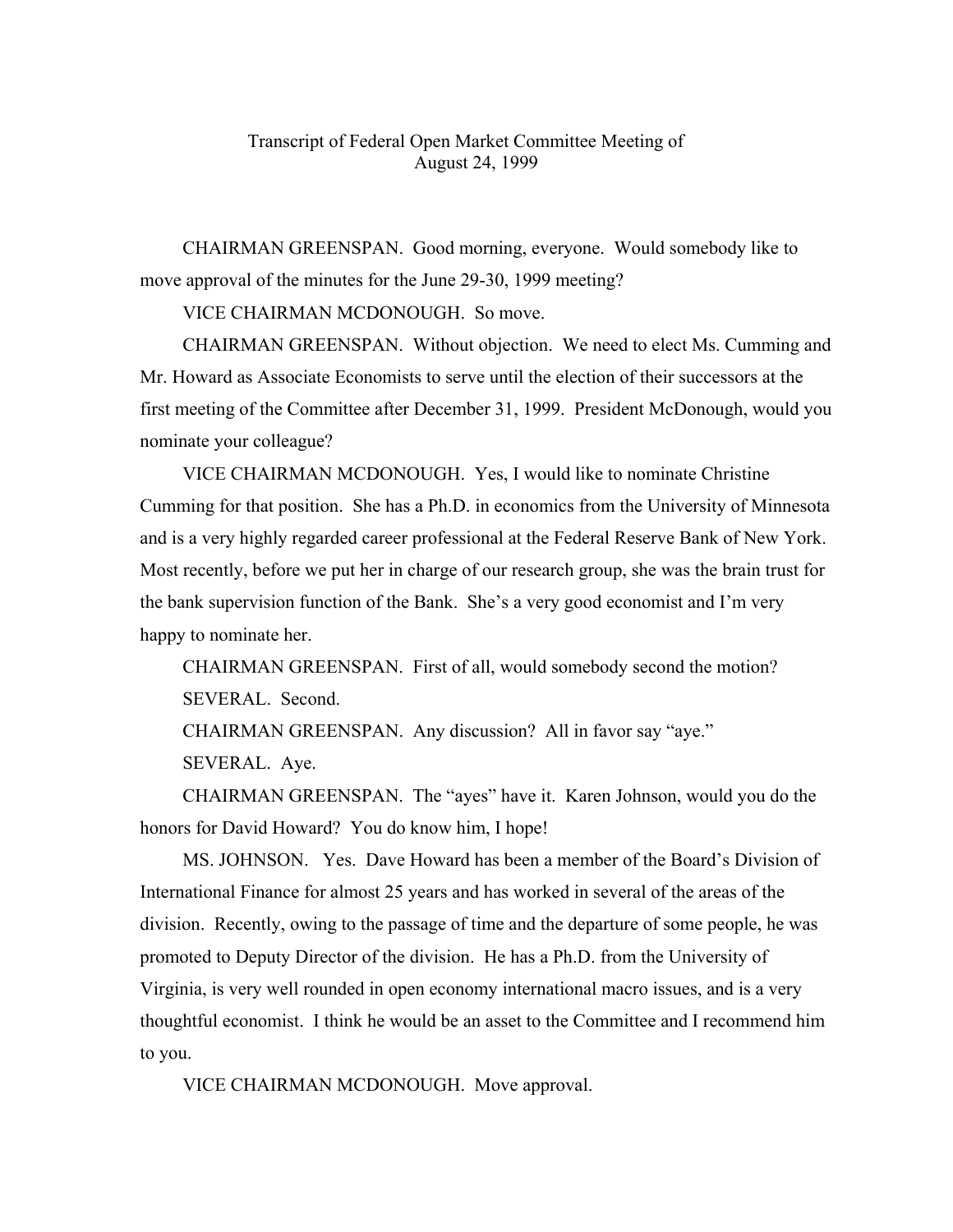## Transcript of Federal Open Market Committee Meeting of August 24, 1999

CHAIRMAN GREENSPAN. Good morning, everyone. Would somebody like to move approval of the minutes for the June 29-30, 1999 meeting?

VICE CHAIRMAN MCDONOUGH. So move.

CHAIRMAN GREENSPAN. Without objection. We need to elect Ms. Cumming and Mr. Howard as Associate Economists to serve until the election of their successors at the first meeting of the Committee after December 31, 1999. President McDonough, would you nominate your colleague?

VICE CHAIRMAN MCDONOUGH. Yes, I would like to nominate Christine Cumming for that position. She has a Ph.D. in economics from the University of Minnesota and is a very highly regarded career professional at the Federal Reserve Bank of New York. Most recently, before we put her in charge of our research group, she was the brain trust for the bank supervision function of the Bank. She's a very good economist and I'm very happy to nominate her.

CHAIRMAN GREENSPAN. First of all, would somebody second the motion? SEVERAL. Second.

CHAIRMAN GREENSPAN. Any discussion? All in favor say "aye."

SEVERAL. Aye.

CHAIRMAN GREENSPAN. The "ayes" have it. Karen Johnson, would you do the honors for David Howard? You do know him, I hope!

MS. JOHNSON. Yes. Dave Howard has been a member of the Board's Division of International Finance for almost 25 years and has worked in several of the areas of the division. Recently, owing to the passage of time and the departure of some people, he was promoted to Deputy Director of the division. He has a Ph.D. from the University of Virginia, is very well rounded in open economy international macro issues, and is a very thoughtful economist. I think he would be an asset to the Committee and I recommend him to you.

VICE CHAIRMAN MCDONOUGH. Move approval.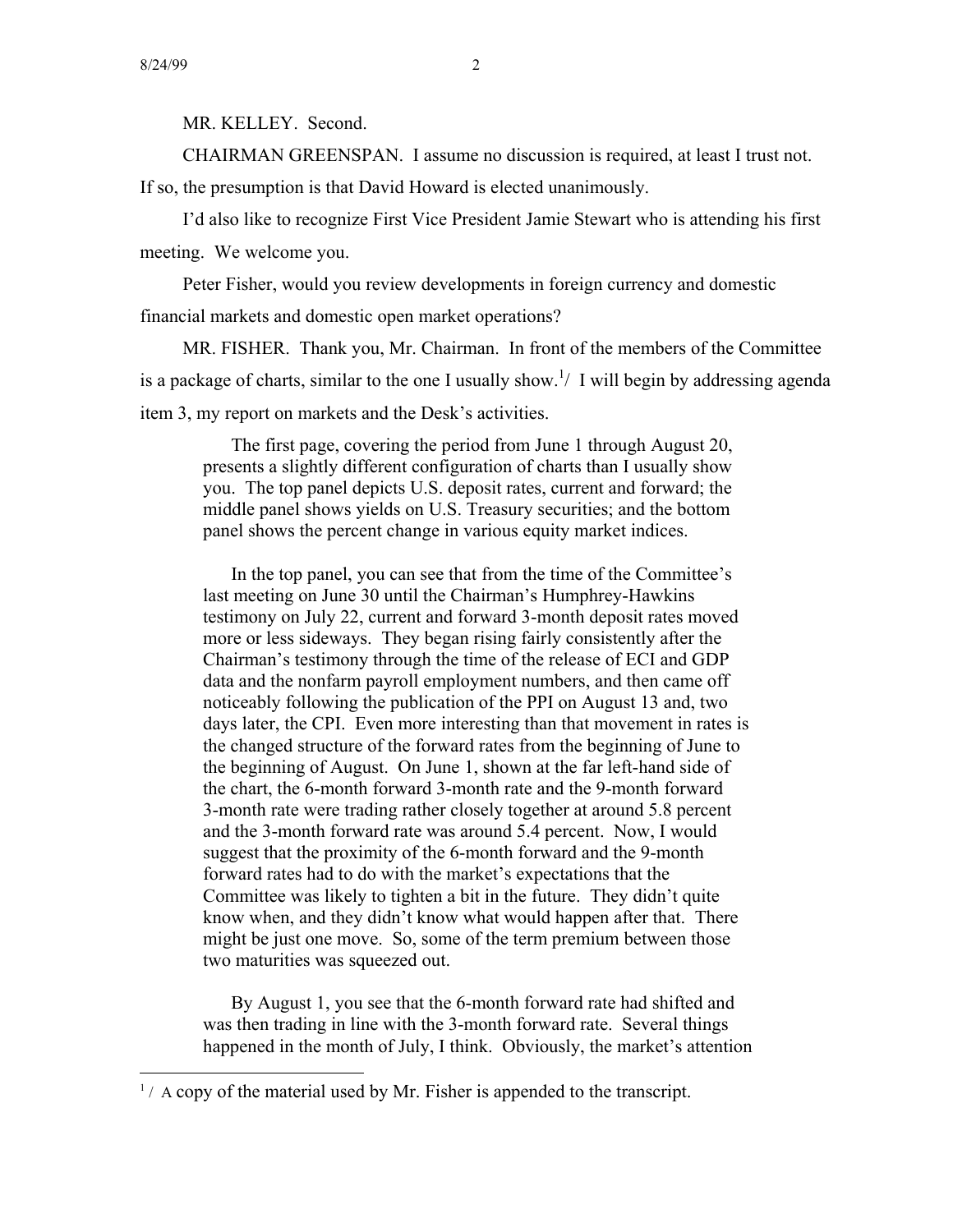MR. KELLEY. Second.

CHAIRMAN GREENSPAN. I assume no discussion is required, at least I trust not.

If so, the presumption is that David Howard is elected unanimously.

I'd also like to recognize First Vice President Jamie Stewart who is attending his first meeting. We welcome you.

Peter Fisher, would you review developments in foreign currency and domestic financial markets and domestic open market operations?

MR. FISHER. Thank you, Mr. Chairman. In front of the members of the Committee is a package of charts, similar to the one I usually show.<sup>1</sup>/ I will begin by addressing agenda item 3, my report on markets and the Desk's activities.

The first page, covering the period from June 1 through August 20, presents a slightly different configuration of charts than I usually show you. The top panel depicts U.S. deposit rates, current and forward; the middle panel shows yields on U.S. Treasury securities; and the bottom panel shows the percent change in various equity market indices.

In the top panel, you can see that from the time of the Committee's last meeting on June 30 until the Chairman's Humphrey-Hawkins testimony on July 22, current and forward 3-month deposit rates moved more or less sideways. They began rising fairly consistently after the Chairman's testimony through the time of the release of ECI and GDP data and the nonfarm payroll employment numbers, and then came off noticeably following the publication of the PPI on August 13 and, two days later, the CPI. Even more interesting than that movement in rates is the changed structure of the forward rates from the beginning of June to the beginning of August. On June 1, shown at the far left-hand side of the chart, the 6-month forward 3-month rate and the 9-month forward 3-month rate were trading rather closely together at around 5.8 percent and the 3-month forward rate was around 5.4 percent. Now, I would suggest that the proximity of the 6-month forward and the 9-month forward rates had to do with the market's expectations that the Committee was likely to tighten a bit in the future. They didn't quite know when, and they didn't know what would happen after that. There might be just one move. So, some of the term premium between those two maturities was squeezed out.

By August 1, you see that the 6-month forward rate had shifted and was then trading in line with the 3-month forward rate. Several things happened in the month of July, I think. Obviously, the market's attention

 $<sup>1</sup>$  / A copy of the material used by Mr. Fisher is appended to the transcript.</sup>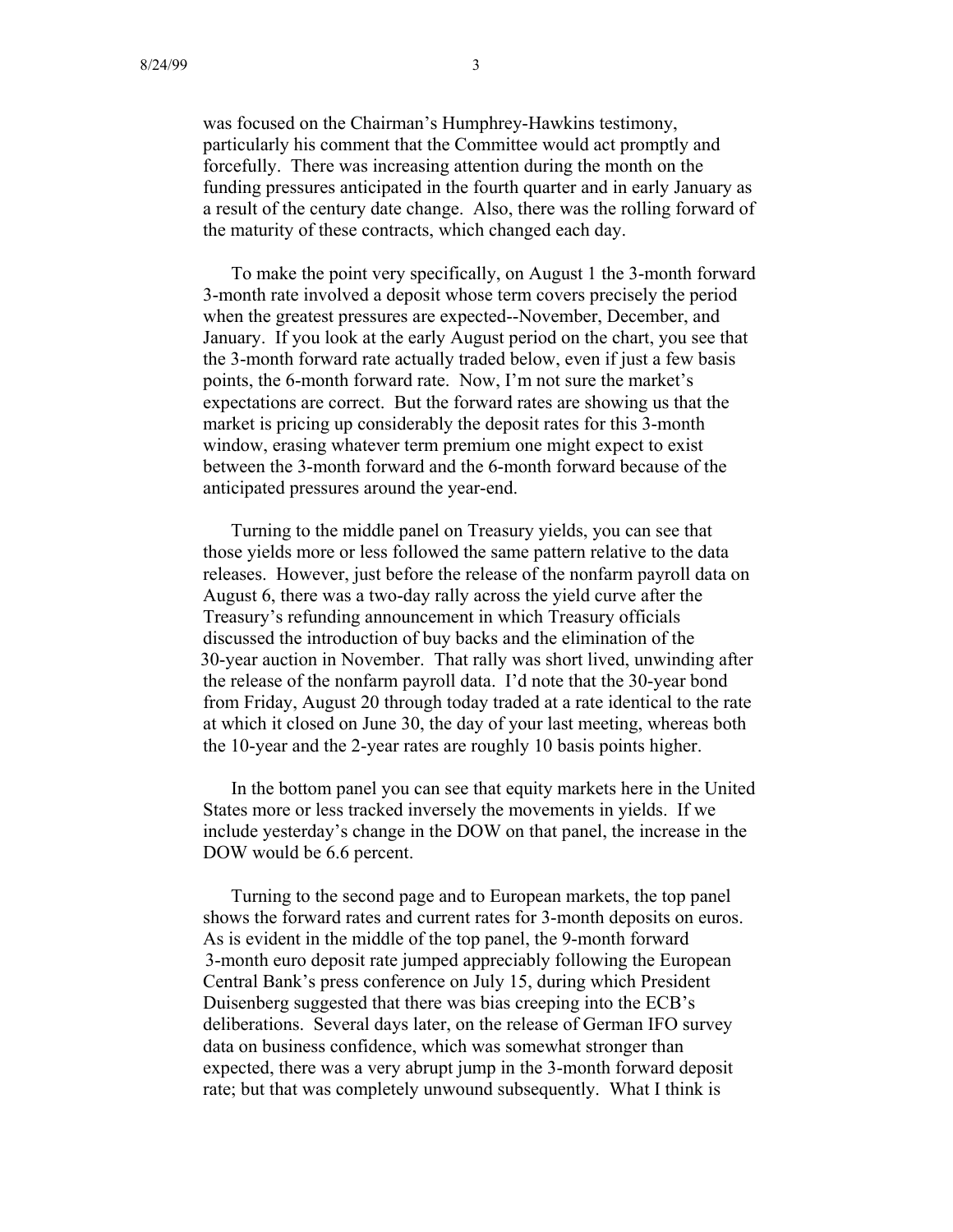was focused on the Chairman's Humphrey-Hawkins testimony, particularly his comment that the Committee would act promptly and forcefully. There was increasing attention during the month on the funding pressures anticipated in the fourth quarter and in early January as a result of the century date change. Also, there was the rolling forward of the maturity of these contracts, which changed each day.

To make the point very specifically, on August 1 the 3-month forward 3-month rate involved a deposit whose term covers precisely the period when the greatest pressures are expected--November, December, and January. If you look at the early August period on the chart, you see that the 3-month forward rate actually traded below, even if just a few basis points, the 6-month forward rate. Now, I'm not sure the market's expectations are correct. But the forward rates are showing us that the market is pricing up considerably the deposit rates for this 3-month window, erasing whatever term premium one might expect to exist between the 3-month forward and the 6-month forward because of the anticipated pressures around the year-end.

Turning to the middle panel on Treasury yields, you can see that those yields more or less followed the same pattern relative to the data releases. However, just before the release of the nonfarm payroll data on August 6, there was a two-day rally across the yield curve after the Treasury's refunding announcement in which Treasury officials discussed the introduction of buy backs and the elimination of the 30-year auction in November. That rally was short lived, unwinding after the release of the nonfarm payroll data. I'd note that the 30-year bond from Friday, August 20 through today traded at a rate identical to the rate at which it closed on June 30, the day of your last meeting, whereas both the 10-year and the 2-year rates are roughly 10 basis points higher.

In the bottom panel you can see that equity markets here in the United States more or less tracked inversely the movements in yields. If we include yesterday's change in the DOW on that panel, the increase in the DOW would be 6.6 percent.

Turning to the second page and to European markets, the top panel shows the forward rates and current rates for 3-month deposits on euros. As is evident in the middle of the top panel, the 9-month forward 3-month euro deposit rate jumped appreciably following the European Central Bank's press conference on July 15, during which President Duisenberg suggested that there was bias creeping into the ECB's deliberations. Several days later, on the release of German IFO survey data on business confidence, which was somewhat stronger than expected, there was a very abrupt jump in the 3-month forward deposit rate; but that was completely unwound subsequently. What I think is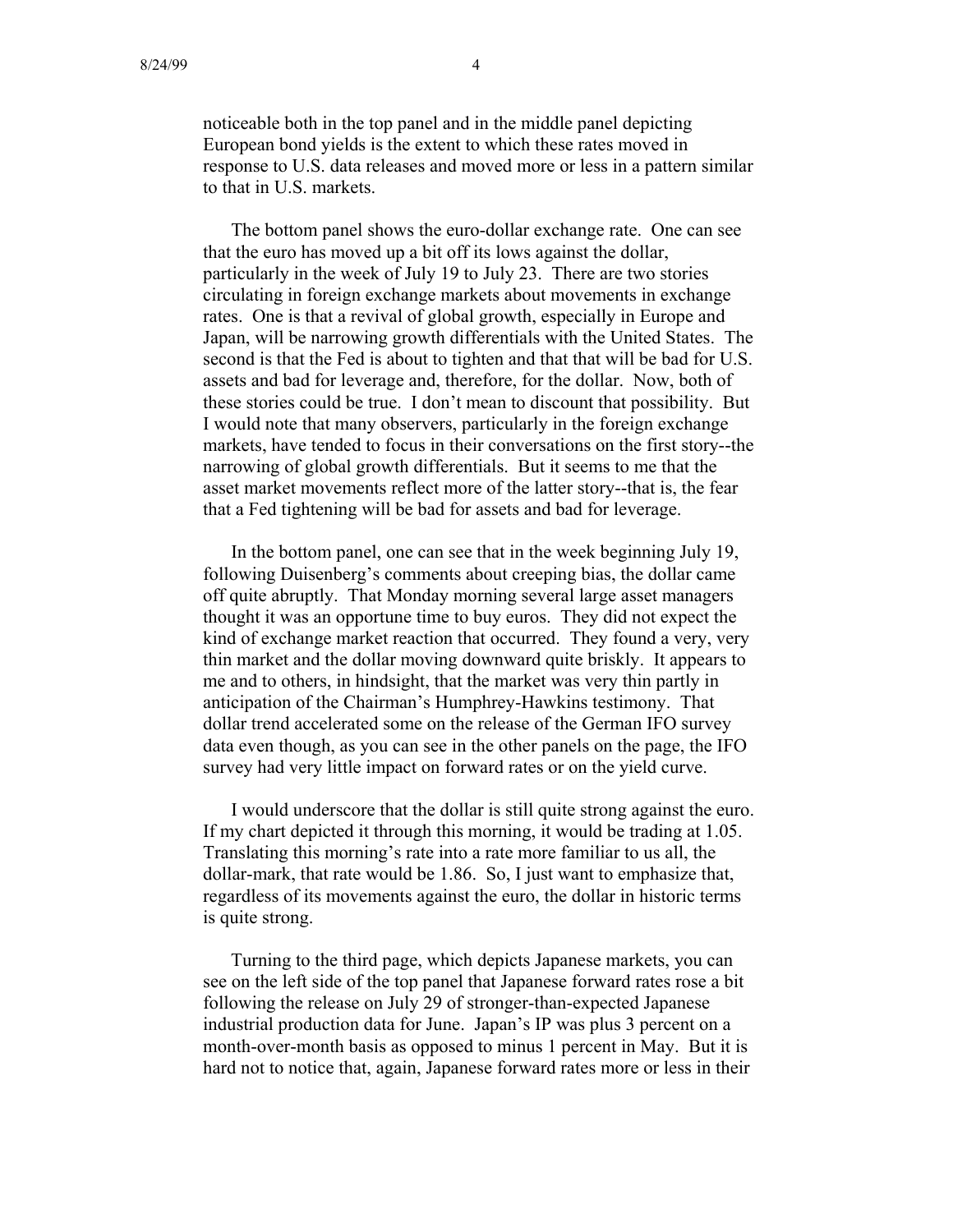noticeable both in the top panel and in the middle panel depicting European bond yields is the extent to which these rates moved in response to U.S. data releases and moved more or less in a pattern similar to that in U.S. markets.

The bottom panel shows the euro-dollar exchange rate. One can see that the euro has moved up a bit off its lows against the dollar, particularly in the week of July 19 to July 23. There are two stories circulating in foreign exchange markets about movements in exchange rates. One is that a revival of global growth, especially in Europe and Japan, will be narrowing growth differentials with the United States. The second is that the Fed is about to tighten and that that will be bad for U.S. assets and bad for leverage and, therefore, for the dollar. Now, both of these stories could be true. I don't mean to discount that possibility. But I would note that many observers, particularly in the foreign exchange markets, have tended to focus in their conversations on the first story--the narrowing of global growth differentials. But it seems to me that the asset market movements reflect more of the latter story--that is, the fear that a Fed tightening will be bad for assets and bad for leverage.

In the bottom panel, one can see that in the week beginning July 19, following Duisenberg's comments about creeping bias, the dollar came off quite abruptly. That Monday morning several large asset managers thought it was an opportune time to buy euros. They did not expect the kind of exchange market reaction that occurred. They found a very, very thin market and the dollar moving downward quite briskly. It appears to me and to others, in hindsight, that the market was very thin partly in anticipation of the Chairman's Humphrey-Hawkins testimony. That dollar trend accelerated some on the release of the German IFO survey data even though, as you can see in the other panels on the page, the IFO survey had very little impact on forward rates or on the yield curve.

I would underscore that the dollar is still quite strong against the euro. If my chart depicted it through this morning, it would be trading at 1.05. Translating this morning's rate into a rate more familiar to us all, the dollar-mark, that rate would be 1.86. So, I just want to emphasize that, regardless of its movements against the euro, the dollar in historic terms is quite strong.

Turning to the third page, which depicts Japanese markets, you can see on the left side of the top panel that Japanese forward rates rose a bit following the release on July 29 of stronger-than-expected Japanese industrial production data for June. Japan's IP was plus 3 percent on a month-over-month basis as opposed to minus 1 percent in May. But it is hard not to notice that, again, Japanese forward rates more or less in their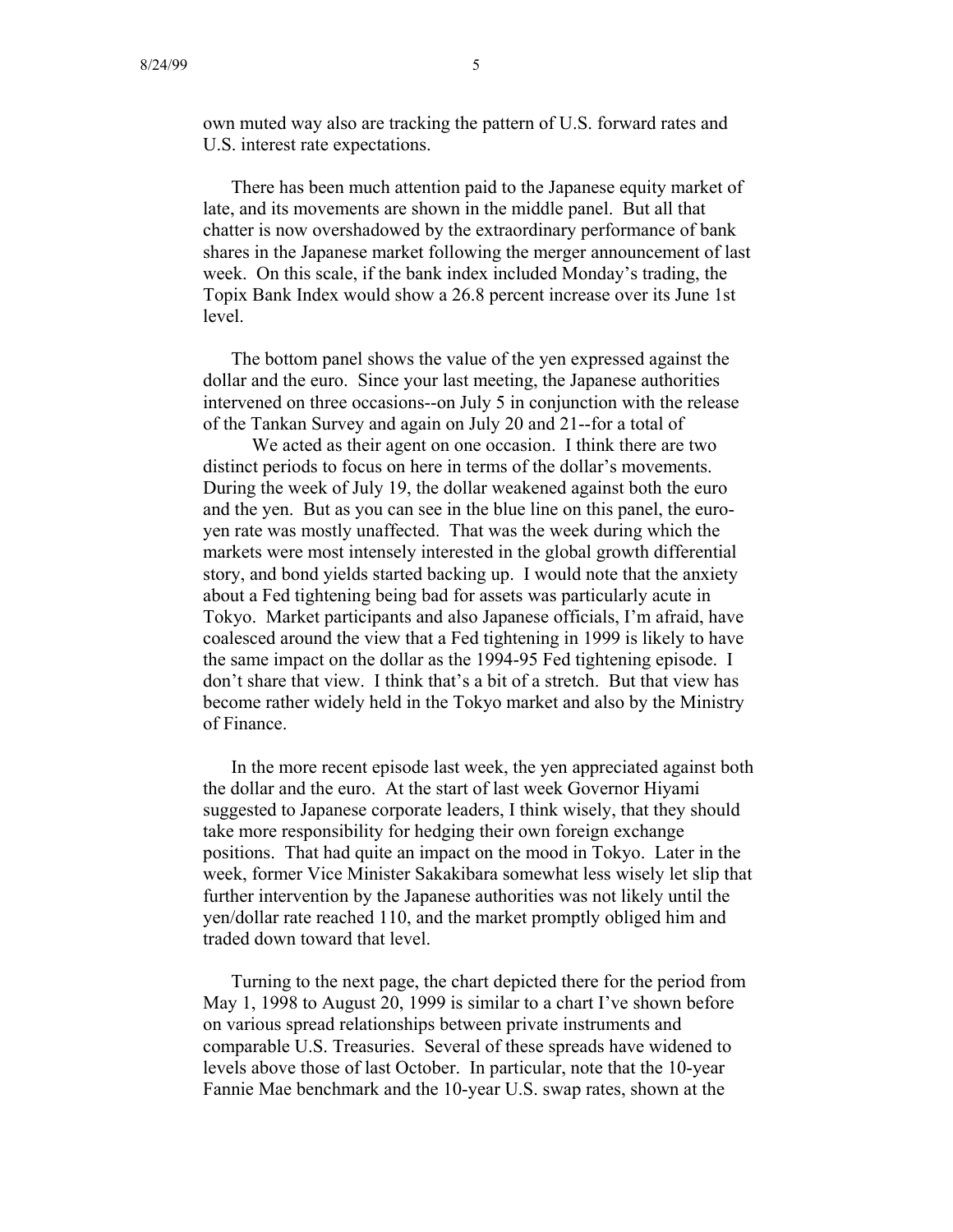own muted way also are tracking the pattern of U.S. forward rates and U.S. interest rate expectations.

There has been much attention paid to the Japanese equity market of late, and its movements are shown in the middle panel. But all that chatter is now overshadowed by the extraordinary performance of bank shares in the Japanese market following the merger announcement of last week. On this scale, if the bank index included Monday's trading, the Topix Bank Index would show a 26.8 percent increase over its June 1st level.

The bottom panel shows the value of the yen expressed against the dollar and the euro. Since your last meeting, the Japanese authorities intervened on three occasions--on July 5 in conjunction with the release of the Tankan Survey and again on July 20 and 21--for a total of

We acted as their agent on one occasion. I think there are two distinct periods to focus on here in terms of the dollar's movements. During the week of July 19, the dollar weakened against both the euro and the yen. But as you can see in the blue line on this panel, the euroyen rate was mostly unaffected. That was the week during which the markets were most intensely interested in the global growth differential story, and bond yields started backing up. I would note that the anxiety about a Fed tightening being bad for assets was particularly acute in Tokyo. Market participants and also Japanese officials, I'm afraid, have coalesced around the view that a Fed tightening in 1999 is likely to have the same impact on the dollar as the 1994-95 Fed tightening episode. I don't share that view. I think that's a bit of a stretch. But that view has become rather widely held in the Tokyo market and also by the Ministry of Finance.

In the more recent episode last week, the yen appreciated against both the dollar and the euro. At the start of last week Governor Hiyami suggested to Japanese corporate leaders, I think wisely, that they should take more responsibility for hedging their own foreign exchange positions. That had quite an impact on the mood in Tokyo. Later in the week, former Vice Minister Sakakibara somewhat less wisely let slip that further intervention by the Japanese authorities was not likely until the yen/dollar rate reached 110, and the market promptly obliged him and traded down toward that level.

Turning to the next page, the chart depicted there for the period from May 1, 1998 to August 20, 1999 is similar to a chart I've shown before on various spread relationships between private instruments and comparable U.S. Treasuries. Several of these spreads have widened to levels above those of last October. In particular, note that the 10-year Fannie Mae benchmark and the 10-year U.S. swap rates, shown at the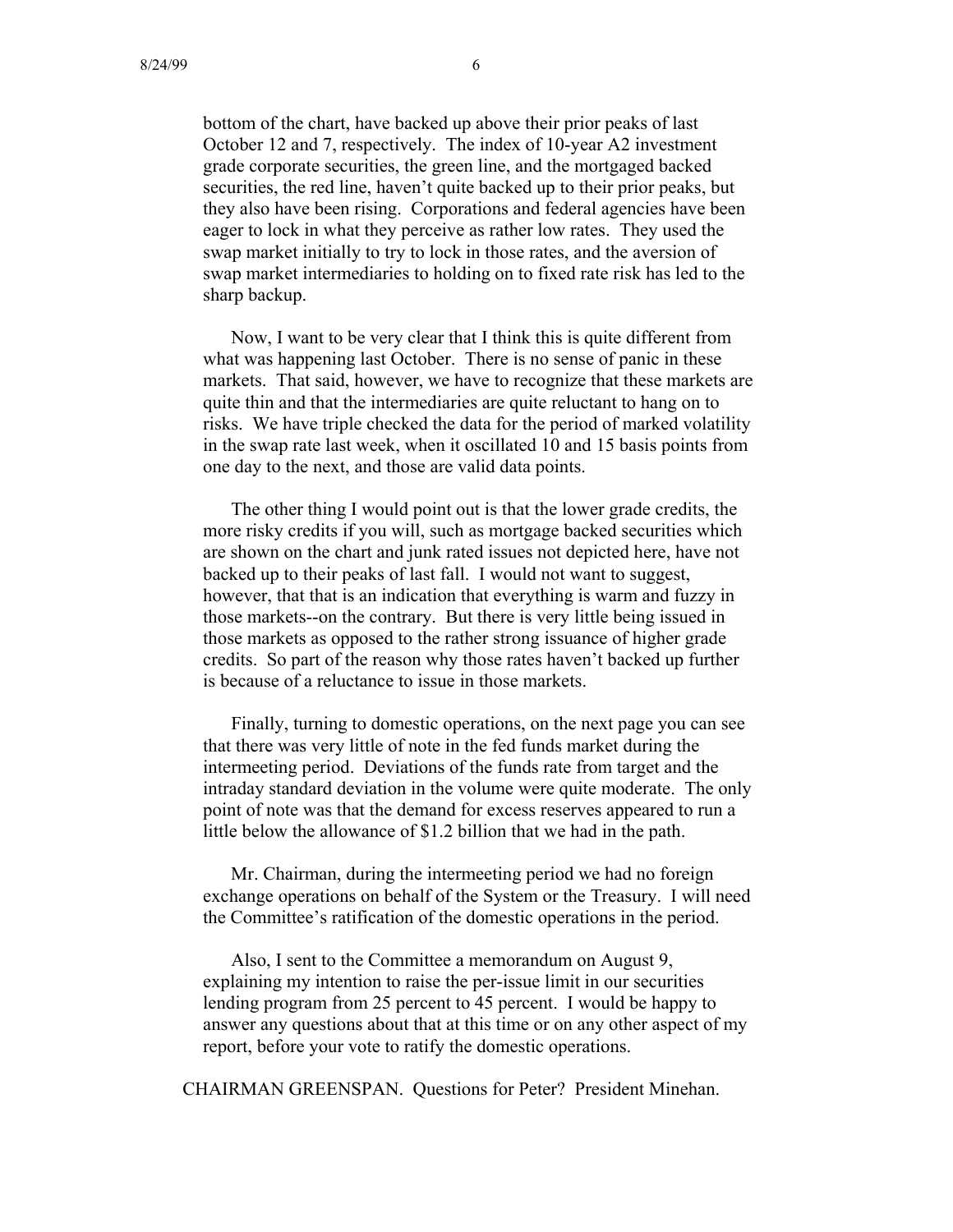bottom of the chart, have backed up above their prior peaks of last October 12 and 7, respectively. The index of 10-year A2 investment grade corporate securities, the green line, and the mortgaged backed securities, the red line, haven't quite backed up to their prior peaks, but they also have been rising. Corporations and federal agencies have been eager to lock in what they perceive as rather low rates. They used the swap market initially to try to lock in those rates, and the aversion of swap market intermediaries to holding on to fixed rate risk has led to the sharp backup.

Now, I want to be very clear that I think this is quite different from what was happening last October. There is no sense of panic in these markets. That said, however, we have to recognize that these markets are quite thin and that the intermediaries are quite reluctant to hang on to risks. We have triple checked the data for the period of marked volatility in the swap rate last week, when it oscillated 10 and 15 basis points from one day to the next, and those are valid data points.

The other thing I would point out is that the lower grade credits, the more risky credits if you will, such as mortgage backed securities which are shown on the chart and junk rated issues not depicted here, have not backed up to their peaks of last fall. I would not want to suggest, however, that that is an indication that everything is warm and fuzzy in those markets--on the contrary. But there is very little being issued in those markets as opposed to the rather strong issuance of higher grade credits. So part of the reason why those rates haven't backed up further is because of a reluctance to issue in those markets.

Finally, turning to domestic operations, on the next page you can see that there was very little of note in the fed funds market during the intermeeting period. Deviations of the funds rate from target and the intraday standard deviation in the volume were quite moderate. The only point of note was that the demand for excess reserves appeared to run a little below the allowance of \$1.2 billion that we had in the path.

Mr. Chairman, during the intermeeting period we had no foreign exchange operations on behalf of the System or the Treasury. I will need the Committee's ratification of the domestic operations in the period.

Also, I sent to the Committee a memorandum on August 9, explaining my intention to raise the per-issue limit in our securities lending program from 25 percent to 45 percent. I would be happy to answer any questions about that at this time or on any other aspect of my report, before your vote to ratify the domestic operations.

CHAIRMAN GREENSPAN. Questions for Peter? President Minehan.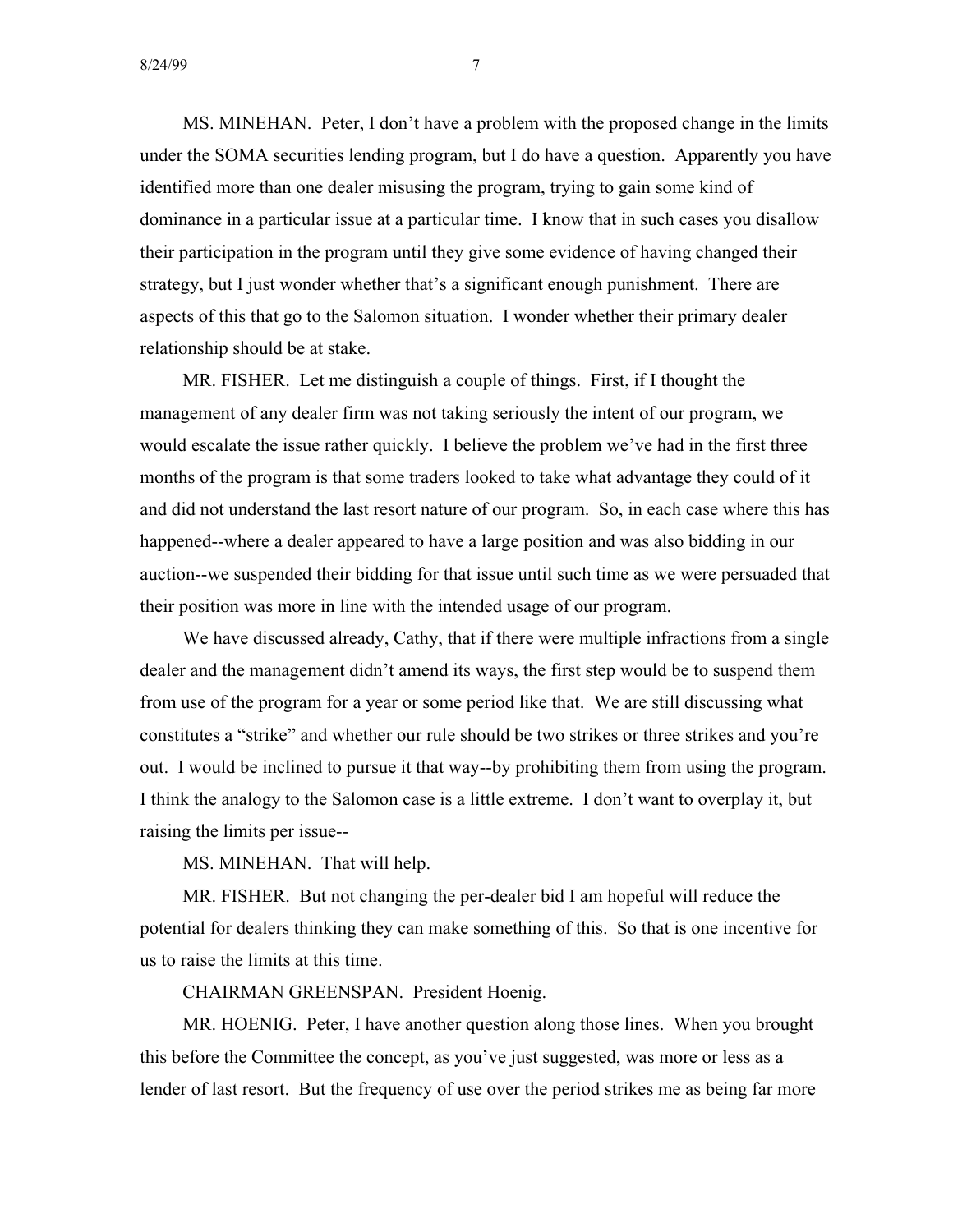MS. MINEHAN. Peter, I don't have a problem with the proposed change in the limits under the SOMA securities lending program, but I do have a question. Apparently you have identified more than one dealer misusing the program, trying to gain some kind of dominance in a particular issue at a particular time. I know that in such cases you disallow their participation in the program until they give some evidence of having changed their strategy, but I just wonder whether that's a significant enough punishment. There are aspects of this that go to the Salomon situation. I wonder whether their primary dealer relationship should be at stake.

MR. FISHER. Let me distinguish a couple of things. First, if I thought the management of any dealer firm was not taking seriously the intent of our program, we would escalate the issue rather quickly. I believe the problem we've had in the first three months of the program is that some traders looked to take what advantage they could of it and did not understand the last resort nature of our program. So, in each case where this has happened--where a dealer appeared to have a large position and was also bidding in our auction--we suspended their bidding for that issue until such time as we were persuaded that their position was more in line with the intended usage of our program.

We have discussed already, Cathy, that if there were multiple infractions from a single dealer and the management didn't amend its ways, the first step would be to suspend them from use of the program for a year or some period like that. We are still discussing what constitutes a "strike" and whether our rule should be two strikes or three strikes and you're out. I would be inclined to pursue it that way--by prohibiting them from using the program. I think the analogy to the Salomon case is a little extreme. I don't want to overplay it, but raising the limits per issue-

MS. MINEHAN. That will help.

MR. FISHER. But not changing the per-dealer bid I am hopeful will reduce the potential for dealers thinking they can make something of this. So that is one incentive for us to raise the limits at this time.

CHAIRMAN GREENSPAN. President Hoenig.

MR. HOENIG. Peter, I have another question along those lines. When you brought this before the Committee the concept, as you've just suggested, was more or less as a lender of last resort. But the frequency of use over the period strikes me as being far more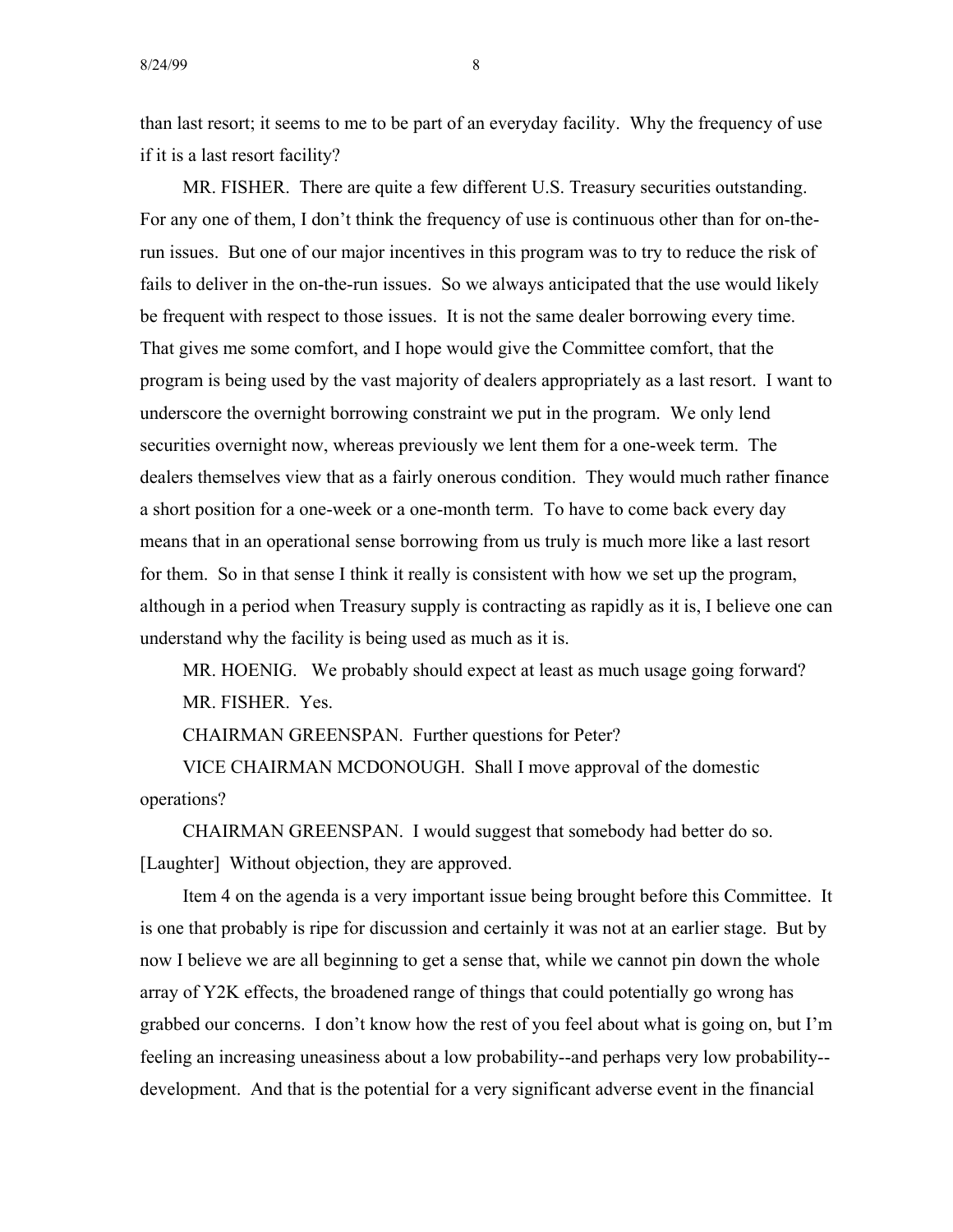than last resort; it seems to me to be part of an everyday facility. Why the frequency of use if it is a last resort facility?

MR. FISHER. There are quite a few different U.S. Treasury securities outstanding. For any one of them, I don't think the frequency of use is continuous other than for on-therun issues. But one of our major incentives in this program was to try to reduce the risk of fails to deliver in the on-the-run issues. So we always anticipated that the use would likely be frequent with respect to those issues. It is not the same dealer borrowing every time. That gives me some comfort, and I hope would give the Committee comfort, that the program is being used by the vast majority of dealers appropriately as a last resort. I want to underscore the overnight borrowing constraint we put in the program. We only lend securities overnight now, whereas previously we lent them for a one-week term. The dealers themselves view that as a fairly onerous condition. They would much rather finance a short position for a one-week or a one-month term. To have to come back every day means that in an operational sense borrowing from us truly is much more like a last resort for them. So in that sense I think it really is consistent with how we set up the program, although in a period when Treasury supply is contracting as rapidly as it is, I believe one can understand why the facility is being used as much as it is.

MR. HOENIG. We probably should expect at least as much usage going forward? MR. FISHER. Yes.

CHAIRMAN GREENSPAN. Further questions for Peter?

VICE CHAIRMAN MCDONOUGH. Shall I move approval of the domestic operations?

CHAIRMAN GREENSPAN. I would suggest that somebody had better do so. [Laughter] Without objection, they are approved.

Item 4 on the agenda is a very important issue being brought before this Committee. It is one that probably is ripe for discussion and certainly it was not at an earlier stage. But by now I believe we are all beginning to get a sense that, while we cannot pin down the whole array of Y2K effects, the broadened range of things that could potentially go wrong has grabbed our concerns. I don't know how the rest of you feel about what is going on, but I'm feeling an increasing uneasiness about a low probability--and perhaps very low probability development. And that is the potential for a very significant adverse event in the financial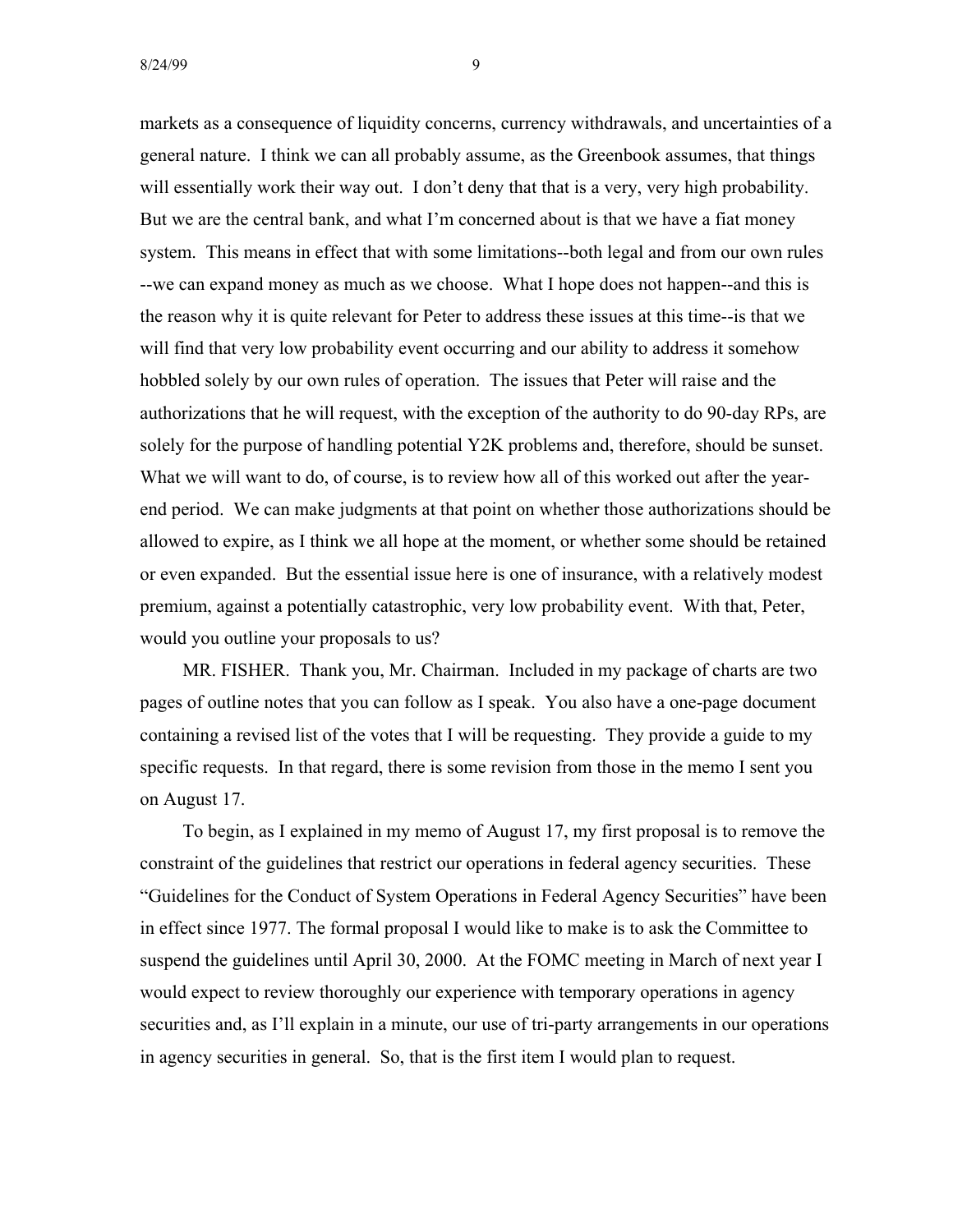markets as a consequence of liquidity concerns, currency withdrawals, and uncertainties of a general nature. I think we can all probably assume, as the Greenbook assumes, that things will essentially work their way out. I don't deny that that is a very, very high probability. But we are the central bank, and what I'm concerned about is that we have a fiat money system. This means in effect that with some limitations--both legal and from our own rules --we can expand money as much as we choose. What I hope does not happen--and this is the reason why it is quite relevant for Peter to address these issues at this time--is that we will find that very low probability event occurring and our ability to address it somehow hobbled solely by our own rules of operation. The issues that Peter will raise and the authorizations that he will request, with the exception of the authority to do 90-day RPs, are solely for the purpose of handling potential Y2K problems and, therefore, should be sunset. What we will want to do, of course, is to review how all of this worked out after the yearend period. We can make judgments at that point on whether those authorizations should be allowed to expire, as I think we all hope at the moment, or whether some should be retained or even expanded. But the essential issue here is one of insurance, with a relatively modest premium, against a potentially catastrophic, very low probability event. With that, Peter, would you outline your proposals to us?

MR. FISHER. Thank you, Mr. Chairman. Included in my package of charts are two pages of outline notes that you can follow as I speak. You also have a one-page document containing a revised list of the votes that I will be requesting. They provide a guide to my specific requests. In that regard, there is some revision from those in the memo I sent you on August 17.

To begin, as I explained in my memo of August 17, my first proposal is to remove the constraint of the guidelines that restrict our operations in federal agency securities. These "Guidelines for the Conduct of System Operations in Federal Agency Securities" have been in effect since 1977. The formal proposal I would like to make is to ask the Committee to suspend the guidelines until April 30, 2000. At the FOMC meeting in March of next year I would expect to review thoroughly our experience with temporary operations in agency securities and, as I'll explain in a minute, our use of tri-party arrangements in our operations in agency securities in general. So, that is the first item I would plan to request.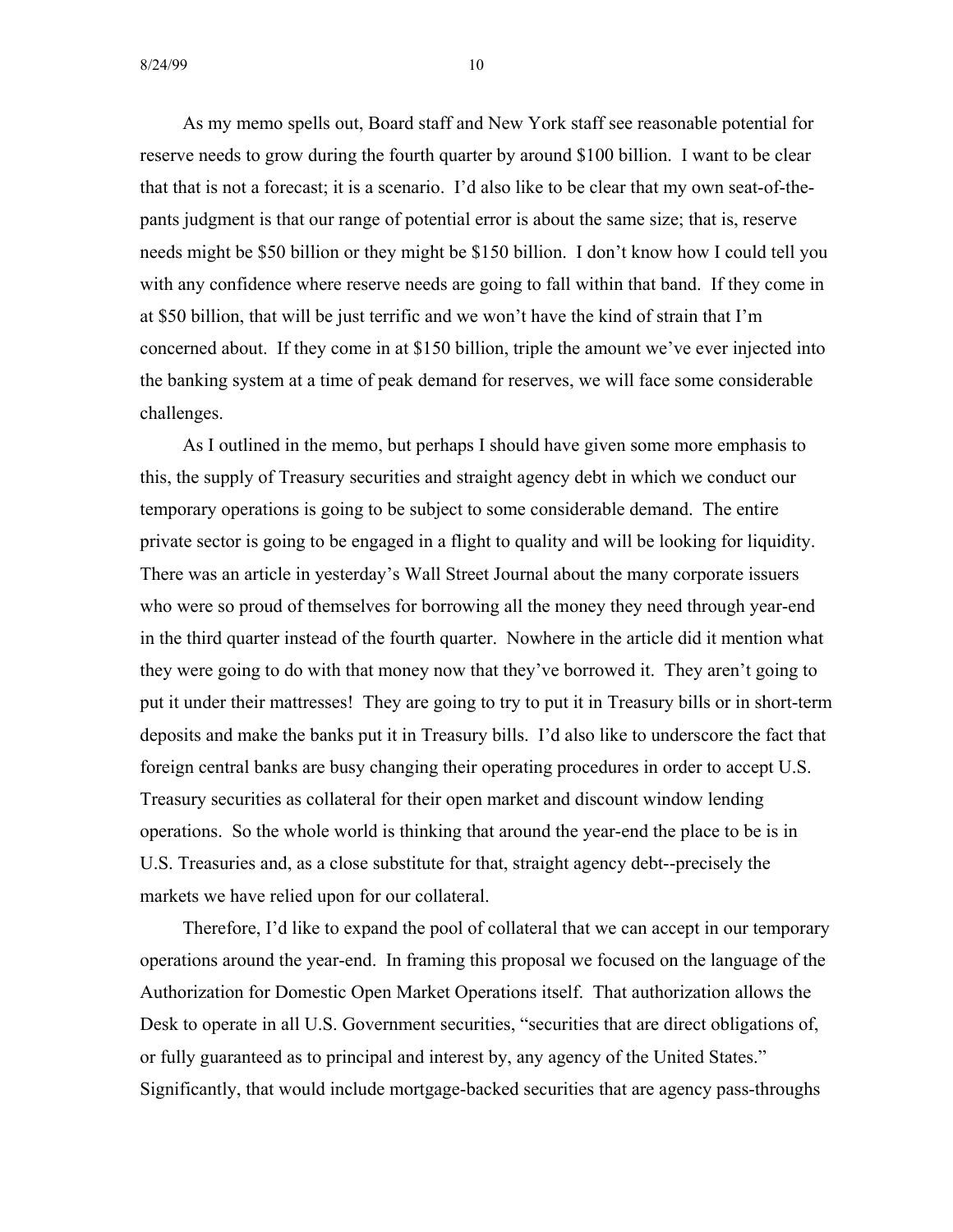As my memo spells out, Board staff and New York staff see reasonable potential for reserve needs to grow during the fourth quarter by around \$100 billion. I want to be clear that that is not a forecast; it is a scenario. I'd also like to be clear that my own seat-of-thepants judgment is that our range of potential error is about the same size; that is, reserve needs might be \$50 billion or they might be \$150 billion. I don't know how I could tell you with any confidence where reserve needs are going to fall within that band. If they come in at \$50 billion, that will be just terrific and we won't have the kind of strain that I'm concerned about. If they come in at \$150 billion, triple the amount we've ever injected into the banking system at a time of peak demand for reserves, we will face some considerable challenges.

As I outlined in the memo, but perhaps I should have given some more emphasis to this, the supply of Treasury securities and straight agency debt in which we conduct our temporary operations is going to be subject to some considerable demand. The entire private sector is going to be engaged in a flight to quality and will be looking for liquidity. There was an article in yesterday's Wall Street Journal about the many corporate issuers who were so proud of themselves for borrowing all the money they need through year-end in the third quarter instead of the fourth quarter. Nowhere in the article did it mention what they were going to do with that money now that they've borrowed it. They aren't going to put it under their mattresses! They are going to try to put it in Treasury bills or in short-term deposits and make the banks put it in Treasury bills. I'd also like to underscore the fact that foreign central banks are busy changing their operating procedures in order to accept U.S. Treasury securities as collateral for their open market and discount window lending operations. So the whole world is thinking that around the year-end the place to be is in U.S. Treasuries and, as a close substitute for that, straight agency debt--precisely the markets we have relied upon for our collateral.

Therefore, I'd like to expand the pool of collateral that we can accept in our temporary operations around the year-end. In framing this proposal we focused on the language of the Authorization for Domestic Open Market Operations itself. That authorization allows the Desk to operate in all U.S. Government securities, "securities that are direct obligations of, or fully guaranteed as to principal and interest by, any agency of the United States." Significantly, that would include mortgage-backed securities that are agency pass-throughs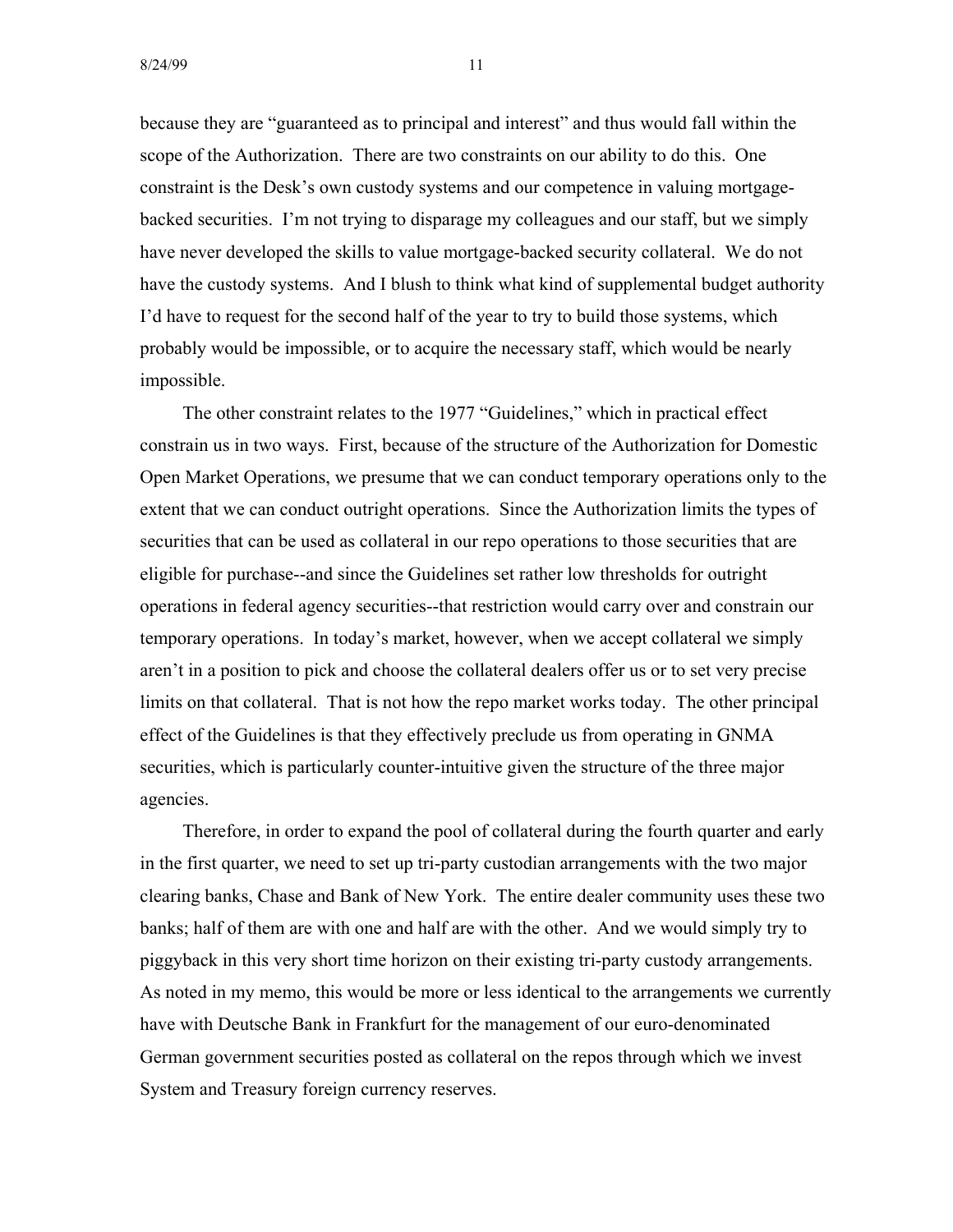because they are "guaranteed as to principal and interest" and thus would fall within the scope of the Authorization. There are two constraints on our ability to do this. One constraint is the Desk's own custody systems and our competence in valuing mortgagebacked securities. I'm not trying to disparage my colleagues and our staff, but we simply have never developed the skills to value mortgage-backed security collateral. We do not have the custody systems. And I blush to think what kind of supplemental budget authority I'd have to request for the second half of the year to try to build those systems, which probably would be impossible, or to acquire the necessary staff, which would be nearly impossible.

The other constraint relates to the 1977 "Guidelines," which in practical effect constrain us in two ways. First, because of the structure of the Authorization for Domestic Open Market Operations, we presume that we can conduct temporary operations only to the extent that we can conduct outright operations. Since the Authorization limits the types of securities that can be used as collateral in our repo operations to those securities that are eligible for purchase--and since the Guidelines set rather low thresholds for outright operations in federal agency securities--that restriction would carry over and constrain our temporary operations. In today's market, however, when we accept collateral we simply aren't in a position to pick and choose the collateral dealers offer us or to set very precise limits on that collateral. That is not how the repo market works today. The other principal effect of the Guidelines is that they effectively preclude us from operating in GNMA securities, which is particularly counter-intuitive given the structure of the three major agencies.

Therefore, in order to expand the pool of collateral during the fourth quarter and early in the first quarter, we need to set up tri-party custodian arrangements with the two major clearing banks, Chase and Bank of New York. The entire dealer community uses these two banks; half of them are with one and half are with the other. And we would simply try to piggyback in this very short time horizon on their existing tri-party custody arrangements. As noted in my memo, this would be more or less identical to the arrangements we currently have with Deutsche Bank in Frankfurt for the management of our euro-denominated German government securities posted as collateral on the repos through which we invest System and Treasury foreign currency reserves.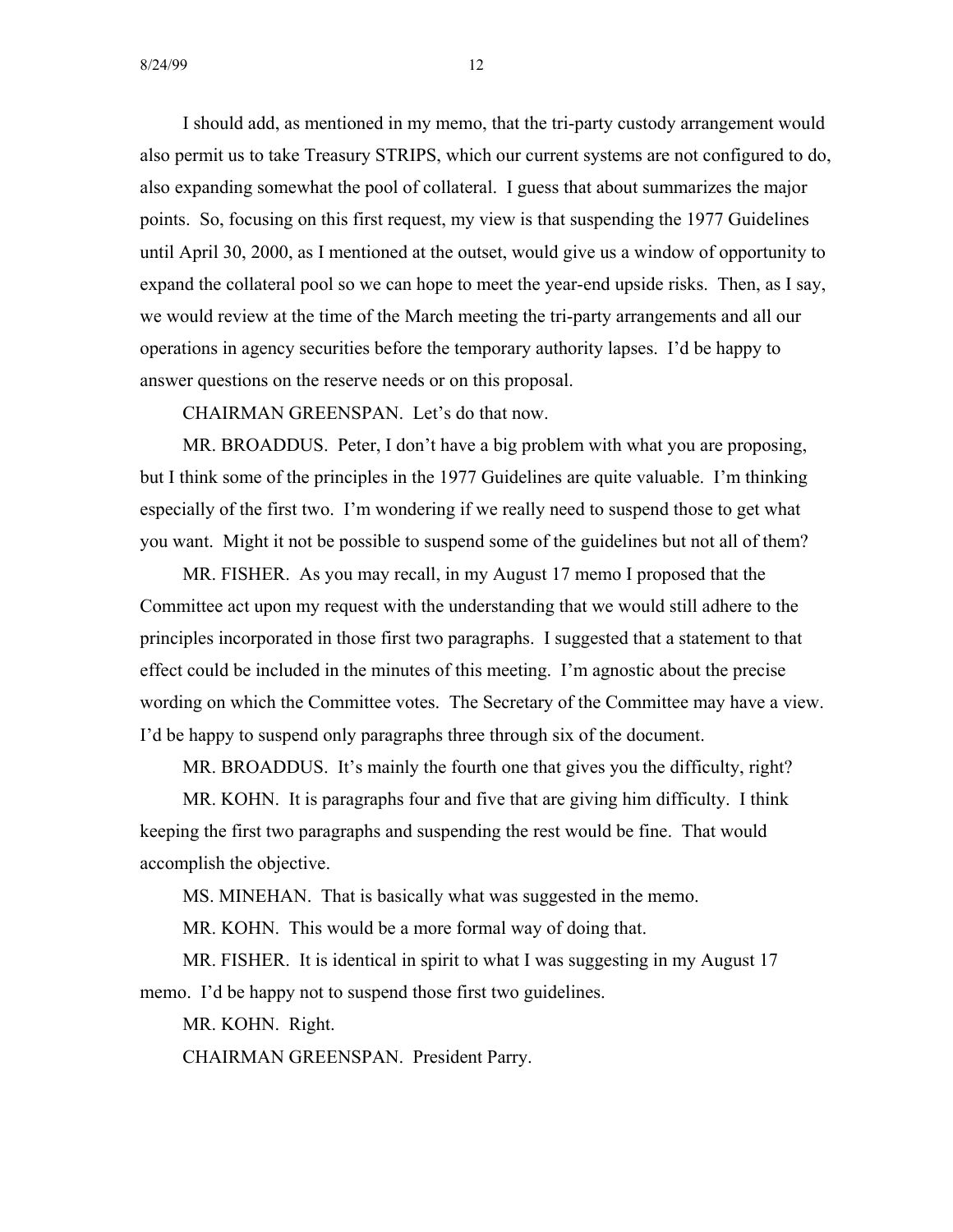I should add, as mentioned in my memo, that the tri-party custody arrangement would also permit us to take Treasury STRIPS, which our current systems are not configured to do, also expanding somewhat the pool of collateral. I guess that about summarizes the major points. So, focusing on this first request, my view is that suspending the 1977 Guidelines until April 30, 2000, as I mentioned at the outset, would give us a window of opportunity to expand the collateral pool so we can hope to meet the year-end upside risks. Then, as I say, we would review at the time of the March meeting the tri-party arrangements and all our operations in agency securities before the temporary authority lapses. I'd be happy to answer questions on the reserve needs or on this proposal.

CHAIRMAN GREENSPAN. Let's do that now.

MR. BROADDUS. Peter, I don't have a big problem with what you are proposing, but I think some of the principles in the 1977 Guidelines are quite valuable. I'm thinking especially of the first two. I'm wondering if we really need to suspend those to get what you want. Might it not be possible to suspend some of the guidelines but not all of them?

MR. FISHER. As you may recall, in my August 17 memo I proposed that the Committee act upon my request with the understanding that we would still adhere to the principles incorporated in those first two paragraphs. I suggested that a statement to that effect could be included in the minutes of this meeting. I'm agnostic about the precise wording on which the Committee votes. The Secretary of the Committee may have a view. I'd be happy to suspend only paragraphs three through six of the document.

MR. BROADDUS. It's mainly the fourth one that gives you the difficulty, right?

MR. KOHN. It is paragraphs four and five that are giving him difficulty. I think keeping the first two paragraphs and suspending the rest would be fine. That would accomplish the objective.

MS. MINEHAN. That is basically what was suggested in the memo.

MR. KOHN. This would be a more formal way of doing that.

MR. FISHER. It is identical in spirit to what I was suggesting in my August 17 memo. I'd be happy not to suspend those first two guidelines.

MR. KOHN. Right.

CHAIRMAN GREENSPAN. President Parry.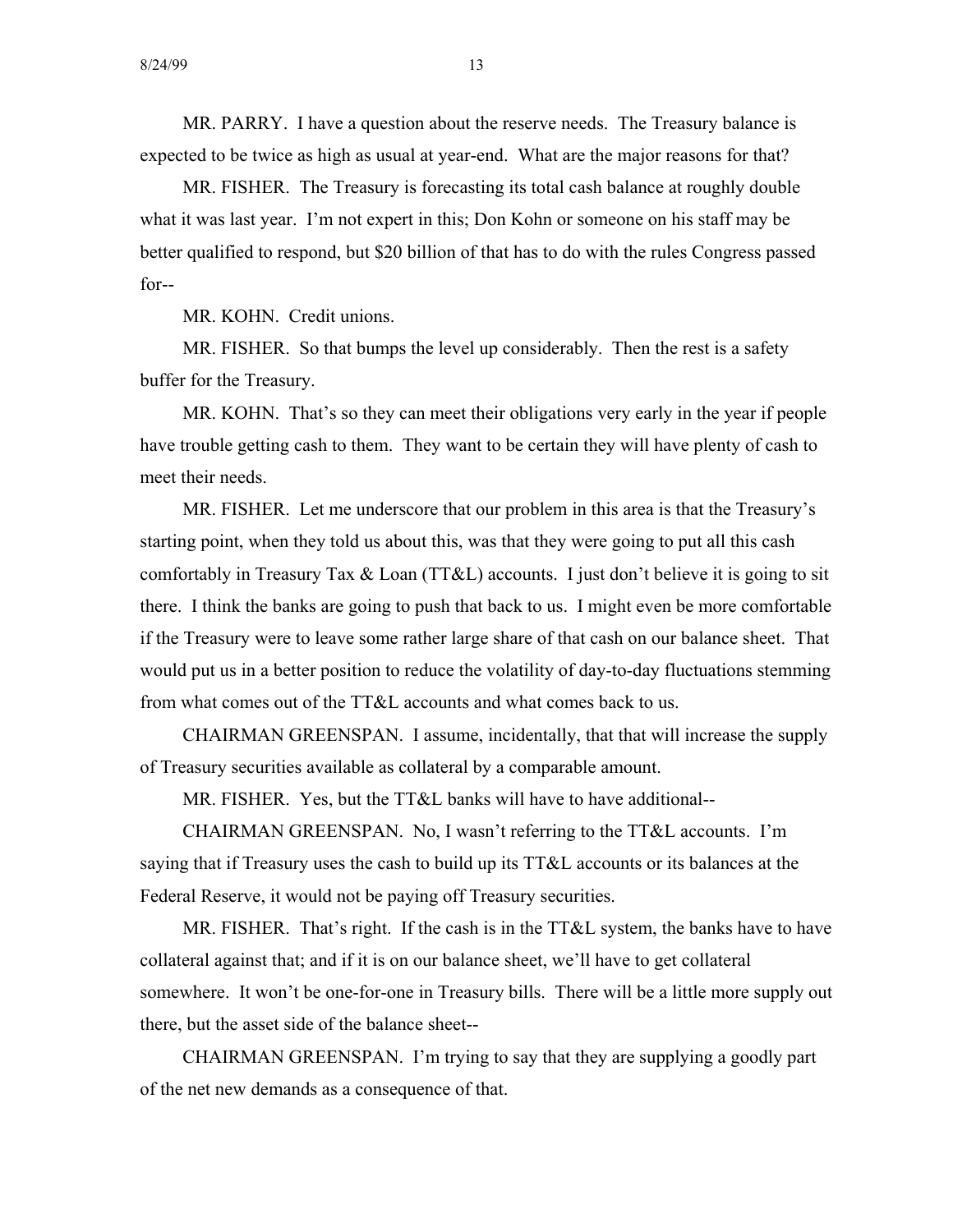MR. PARRY. I have a question about the reserve needs. The Treasury balance is expected to be twice as high as usual at year-end. What are the major reasons for that?

MR. FISHER. The Treasury is forecasting its total cash balance at roughly double what it was last year. I'm not expert in this; Don Kohn or someone on his staff may be better qualified to respond, but \$20 billion of that has to do with the rules Congress passed for--

MR. KOHN. Credit unions.

MR. FISHER. So that bumps the level up considerably. Then the rest is a safety buffer for the Treasury.

MR. KOHN. That's so they can meet their obligations very early in the year if people have trouble getting cash to them. They want to be certain they will have plenty of cash to meet their needs.

MR. FISHER. Let me underscore that our problem in this area is that the Treasury's starting point, when they told us about this, was that they were going to put all this cash comfortably in Treasury Tax  $&$  Loan (TT $&$ L) accounts. I just don't believe it is going to sit there. I think the banks are going to push that back to us. I might even be more comfortable if the Treasury were to leave some rather large share of that cash on our balance sheet. That would put us in a better position to reduce the volatility of day-to-day fluctuations stemming from what comes out of the TT&L accounts and what comes back to us.

CHAIRMAN GREENSPAN. I assume, incidentally, that that will increase the supply of Treasury securities available as collateral by a comparable amount.

MR. FISHER. Yes, but the TT&L banks will have to have additional--

CHAIRMAN GREENSPAN. No, I wasn't referring to the TT&L accounts. I'm saying that if Treasury uses the cash to build up its TT&L accounts or its balances at the Federal Reserve, it would not be paying off Treasury securities.

MR. FISHER. That's right. If the cash is in the  $TT\&L$  system, the banks have to have collateral against that; and if it is on our balance sheet, we'll have to get collateral somewhere. It won't be one-for-one in Treasury bills. There will be a little more supply out there, but the asset side of the balance sheet-

CHAIRMAN GREENSPAN. I'm trying to say that they are supplying a goodly part of the net new demands as a consequence of that.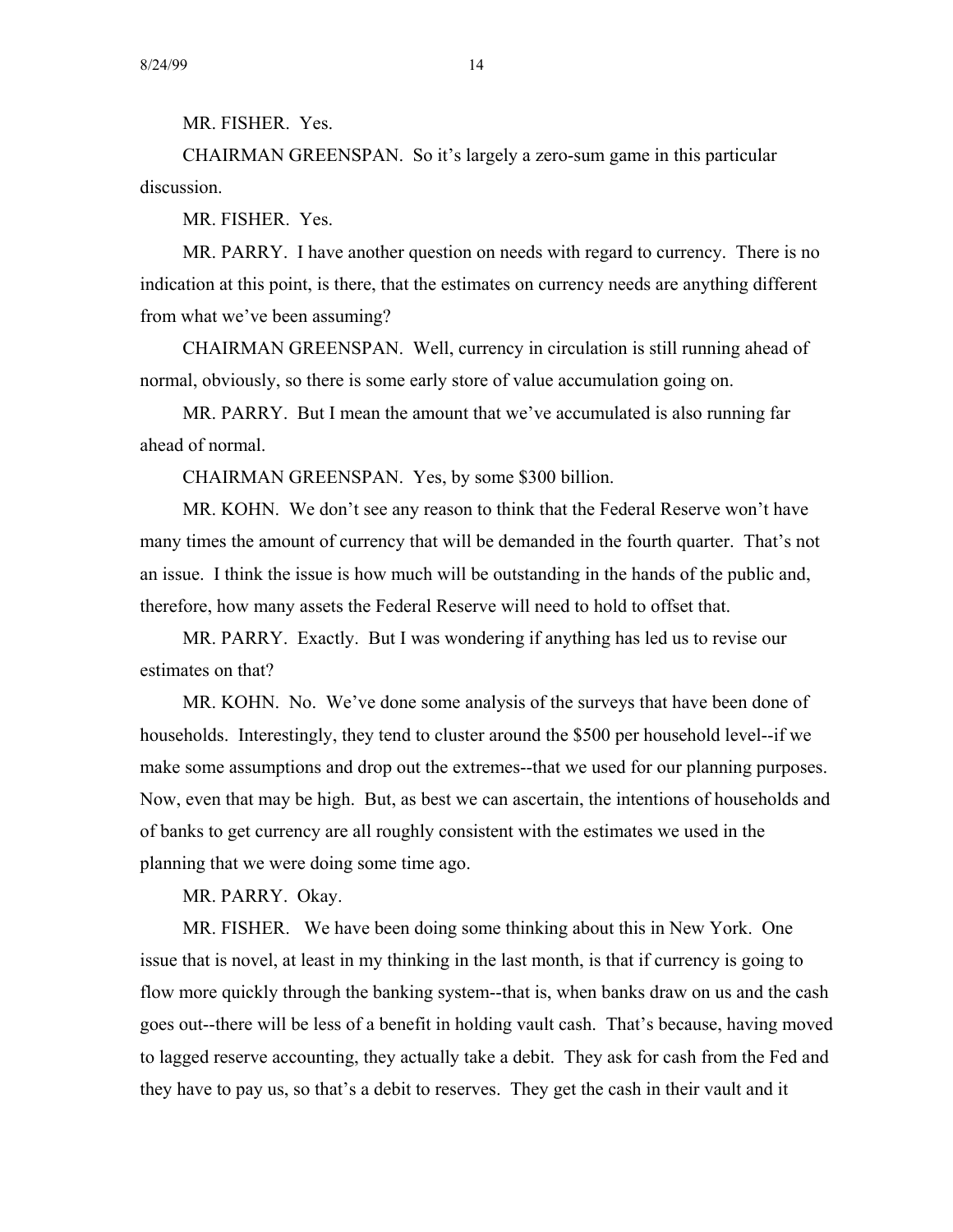MR. FISHER. Yes.

CHAIRMAN GREENSPAN. So it's largely a zero-sum game in this particular discussion.

MR. FISHER. Yes.

MR. PARRY. I have another question on needs with regard to currency. There is no indication at this point, is there, that the estimates on currency needs are anything different from what we've been assuming?

CHAIRMAN GREENSPAN. Well, currency in circulation is still running ahead of normal, obviously, so there is some early store of value accumulation going on.

MR. PARRY. But I mean the amount that we've accumulated is also running far ahead of normal.

CHAIRMAN GREENSPAN. Yes, by some \$300 billion.

MR. KOHN. We don't see any reason to think that the Federal Reserve won't have many times the amount of currency that will be demanded in the fourth quarter. That's not an issue. I think the issue is how much will be outstanding in the hands of the public and, therefore, how many assets the Federal Reserve will need to hold to offset that.

MR. PARRY. Exactly. But I was wondering if anything has led us to revise our estimates on that?

MR. KOHN. No. We've done some analysis of the surveys that have been done of households. Interestingly, they tend to cluster around the \$500 per household level--if we make some assumptions and drop out the extremes--that we used for our planning purposes. Now, even that may be high. But, as best we can ascertain, the intentions of households and of banks to get currency are all roughly consistent with the estimates we used in the planning that we were doing some time ago.

MR. PARRY. Okay.

MR. FISHER. We have been doing some thinking about this in New York. One issue that is novel, at least in my thinking in the last month, is that if currency is going to flow more quickly through the banking system--that is, when banks draw on us and the cash goes out--there will be less of a benefit in holding vault cash. That's because, having moved to lagged reserve accounting, they actually take a debit. They ask for cash from the Fed and they have to pay us, so that's a debit to reserves. They get the cash in their vault and it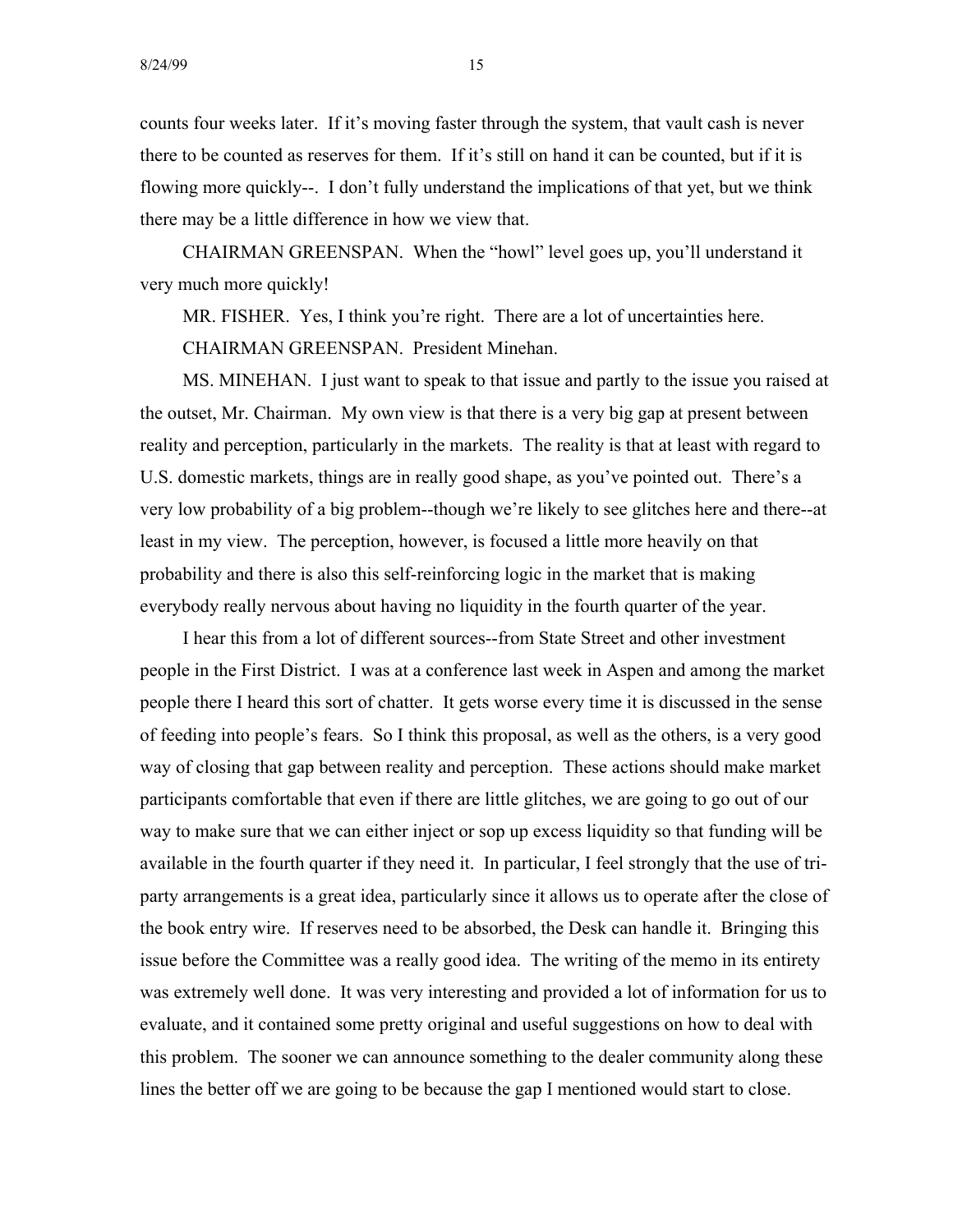counts four weeks later. If it's moving faster through the system, that vault cash is never there to be counted as reserves for them. If it's still on hand it can be counted, but if it is flowing more quickly--. I don't fully understand the implications of that yet, but we think there may be a little difference in how we view that.

CHAIRMAN GREENSPAN. When the "howl" level goes up, you'll understand it very much more quickly!

MR. FISHER. Yes, I think you're right. There are a lot of uncertainties here.

CHAIRMAN GREENSPAN. President Minehan.

MS. MINEHAN. I just want to speak to that issue and partly to the issue you raised at the outset, Mr. Chairman. My own view is that there is a very big gap at present between reality and perception, particularly in the markets. The reality is that at least with regard to U.S. domestic markets, things are in really good shape, as you've pointed out. There's a very low probability of a big problem--though we're likely to see glitches here and there--at least in my view. The perception, however, is focused a little more heavily on that probability and there is also this self-reinforcing logic in the market that is making everybody really nervous about having no liquidity in the fourth quarter of the year.

I hear this from a lot of different sources--from State Street and other investment people in the First District. I was at a conference last week in Aspen and among the market people there I heard this sort of chatter. It gets worse every time it is discussed in the sense of feeding into people's fears. So I think this proposal, as well as the others, is a very good way of closing that gap between reality and perception. These actions should make market participants comfortable that even if there are little glitches, we are going to go out of our way to make sure that we can either inject or sop up excess liquidity so that funding will be available in the fourth quarter if they need it. In particular, I feel strongly that the use of triparty arrangements is a great idea, particularly since it allows us to operate after the close of the book entry wire. If reserves need to be absorbed, the Desk can handle it. Bringing this issue before the Committee was a really good idea. The writing of the memo in its entirety was extremely well done. It was very interesting and provided a lot of information for us to evaluate, and it contained some pretty original and useful suggestions on how to deal with this problem. The sooner we can announce something to the dealer community along these lines the better off we are going to be because the gap I mentioned would start to close.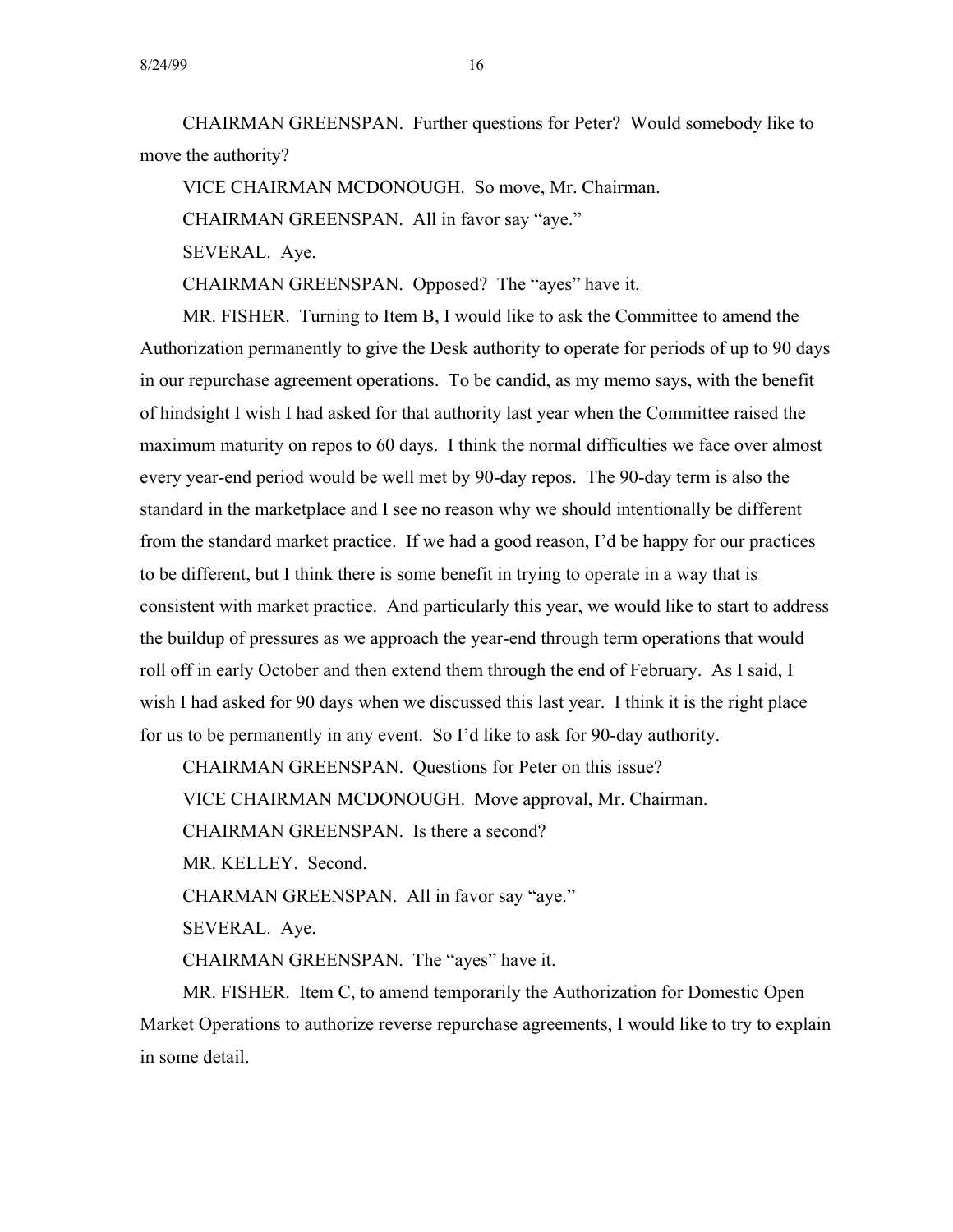CHAIRMAN GREENSPAN. Further questions for Peter? Would somebody like to move the authority?

VICE CHAIRMAN MCDONOUGH. So move, Mr. Chairman.

CHAIRMAN GREENSPAN. All in favor say "aye."

SEVERAL. Aye.

CHAIRMAN GREENSPAN. Opposed? The "ayes" have it.

MR. FISHER. Turning to Item B, I would like to ask the Committee to amend the Authorization permanently to give the Desk authority to operate for periods of up to 90 days in our repurchase agreement operations. To be candid, as my memo says, with the benefit of hindsight I wish I had asked for that authority last year when the Committee raised the maximum maturity on repos to 60 days. I think the normal difficulties we face over almost every year-end period would be well met by 90-day repos. The 90-day term is also the standard in the marketplace and I see no reason why we should intentionally be different from the standard market practice. If we had a good reason, I'd be happy for our practices to be different, but I think there is some benefit in trying to operate in a way that is consistent with market practice. And particularly this year, we would like to start to address the buildup of pressures as we approach the year-end through term operations that would roll off in early October and then extend them through the end of February. As I said, I wish I had asked for 90 days when we discussed this last year. I think it is the right place for us to be permanently in any event. So I'd like to ask for 90-day authority.

CHAIRMAN GREENSPAN. Questions for Peter on this issue? VICE CHAIRMAN MCDONOUGH. Move approval, Mr. Chairman. CHAIRMAN GREENSPAN. Is there a second?

MR. KELLEY. Second.

CHARMAN GREENSPAN. All in favor say "aye."

SEVERAL. Aye.

CHAIRMAN GREENSPAN. The "ayes" have it.

MR. FISHER. Item C, to amend temporarily the Authorization for Domestic Open Market Operations to authorize reverse repurchase agreements, I would like to try to explain in some detail.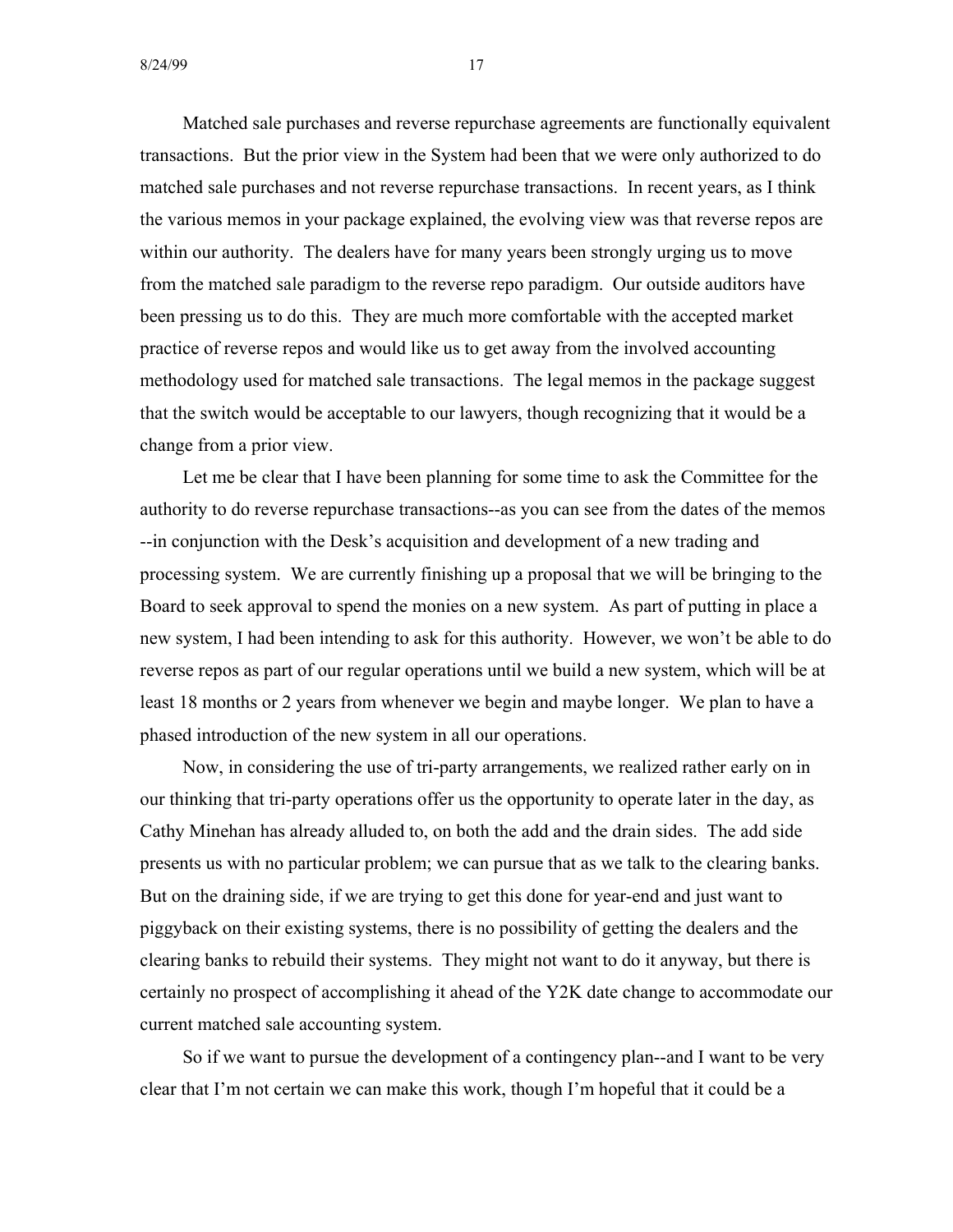Matched sale purchases and reverse repurchase agreements are functionally equivalent transactions. But the prior view in the System had been that we were only authorized to do matched sale purchases and not reverse repurchase transactions. In recent years, as I think the various memos in your package explained, the evolving view was that reverse repos are within our authority. The dealers have for many years been strongly urging us to move from the matched sale paradigm to the reverse repo paradigm. Our outside auditors have been pressing us to do this. They are much more comfortable with the accepted market practice of reverse repos and would like us to get away from the involved accounting methodology used for matched sale transactions. The legal memos in the package suggest that the switch would be acceptable to our lawyers, though recognizing that it would be a change from a prior view.

Let me be clear that I have been planning for some time to ask the Committee for the authority to do reverse repurchase transactions--as you can see from the dates of the memos --in conjunction with the Desk's acquisition and development of a new trading and processing system. We are currently finishing up a proposal that we will be bringing to the Board to seek approval to spend the monies on a new system. As part of putting in place a new system, I had been intending to ask for this authority. However, we won't be able to do reverse repos as part of our regular operations until we build a new system, which will be at least 18 months or 2 years from whenever we begin and maybe longer. We plan to have a phased introduction of the new system in all our operations.

Now, in considering the use of tri-party arrangements, we realized rather early on in our thinking that tri-party operations offer us the opportunity to operate later in the day, as Cathy Minehan has already alluded to, on both the add and the drain sides. The add side presents us with no particular problem; we can pursue that as we talk to the clearing banks. But on the draining side, if we are trying to get this done for year-end and just want to piggyback on their existing systems, there is no possibility of getting the dealers and the clearing banks to rebuild their systems. They might not want to do it anyway, but there is certainly no prospect of accomplishing it ahead of the Y2K date change to accommodate our current matched sale accounting system.

So if we want to pursue the development of a contingency plan--and I want to be very clear that I'm not certain we can make this work, though I'm hopeful that it could be a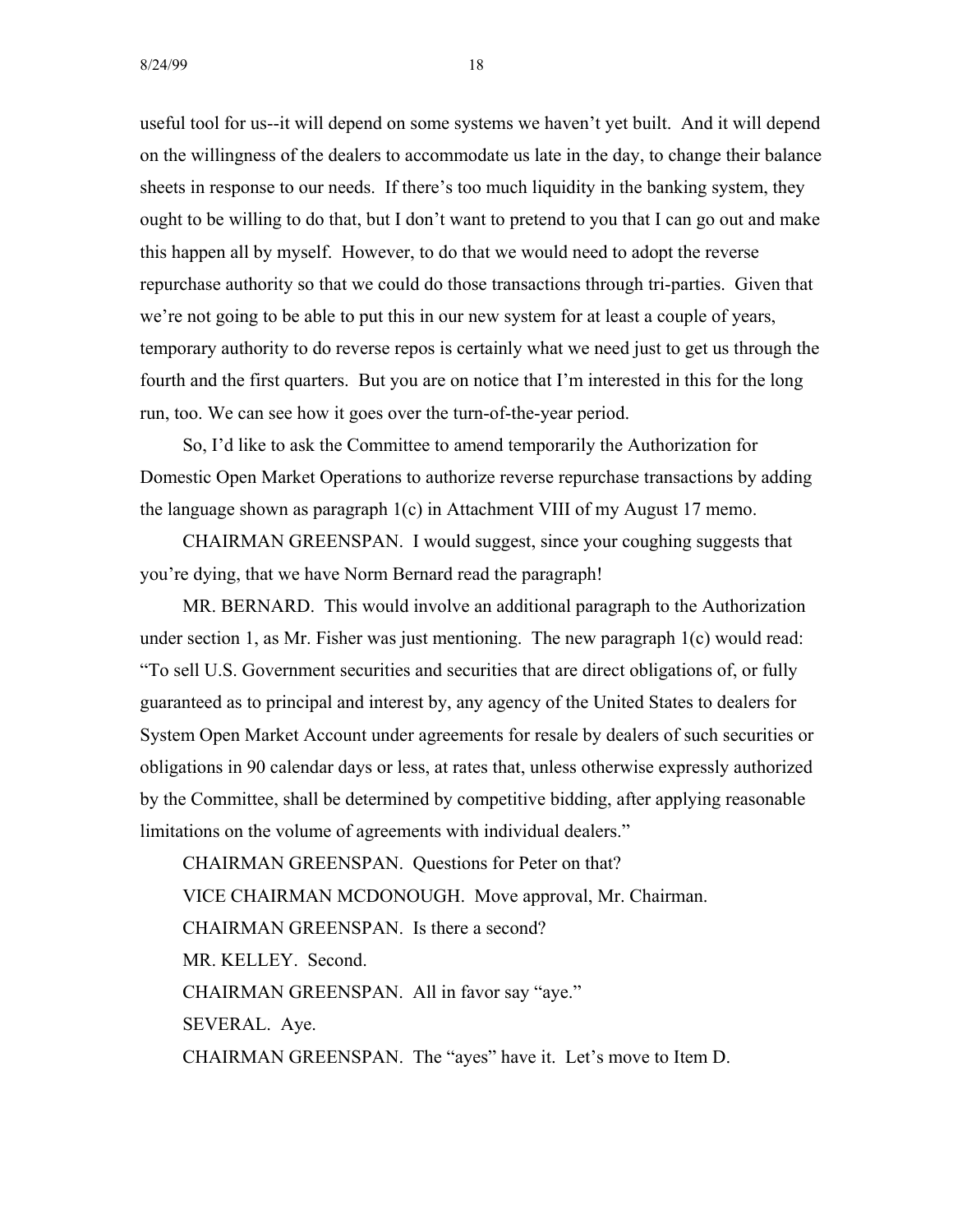useful tool for us--it will depend on some systems we haven't yet built. And it will depend on the willingness of the dealers to accommodate us late in the day, to change their balance sheets in response to our needs. If there's too much liquidity in the banking system, they ought to be willing to do that, but I don't want to pretend to you that I can go out and make this happen all by myself. However, to do that we would need to adopt the reverse repurchase authority so that we could do those transactions through tri-parties. Given that we're not going to be able to put this in our new system for at least a couple of years, temporary authority to do reverse repos is certainly what we need just to get us through the fourth and the first quarters. But you are on notice that I'm interested in this for the long run, too. We can see how it goes over the turn-of-the-year period.

So, I'd like to ask the Committee to amend temporarily the Authorization for Domestic Open Market Operations to authorize reverse repurchase transactions by adding the language shown as paragraph 1(c) in Attachment VIII of my August 17 memo.

CHAIRMAN GREENSPAN. I would suggest, since your coughing suggests that you're dying, that we have Norm Bernard read the paragraph!

MR. BERNARD. This would involve an additional paragraph to the Authorization under section 1, as Mr. Fisher was just mentioning. The new paragraph 1(c) would read: "To sell U.S. Government securities and securities that are direct obligations of, or fully guaranteed as to principal and interest by, any agency of the United States to dealers for System Open Market Account under agreements for resale by dealers of such securities or obligations in 90 calendar days or less, at rates that, unless otherwise expressly authorized by the Committee, shall be determined by competitive bidding, after applying reasonable limitations on the volume of agreements with individual dealers."

CHAIRMAN GREENSPAN. Questions for Peter on that? VICE CHAIRMAN MCDONOUGH. Move approval, Mr. Chairman. CHAIRMAN GREENSPAN. Is there a second? MR. KELLEY. Second. CHAIRMAN GREENSPAN. All in favor say "aye." SEVERAL. Aye. CHAIRMAN GREENSPAN. The "ayes" have it. Let's move to Item D.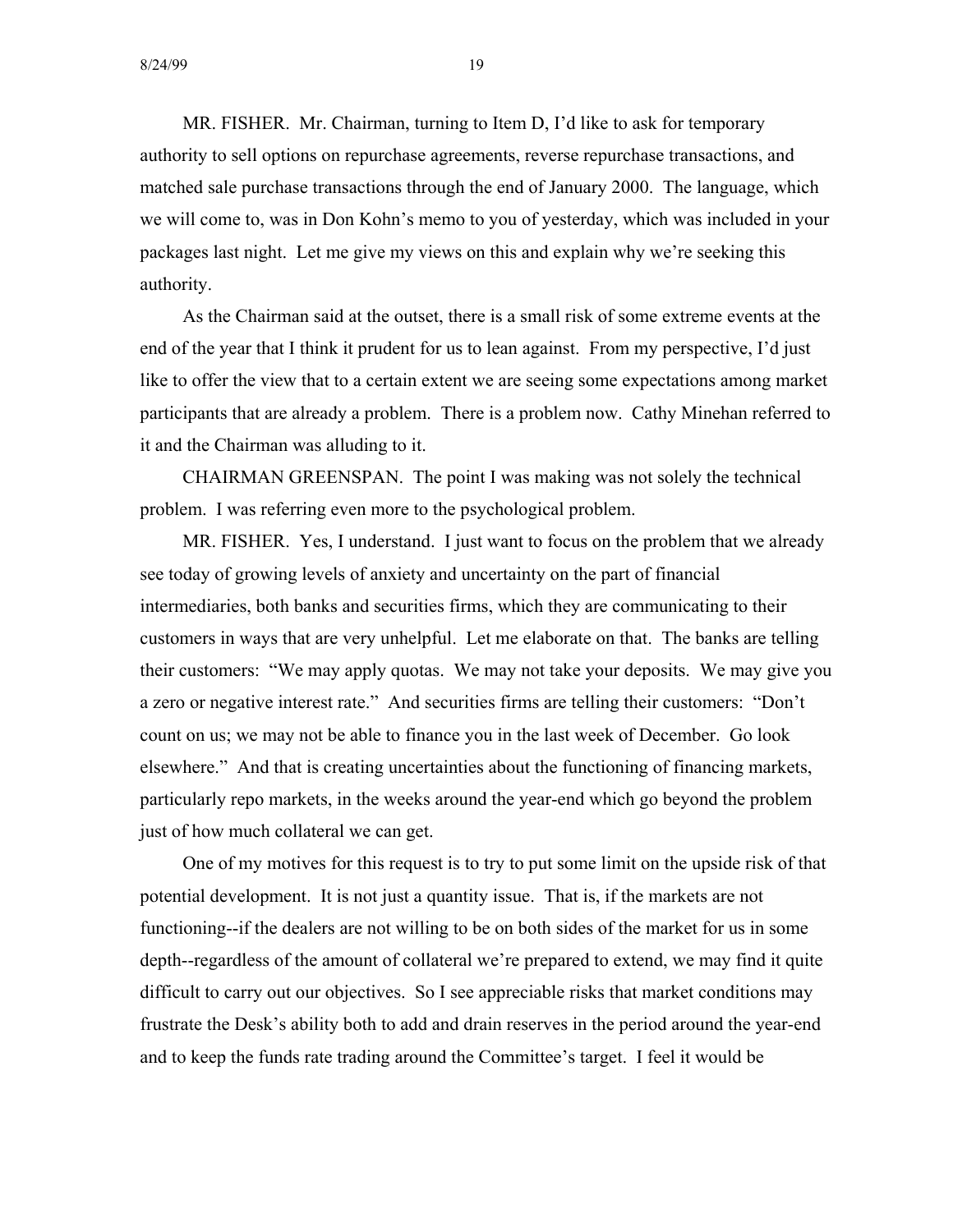MR. FISHER. Mr. Chairman, turning to Item D, I'd like to ask for temporary authority to sell options on repurchase agreements, reverse repurchase transactions, and matched sale purchase transactions through the end of January 2000. The language, which we will come to, was in Don Kohn's memo to you of yesterday, which was included in your packages last night. Let me give my views on this and explain why we're seeking this authority.

As the Chairman said at the outset, there is a small risk of some extreme events at the end of the year that I think it prudent for us to lean against. From my perspective, I'd just like to offer the view that to a certain extent we are seeing some expectations among market participants that are already a problem. There is a problem now. Cathy Minehan referred to it and the Chairman was alluding to it.

CHAIRMAN GREENSPAN. The point I was making was not solely the technical problem. I was referring even more to the psychological problem.

MR. FISHER. Yes, I understand. I just want to focus on the problem that we already see today of growing levels of anxiety and uncertainty on the part of financial intermediaries, both banks and securities firms, which they are communicating to their customers in ways that are very unhelpful. Let me elaborate on that. The banks are telling their customers: "We may apply quotas. We may not take your deposits. We may give you a zero or negative interest rate." And securities firms are telling their customers: "Don't count on us; we may not be able to finance you in the last week of December. Go look elsewhere." And that is creating uncertainties about the functioning of financing markets, particularly repo markets, in the weeks around the year-end which go beyond the problem just of how much collateral we can get.

One of my motives for this request is to try to put some limit on the upside risk of that potential development. It is not just a quantity issue. That is, if the markets are not functioning--if the dealers are not willing to be on both sides of the market for us in some depth--regardless of the amount of collateral we're prepared to extend, we may find it quite difficult to carry out our objectives. So I see appreciable risks that market conditions may frustrate the Desk's ability both to add and drain reserves in the period around the year-end and to keep the funds rate trading around the Committee's target. I feel it would be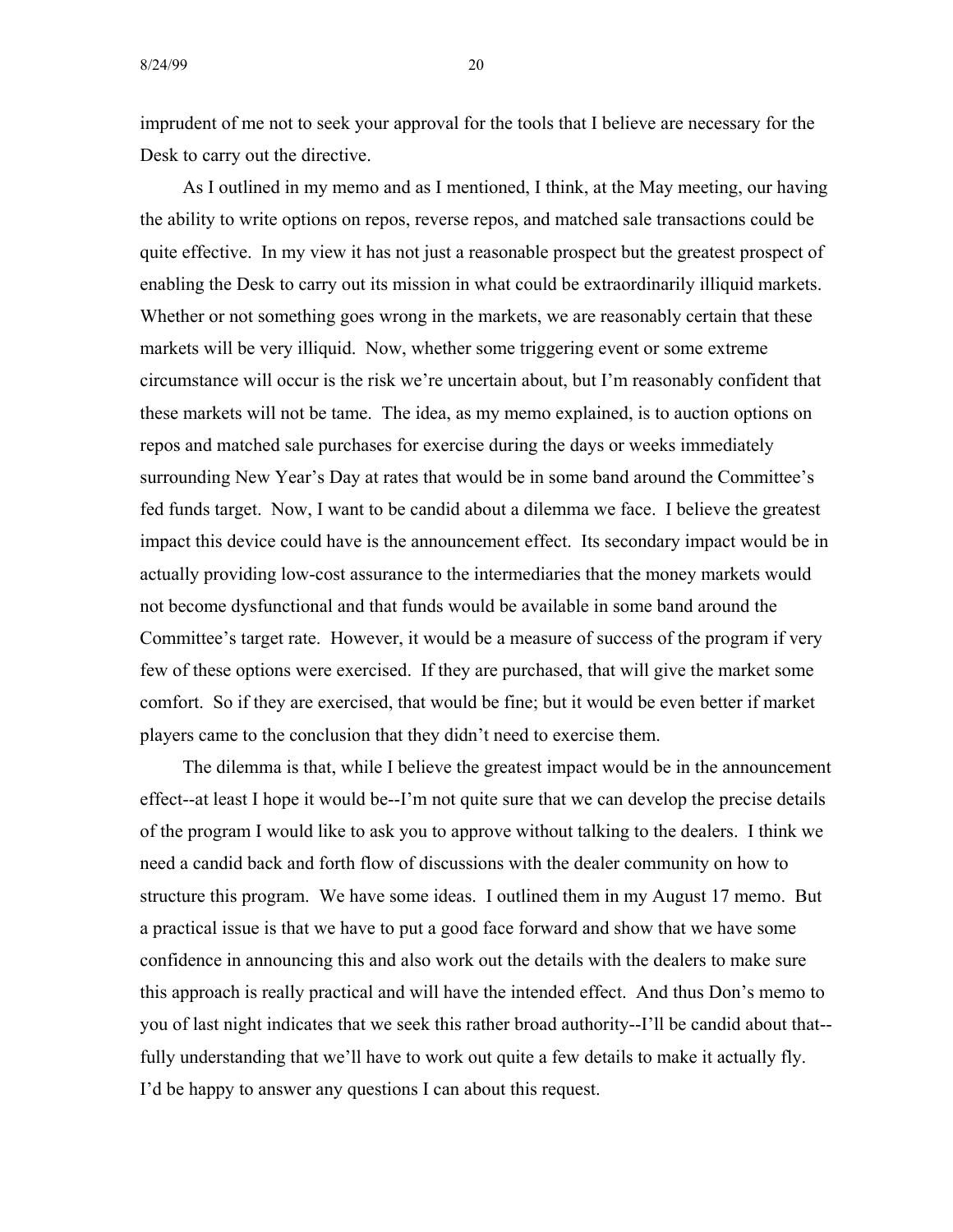imprudent of me not to seek your approval for the tools that I believe are necessary for the Desk to carry out the directive.

As I outlined in my memo and as I mentioned, I think, at the May meeting, our having the ability to write options on repos, reverse repos, and matched sale transactions could be quite effective. In my view it has not just a reasonable prospect but the greatest prospect of enabling the Desk to carry out its mission in what could be extraordinarily illiquid markets. Whether or not something goes wrong in the markets, we are reasonably certain that these markets will be very illiquid. Now, whether some triggering event or some extreme circumstance will occur is the risk we're uncertain about, but I'm reasonably confident that these markets will not be tame. The idea, as my memo explained, is to auction options on repos and matched sale purchases for exercise during the days or weeks immediately surrounding New Year's Day at rates that would be in some band around the Committee's fed funds target. Now, I want to be candid about a dilemma we face. I believe the greatest impact this device could have is the announcement effect. Its secondary impact would be in actually providing low-cost assurance to the intermediaries that the money markets would not become dysfunctional and that funds would be available in some band around the Committee's target rate. However, it would be a measure of success of the program if very few of these options were exercised. If they are purchased, that will give the market some comfort. So if they are exercised, that would be fine; but it would be even better if market players came to the conclusion that they didn't need to exercise them.

The dilemma is that, while I believe the greatest impact would be in the announcement effect--at least I hope it would be--I'm not quite sure that we can develop the precise details of the program I would like to ask you to approve without talking to the dealers. I think we need a candid back and forth flow of discussions with the dealer community on how to structure this program. We have some ideas. I outlined them in my August 17 memo. But a practical issue is that we have to put a good face forward and show that we have some confidence in announcing this and also work out the details with the dealers to make sure this approach is really practical and will have the intended effect. And thus Don's memo to you of last night indicates that we seek this rather broad authority--I'll be candid about that fully understanding that we'll have to work out quite a few details to make it actually fly. I'd be happy to answer any questions I can about this request.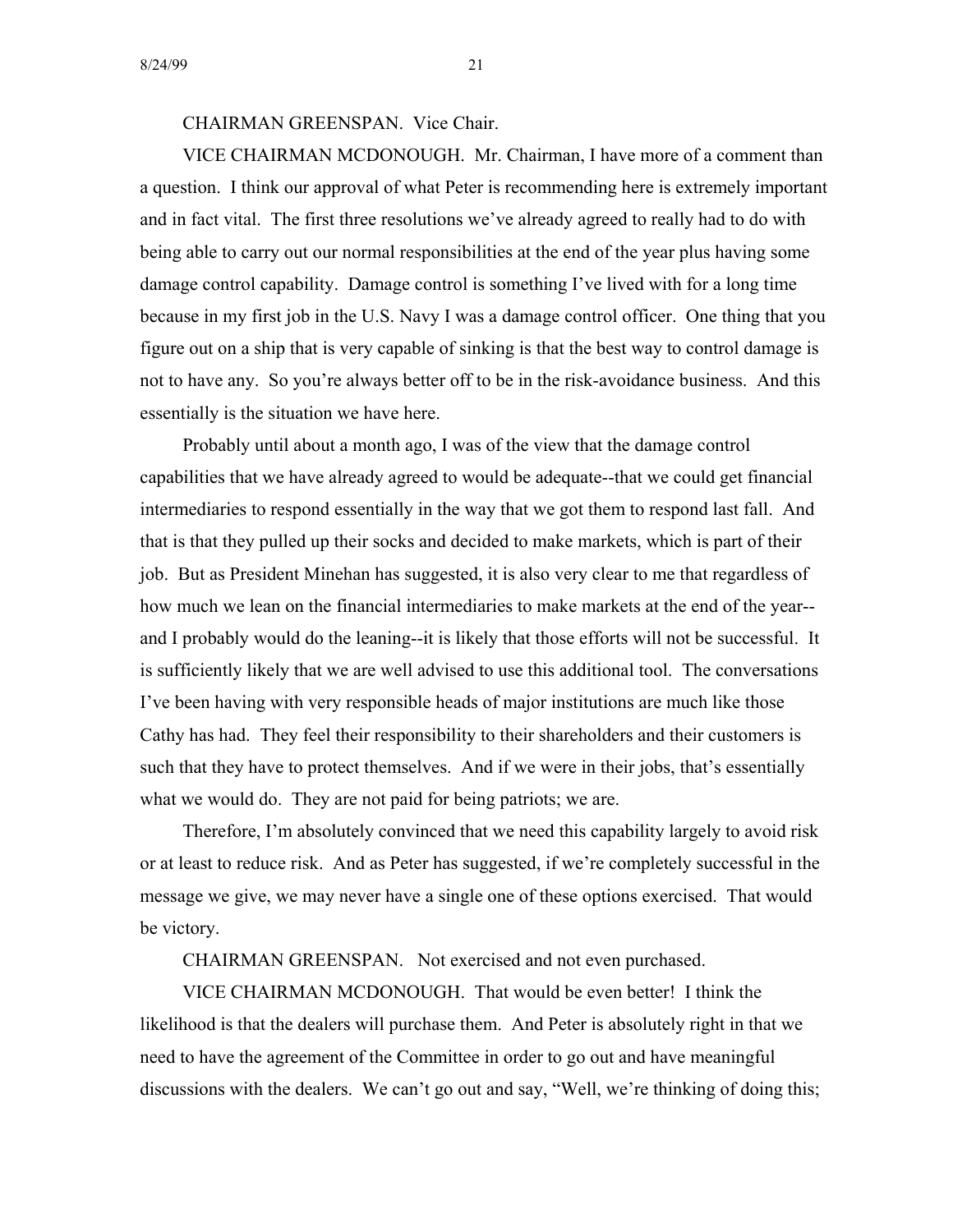CHAIRMAN GREENSPAN. Vice Chair.

VICE CHAIRMAN MCDONOUGH. Mr. Chairman, I have more of a comment than a question. I think our approval of what Peter is recommending here is extremely important and in fact vital. The first three resolutions we've already agreed to really had to do with being able to carry out our normal responsibilities at the end of the year plus having some damage control capability. Damage control is something I've lived with for a long time because in my first job in the U.S. Navy I was a damage control officer. One thing that you figure out on a ship that is very capable of sinking is that the best way to control damage is not to have any. So you're always better off to be in the risk-avoidance business. And this essentially is the situation we have here.

Probably until about a month ago, I was of the view that the damage control capabilities that we have already agreed to would be adequate--that we could get financial intermediaries to respond essentially in the way that we got them to respond last fall. And that is that they pulled up their socks and decided to make markets, which is part of their job. But as President Minehan has suggested, it is also very clear to me that regardless of how much we lean on the financial intermediaries to make markets at the end of the year and I probably would do the leaning--it is likely that those efforts will not be successful. It is sufficiently likely that we are well advised to use this additional tool. The conversations I've been having with very responsible heads of major institutions are much like those Cathy has had. They feel their responsibility to their shareholders and their customers is such that they have to protect themselves. And if we were in their jobs, that's essentially what we would do. They are not paid for being patriots; we are.

Therefore, I'm absolutely convinced that we need this capability largely to avoid risk or at least to reduce risk. And as Peter has suggested, if we're completely successful in the message we give, we may never have a single one of these options exercised. That would be victory.

CHAIRMAN GREENSPAN. Not exercised and not even purchased.

VICE CHAIRMAN MCDONOUGH. That would be even better! I think the likelihood is that the dealers will purchase them. And Peter is absolutely right in that we need to have the agreement of the Committee in order to go out and have meaningful discussions with the dealers. We can't go out and say, "Well, we're thinking of doing this;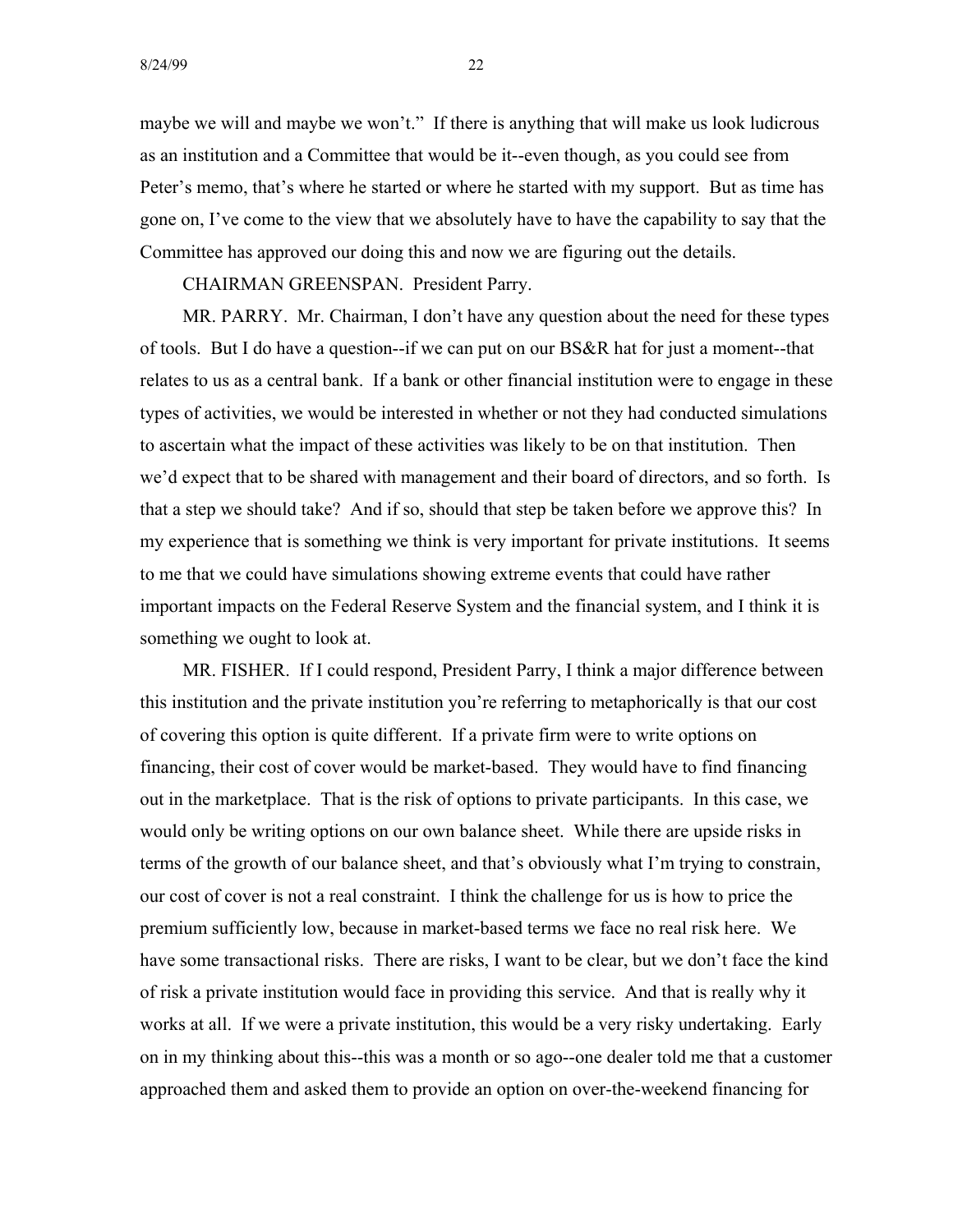maybe we will and maybe we won't." If there is anything that will make us look ludicrous as an institution and a Committee that would be it--even though, as you could see from Peter's memo, that's where he started or where he started with my support. But as time has gone on, I've come to the view that we absolutely have to have the capability to say that the Committee has approved our doing this and now we are figuring out the details.

CHAIRMAN GREENSPAN. President Parry.

MR. PARRY. Mr. Chairman, I don't have any question about the need for these types of tools. But I do have a question--if we can put on our BS&R hat for just a moment--that relates to us as a central bank. If a bank or other financial institution were to engage in these types of activities, we would be interested in whether or not they had conducted simulations to ascertain what the impact of these activities was likely to be on that institution. Then we'd expect that to be shared with management and their board of directors, and so forth. Is that a step we should take? And if so, should that step be taken before we approve this? In my experience that is something we think is very important for private institutions. It seems to me that we could have simulations showing extreme events that could have rather important impacts on the Federal Reserve System and the financial system, and I think it is something we ought to look at.

MR. FISHER. If I could respond, President Parry, I think a major difference between this institution and the private institution you're referring to metaphorically is that our cost of covering this option is quite different. If a private firm were to write options on financing, their cost of cover would be market-based. They would have to find financing out in the marketplace. That is the risk of options to private participants. In this case, we would only be writing options on our own balance sheet. While there are upside risks in terms of the growth of our balance sheet, and that's obviously what I'm trying to constrain, our cost of cover is not a real constraint. I think the challenge for us is how to price the premium sufficiently low, because in market-based terms we face no real risk here. We have some transactional risks. There are risks, I want to be clear, but we don't face the kind of risk a private institution would face in providing this service. And that is really why it works at all. If we were a private institution, this would be a very risky undertaking. Early on in my thinking about this--this was a month or so ago--one dealer told me that a customer approached them and asked them to provide an option on over-the-weekend financing for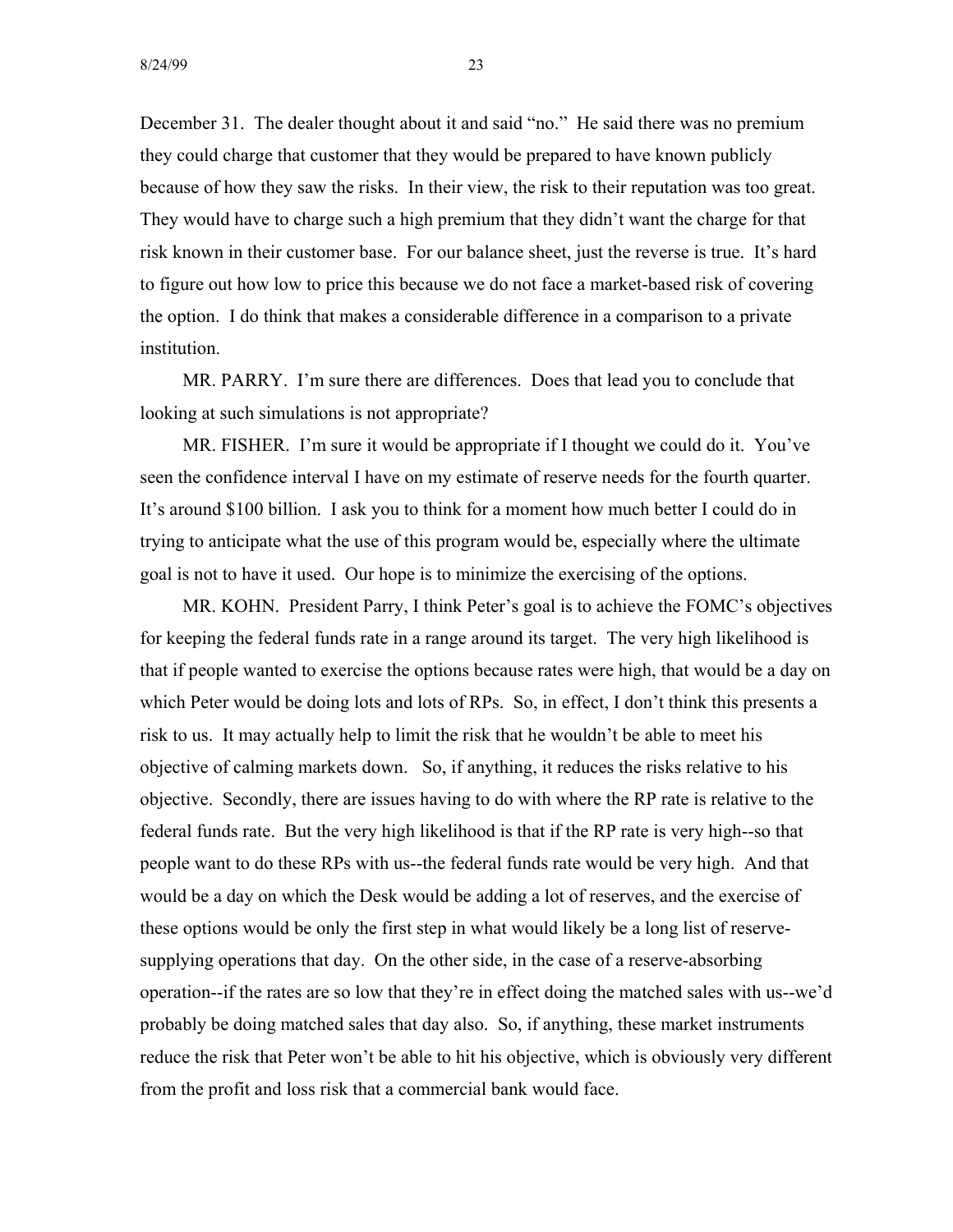December 31. The dealer thought about it and said "no." He said there was no premium they could charge that customer that they would be prepared to have known publicly because of how they saw the risks. In their view, the risk to their reputation was too great. They would have to charge such a high premium that they didn't want the charge for that risk known in their customer base. For our balance sheet, just the reverse is true. It's hard to figure out how low to price this because we do not face a market-based risk of covering the option. I do think that makes a considerable difference in a comparison to a private institution.

MR. PARRY. I'm sure there are differences. Does that lead you to conclude that looking at such simulations is not appropriate?

MR. FISHER. I'm sure it would be appropriate if I thought we could do it. You've seen the confidence interval I have on my estimate of reserve needs for the fourth quarter. It's around \$100 billion. I ask you to think for a moment how much better I could do in trying to anticipate what the use of this program would be, especially where the ultimate goal is not to have it used. Our hope is to minimize the exercising of the options.

MR. KOHN. President Parry, I think Peter's goal is to achieve the FOMC's objectives for keeping the federal funds rate in a range around its target. The very high likelihood is that if people wanted to exercise the options because rates were high, that would be a day on which Peter would be doing lots and lots of RPs. So, in effect, I don't think this presents a risk to us. It may actually help to limit the risk that he wouldn't be able to meet his objective of calming markets down. So, if anything, it reduces the risks relative to his objective. Secondly, there are issues having to do with where the RP rate is relative to the federal funds rate. But the very high likelihood is that if the RP rate is very high--so that people want to do these RPs with us--the federal funds rate would be very high. And that would be a day on which the Desk would be adding a lot of reserves, and the exercise of these options would be only the first step in what would likely be a long list of reservesupplying operations that day. On the other side, in the case of a reserve-absorbing operation--if the rates are so low that they're in effect doing the matched sales with us--we'd probably be doing matched sales that day also. So, if anything, these market instruments reduce the risk that Peter won't be able to hit his objective, which is obviously very different from the profit and loss risk that a commercial bank would face.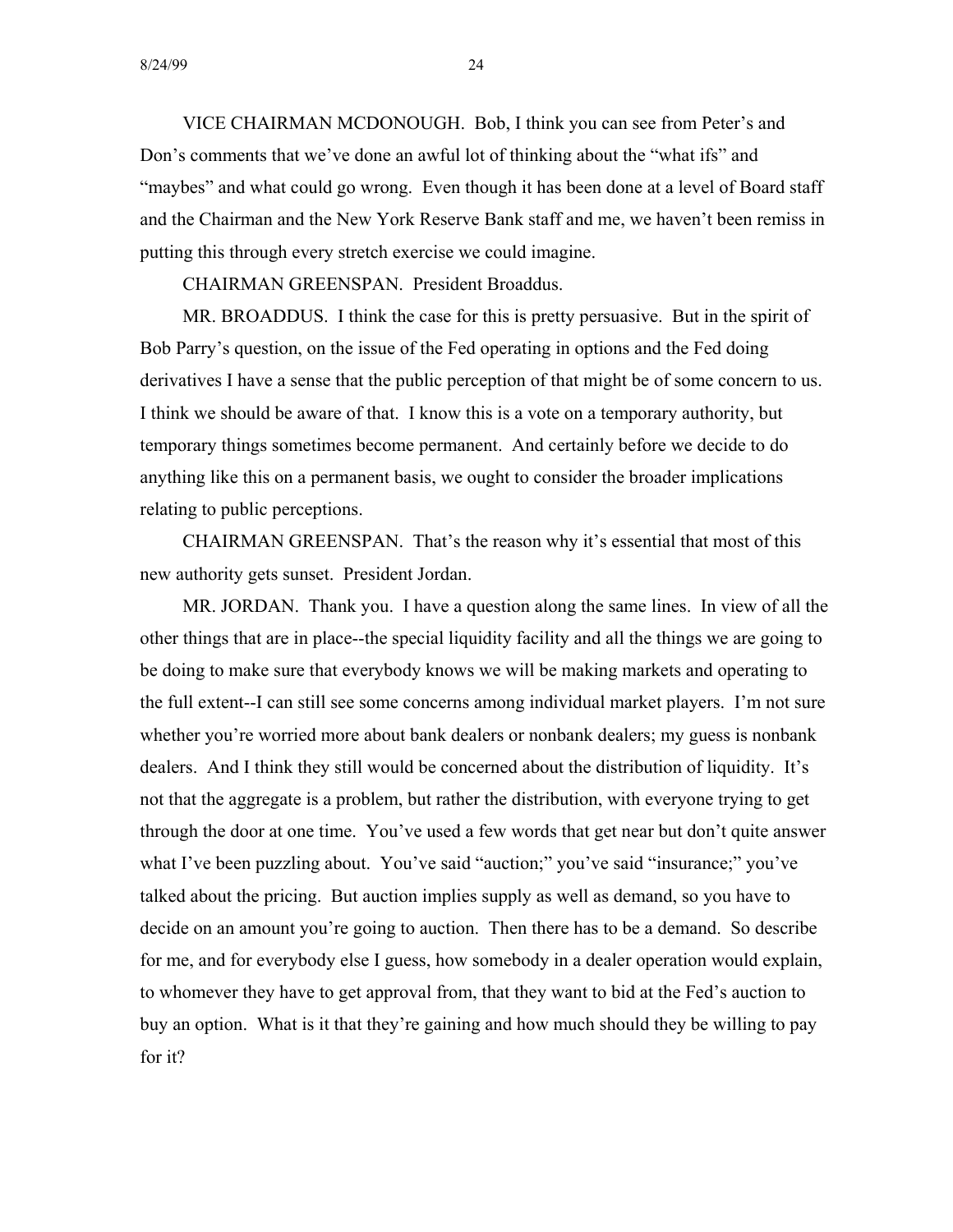VICE CHAIRMAN MCDONOUGH. Bob, I think you can see from Peter's and Don's comments that we've done an awful lot of thinking about the "what ifs" and "maybes" and what could go wrong. Even though it has been done at a level of Board staff and the Chairman and the New York Reserve Bank staff and me, we haven't been remiss in putting this through every stretch exercise we could imagine.

CHAIRMAN GREENSPAN. President Broaddus.

MR. BROADDUS. I think the case for this is pretty persuasive. But in the spirit of Bob Parry's question, on the issue of the Fed operating in options and the Fed doing derivatives I have a sense that the public perception of that might be of some concern to us. I think we should be aware of that. I know this is a vote on a temporary authority, but temporary things sometimes become permanent. And certainly before we decide to do anything like this on a permanent basis, we ought to consider the broader implications relating to public perceptions.

CHAIRMAN GREENSPAN. That's the reason why it's essential that most of this new authority gets sunset. President Jordan.

MR. JORDAN. Thank you. I have a question along the same lines. In view of all the other things that are in place--the special liquidity facility and all the things we are going to be doing to make sure that everybody knows we will be making markets and operating to the full extent--I can still see some concerns among individual market players. I'm not sure whether you're worried more about bank dealers or nonbank dealers; my guess is nonbank dealers. And I think they still would be concerned about the distribution of liquidity. It's not that the aggregate is a problem, but rather the distribution, with everyone trying to get through the door at one time. You've used a few words that get near but don't quite answer what I've been puzzling about. You've said "auction;" you've said "insurance;" you've talked about the pricing. But auction implies supply as well as demand, so you have to decide on an amount you're going to auction. Then there has to be a demand. So describe for me, and for everybody else I guess, how somebody in a dealer operation would explain, to whomever they have to get approval from, that they want to bid at the Fed's auction to buy an option. What is it that they're gaining and how much should they be willing to pay for it?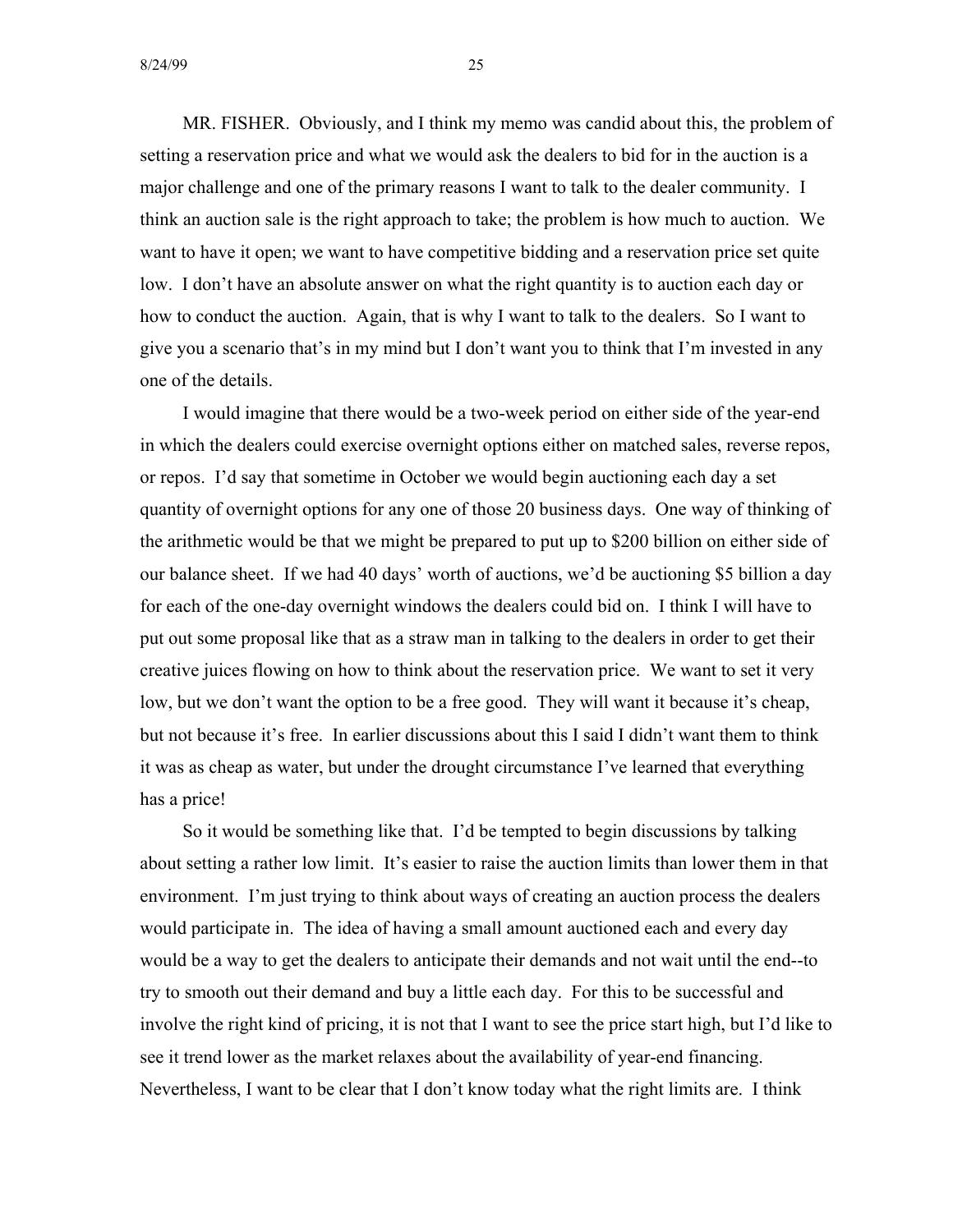MR. FISHER. Obviously, and I think my memo was candid about this, the problem of setting a reservation price and what we would ask the dealers to bid for in the auction is a major challenge and one of the primary reasons I want to talk to the dealer community. I think an auction sale is the right approach to take; the problem is how much to auction. We want to have it open; we want to have competitive bidding and a reservation price set quite low. I don't have an absolute answer on what the right quantity is to auction each day or how to conduct the auction. Again, that is why I want to talk to the dealers. So I want to give you a scenario that's in my mind but I don't want you to think that I'm invested in any one of the details.

I would imagine that there would be a two-week period on either side of the year-end in which the dealers could exercise overnight options either on matched sales, reverse repos, or repos. I'd say that sometime in October we would begin auctioning each day a set quantity of overnight options for any one of those 20 business days. One way of thinking of the arithmetic would be that we might be prepared to put up to \$200 billion on either side of our balance sheet. If we had 40 days' worth of auctions, we'd be auctioning \$5 billion a day for each of the one-day overnight windows the dealers could bid on. I think I will have to put out some proposal like that as a straw man in talking to the dealers in order to get their creative juices flowing on how to think about the reservation price. We want to set it very low, but we don't want the option to be a free good. They will want it because it's cheap, but not because it's free. In earlier discussions about this I said I didn't want them to think it was as cheap as water, but under the drought circumstance I've learned that everything has a price!

So it would be something like that. I'd be tempted to begin discussions by talking about setting a rather low limit. It's easier to raise the auction limits than lower them in that environment. I'm just trying to think about ways of creating an auction process the dealers would participate in. The idea of having a small amount auctioned each and every day would be a way to get the dealers to anticipate their demands and not wait until the end--to try to smooth out their demand and buy a little each day. For this to be successful and involve the right kind of pricing, it is not that I want to see the price start high, but I'd like to see it trend lower as the market relaxes about the availability of year-end financing. Nevertheless, I want to be clear that I don't know today what the right limits are. I think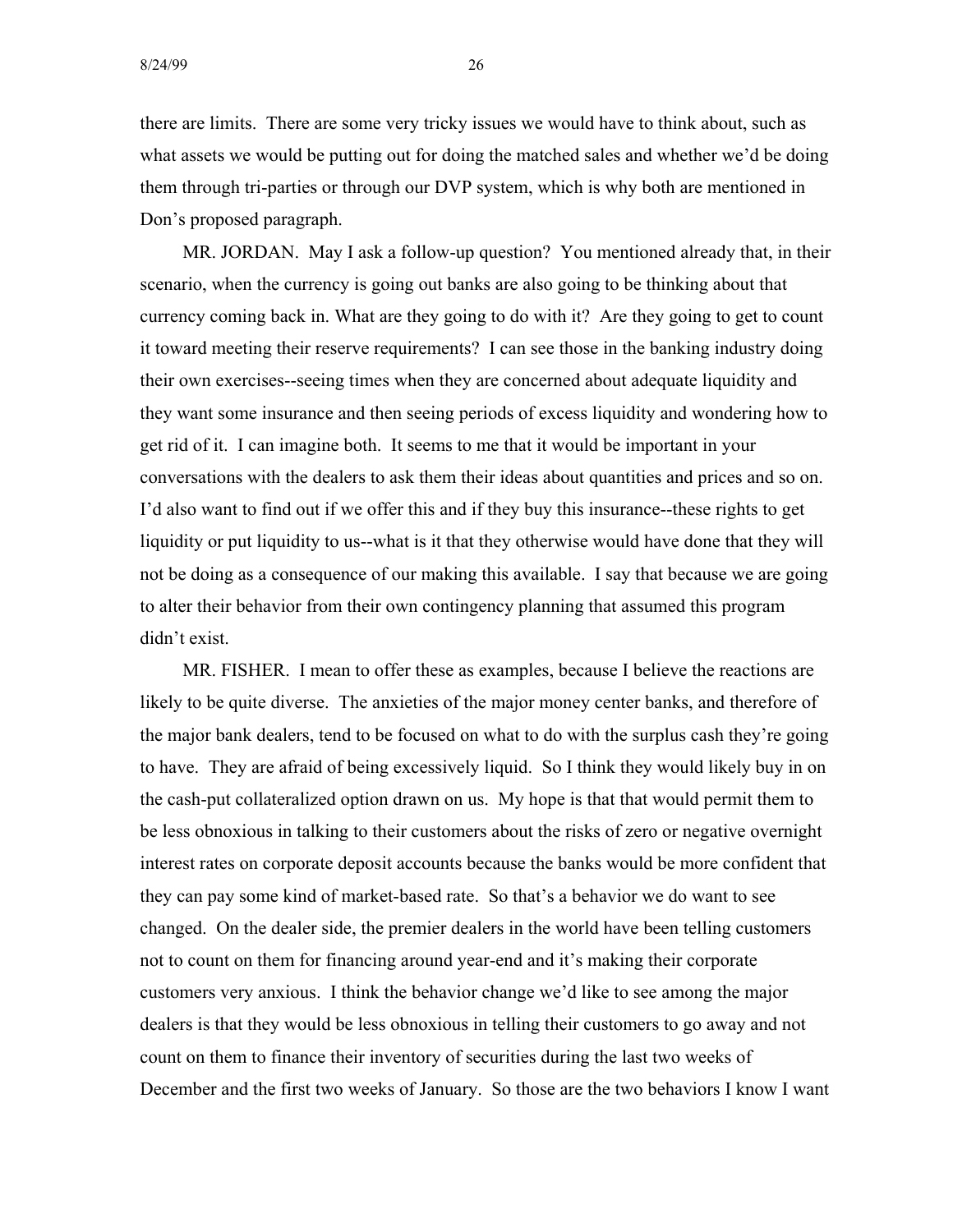there are limits. There are some very tricky issues we would have to think about, such as what assets we would be putting out for doing the matched sales and whether we'd be doing them through tri-parties or through our DVP system, which is why both are mentioned in Don's proposed paragraph.

MR. JORDAN. May I ask a follow-up question? You mentioned already that, in their scenario, when the currency is going out banks are also going to be thinking about that currency coming back in. What are they going to do with it? Are they going to get to count it toward meeting their reserve requirements? I can see those in the banking industry doing their own exercises--seeing times when they are concerned about adequate liquidity and they want some insurance and then seeing periods of excess liquidity and wondering how to get rid of it. I can imagine both. It seems to me that it would be important in your conversations with the dealers to ask them their ideas about quantities and prices and so on. I'd also want to find out if we offer this and if they buy this insurance--these rights to get liquidity or put liquidity to us--what is it that they otherwise would have done that they will not be doing as a consequence of our making this available. I say that because we are going to alter their behavior from their own contingency planning that assumed this program didn't exist.

MR. FISHER. I mean to offer these as examples, because I believe the reactions are likely to be quite diverse. The anxieties of the major money center banks, and therefore of the major bank dealers, tend to be focused on what to do with the surplus cash they're going to have. They are afraid of being excessively liquid. So I think they would likely buy in on the cash-put collateralized option drawn on us. My hope is that that would permit them to be less obnoxious in talking to their customers about the risks of zero or negative overnight interest rates on corporate deposit accounts because the banks would be more confident that they can pay some kind of market-based rate. So that's a behavior we do want to see changed. On the dealer side, the premier dealers in the world have been telling customers not to count on them for financing around year-end and it's making their corporate customers very anxious. I think the behavior change we'd like to see among the major dealers is that they would be less obnoxious in telling their customers to go away and not count on them to finance their inventory of securities during the last two weeks of December and the first two weeks of January. So those are the two behaviors I know I want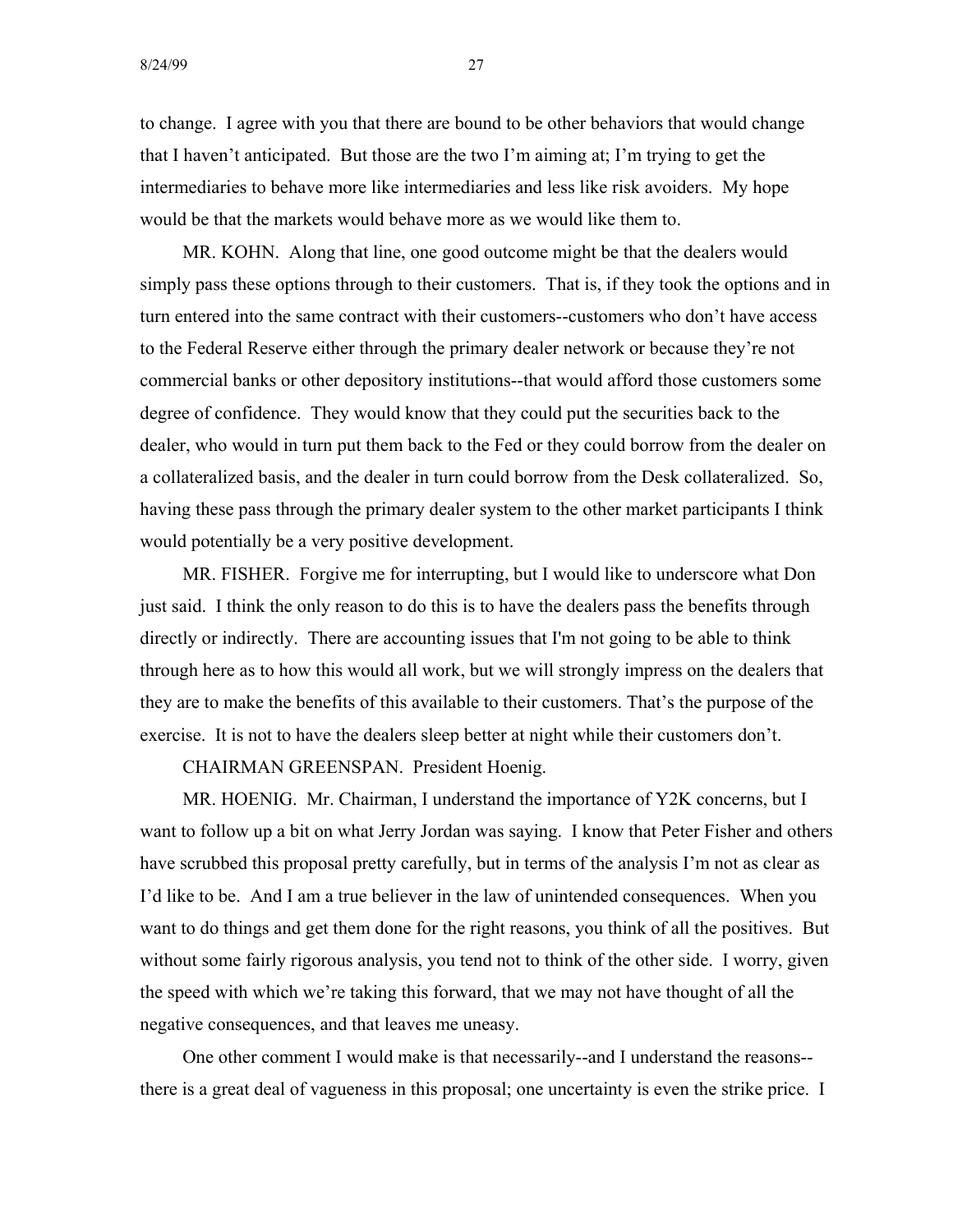to change. I agree with you that there are bound to be other behaviors that would change that I haven't anticipated. But those are the two I'm aiming at; I'm trying to get the intermediaries to behave more like intermediaries and less like risk avoiders. My hope would be that the markets would behave more as we would like them to.

MR. KOHN. Along that line, one good outcome might be that the dealers would simply pass these options through to their customers. That is, if they took the options and in turn entered into the same contract with their customers--customers who don't have access to the Federal Reserve either through the primary dealer network or because they're not commercial banks or other depository institutions--that would afford those customers some degree of confidence. They would know that they could put the securities back to the dealer, who would in turn put them back to the Fed or they could borrow from the dealer on a collateralized basis, and the dealer in turn could borrow from the Desk collateralized. So, having these pass through the primary dealer system to the other market participants I think would potentially be a very positive development.

MR. FISHER. Forgive me for interrupting, but I would like to underscore what Don just said. I think the only reason to do this is to have the dealers pass the benefits through directly or indirectly. There are accounting issues that I'm not going to be able to think through here as to how this would all work, but we will strongly impress on the dealers that they are to make the benefits of this available to their customers. That's the purpose of the exercise. It is not to have the dealers sleep better at night while their customers don't.

CHAIRMAN GREENSPAN. President Hoenig.

MR. HOENIG. Mr. Chairman, I understand the importance of Y2K concerns, but I want to follow up a bit on what Jerry Jordan was saying. I know that Peter Fisher and others have scrubbed this proposal pretty carefully, but in terms of the analysis I'm not as clear as I'd like to be. And I am a true believer in the law of unintended consequences. When you want to do things and get them done for the right reasons, you think of all the positives. But without some fairly rigorous analysis, you tend not to think of the other side. I worry, given the speed with which we're taking this forward, that we may not have thought of all the negative consequences, and that leaves me uneasy.

One other comment I would make is that necessarily--and I understand the reasons there is a great deal of vagueness in this proposal; one uncertainty is even the strike price. I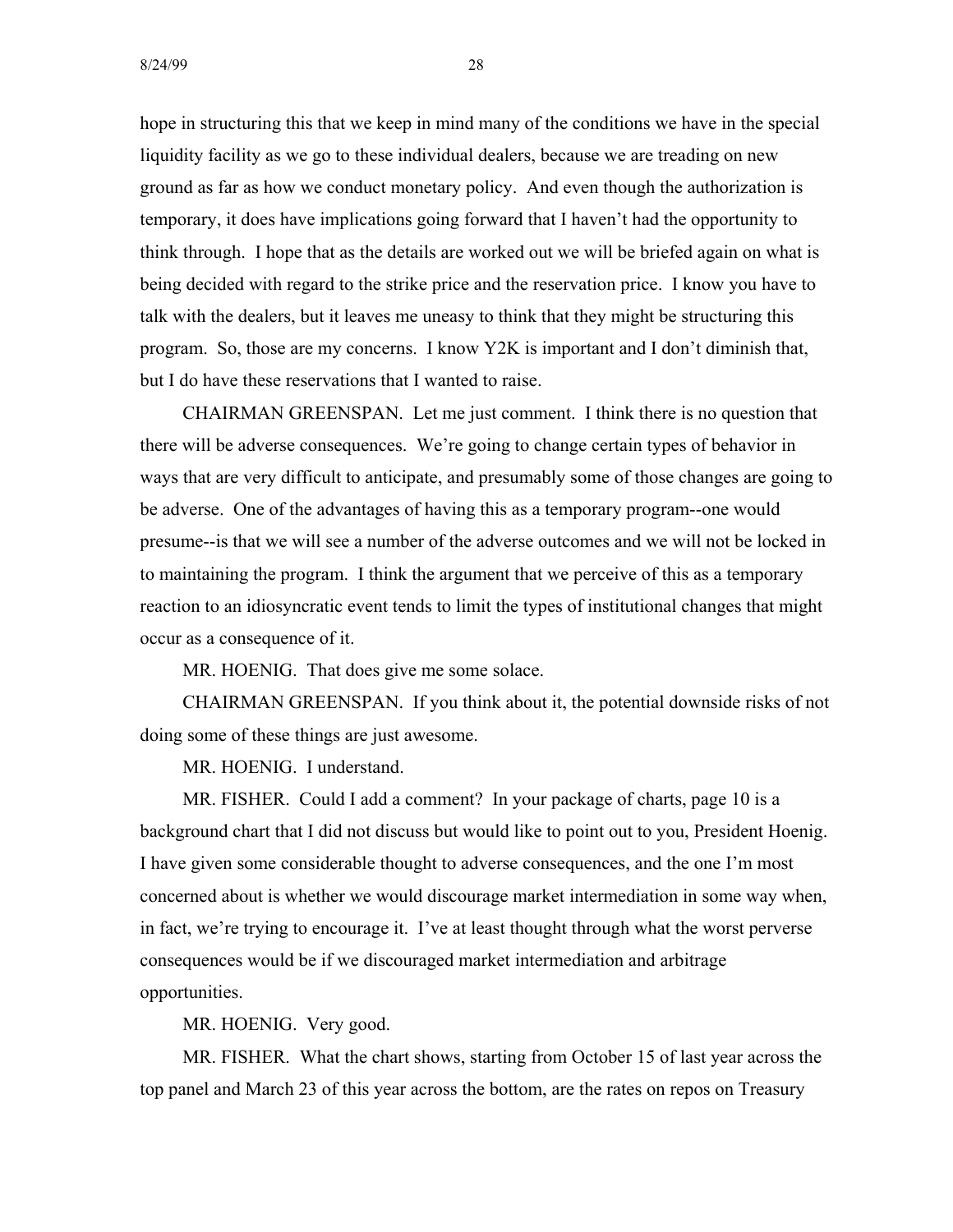hope in structuring this that we keep in mind many of the conditions we have in the special liquidity facility as we go to these individual dealers, because we are treading on new ground as far as how we conduct monetary policy. And even though the authorization is temporary, it does have implications going forward that I haven't had the opportunity to think through. I hope that as the details are worked out we will be briefed again on what is being decided with regard to the strike price and the reservation price. I know you have to talk with the dealers, but it leaves me uneasy to think that they might be structuring this program. So, those are my concerns. I know Y2K is important and I don't diminish that, but I do have these reservations that I wanted to raise.

CHAIRMAN GREENSPAN. Let me just comment. I think there is no question that there will be adverse consequences. We're going to change certain types of behavior in ways that are very difficult to anticipate, and presumably some of those changes are going to be adverse. One of the advantages of having this as a temporary program--one would presume--is that we will see a number of the adverse outcomes and we will not be locked in to maintaining the program. I think the argument that we perceive of this as a temporary reaction to an idiosyncratic event tends to limit the types of institutional changes that might occur as a consequence of it.

MR. HOENIG. That does give me some solace.

CHAIRMAN GREENSPAN. If you think about it, the potential downside risks of not doing some of these things are just awesome.

MR. HOENIG. I understand.

MR. FISHER. Could I add a comment? In your package of charts, page 10 is a background chart that I did not discuss but would like to point out to you, President Hoenig. I have given some considerable thought to adverse consequences, and the one I'm most concerned about is whether we would discourage market intermediation in some way when, in fact, we're trying to encourage it. I've at least thought through what the worst perverse consequences would be if we discouraged market intermediation and arbitrage opportunities.

MR. HOENIG. Very good.

MR. FISHER. What the chart shows, starting from October 15 of last year across the top panel and March 23 of this year across the bottom, are the rates on repos on Treasury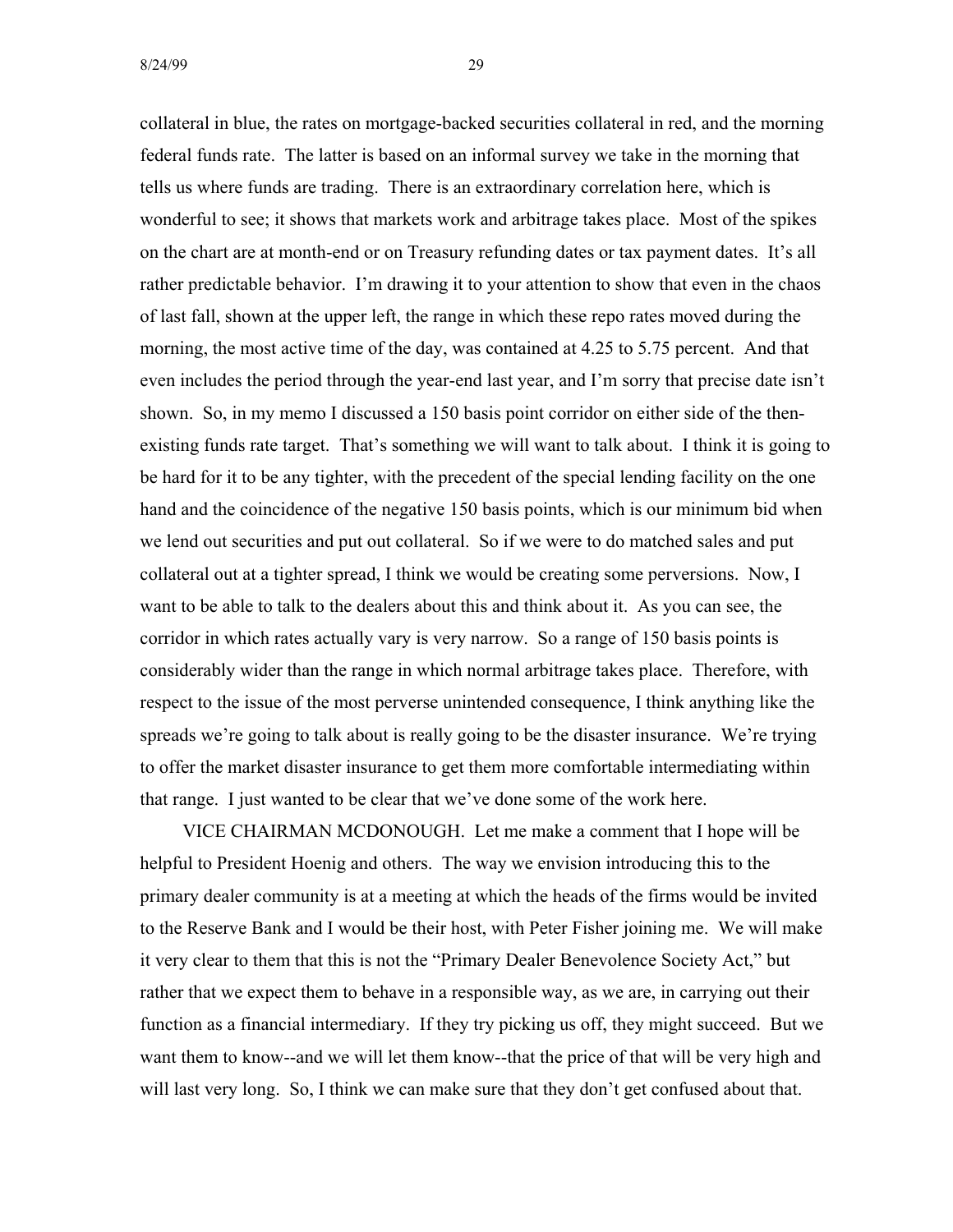collateral in blue, the rates on mortgage-backed securities collateral in red, and the morning federal funds rate. The latter is based on an informal survey we take in the morning that tells us where funds are trading. There is an extraordinary correlation here, which is wonderful to see; it shows that markets work and arbitrage takes place. Most of the spikes on the chart are at month-end or on Treasury refunding dates or tax payment dates. It's all rather predictable behavior. I'm drawing it to your attention to show that even in the chaos of last fall, shown at the upper left, the range in which these repo rates moved during the morning, the most active time of the day, was contained at 4.25 to 5.75 percent. And that even includes the period through the year-end last year, and I'm sorry that precise date isn't shown. So, in my memo I discussed a 150 basis point corridor on either side of the thenexisting funds rate target. That's something we will want to talk about. I think it is going to be hard for it to be any tighter, with the precedent of the special lending facility on the one hand and the coincidence of the negative 150 basis points, which is our minimum bid when we lend out securities and put out collateral. So if we were to do matched sales and put collateral out at a tighter spread, I think we would be creating some perversions. Now, I want to be able to talk to the dealers about this and think about it. As you can see, the corridor in which rates actually vary is very narrow. So a range of 150 basis points is considerably wider than the range in which normal arbitrage takes place. Therefore, with respect to the issue of the most perverse unintended consequence, I think anything like the spreads we're going to talk about is really going to be the disaster insurance. We're trying to offer the market disaster insurance to get them more comfortable intermediating within that range. I just wanted to be clear that we've done some of the work here.

VICE CHAIRMAN MCDONOUGH. Let me make a comment that I hope will be helpful to President Hoenig and others. The way we envision introducing this to the primary dealer community is at a meeting at which the heads of the firms would be invited to the Reserve Bank and I would be their host, with Peter Fisher joining me. We will make it very clear to them that this is not the "Primary Dealer Benevolence Society Act," but rather that we expect them to behave in a responsible way, as we are, in carrying out their function as a financial intermediary. If they try picking us off, they might succeed. But we want them to know--and we will let them know--that the price of that will be very high and will last very long. So, I think we can make sure that they don't get confused about that.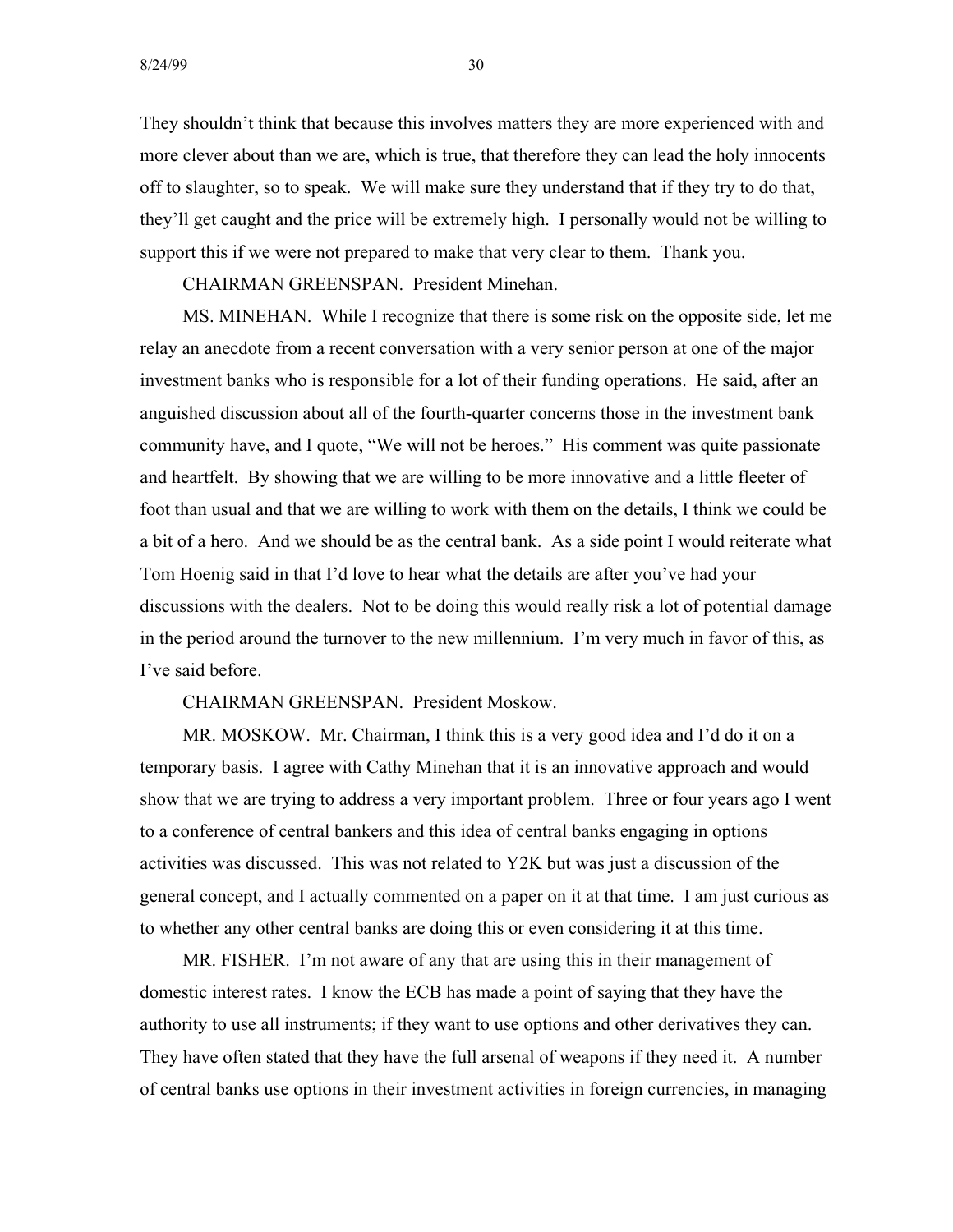They shouldn't think that because this involves matters they are more experienced with and more clever about than we are, which is true, that therefore they can lead the holy innocents off to slaughter, so to speak. We will make sure they understand that if they try to do that, they'll get caught and the price will be extremely high. I personally would not be willing to support this if we were not prepared to make that very clear to them. Thank you.

CHAIRMAN GREENSPAN. President Minehan.

MS. MINEHAN. While I recognize that there is some risk on the opposite side, let me relay an anecdote from a recent conversation with a very senior person at one of the major investment banks who is responsible for a lot of their funding operations. He said, after an anguished discussion about all of the fourth-quarter concerns those in the investment bank community have, and I quote, "We will not be heroes." His comment was quite passionate and heartfelt. By showing that we are willing to be more innovative and a little fleeter of foot than usual and that we are willing to work with them on the details, I think we could be a bit of a hero. And we should be as the central bank. As a side point I would reiterate what Tom Hoenig said in that I'd love to hear what the details are after you've had your discussions with the dealers. Not to be doing this would really risk a lot of potential damage in the period around the turnover to the new millennium. I'm very much in favor of this, as I've said before.

CHAIRMAN GREENSPAN. President Moskow.

MR. MOSKOW. Mr. Chairman, I think this is a very good idea and I'd do it on a temporary basis. I agree with Cathy Minehan that it is an innovative approach and would show that we are trying to address a very important problem. Three or four years ago I went to a conference of central bankers and this idea of central banks engaging in options activities was discussed. This was not related to Y2K but was just a discussion of the general concept, and I actually commented on a paper on it at that time. I am just curious as to whether any other central banks are doing this or even considering it at this time.

MR. FISHER. I'm not aware of any that are using this in their management of domestic interest rates. I know the ECB has made a point of saying that they have the authority to use all instruments; if they want to use options and other derivatives they can. They have often stated that they have the full arsenal of weapons if they need it. A number of central banks use options in their investment activities in foreign currencies, in managing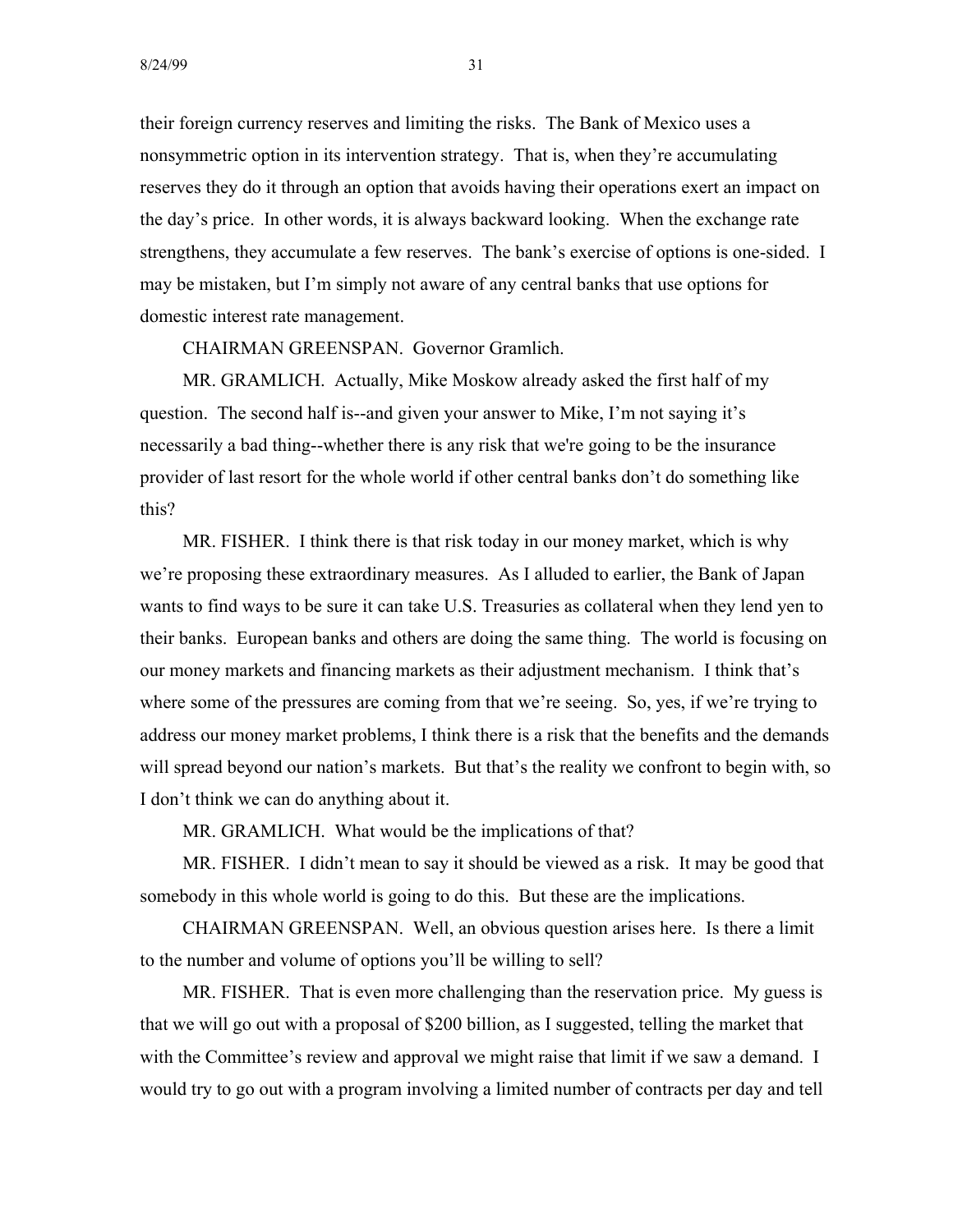their foreign currency reserves and limiting the risks. The Bank of Mexico uses a nonsymmetric option in its intervention strategy. That is, when they're accumulating reserves they do it through an option that avoids having their operations exert an impact on the day's price. In other words, it is always backward looking. When the exchange rate strengthens, they accumulate a few reserves. The bank's exercise of options is one-sided. I may be mistaken, but I'm simply not aware of any central banks that use options for domestic interest rate management.

CHAIRMAN GREENSPAN. Governor Gramlich.

MR. GRAMLICH. Actually, Mike Moskow already asked the first half of my question. The second half is--and given your answer to Mike, I'm not saying it's necessarily a bad thing--whether there is any risk that we're going to be the insurance provider of last resort for the whole world if other central banks don't do something like this?

MR. FISHER. I think there is that risk today in our money market, which is why we're proposing these extraordinary measures. As I alluded to earlier, the Bank of Japan wants to find ways to be sure it can take U.S. Treasuries as collateral when they lend yen to their banks. European banks and others are doing the same thing. The world is focusing on our money markets and financing markets as their adjustment mechanism. I think that's where some of the pressures are coming from that we're seeing. So, yes, if we're trying to address our money market problems, I think there is a risk that the benefits and the demands will spread beyond our nation's markets. But that's the reality we confront to begin with, so I don't think we can do anything about it.

MR. GRAMLICH. What would be the implications of that?

MR. FISHER. I didn't mean to say it should be viewed as a risk. It may be good that somebody in this whole world is going to do this. But these are the implications.

CHAIRMAN GREENSPAN. Well, an obvious question arises here. Is there a limit to the number and volume of options you'll be willing to sell?

MR. FISHER. That is even more challenging than the reservation price. My guess is that we will go out with a proposal of \$200 billion, as I suggested, telling the market that with the Committee's review and approval we might raise that limit if we saw a demand. I would try to go out with a program involving a limited number of contracts per day and tell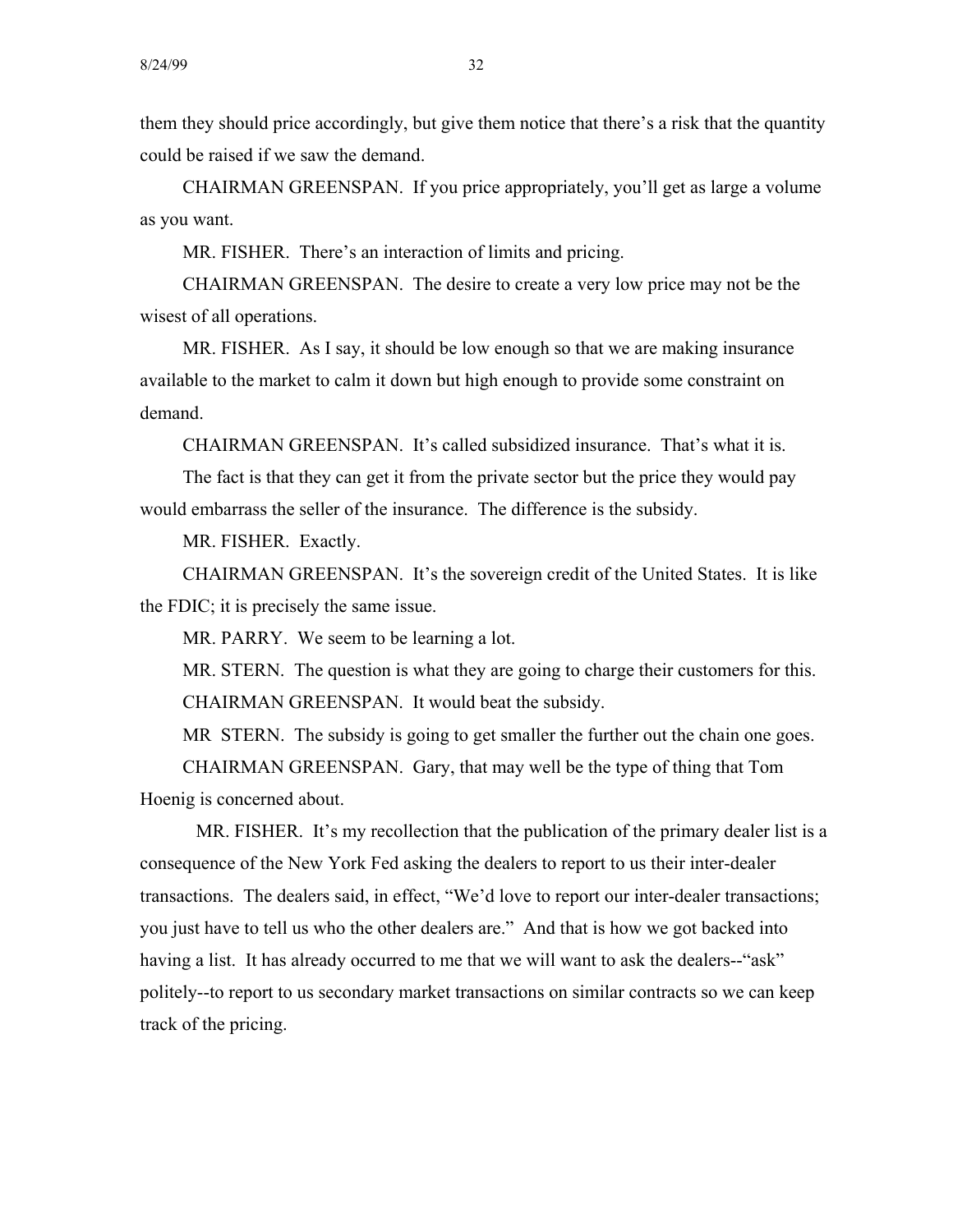them they should price accordingly, but give them notice that there's a risk that the quantity could be raised if we saw the demand.

CHAIRMAN GREENSPAN. If you price appropriately, you'll get as large a volume as you want.

MR. FISHER. There's an interaction of limits and pricing.

CHAIRMAN GREENSPAN. The desire to create a very low price may not be the wisest of all operations.

MR. FISHER. As I say, it should be low enough so that we are making insurance available to the market to calm it down but high enough to provide some constraint on demand.

CHAIRMAN GREENSPAN. It's called subsidized insurance. That's what it is.

The fact is that they can get it from the private sector but the price they would pay would embarrass the seller of the insurance. The difference is the subsidy.

MR. FISHER. Exactly.

CHAIRMAN GREENSPAN. It's the sovereign credit of the United States. It is like the FDIC; it is precisely the same issue.

MR. PARRY. We seem to be learning a lot.

MR. STERN. The question is what they are going to charge their customers for this. CHAIRMAN GREENSPAN. It would beat the subsidy.

MR STERN. The subsidy is going to get smaller the further out the chain one goes.

CHAIRMAN GREENSPAN. Gary, that may well be the type of thing that Tom Hoenig is concerned about.

MR. FISHER. It's my recollection that the publication of the primary dealer list is a consequence of the New York Fed asking the dealers to report to us their inter-dealer transactions. The dealers said, in effect, "We'd love to report our inter-dealer transactions; you just have to tell us who the other dealers are." And that is how we got backed into having a list. It has already occurred to me that we will want to ask the dealers--"ask" politely--to report to us secondary market transactions on similar contracts so we can keep track of the pricing.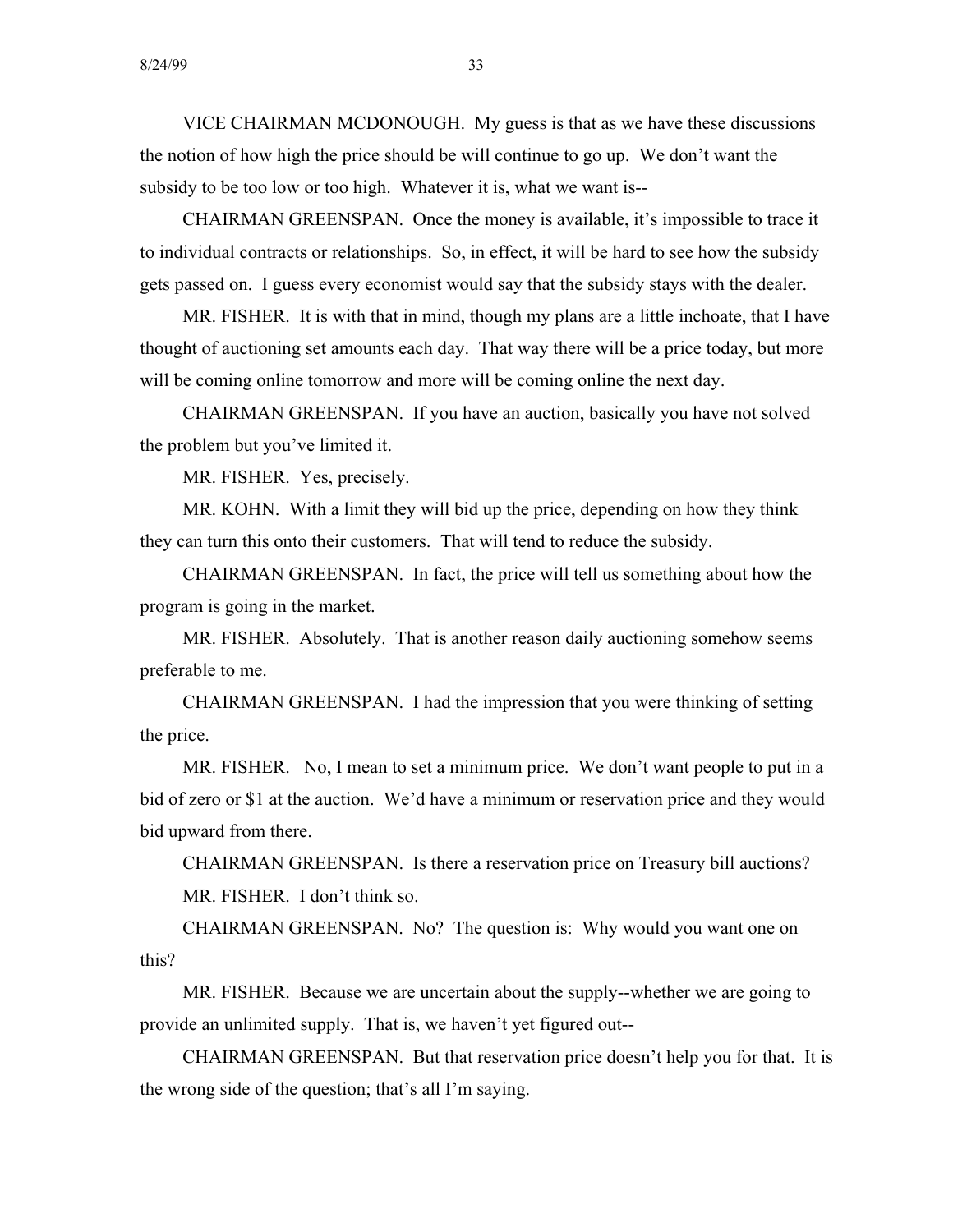VICE CHAIRMAN MCDONOUGH. My guess is that as we have these discussions the notion of how high the price should be will continue to go up. We don't want the subsidy to be too low or too high. Whatever it is, what we want is-

CHAIRMAN GREENSPAN. Once the money is available, it's impossible to trace it to individual contracts or relationships. So, in effect, it will be hard to see how the subsidy gets passed on. I guess every economist would say that the subsidy stays with the dealer.

MR. FISHER. It is with that in mind, though my plans are a little inchoate, that I have thought of auctioning set amounts each day. That way there will be a price today, but more will be coming online tomorrow and more will be coming online the next day.

CHAIRMAN GREENSPAN. If you have an auction, basically you have not solved the problem but you've limited it.

MR. FISHER. Yes, precisely.

MR. KOHN. With a limit they will bid up the price, depending on how they think they can turn this onto their customers. That will tend to reduce the subsidy.

CHAIRMAN GREENSPAN. In fact, the price will tell us something about how the program is going in the market.

MR. FISHER. Absolutely. That is another reason daily auctioning somehow seems preferable to me.

CHAIRMAN GREENSPAN. I had the impression that you were thinking of setting the price.

MR. FISHER. No, I mean to set a minimum price. We don't want people to put in a bid of zero or \$1 at the auction. We'd have a minimum or reservation price and they would bid upward from there.

CHAIRMAN GREENSPAN. Is there a reservation price on Treasury bill auctions? MR. FISHER. I don't think so.

CHAIRMAN GREENSPAN. No? The question is: Why would you want one on this?

MR. FISHER. Because we are uncertain about the supply--whether we are going to provide an unlimited supply. That is, we haven't yet figured out-

CHAIRMAN GREENSPAN. But that reservation price doesn't help you for that. It is the wrong side of the question; that's all I'm saying.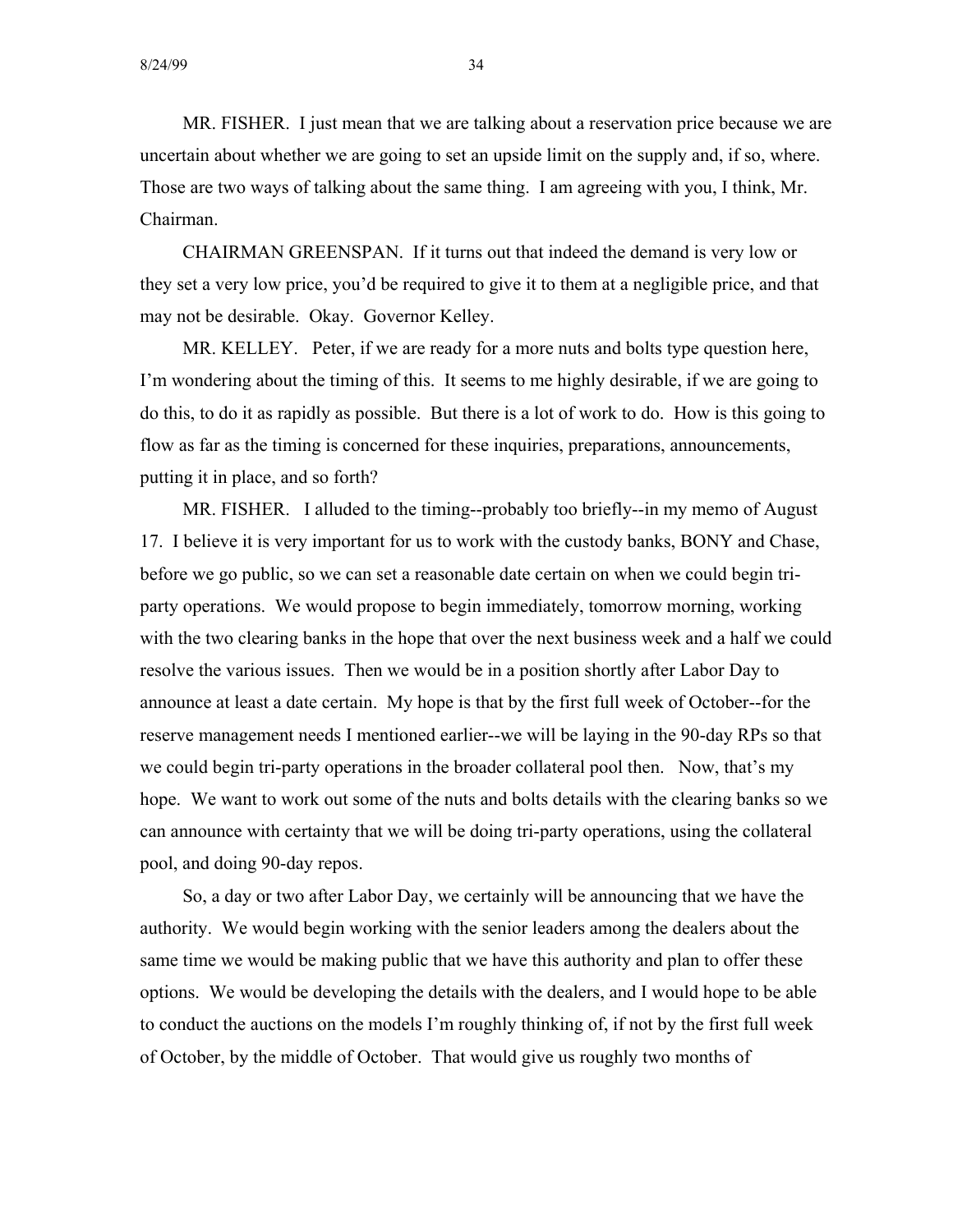MR. FISHER. I just mean that we are talking about a reservation price because we are uncertain about whether we are going to set an upside limit on the supply and, if so, where. Those are two ways of talking about the same thing. I am agreeing with you, I think, Mr. Chairman.

CHAIRMAN GREENSPAN. If it turns out that indeed the demand is very low or they set a very low price, you'd be required to give it to them at a negligible price, and that may not be desirable. Okay. Governor Kelley.

MR. KELLEY. Peter, if we are ready for a more nuts and bolts type question here, I'm wondering about the timing of this. It seems to me highly desirable, if we are going to do this, to do it as rapidly as possible. But there is a lot of work to do. How is this going to flow as far as the timing is concerned for these inquiries, preparations, announcements, putting it in place, and so forth?

MR. FISHER. I alluded to the timing--probably too briefly--in my memo of August 17. I believe it is very important for us to work with the custody banks, BONY and Chase, before we go public, so we can set a reasonable date certain on when we could begin triparty operations. We would propose to begin immediately, tomorrow morning, working with the two clearing banks in the hope that over the next business week and a half we could resolve the various issues. Then we would be in a position shortly after Labor Day to announce at least a date certain. My hope is that by the first full week of October--for the reserve management needs I mentioned earlier--we will be laying in the 90-day RPs so that we could begin tri-party operations in the broader collateral pool then. Now, that's my hope. We want to work out some of the nuts and bolts details with the clearing banks so we can announce with certainty that we will be doing tri-party operations, using the collateral pool, and doing 90-day repos.

So, a day or two after Labor Day, we certainly will be announcing that we have the authority. We would begin working with the senior leaders among the dealers about the same time we would be making public that we have this authority and plan to offer these options. We would be developing the details with the dealers, and I would hope to be able to conduct the auctions on the models I'm roughly thinking of, if not by the first full week of October, by the middle of October. That would give us roughly two months of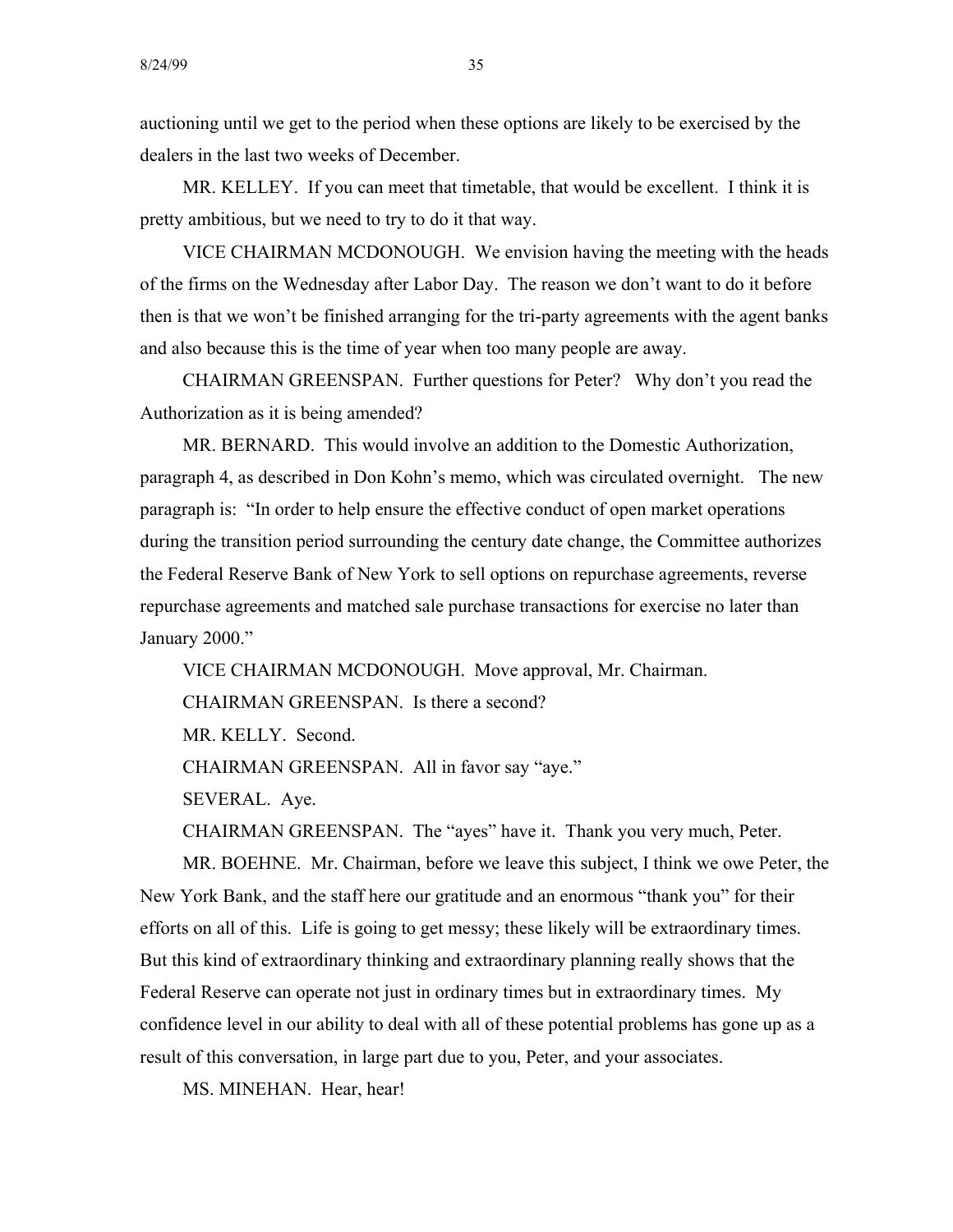auctioning until we get to the period when these options are likely to be exercised by the dealers in the last two weeks of December.

MR. KELLEY. If you can meet that timetable, that would be excellent. I think it is pretty ambitious, but we need to try to do it that way.

VICE CHAIRMAN MCDONOUGH. We envision having the meeting with the heads of the firms on the Wednesday after Labor Day. The reason we don't want to do it before then is that we won't be finished arranging for the tri-party agreements with the agent banks and also because this is the time of year when too many people are away.

CHAIRMAN GREENSPAN. Further questions for Peter? Why don't you read the Authorization as it is being amended?

MR. BERNARD. This would involve an addition to the Domestic Authorization, paragraph 4, as described in Don Kohn's memo, which was circulated overnight. The new paragraph is: "In order to help ensure the effective conduct of open market operations during the transition period surrounding the century date change, the Committee authorizes the Federal Reserve Bank of New York to sell options on repurchase agreements, reverse repurchase agreements and matched sale purchase transactions for exercise no later than January 2000."

VICE CHAIRMAN MCDONOUGH. Move approval, Mr. Chairman.

CHAIRMAN GREENSPAN. Is there a second?

MR. KELLY. Second.

CHAIRMAN GREENSPAN. All in favor say "aye."

SEVERAL. Aye.

CHAIRMAN GREENSPAN. The "ayes" have it. Thank you very much, Peter.

MR. BOEHNE. Mr. Chairman, before we leave this subject, I think we owe Peter, the New York Bank, and the staff here our gratitude and an enormous "thank you" for their efforts on all of this. Life is going to get messy; these likely will be extraordinary times. But this kind of extraordinary thinking and extraordinary planning really shows that the Federal Reserve can operate not just in ordinary times but in extraordinary times. My confidence level in our ability to deal with all of these potential problems has gone up as a result of this conversation, in large part due to you, Peter, and your associates.

MS. MINEHAN. Hear, hear!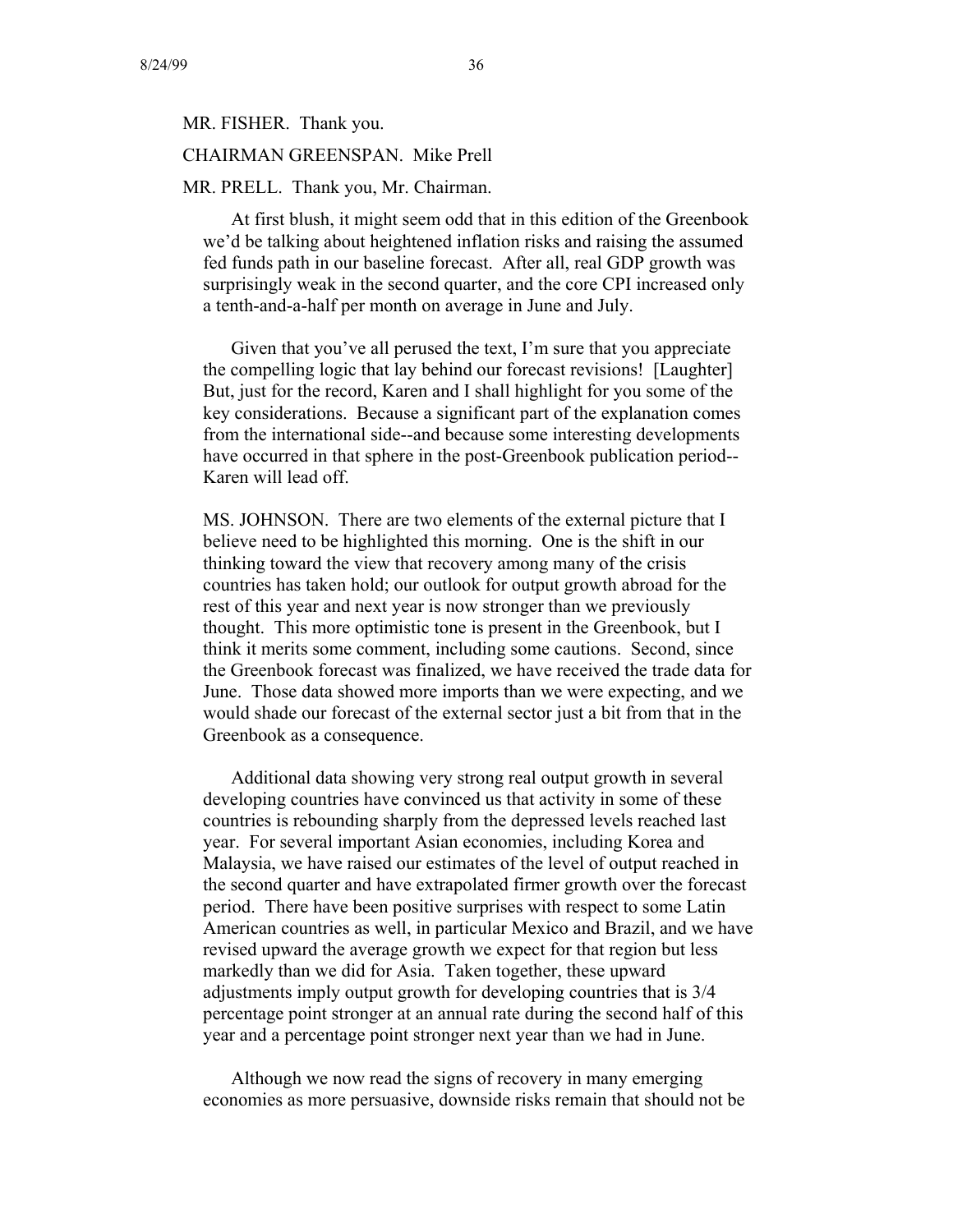# MR. FISHER. Thank you. CHAIRMAN GREENSPAN. Mike Prell

## MR. PRELL. Thank you, Mr. Chairman.

At first blush, it might seem odd that in this edition of the Greenbook we'd be talking about heightened inflation risks and raising the assumed fed funds path in our baseline forecast. After all, real GDP growth was surprisingly weak in the second quarter, and the core CPI increased only a tenth-and-a-half per month on average in June and July.

Given that you've all perused the text, I'm sure that you appreciate the compelling logic that lay behind our forecast revisions! [Laughter] But, just for the record, Karen and I shall highlight for you some of the key considerations. Because a significant part of the explanation comes from the international side--and because some interesting developments have occurred in that sphere in the post-Greenbook publication period- Karen will lead off.

MS. JOHNSON. There are two elements of the external picture that I believe need to be highlighted this morning. One is the shift in our thinking toward the view that recovery among many of the crisis countries has taken hold; our outlook for output growth abroad for the rest of this year and next year is now stronger than we previously thought. This more optimistic tone is present in the Greenbook, but I think it merits some comment, including some cautions. Second, since the Greenbook forecast was finalized, we have received the trade data for June. Those data showed more imports than we were expecting, and we would shade our forecast of the external sector just a bit from that in the Greenbook as a consequence.

Additional data showing very strong real output growth in several developing countries have convinced us that activity in some of these countries is rebounding sharply from the depressed levels reached last year. For several important Asian economies, including Korea and Malaysia, we have raised our estimates of the level of output reached in the second quarter and have extrapolated firmer growth over the forecast period. There have been positive surprises with respect to some Latin American countries as well, in particular Mexico and Brazil, and we have revised upward the average growth we expect for that region but less markedly than we did for Asia. Taken together, these upward adjustments imply output growth for developing countries that is 3/4 percentage point stronger at an annual rate during the second half of this year and a percentage point stronger next year than we had in June.

Although we now read the signs of recovery in many emerging economies as more persuasive, downside risks remain that should not be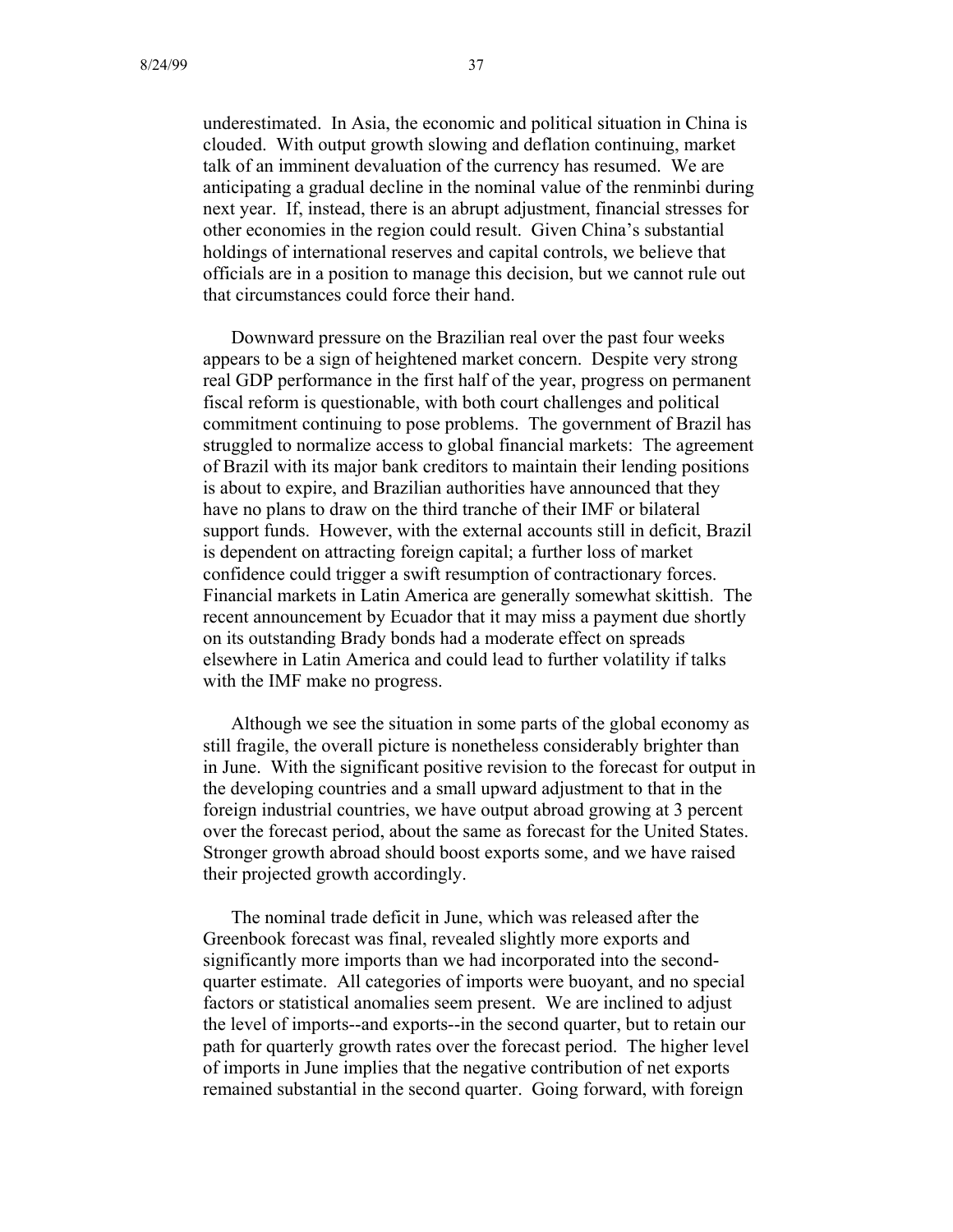underestimated. In Asia, the economic and political situation in China is clouded. With output growth slowing and deflation continuing, market talk of an imminent devaluation of the currency has resumed. We are anticipating a gradual decline in the nominal value of the renminbi during next year. If, instead, there is an abrupt adjustment, financial stresses for other economies in the region could result. Given China's substantial holdings of international reserves and capital controls, we believe that officials are in a position to manage this decision, but we cannot rule out that circumstances could force their hand.

Downward pressure on the Brazilian real over the past four weeks appears to be a sign of heightened market concern. Despite very strong real GDP performance in the first half of the year, progress on permanent fiscal reform is questionable, with both court challenges and political commitment continuing to pose problems. The government of Brazil has struggled to normalize access to global financial markets: The agreement of Brazil with its major bank creditors to maintain their lending positions is about to expire, and Brazilian authorities have announced that they have no plans to draw on the third tranche of their IMF or bilateral support funds. However, with the external accounts still in deficit, Brazil is dependent on attracting foreign capital; a further loss of market confidence could trigger a swift resumption of contractionary forces. Financial markets in Latin America are generally somewhat skittish. The recent announcement by Ecuador that it may miss a payment due shortly on its outstanding Brady bonds had a moderate effect on spreads elsewhere in Latin America and could lead to further volatility if talks with the IMF make no progress.

Although we see the situation in some parts of the global economy as still fragile, the overall picture is nonetheless considerably brighter than in June. With the significant positive revision to the forecast for output in the developing countries and a small upward adjustment to that in the foreign industrial countries, we have output abroad growing at 3 percent over the forecast period, about the same as forecast for the United States. Stronger growth abroad should boost exports some, and we have raised their projected growth accordingly.

The nominal trade deficit in June, which was released after the Greenbook forecast was final, revealed slightly more exports and significantly more imports than we had incorporated into the secondquarter estimate. All categories of imports were buoyant, and no special factors or statistical anomalies seem present. We are inclined to adjust the level of imports--and exports--in the second quarter, but to retain our path for quarterly growth rates over the forecast period. The higher level of imports in June implies that the negative contribution of net exports remained substantial in the second quarter. Going forward, with foreign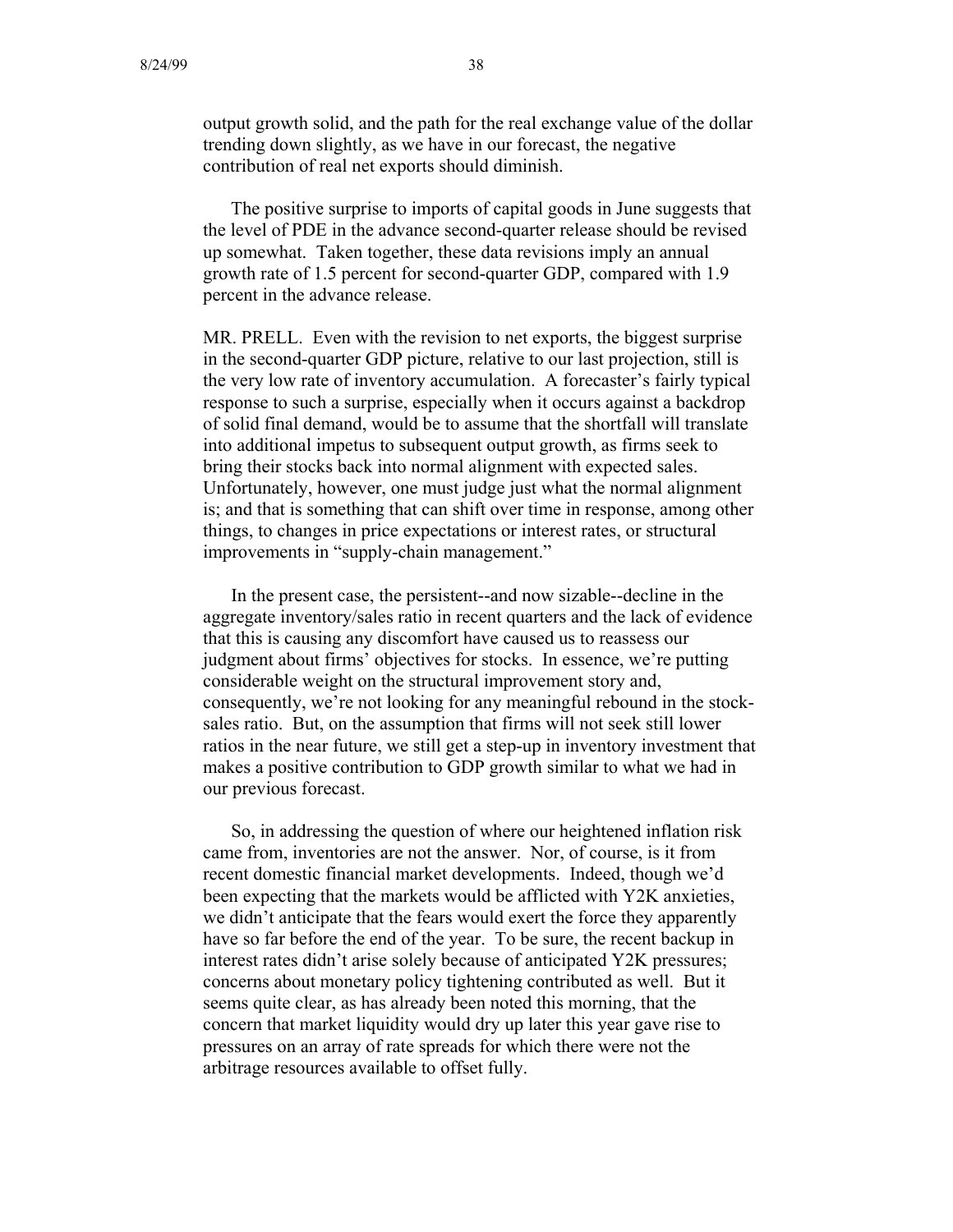output growth solid, and the path for the real exchange value of the dollar trending down slightly, as we have in our forecast, the negative contribution of real net exports should diminish.

The positive surprise to imports of capital goods in June suggests that the level of PDE in the advance second-quarter release should be revised up somewhat. Taken together, these data revisions imply an annual growth rate of 1.5 percent for second-quarter GDP, compared with 1.9 percent in the advance release.

MR. PRELL. Even with the revision to net exports, the biggest surprise in the second-quarter GDP picture, relative to our last projection, still is the very low rate of inventory accumulation. A forecaster's fairly typical response to such a surprise, especially when it occurs against a backdrop of solid final demand, would be to assume that the shortfall will translate into additional impetus to subsequent output growth, as firms seek to bring their stocks back into normal alignment with expected sales. Unfortunately, however, one must judge just what the normal alignment is; and that is something that can shift over time in response, among other things, to changes in price expectations or interest rates, or structural improvements in "supply-chain management."

In the present case, the persistent--and now sizable--decline in the aggregate inventory/sales ratio in recent quarters and the lack of evidence that this is causing any discomfort have caused us to reassess our judgment about firms' objectives for stocks. In essence, we're putting considerable weight on the structural improvement story and, consequently, we're not looking for any meaningful rebound in the stocksales ratio. But, on the assumption that firms will not seek still lower ratios in the near future, we still get a step-up in inventory investment that makes a positive contribution to GDP growth similar to what we had in our previous forecast.

So, in addressing the question of where our heightened inflation risk came from, inventories are not the answer. Nor, of course, is it from recent domestic financial market developments. Indeed, though we'd been expecting that the markets would be afflicted with Y2K anxieties, we didn't anticipate that the fears would exert the force they apparently have so far before the end of the year. To be sure, the recent backup in interest rates didn't arise solely because of anticipated Y2K pressures; concerns about monetary policy tightening contributed as well. But it seems quite clear, as has already been noted this morning, that the concern that market liquidity would dry up later this year gave rise to pressures on an array of rate spreads for which there were not the arbitrage resources available to offset fully.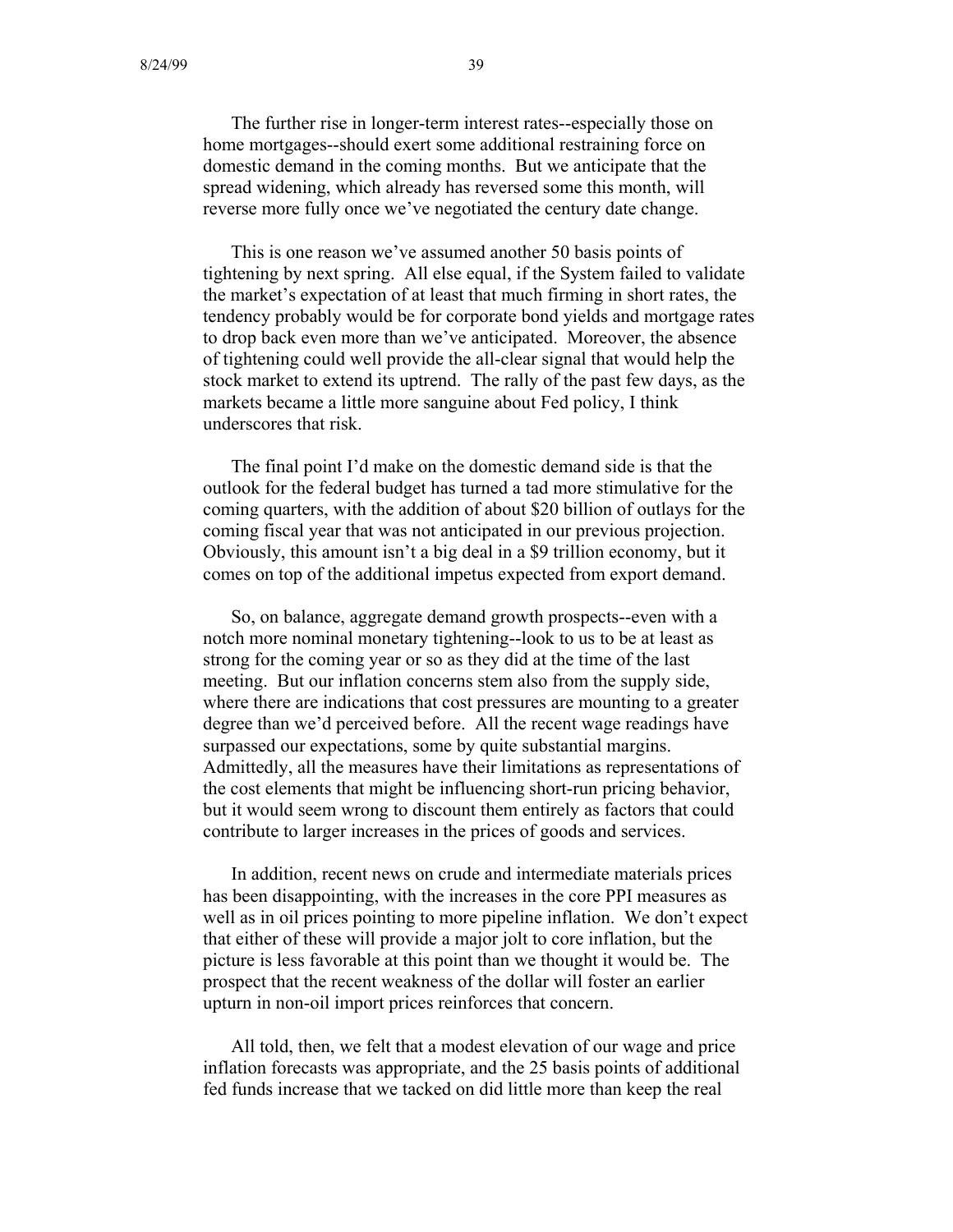The further rise in longer-term interest rates--especially those on home mortgages--should exert some additional restraining force on domestic demand in the coming months. But we anticipate that the spread widening, which already has reversed some this month, will reverse more fully once we've negotiated the century date change.

This is one reason we've assumed another 50 basis points of tightening by next spring. All else equal, if the System failed to validate the market's expectation of at least that much firming in short rates, the tendency probably would be for corporate bond yields and mortgage rates to drop back even more than we've anticipated. Moreover, the absence of tightening could well provide the all-clear signal that would help the stock market to extend its uptrend. The rally of the past few days, as the markets became a little more sanguine about Fed policy, I think underscores that risk.

The final point I'd make on the domestic demand side is that the outlook for the federal budget has turned a tad more stimulative for the coming quarters, with the addition of about \$20 billion of outlays for the coming fiscal year that was not anticipated in our previous projection. Obviously, this amount isn't a big deal in a \$9 trillion economy, but it comes on top of the additional impetus expected from export demand.

So, on balance, aggregate demand growth prospects--even with a notch more nominal monetary tightening--look to us to be at least as strong for the coming year or so as they did at the time of the last meeting. But our inflation concerns stem also from the supply side, where there are indications that cost pressures are mounting to a greater degree than we'd perceived before. All the recent wage readings have surpassed our expectations, some by quite substantial margins. Admittedly, all the measures have their limitations as representations of the cost elements that might be influencing short-run pricing behavior, but it would seem wrong to discount them entirely as factors that could contribute to larger increases in the prices of goods and services.

In addition, recent news on crude and intermediate materials prices has been disappointing, with the increases in the core PPI measures as well as in oil prices pointing to more pipeline inflation. We don't expect that either of these will provide a major jolt to core inflation, but the picture is less favorable at this point than we thought it would be. The prospect that the recent weakness of the dollar will foster an earlier upturn in non-oil import prices reinforces that concern.

All told, then, we felt that a modest elevation of our wage and price inflation forecasts was appropriate, and the 25 basis points of additional fed funds increase that we tacked on did little more than keep the real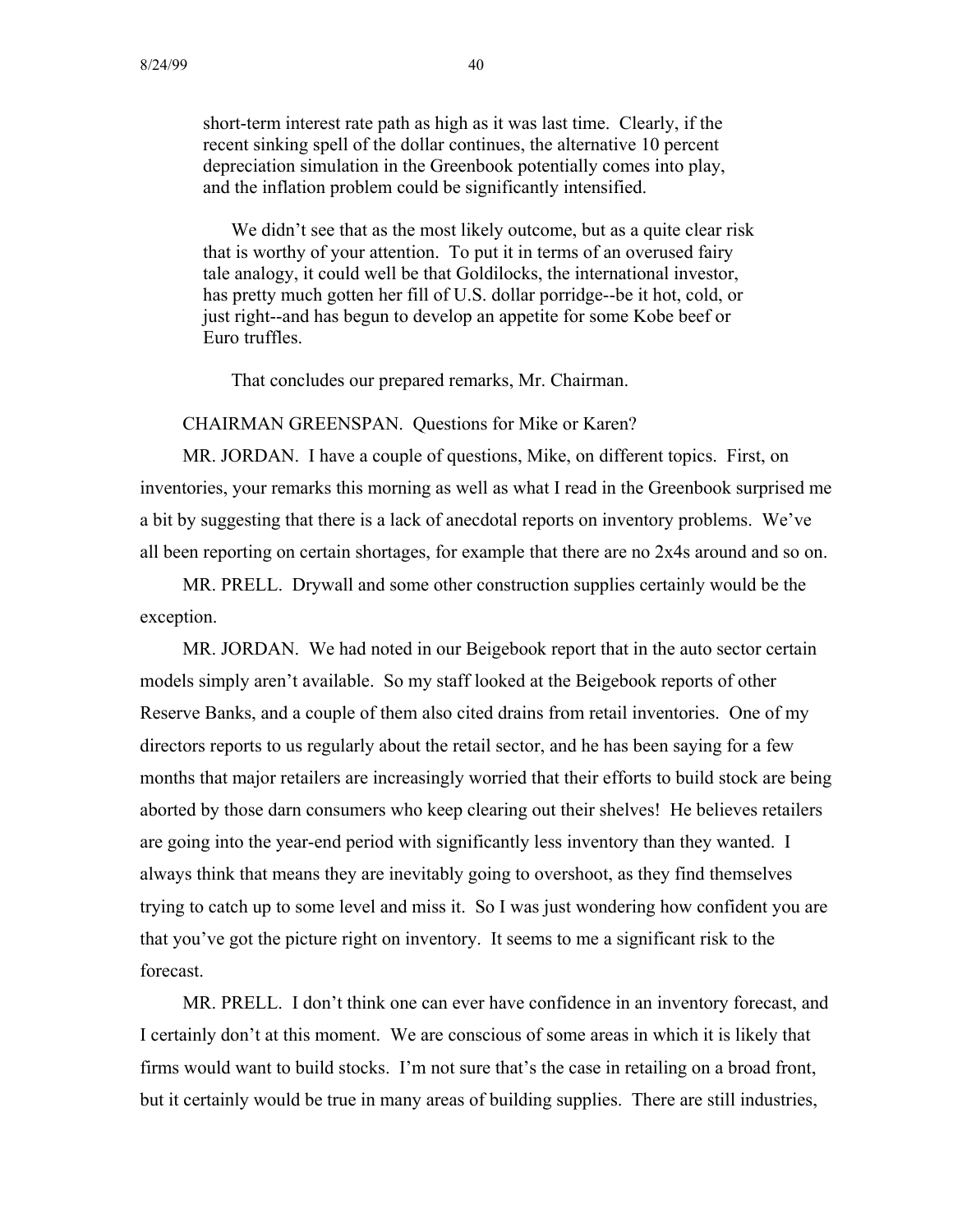short-term interest rate path as high as it was last time. Clearly, if the recent sinking spell of the dollar continues, the alternative 10 percent depreciation simulation in the Greenbook potentially comes into play, and the inflation problem could be significantly intensified.

We didn't see that as the most likely outcome, but as a quite clear risk that is worthy of your attention. To put it in terms of an overused fairy tale analogy, it could well be that Goldilocks, the international investor, has pretty much gotten her fill of U.S. dollar porridge--be it hot, cold, or just right--and has begun to develop an appetite for some Kobe beef or Euro truffles.

That concludes our prepared remarks, Mr. Chairman.

CHAIRMAN GREENSPAN. Questions for Mike or Karen?

MR. JORDAN. I have a couple of questions, Mike, on different topics. First, on inventories, your remarks this morning as well as what I read in the Greenbook surprised me a bit by suggesting that there is a lack of anecdotal reports on inventory problems. We've all been reporting on certain shortages, for example that there are no 2x4s around and so on.

MR. PRELL. Drywall and some other construction supplies certainly would be the exception.

MR. JORDAN. We had noted in our Beigebook report that in the auto sector certain models simply aren't available. So my staff looked at the Beigebook reports of other Reserve Banks, and a couple of them also cited drains from retail inventories. One of my directors reports to us regularly about the retail sector, and he has been saying for a few months that major retailers are increasingly worried that their efforts to build stock are being aborted by those darn consumers who keep clearing out their shelves! He believes retailers are going into the year-end period with significantly less inventory than they wanted. I always think that means they are inevitably going to overshoot, as they find themselves trying to catch up to some level and miss it. So I was just wondering how confident you are that you've got the picture right on inventory. It seems to me a significant risk to the forecast.

MR. PRELL. I don't think one can ever have confidence in an inventory forecast, and I certainly don't at this moment. We are conscious of some areas in which it is likely that firms would want to build stocks. I'm not sure that's the case in retailing on a broad front, but it certainly would be true in many areas of building supplies. There are still industries,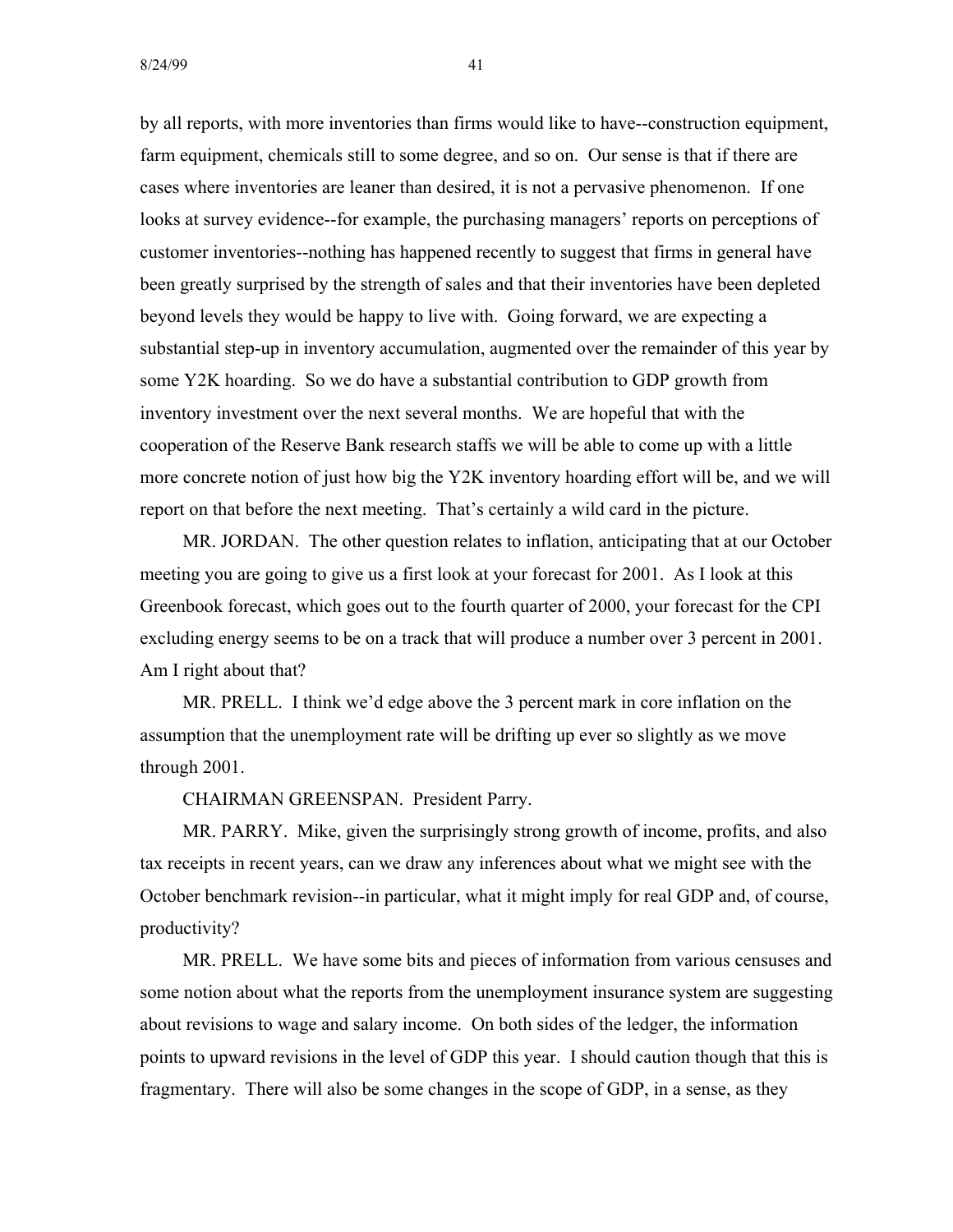by all reports, with more inventories than firms would like to have--construction equipment, farm equipment, chemicals still to some degree, and so on. Our sense is that if there are cases where inventories are leaner than desired, it is not a pervasive phenomenon. If one looks at survey evidence--for example, the purchasing managers' reports on perceptions of customer inventories--nothing has happened recently to suggest that firms in general have been greatly surprised by the strength of sales and that their inventories have been depleted beyond levels they would be happy to live with. Going forward, we are expecting a substantial step-up in inventory accumulation, augmented over the remainder of this year by some Y2K hoarding. So we do have a substantial contribution to GDP growth from inventory investment over the next several months. We are hopeful that with the cooperation of the Reserve Bank research staffs we will be able to come up with a little more concrete notion of just how big the Y2K inventory hoarding effort will be, and we will report on that before the next meeting. That's certainly a wild card in the picture.

MR. JORDAN. The other question relates to inflation, anticipating that at our October meeting you are going to give us a first look at your forecast for 2001. As I look at this Greenbook forecast, which goes out to the fourth quarter of 2000, your forecast for the CPI excluding energy seems to be on a track that will produce a number over 3 percent in 2001. Am I right about that?

MR. PRELL. I think we'd edge above the 3 percent mark in core inflation on the assumption that the unemployment rate will be drifting up ever so slightly as we move through 2001.

CHAIRMAN GREENSPAN. President Parry.

MR. PARRY. Mike, given the surprisingly strong growth of income, profits, and also tax receipts in recent years, can we draw any inferences about what we might see with the October benchmark revision--in particular, what it might imply for real GDP and, of course, productivity?

MR. PRELL. We have some bits and pieces of information from various censuses and some notion about what the reports from the unemployment insurance system are suggesting about revisions to wage and salary income. On both sides of the ledger, the information points to upward revisions in the level of GDP this year. I should caution though that this is fragmentary. There will also be some changes in the scope of GDP, in a sense, as they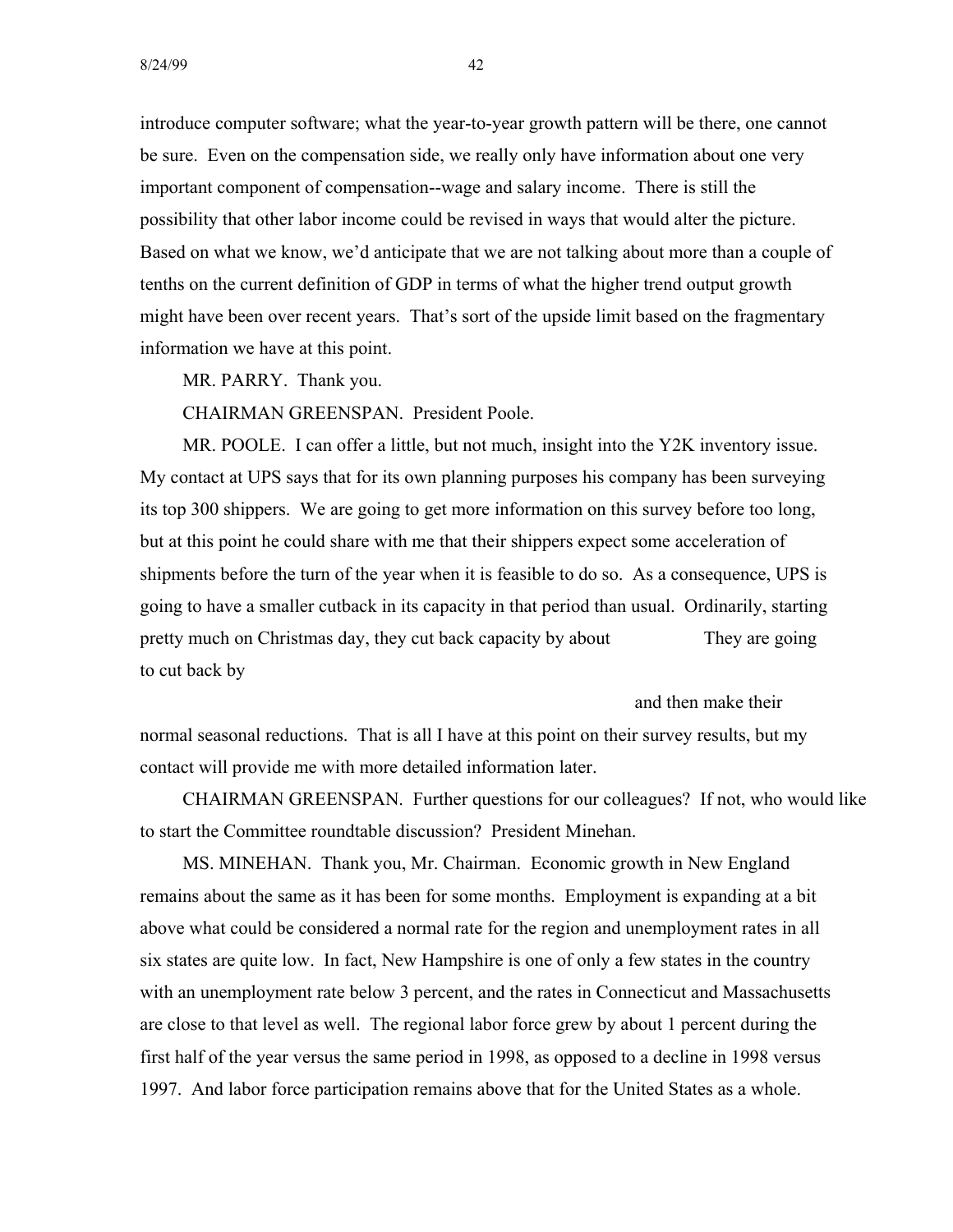introduce computer software; what the year-to-year growth pattern will be there, one cannot be sure. Even on the compensation side, we really only have information about one very important component of compensation--wage and salary income. There is still the possibility that other labor income could be revised in ways that would alter the picture. Based on what we know, we'd anticipate that we are not talking about more than a couple of tenths on the current definition of GDP in terms of what the higher trend output growth might have been over recent years. That's sort of the upside limit based on the fragmentary information we have at this point.

MR. PARRY. Thank you.

CHAIRMAN GREENSPAN. President Poole.

MR. POOLE. I can offer a little, but not much, insight into the Y2K inventory issue. My contact at UPS says that for its own planning purposes his company has been surveying its top 300 shippers. We are going to get more information on this survey before too long, but at this point he could share with me that their shippers expect some acceleration of shipments before the turn of the year when it is feasible to do so. As a consequence, UPS is going to have a smaller cutback in its capacity in that period than usual. Ordinarily, starting pretty much on Christmas day, they cut back capacity by about They are going to cut back by

and then make their

normal seasonal reductions. That is all I have at this point on their survey results, but my contact will provide me with more detailed information later.

CHAIRMAN GREENSPAN. Further questions for our colleagues? If not, who would like to start the Committee roundtable discussion? President Minehan.

MS. MINEHAN. Thank you, Mr. Chairman. Economic growth in New England remains about the same as it has been for some months. Employment is expanding at a bit above what could be considered a normal rate for the region and unemployment rates in all six states are quite low. In fact, New Hampshire is one of only a few states in the country with an unemployment rate below 3 percent, and the rates in Connecticut and Massachusetts are close to that level as well. The regional labor force grew by about 1 percent during the first half of the year versus the same period in 1998, as opposed to a decline in 1998 versus 1997. And labor force participation remains above that for the United States as a whole.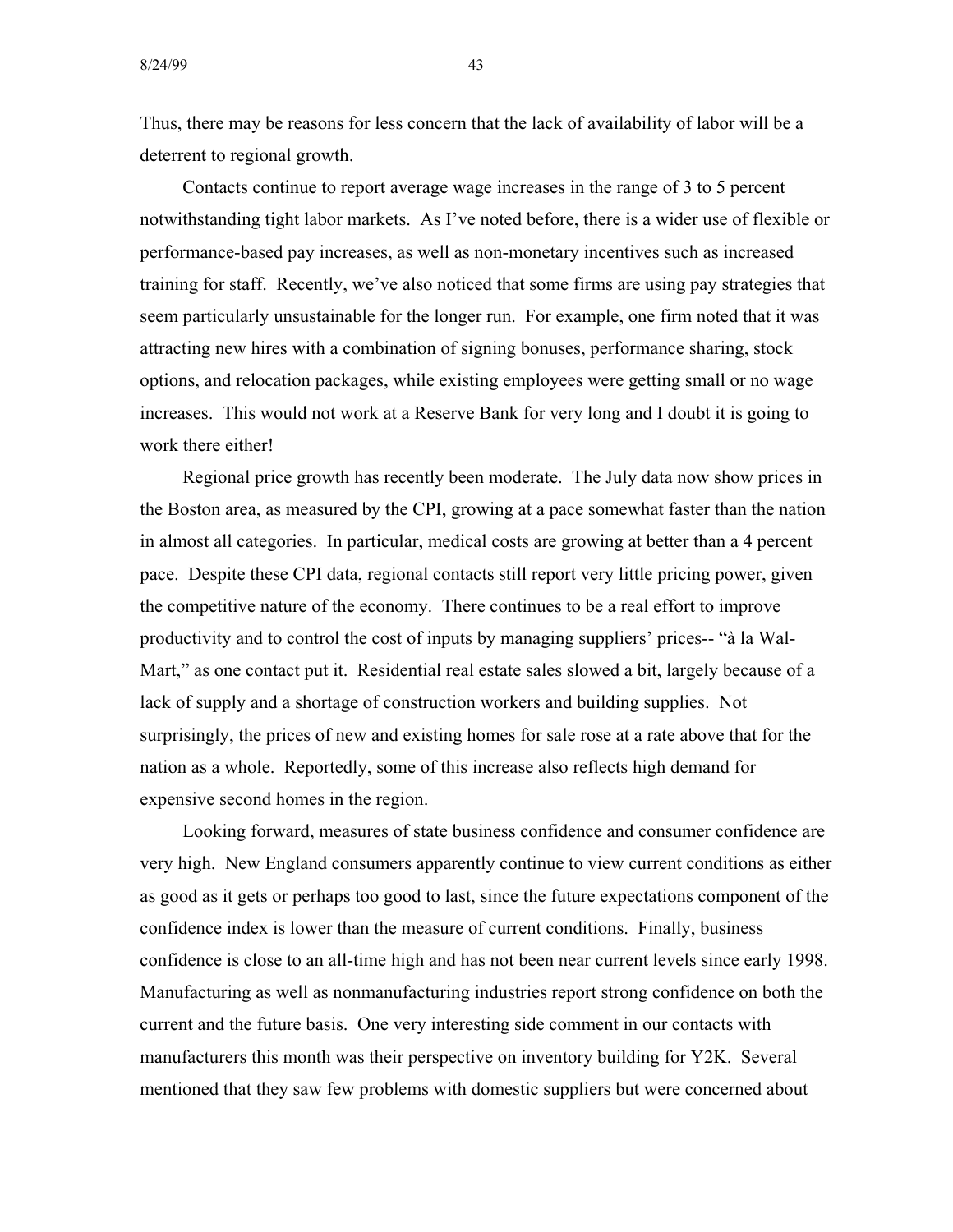Thus, there may be reasons for less concern that the lack of availability of labor will be a deterrent to regional growth.

Contacts continue to report average wage increases in the range of 3 to 5 percent notwithstanding tight labor markets. As I've noted before, there is a wider use of flexible or performance-based pay increases, as well as non-monetary incentives such as increased training for staff. Recently, we've also noticed that some firms are using pay strategies that seem particularly unsustainable for the longer run. For example, one firm noted that it was attracting new hires with a combination of signing bonuses, performance sharing, stock options, and relocation packages, while existing employees were getting small or no wage increases. This would not work at a Reserve Bank for very long and I doubt it is going to work there either!

Regional price growth has recently been moderate. The July data now show prices in the Boston area, as measured by the CPI, growing at a pace somewhat faster than the nation in almost all categories. In particular, medical costs are growing at better than a 4 percent pace. Despite these CPI data, regional contacts still report very little pricing power, given the competitive nature of the economy. There continues to be a real effort to improve productivity and to control the cost of inputs by managing suppliers' prices-- "à la Wal-Mart," as one contact put it. Residential real estate sales slowed a bit, largely because of a lack of supply and a shortage of construction workers and building supplies. Not surprisingly, the prices of new and existing homes for sale rose at a rate above that for the nation as a whole. Reportedly, some of this increase also reflects high demand for expensive second homes in the region.

Looking forward, measures of state business confidence and consumer confidence are very high. New England consumers apparently continue to view current conditions as either as good as it gets or perhaps too good to last, since the future expectations component of the confidence index is lower than the measure of current conditions. Finally, business confidence is close to an all-time high and has not been near current levels since early 1998. Manufacturing as well as nonmanufacturing industries report strong confidence on both the current and the future basis. One very interesting side comment in our contacts with manufacturers this month was their perspective on inventory building for Y2K. Several mentioned that they saw few problems with domestic suppliers but were concerned about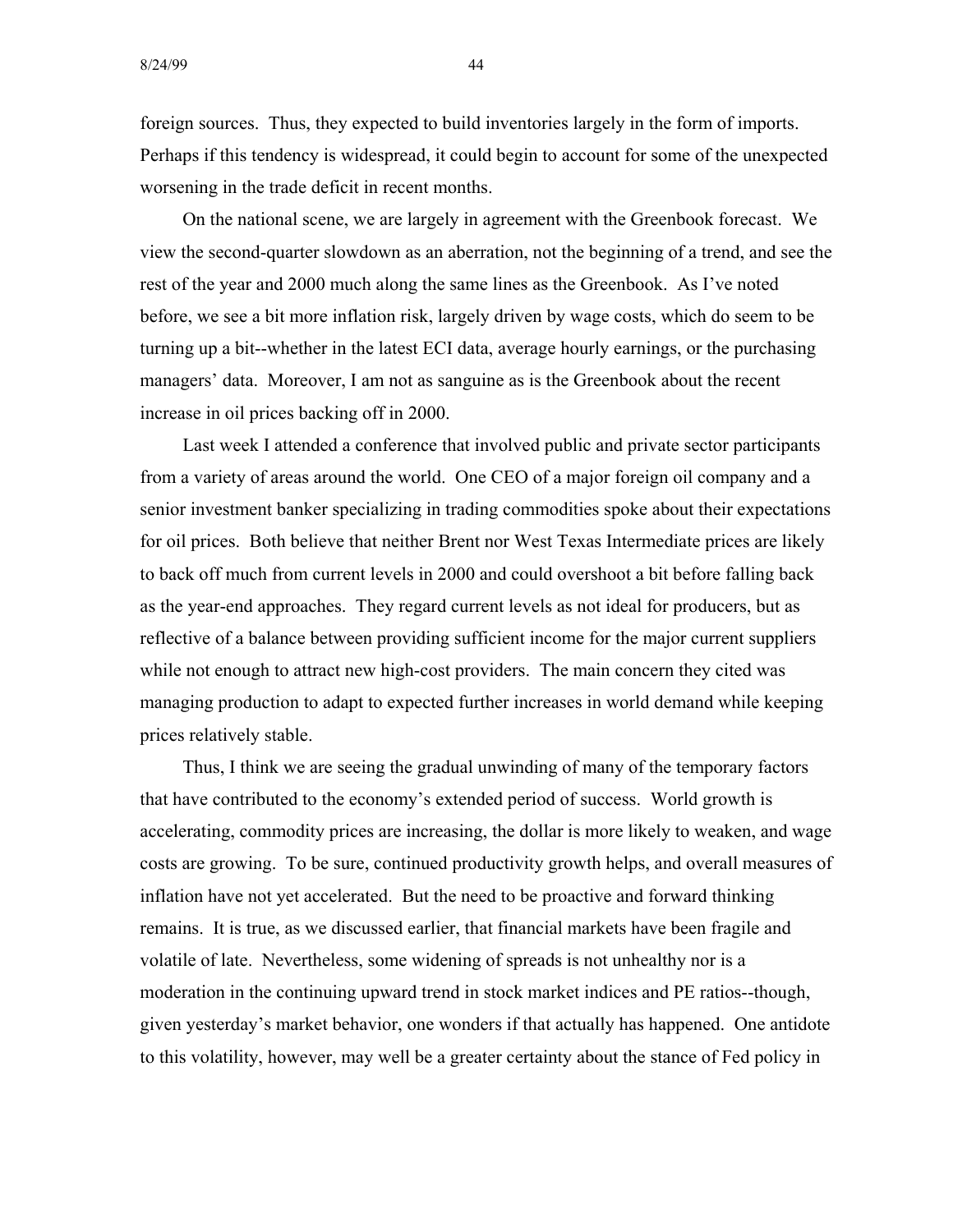foreign sources. Thus, they expected to build inventories largely in the form of imports. Perhaps if this tendency is widespread, it could begin to account for some of the unexpected worsening in the trade deficit in recent months.

On the national scene, we are largely in agreement with the Greenbook forecast. We view the second-quarter slowdown as an aberration, not the beginning of a trend, and see the rest of the year and 2000 much along the same lines as the Greenbook. As I've noted before, we see a bit more inflation risk, largely driven by wage costs, which do seem to be turning up a bit--whether in the latest ECI data, average hourly earnings, or the purchasing managers' data. Moreover, I am not as sanguine as is the Greenbook about the recent increase in oil prices backing off in 2000.

Last week I attended a conference that involved public and private sector participants from a variety of areas around the world. One CEO of a major foreign oil company and a senior investment banker specializing in trading commodities spoke about their expectations for oil prices. Both believe that neither Brent nor West Texas Intermediate prices are likely to back off much from current levels in 2000 and could overshoot a bit before falling back as the year-end approaches. They regard current levels as not ideal for producers, but as reflective of a balance between providing sufficient income for the major current suppliers while not enough to attract new high-cost providers. The main concern they cited was managing production to adapt to expected further increases in world demand while keeping prices relatively stable.

Thus, I think we are seeing the gradual unwinding of many of the temporary factors that have contributed to the economy's extended period of success. World growth is accelerating, commodity prices are increasing, the dollar is more likely to weaken, and wage costs are growing. To be sure, continued productivity growth helps, and overall measures of inflation have not yet accelerated. But the need to be proactive and forward thinking remains. It is true, as we discussed earlier, that financial markets have been fragile and volatile of late. Nevertheless, some widening of spreads is not unhealthy nor is a moderation in the continuing upward trend in stock market indices and PE ratios--though, given yesterday's market behavior, one wonders if that actually has happened. One antidote to this volatility, however, may well be a greater certainty about the stance of Fed policy in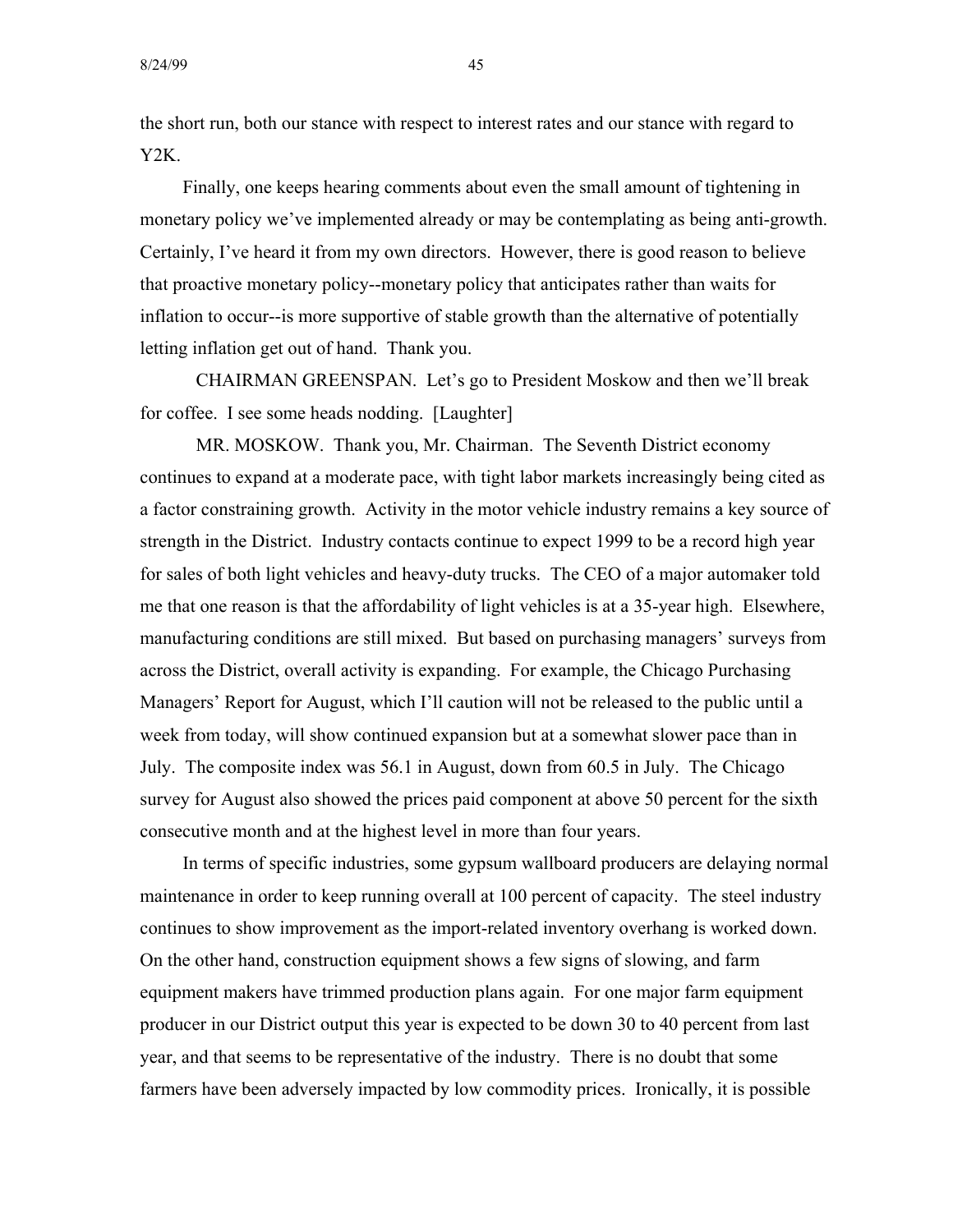the short run, both our stance with respect to interest rates and our stance with regard to Y2K.

Finally, one keeps hearing comments about even the small amount of tightening in monetary policy we've implemented already or may be contemplating as being anti-growth. Certainly, I've heard it from my own directors. However, there is good reason to believe that proactive monetary policy--monetary policy that anticipates rather than waits for inflation to occur--is more supportive of stable growth than the alternative of potentially letting inflation get out of hand. Thank you.

CHAIRMAN GREENSPAN. Let's go to President Moskow and then we'll break for coffee. I see some heads nodding. [Laughter]

MR. MOSKOW. Thank you, Mr. Chairman. The Seventh District economy continues to expand at a moderate pace, with tight labor markets increasingly being cited as a factor constraining growth. Activity in the motor vehicle industry remains a key source of strength in the District. Industry contacts continue to expect 1999 to be a record high year for sales of both light vehicles and heavy-duty trucks. The CEO of a major automaker told me that one reason is that the affordability of light vehicles is at a 35-year high. Elsewhere, manufacturing conditions are still mixed. But based on purchasing managers' surveys from across the District, overall activity is expanding. For example, the Chicago Purchasing Managers' Report for August, which I'll caution will not be released to the public until a week from today, will show continued expansion but at a somewhat slower pace than in July. The composite index was 56.1 in August, down from 60.5 in July. The Chicago survey for August also showed the prices paid component at above 50 percent for the sixth consecutive month and at the highest level in more than four years.

In terms of specific industries, some gypsum wallboard producers are delaying normal maintenance in order to keep running overall at 100 percent of capacity. The steel industry continues to show improvement as the import-related inventory overhang is worked down. On the other hand, construction equipment shows a few signs of slowing, and farm equipment makers have trimmed production plans again. For one major farm equipment producer in our District output this year is expected to be down 30 to 40 percent from last year, and that seems to be representative of the industry. There is no doubt that some farmers have been adversely impacted by low commodity prices. Ironically, it is possible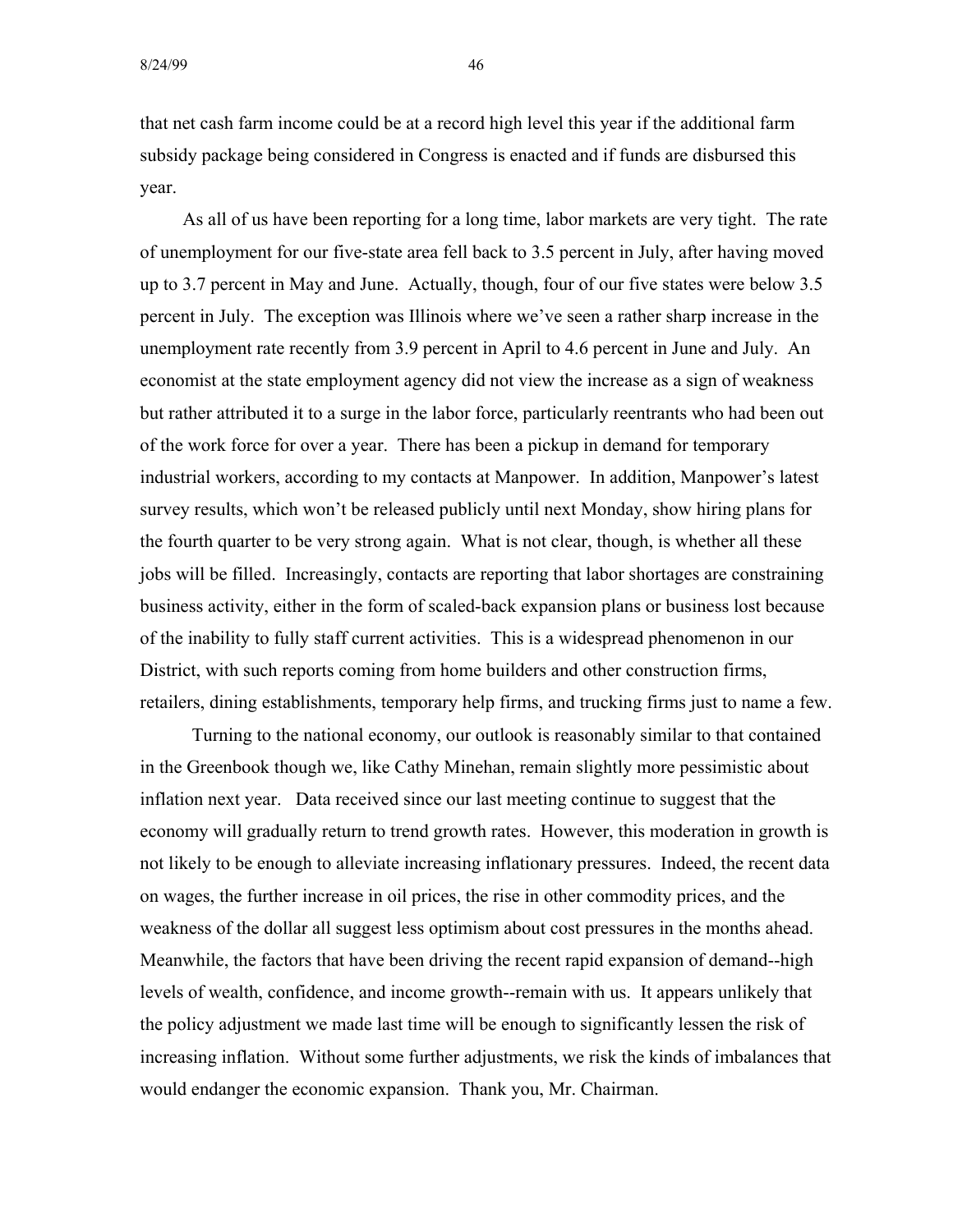that net cash farm income could be at a record high level this year if the additional farm subsidy package being considered in Congress is enacted and if funds are disbursed this year.

As all of us have been reporting for a long time, labor markets are very tight. The rate of unemployment for our five-state area fell back to 3.5 percent in July, after having moved up to 3.7 percent in May and June. Actually, though, four of our five states were below 3.5 percent in July. The exception was Illinois where we've seen a rather sharp increase in the unemployment rate recently from 3.9 percent in April to 4.6 percent in June and July. An economist at the state employment agency did not view the increase as a sign of weakness but rather attributed it to a surge in the labor force, particularly reentrants who had been out of the work force for over a year. There has been a pickup in demand for temporary industrial workers, according to my contacts at Manpower. In addition, Manpower's latest survey results, which won't be released publicly until next Monday, show hiring plans for the fourth quarter to be very strong again. What is not clear, though, is whether all these jobs will be filled. Increasingly, contacts are reporting that labor shortages are constraining business activity, either in the form of scaled-back expansion plans or business lost because of the inability to fully staff current activities. This is a widespread phenomenon in our District, with such reports coming from home builders and other construction firms, retailers, dining establishments, temporary help firms, and trucking firms just to name a few.

Turning to the national economy, our outlook is reasonably similar to that contained in the Greenbook though we, like Cathy Minehan, remain slightly more pessimistic about inflation next year. Data received since our last meeting continue to suggest that the economy will gradually return to trend growth rates. However, this moderation in growth is not likely to be enough to alleviate increasing inflationary pressures. Indeed, the recent data on wages, the further increase in oil prices, the rise in other commodity prices, and the weakness of the dollar all suggest less optimism about cost pressures in the months ahead. Meanwhile, the factors that have been driving the recent rapid expansion of demand--high levels of wealth, confidence, and income growth--remain with us. It appears unlikely that the policy adjustment we made last time will be enough to significantly lessen the risk of increasing inflation. Without some further adjustments, we risk the kinds of imbalances that would endanger the economic expansion. Thank you, Mr. Chairman.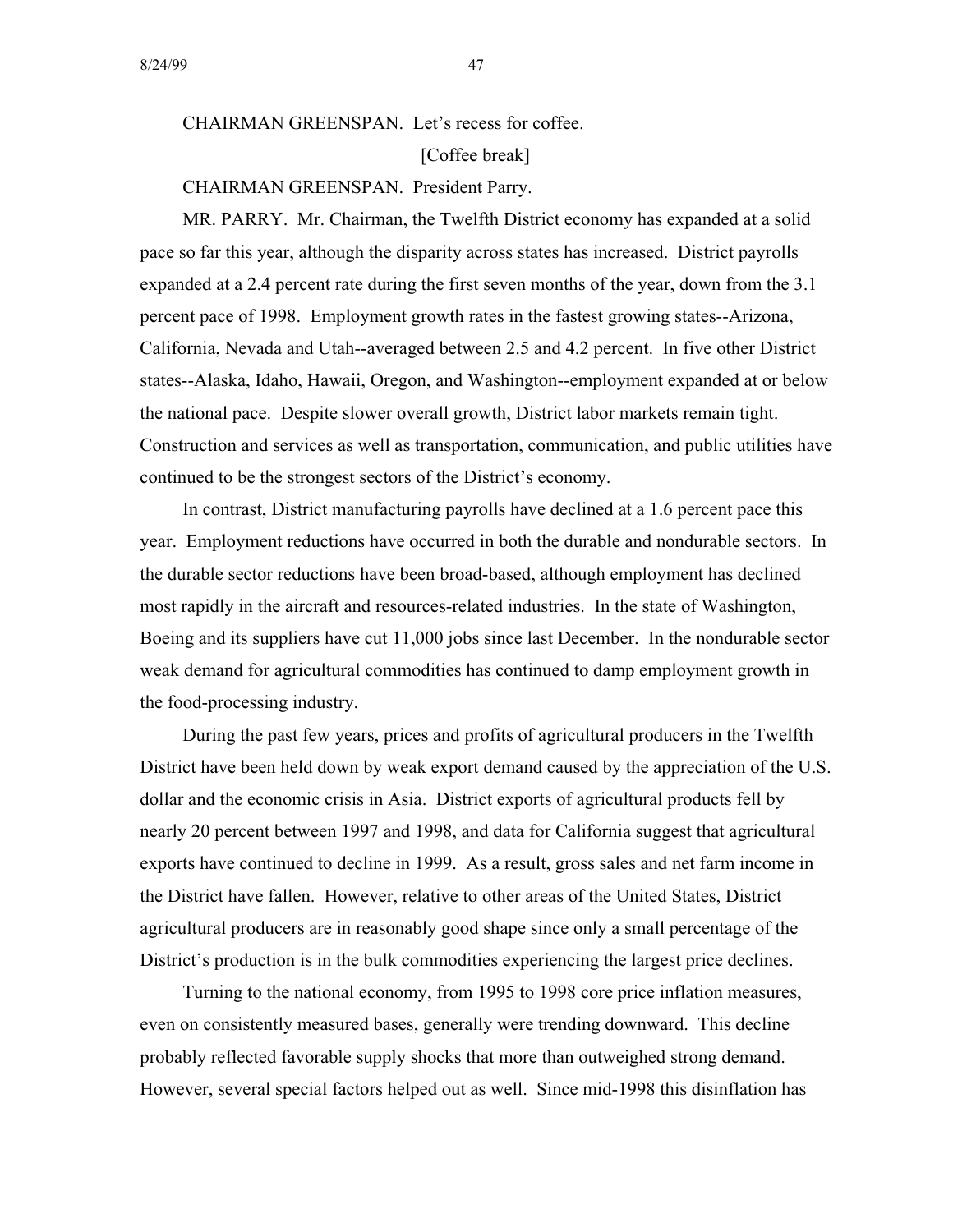## CHAIRMAN GREENSPAN. Let's recess for coffee. [Coffee break]

#### CHAIRMAN GREENSPAN. President Parry.

MR. PARRY. Mr. Chairman, the Twelfth District economy has expanded at a solid pace so far this year, although the disparity across states has increased. District payrolls expanded at a 2.4 percent rate during the first seven months of the year, down from the 3.1 percent pace of 1998. Employment growth rates in the fastest growing states--Arizona, California, Nevada and Utah--averaged between 2.5 and 4.2 percent. In five other District states--Alaska, Idaho, Hawaii, Oregon, and Washington--employment expanded at or below the national pace. Despite slower overall growth, District labor markets remain tight. Construction and services as well as transportation, communication, and public utilities have continued to be the strongest sectors of the District's economy.

In contrast, District manufacturing payrolls have declined at a 1.6 percent pace this year. Employment reductions have occurred in both the durable and nondurable sectors. In the durable sector reductions have been broad-based, although employment has declined most rapidly in the aircraft and resources-related industries. In the state of Washington, Boeing and its suppliers have cut 11,000 jobs since last December. In the nondurable sector weak demand for agricultural commodities has continued to damp employment growth in the food-processing industry.

During the past few years, prices and profits of agricultural producers in the Twelfth District have been held down by weak export demand caused by the appreciation of the U.S. dollar and the economic crisis in Asia. District exports of agricultural products fell by nearly 20 percent between 1997 and 1998, and data for California suggest that agricultural exports have continued to decline in 1999. As a result, gross sales and net farm income in the District have fallen. However, relative to other areas of the United States, District agricultural producers are in reasonably good shape since only a small percentage of the District's production is in the bulk commodities experiencing the largest price declines.

Turning to the national economy, from 1995 to 1998 core price inflation measures, even on consistently measured bases, generally were trending downward. This decline probably reflected favorable supply shocks that more than outweighed strong demand. However, several special factors helped out as well. Since mid-1998 this disinflation has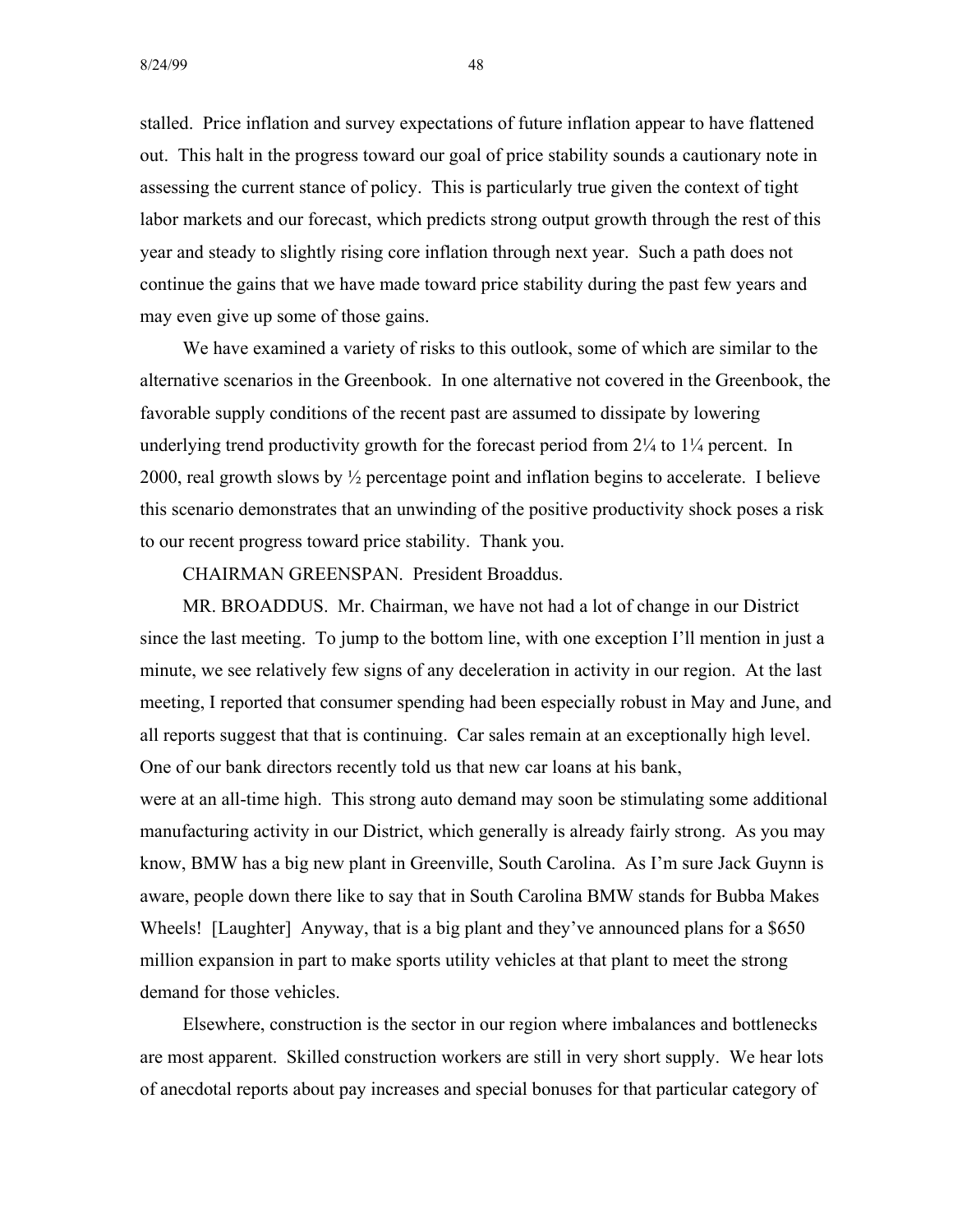stalled. Price inflation and survey expectations of future inflation appear to have flattened out. This halt in the progress toward our goal of price stability sounds a cautionary note in assessing the current stance of policy. This is particularly true given the context of tight labor markets and our forecast, which predicts strong output growth through the rest of this year and steady to slightly rising core inflation through next year. Such a path does not continue the gains that we have made toward price stability during the past few years and may even give up some of those gains.

We have examined a variety of risks to this outlook, some of which are similar to the alternative scenarios in the Greenbook. In one alternative not covered in the Greenbook, the favorable supply conditions of the recent past are assumed to dissipate by lowering underlying trend productivity growth for the forecast period from  $2\frac{1}{4}$  to  $1\frac{1}{4}$  percent. In 2000, real growth slows by ½ percentage point and inflation begins to accelerate. I believe this scenario demonstrates that an unwinding of the positive productivity shock poses a risk to our recent progress toward price stability. Thank you.

CHAIRMAN GREENSPAN. President Broaddus.

MR. BROADDUS. Mr. Chairman, we have not had a lot of change in our District since the last meeting. To jump to the bottom line, with one exception I'll mention in just a minute, we see relatively few signs of any deceleration in activity in our region. At the last meeting, I reported that consumer spending had been especially robust in May and June, and all reports suggest that that is continuing. Car sales remain at an exceptionally high level. One of our bank directors recently told us that new car loans at his bank,

were at an all-time high. This strong auto demand may soon be stimulating some additional manufacturing activity in our District, which generally is already fairly strong. As you may know, BMW has a big new plant in Greenville, South Carolina. As I'm sure Jack Guynn is aware, people down there like to say that in South Carolina BMW stands for Bubba Makes Wheels! [Laughter] Anyway, that is a big plant and they've announced plans for a \$650 million expansion in part to make sports utility vehicles at that plant to meet the strong demand for those vehicles.

Elsewhere, construction is the sector in our region where imbalances and bottlenecks are most apparent. Skilled construction workers are still in very short supply. We hear lots of anecdotal reports about pay increases and special bonuses for that particular category of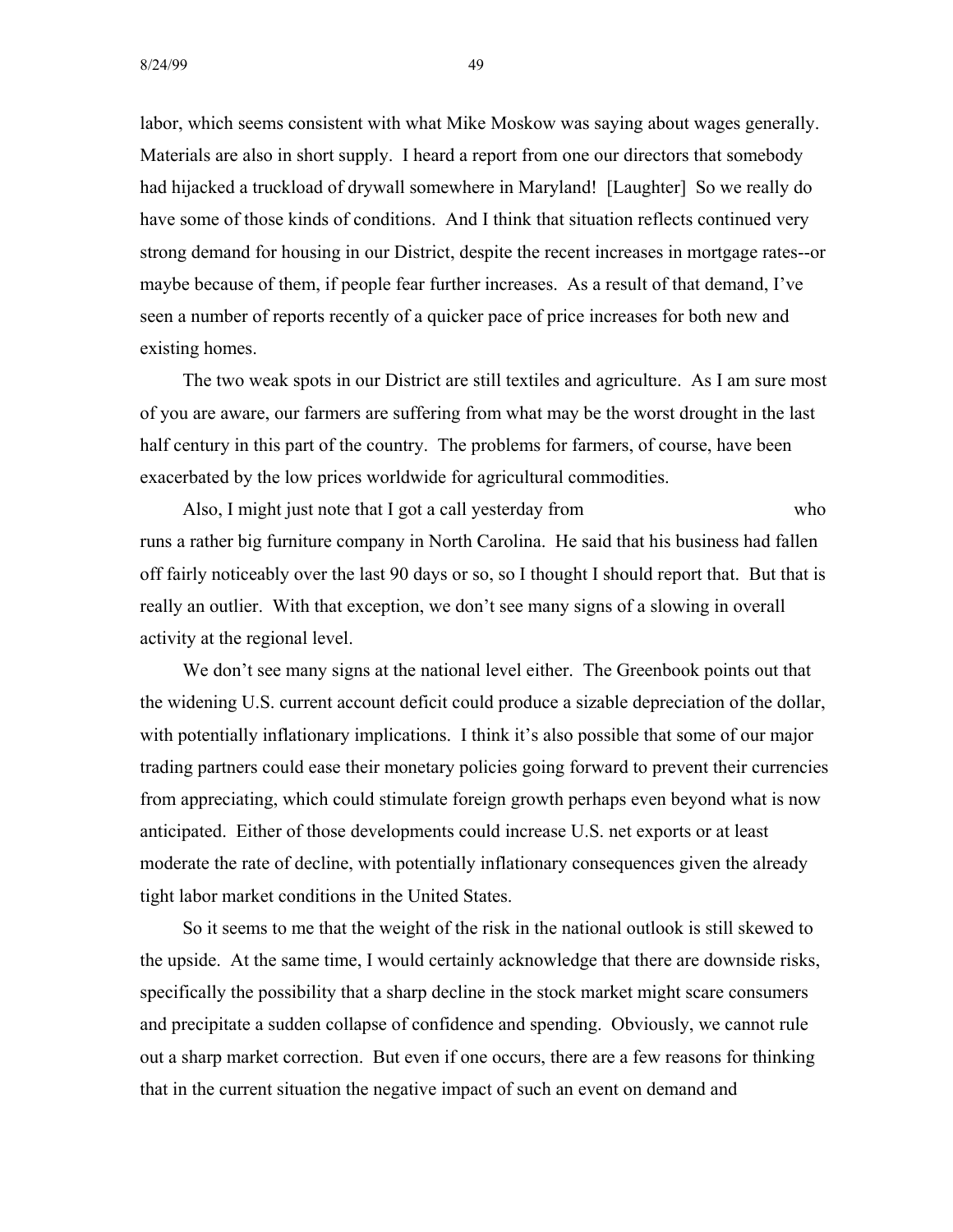labor, which seems consistent with what Mike Moskow was saying about wages generally. Materials are also in short supply. I heard a report from one our directors that somebody had hijacked a truckload of drywall somewhere in Maryland! [Laughter] So we really do have some of those kinds of conditions. And I think that situation reflects continued very strong demand for housing in our District, despite the recent increases in mortgage rates--or maybe because of them, if people fear further increases. As a result of that demand, I've seen a number of reports recently of a quicker pace of price increases for both new and existing homes.

The two weak spots in our District are still textiles and agriculture. As I am sure most of you are aware, our farmers are suffering from what may be the worst drought in the last half century in this part of the country. The problems for farmers, of course, have been exacerbated by the low prices worldwide for agricultural commodities.

Also, I might just note that I got a call yesterday from who runs a rather big furniture company in North Carolina. He said that his business had fallen off fairly noticeably over the last 90 days or so, so I thought I should report that. But that is really an outlier. With that exception, we don't see many signs of a slowing in overall activity at the regional level.

We don't see many signs at the national level either. The Greenbook points out that the widening U.S. current account deficit could produce a sizable depreciation of the dollar, with potentially inflationary implications. I think it's also possible that some of our major trading partners could ease their monetary policies going forward to prevent their currencies from appreciating, which could stimulate foreign growth perhaps even beyond what is now anticipated. Either of those developments could increase U.S. net exports or at least moderate the rate of decline, with potentially inflationary consequences given the already tight labor market conditions in the United States.

So it seems to me that the weight of the risk in the national outlook is still skewed to the upside. At the same time, I would certainly acknowledge that there are downside risks, specifically the possibility that a sharp decline in the stock market might scare consumers and precipitate a sudden collapse of confidence and spending. Obviously, we cannot rule out a sharp market correction. But even if one occurs, there are a few reasons for thinking that in the current situation the negative impact of such an event on demand and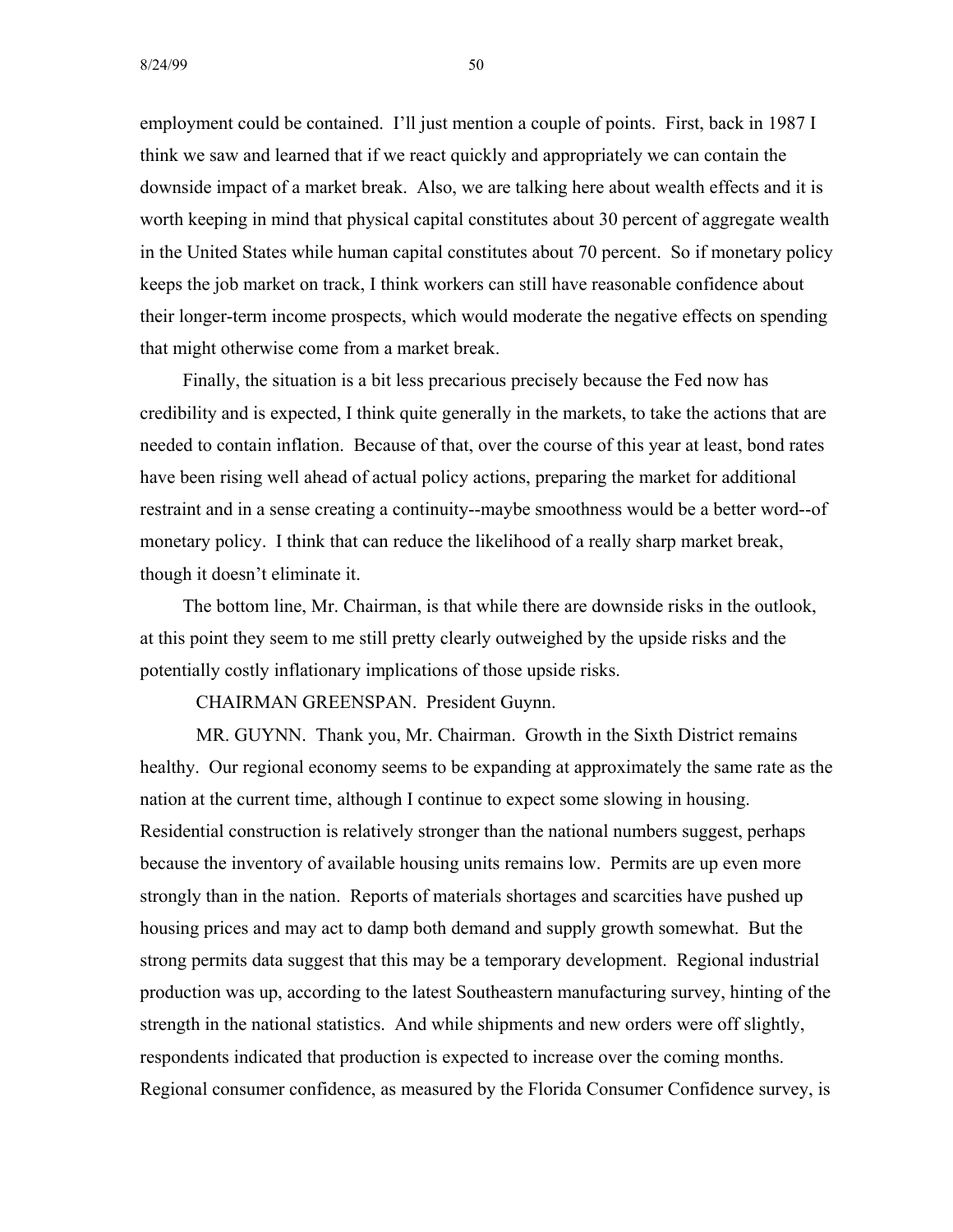$8/24/99$  50

employment could be contained. I'll just mention a couple of points. First, back in 1987 I think we saw and learned that if we react quickly and appropriately we can contain the downside impact of a market break. Also, we are talking here about wealth effects and it is worth keeping in mind that physical capital constitutes about 30 percent of aggregate wealth in the United States while human capital constitutes about 70 percent. So if monetary policy keeps the job market on track, I think workers can still have reasonable confidence about their longer-term income prospects, which would moderate the negative effects on spending that might otherwise come from a market break.

Finally, the situation is a bit less precarious precisely because the Fed now has credibility and is expected, I think quite generally in the markets, to take the actions that are needed to contain inflation. Because of that, over the course of this year at least, bond rates have been rising well ahead of actual policy actions, preparing the market for additional restraint and in a sense creating a continuity--maybe smoothness would be a better word--of monetary policy. I think that can reduce the likelihood of a really sharp market break, though it doesn't eliminate it.

The bottom line, Mr. Chairman, is that while there are downside risks in the outlook, at this point they seem to me still pretty clearly outweighed by the upside risks and the potentially costly inflationary implications of those upside risks.

CHAIRMAN GREENSPAN. President Guynn.

MR. GUYNN. Thank you, Mr. Chairman. Growth in the Sixth District remains healthy. Our regional economy seems to be expanding at approximately the same rate as the nation at the current time, although I continue to expect some slowing in housing. Residential construction is relatively stronger than the national numbers suggest, perhaps because the inventory of available housing units remains low. Permits are up even more strongly than in the nation. Reports of materials shortages and scarcities have pushed up housing prices and may act to damp both demand and supply growth somewhat. But the strong permits data suggest that this may be a temporary development. Regional industrial production was up, according to the latest Southeastern manufacturing survey, hinting of the strength in the national statistics. And while shipments and new orders were off slightly, respondents indicated that production is expected to increase over the coming months. Regional consumer confidence, as measured by the Florida Consumer Confidence survey, is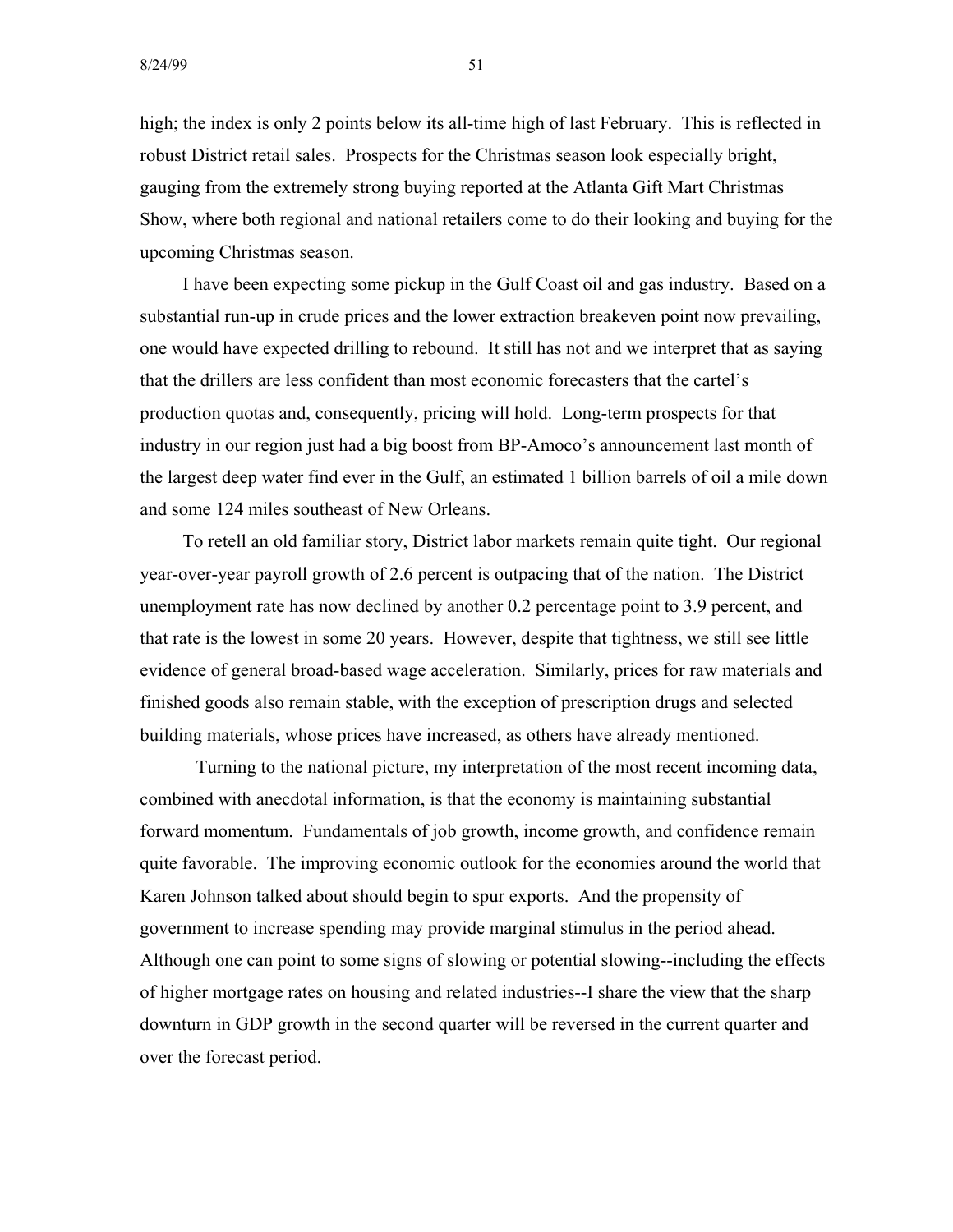8/24/99 51

high; the index is only 2 points below its all-time high of last February. This is reflected in robust District retail sales. Prospects for the Christmas season look especially bright, gauging from the extremely strong buying reported at the Atlanta Gift Mart Christmas Show, where both regional and national retailers come to do their looking and buying for the upcoming Christmas season.

I have been expecting some pickup in the Gulf Coast oil and gas industry. Based on a substantial run-up in crude prices and the lower extraction breakeven point now prevailing, one would have expected drilling to rebound. It still has not and we interpret that as saying that the drillers are less confident than most economic forecasters that the cartel's production quotas and, consequently, pricing will hold. Long-term prospects for that industry in our region just had a big boost from BP-Amoco's announcement last month of the largest deep water find ever in the Gulf, an estimated 1 billion barrels of oil a mile down and some 124 miles southeast of New Orleans.

To retell an old familiar story, District labor markets remain quite tight. Our regional year-over-year payroll growth of 2.6 percent is outpacing that of the nation. The District unemployment rate has now declined by another 0.2 percentage point to 3.9 percent, and that rate is the lowest in some 20 years. However, despite that tightness, we still see little evidence of general broad-based wage acceleration. Similarly, prices for raw materials and finished goods also remain stable, with the exception of prescription drugs and selected building materials, whose prices have increased, as others have already mentioned.

Turning to the national picture, my interpretation of the most recent incoming data, combined with anecdotal information, is that the economy is maintaining substantial forward momentum. Fundamentals of job growth, income growth, and confidence remain quite favorable. The improving economic outlook for the economies around the world that Karen Johnson talked about should begin to spur exports. And the propensity of government to increase spending may provide marginal stimulus in the period ahead. Although one can point to some signs of slowing or potential slowing--including the effects of higher mortgage rates on housing and related industries--I share the view that the sharp downturn in GDP growth in the second quarter will be reversed in the current quarter and over the forecast period.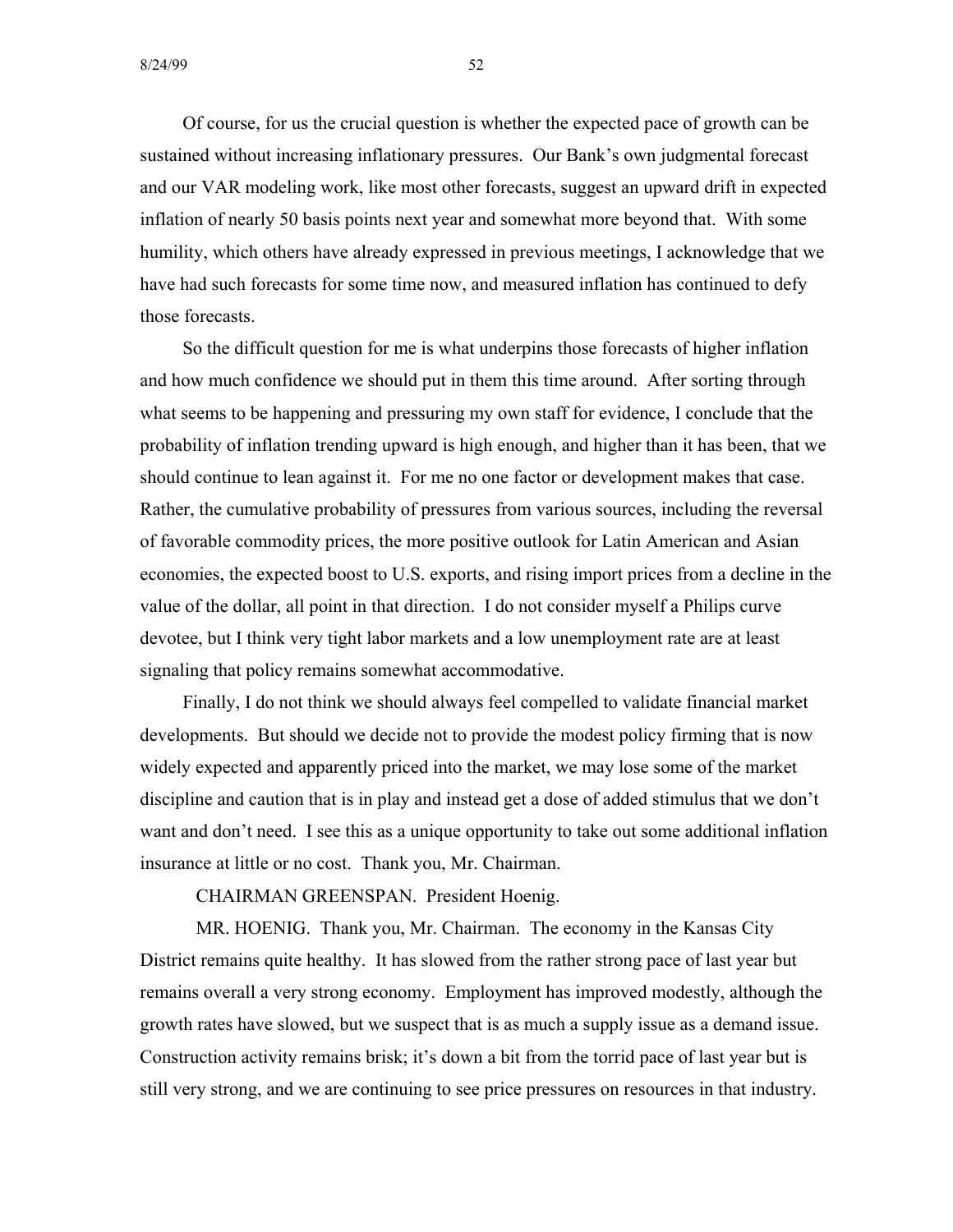Of course, for us the crucial question is whether the expected pace of growth can be sustained without increasing inflationary pressures. Our Bank's own judgmental forecast and our VAR modeling work, like most other forecasts, suggest an upward drift in expected inflation of nearly 50 basis points next year and somewhat more beyond that. With some humility, which others have already expressed in previous meetings, I acknowledge that we have had such forecasts for some time now, and measured inflation has continued to defy those forecasts.

So the difficult question for me is what underpins those forecasts of higher inflation and how much confidence we should put in them this time around. After sorting through what seems to be happening and pressuring my own staff for evidence, I conclude that the probability of inflation trending upward is high enough, and higher than it has been, that we should continue to lean against it. For me no one factor or development makes that case. Rather, the cumulative probability of pressures from various sources, including the reversal of favorable commodity prices, the more positive outlook for Latin American and Asian economies, the expected boost to U.S. exports, and rising import prices from a decline in the value of the dollar, all point in that direction. I do not consider myself a Philips curve devotee, but I think very tight labor markets and a low unemployment rate are at least signaling that policy remains somewhat accommodative.

Finally, I do not think we should always feel compelled to validate financial market developments. But should we decide not to provide the modest policy firming that is now widely expected and apparently priced into the market, we may lose some of the market discipline and caution that is in play and instead get a dose of added stimulus that we don't want and don't need. I see this as a unique opportunity to take out some additional inflation insurance at little or no cost. Thank you, Mr. Chairman.

CHAIRMAN GREENSPAN. President Hoenig.

MR. HOENIG. Thank you, Mr. Chairman. The economy in the Kansas City District remains quite healthy. It has slowed from the rather strong pace of last year but remains overall a very strong economy. Employment has improved modestly, although the growth rates have slowed, but we suspect that is as much a supply issue as a demand issue. Construction activity remains brisk; it's down a bit from the torrid pace of last year but is still very strong, and we are continuing to see price pressures on resources in that industry.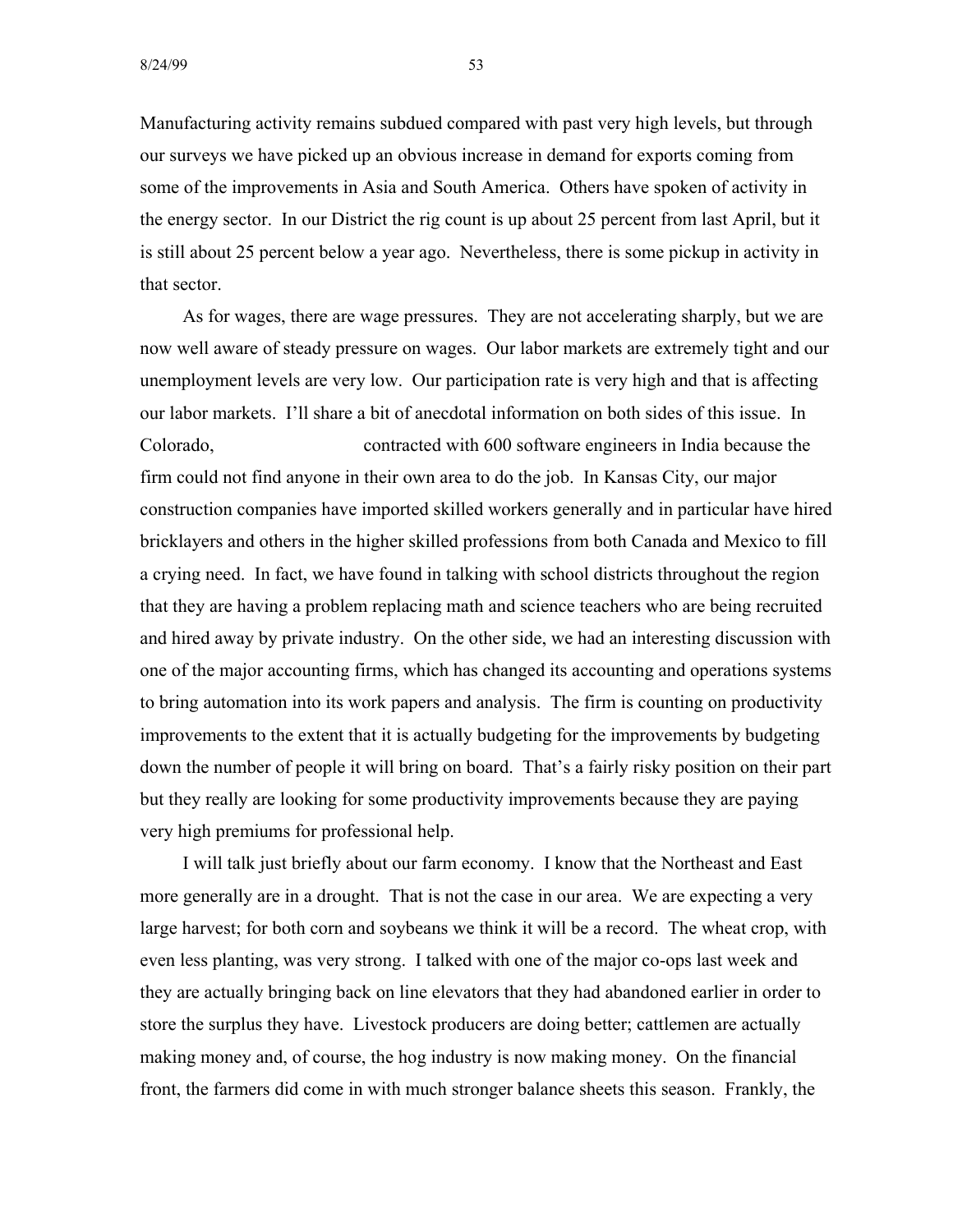Manufacturing activity remains subdued compared with past very high levels, but through our surveys we have picked up an obvious increase in demand for exports coming from some of the improvements in Asia and South America. Others have spoken of activity in the energy sector. In our District the rig count is up about 25 percent from last April, but it is still about 25 percent below a year ago. Nevertheless, there is some pickup in activity in that sector.

As for wages, there are wage pressures. They are not accelerating sharply, but we are now well aware of steady pressure on wages. Our labor markets are extremely tight and our unemployment levels are very low. Our participation rate is very high and that is affecting our labor markets. I'll share a bit of anecdotal information on both sides of this issue. In Colorado, contracted with 600 software engineers in India because the firm could not find anyone in their own area to do the job. In Kansas City, our major construction companies have imported skilled workers generally and in particular have hired bricklayers and others in the higher skilled professions from both Canada and Mexico to fill a crying need. In fact, we have found in talking with school districts throughout the region that they are having a problem replacing math and science teachers who are being recruited and hired away by private industry. On the other side, we had an interesting discussion with one of the major accounting firms, which has changed its accounting and operations systems to bring automation into its work papers and analysis. The firm is counting on productivity improvements to the extent that it is actually budgeting for the improvements by budgeting down the number of people it will bring on board. That's a fairly risky position on their part but they really are looking for some productivity improvements because they are paying very high premiums for professional help.

I will talk just briefly about our farm economy. I know that the Northeast and East more generally are in a drought. That is not the case in our area. We are expecting a very large harvest; for both corn and soybeans we think it will be a record. The wheat crop, with even less planting, was very strong. I talked with one of the major co-ops last week and they are actually bringing back on line elevators that they had abandoned earlier in order to store the surplus they have. Livestock producers are doing better; cattlemen are actually making money and, of course, the hog industry is now making money. On the financial front, the farmers did come in with much stronger balance sheets this season. Frankly, the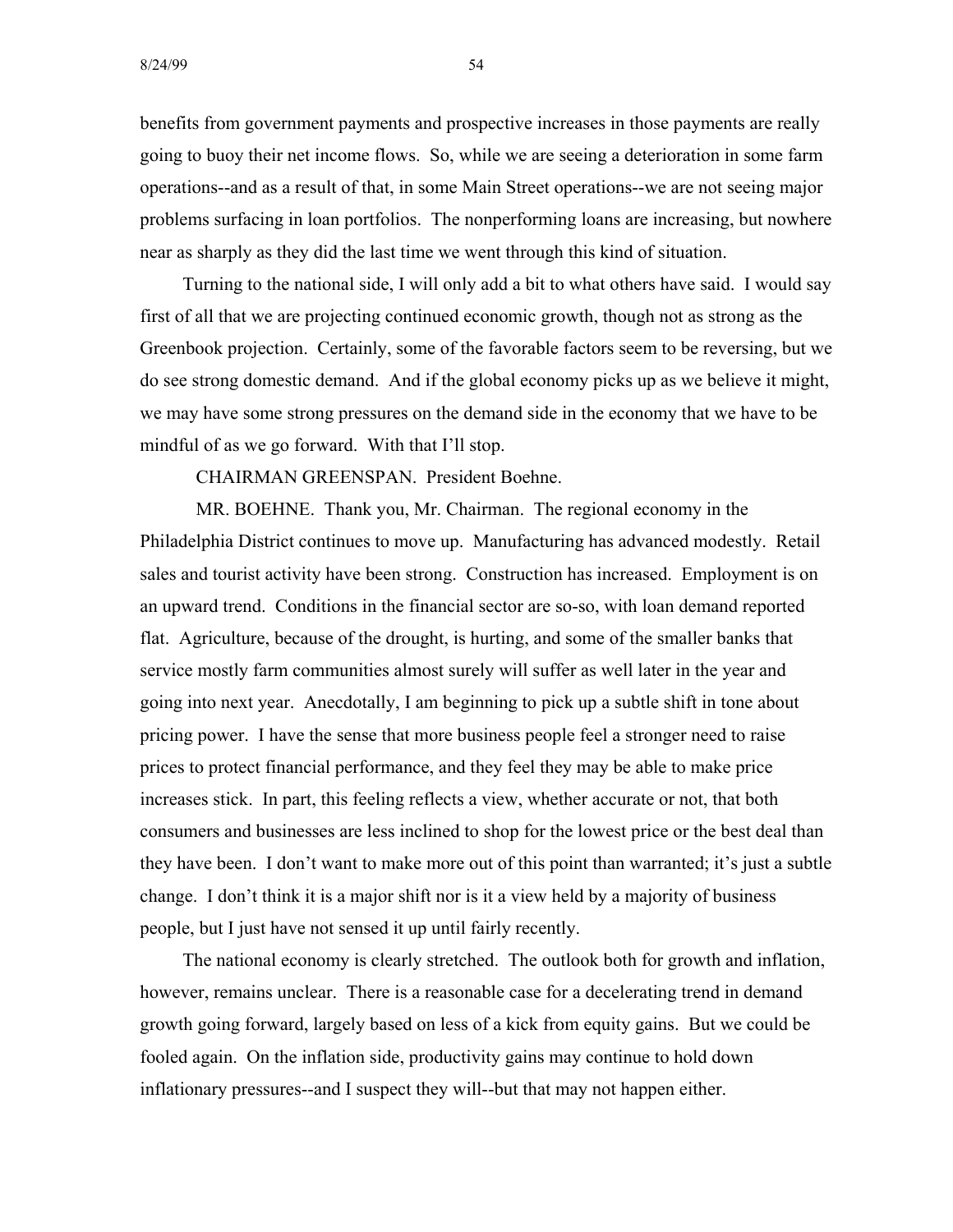benefits from government payments and prospective increases in those payments are really going to buoy their net income flows. So, while we are seeing a deterioration in some farm operations--and as a result of that, in some Main Street operations--we are not seeing major problems surfacing in loan portfolios. The nonperforming loans are increasing, but nowhere near as sharply as they did the last time we went through this kind of situation.

Turning to the national side, I will only add a bit to what others have said. I would say first of all that we are projecting continued economic growth, though not as strong as the Greenbook projection. Certainly, some of the favorable factors seem to be reversing, but we do see strong domestic demand. And if the global economy picks up as we believe it might, we may have some strong pressures on the demand side in the economy that we have to be mindful of as we go forward. With that I'll stop.

CHAIRMAN GREENSPAN. President Boehne.

MR. BOEHNE. Thank you, Mr. Chairman. The regional economy in the Philadelphia District continues to move up. Manufacturing has advanced modestly. Retail sales and tourist activity have been strong. Construction has increased. Employment is on an upward trend. Conditions in the financial sector are so-so, with loan demand reported flat. Agriculture, because of the drought, is hurting, and some of the smaller banks that service mostly farm communities almost surely will suffer as well later in the year and going into next year. Anecdotally, I am beginning to pick up a subtle shift in tone about pricing power. I have the sense that more business people feel a stronger need to raise prices to protect financial performance, and they feel they may be able to make price increases stick. In part, this feeling reflects a view, whether accurate or not, that both consumers and businesses are less inclined to shop for the lowest price or the best deal than they have been. I don't want to make more out of this point than warranted; it's just a subtle change. I don't think it is a major shift nor is it a view held by a majority of business people, but I just have not sensed it up until fairly recently.

The national economy is clearly stretched. The outlook both for growth and inflation, however, remains unclear. There is a reasonable case for a decelerating trend in demand growth going forward, largely based on less of a kick from equity gains. But we could be fooled again. On the inflation side, productivity gains may continue to hold down inflationary pressures--and I suspect they will--but that may not happen either.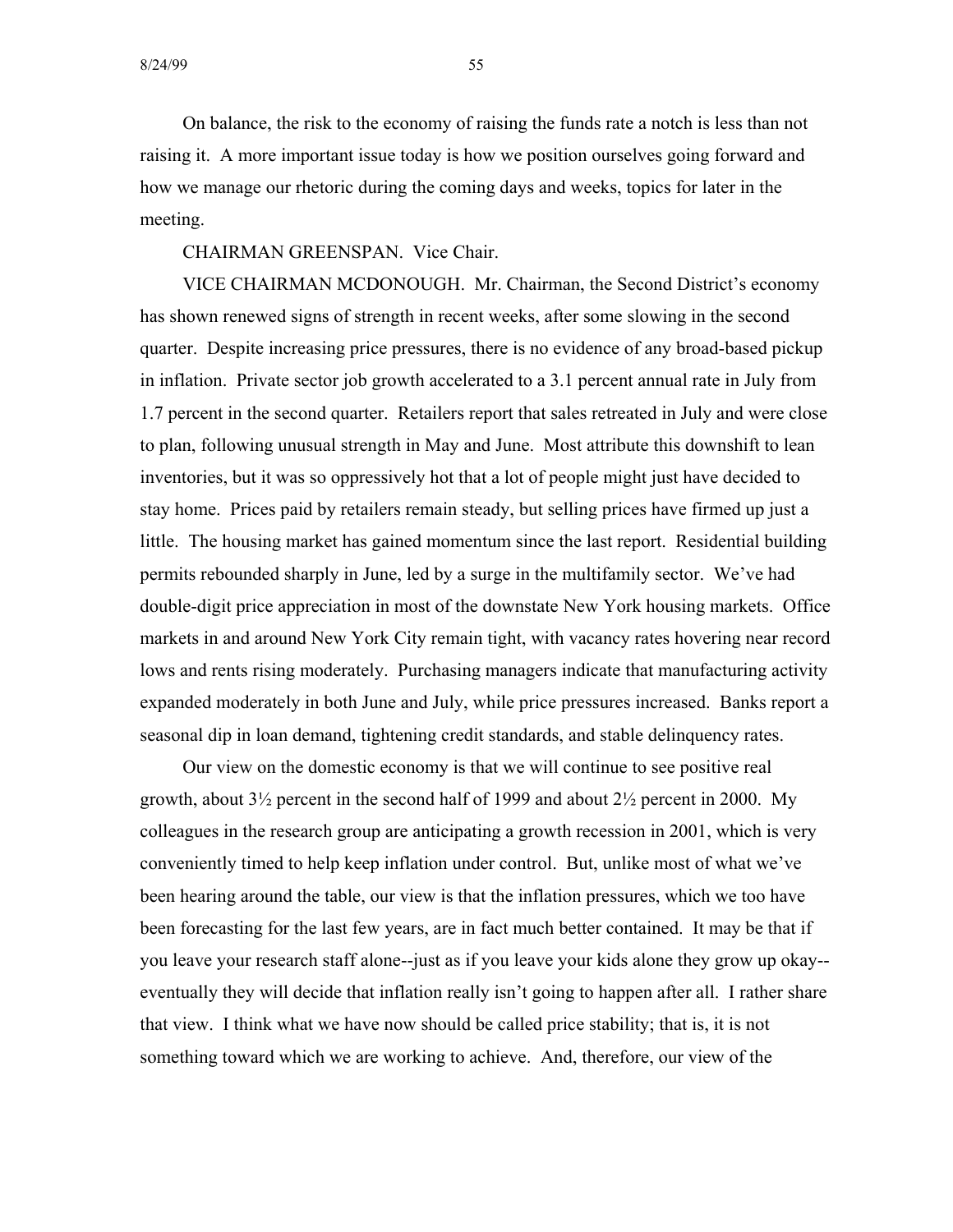On balance, the risk to the economy of raising the funds rate a notch is less than not raising it. A more important issue today is how we position ourselves going forward and how we manage our rhetoric during the coming days and weeks, topics for later in the meeting.

### CHAIRMAN GREENSPAN. Vice Chair.

VICE CHAIRMAN MCDONOUGH. Mr. Chairman, the Second District's economy has shown renewed signs of strength in recent weeks, after some slowing in the second quarter. Despite increasing price pressures, there is no evidence of any broad-based pickup in inflation. Private sector job growth accelerated to a 3.1 percent annual rate in July from 1.7 percent in the second quarter. Retailers report that sales retreated in July and were close to plan, following unusual strength in May and June. Most attribute this downshift to lean inventories, but it was so oppressively hot that a lot of people might just have decided to stay home. Prices paid by retailers remain steady, but selling prices have firmed up just a little. The housing market has gained momentum since the last report. Residential building permits rebounded sharply in June, led by a surge in the multifamily sector. We've had double-digit price appreciation in most of the downstate New York housing markets. Office markets in and around New York City remain tight, with vacancy rates hovering near record lows and rents rising moderately. Purchasing managers indicate that manufacturing activity expanded moderately in both June and July, while price pressures increased. Banks report a seasonal dip in loan demand, tightening credit standards, and stable delinquency rates.

Our view on the domestic economy is that we will continue to see positive real growth, about 3½ percent in the second half of 1999 and about 2½ percent in 2000. My colleagues in the research group are anticipating a growth recession in 2001, which is very conveniently timed to help keep inflation under control. But, unlike most of what we've been hearing around the table, our view is that the inflation pressures, which we too have been forecasting for the last few years, are in fact much better contained. It may be that if you leave your research staff alone--just as if you leave your kids alone they grow up okay eventually they will decide that inflation really isn't going to happen after all. I rather share that view. I think what we have now should be called price stability; that is, it is not something toward which we are working to achieve. And, therefore, our view of the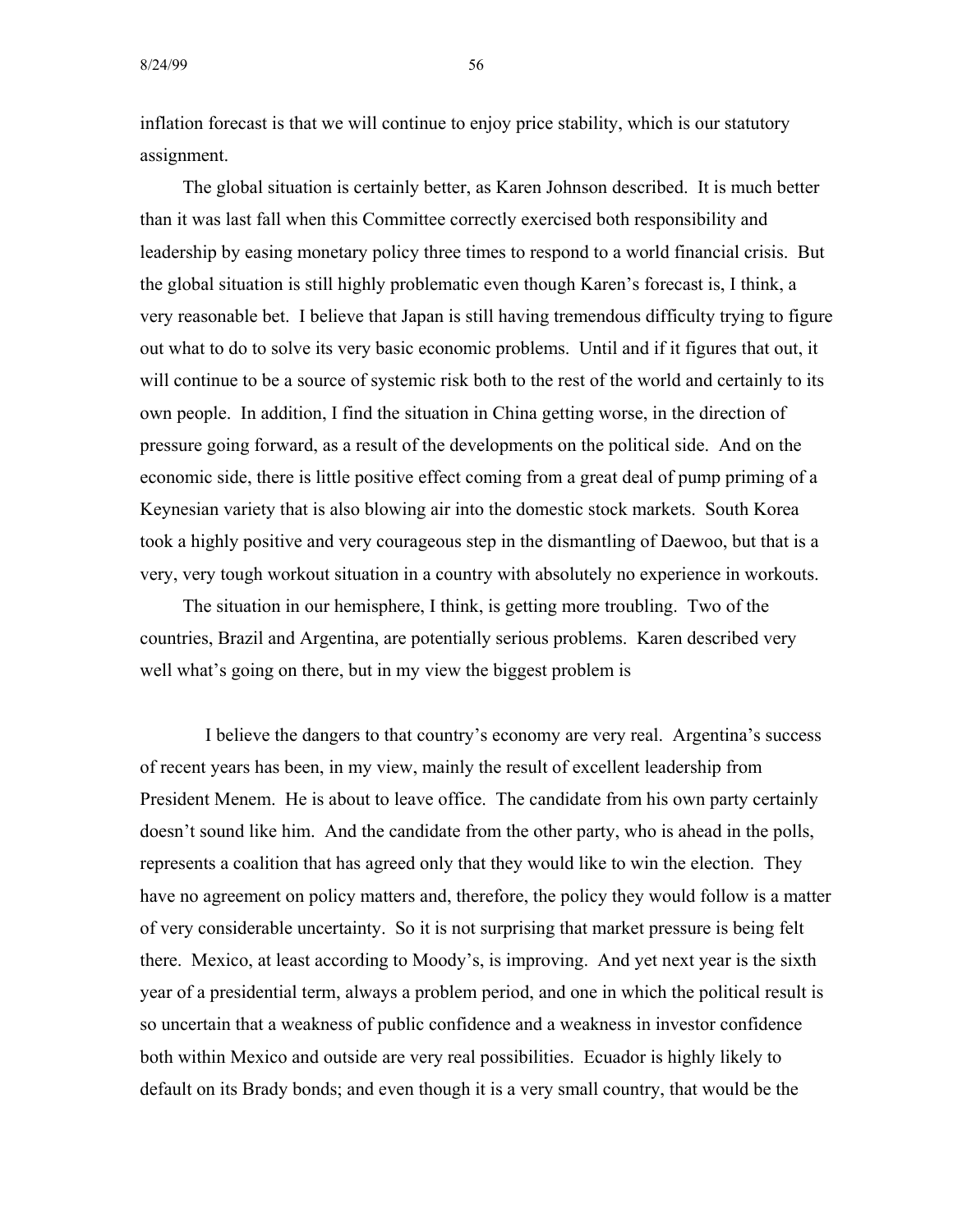inflation forecast is that we will continue to enjoy price stability, which is our statutory assignment.

The global situation is certainly better, as Karen Johnson described. It is much better than it was last fall when this Committee correctly exercised both responsibility and leadership by easing monetary policy three times to respond to a world financial crisis. But the global situation is still highly problematic even though Karen's forecast is, I think, a very reasonable bet. I believe that Japan is still having tremendous difficulty trying to figure out what to do to solve its very basic economic problems. Until and if it figures that out, it will continue to be a source of systemic risk both to the rest of the world and certainly to its own people. In addition, I find the situation in China getting worse, in the direction of pressure going forward, as a result of the developments on the political side. And on the economic side, there is little positive effect coming from a great deal of pump priming of a Keynesian variety that is also blowing air into the domestic stock markets. South Korea took a highly positive and very courageous step in the dismantling of Daewoo, but that is a very, very tough workout situation in a country with absolutely no experience in workouts.

The situation in our hemisphere, I think, is getting more troubling. Two of the countries, Brazil and Argentina, are potentially serious problems. Karen described very well what's going on there, but in my view the biggest problem is

I believe the dangers to that country's economy are very real. Argentina's success of recent years has been, in my view, mainly the result of excellent leadership from President Menem. He is about to leave office. The candidate from his own party certainly doesn't sound like him. And the candidate from the other party, who is ahead in the polls, represents a coalition that has agreed only that they would like to win the election. They have no agreement on policy matters and, therefore, the policy they would follow is a matter of very considerable uncertainty. So it is not surprising that market pressure is being felt there. Mexico, at least according to Moody's, is improving. And yet next year is the sixth year of a presidential term, always a problem period, and one in which the political result is so uncertain that a weakness of public confidence and a weakness in investor confidence both within Mexico and outside are very real possibilities. Ecuador is highly likely to default on its Brady bonds; and even though it is a very small country, that would be the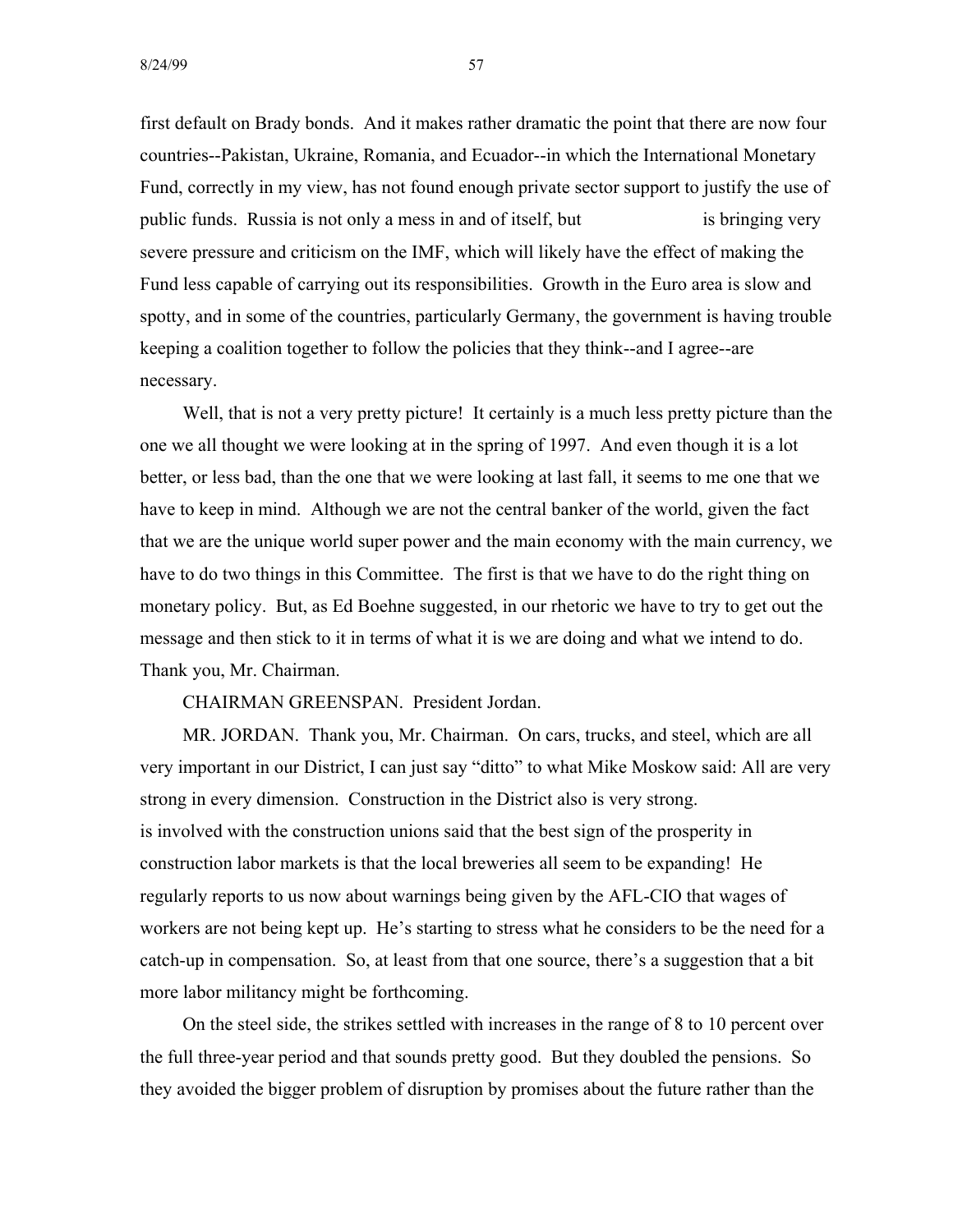8/24/99 57

first default on Brady bonds. And it makes rather dramatic the point that there are now four countries--Pakistan, Ukraine, Romania, and Ecuador--in which the International Monetary Fund, correctly in my view, has not found enough private sector support to justify the use of public funds. Russia is not only a mess in and of itself, but is bringing very severe pressure and criticism on the IMF, which will likely have the effect of making the Fund less capable of carrying out its responsibilities. Growth in the Euro area is slow and spotty, and in some of the countries, particularly Germany, the government is having trouble keeping a coalition together to follow the policies that they think--and I agree--are necessary.

Well, that is not a very pretty picture! It certainly is a much less pretty picture than the one we all thought we were looking at in the spring of 1997. And even though it is a lot better, or less bad, than the one that we were looking at last fall, it seems to me one that we have to keep in mind. Although we are not the central banker of the world, given the fact that we are the unique world super power and the main economy with the main currency, we have to do two things in this Committee. The first is that we have to do the right thing on monetary policy. But, as Ed Boehne suggested, in our rhetoric we have to try to get out the message and then stick to it in terms of what it is we are doing and what we intend to do. Thank you, Mr. Chairman.

CHAIRMAN GREENSPAN. President Jordan.

MR. JORDAN. Thank you, Mr. Chairman. On cars, trucks, and steel, which are all very important in our District, I can just say "ditto" to what Mike Moskow said: All are very strong in every dimension. Construction in the District also is very strong. is involved with the construction unions said that the best sign of the prosperity in construction labor markets is that the local breweries all seem to be expanding! He regularly reports to us now about warnings being given by the AFL-CIO that wages of workers are not being kept up. He's starting to stress what he considers to be the need for a catch-up in compensation. So, at least from that one source, there's a suggestion that a bit more labor militancy might be forthcoming.

On the steel side, the strikes settled with increases in the range of 8 to 10 percent over the full three-year period and that sounds pretty good. But they doubled the pensions. So they avoided the bigger problem of disruption by promises about the future rather than the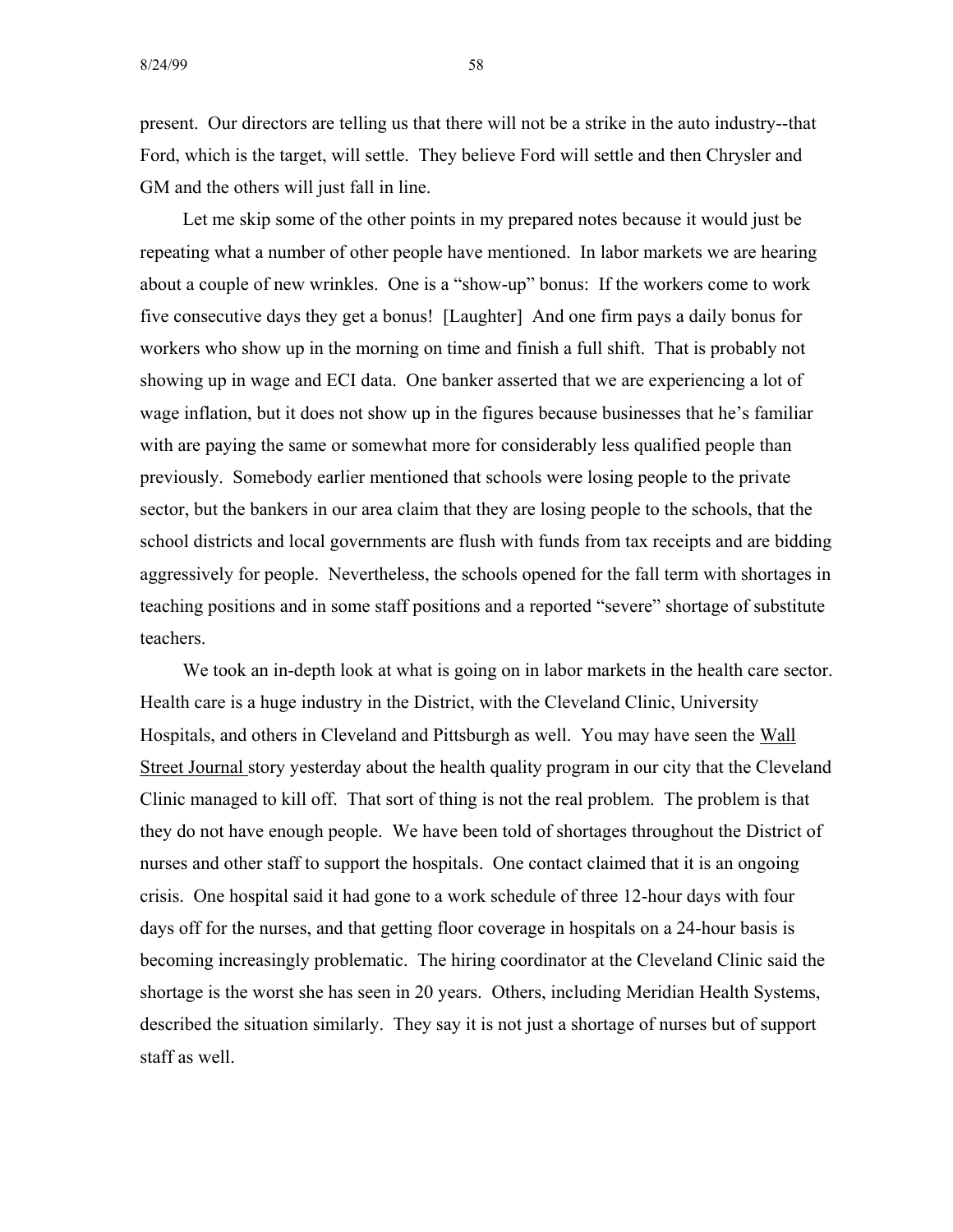present. Our directors are telling us that there will not be a strike in the auto industry--that Ford, which is the target, will settle. They believe Ford will settle and then Chrysler and GM and the others will just fall in line.

Let me skip some of the other points in my prepared notes because it would just be repeating what a number of other people have mentioned. In labor markets we are hearing about a couple of new wrinkles. One is a "show-up" bonus: If the workers come to work five consecutive days they get a bonus! [Laughter] And one firm pays a daily bonus for workers who show up in the morning on time and finish a full shift. That is probably not showing up in wage and ECI data. One banker asserted that we are experiencing a lot of wage inflation, but it does not show up in the figures because businesses that he's familiar with are paying the same or somewhat more for considerably less qualified people than previously. Somebody earlier mentioned that schools were losing people to the private sector, but the bankers in our area claim that they are losing people to the schools, that the school districts and local governments are flush with funds from tax receipts and are bidding aggressively for people. Nevertheless, the schools opened for the fall term with shortages in teaching positions and in some staff positions and a reported "severe" shortage of substitute teachers.

We took an in-depth look at what is going on in labor markets in the health care sector. Health care is a huge industry in the District, with the Cleveland Clinic, University Hospitals, and others in Cleveland and Pittsburgh as well. You may have seen the Wall Street Journal story yesterday about the health quality program in our city that the Cleveland Clinic managed to kill off. That sort of thing is not the real problem. The problem is that they do not have enough people. We have been told of shortages throughout the District of nurses and other staff to support the hospitals. One contact claimed that it is an ongoing crisis. One hospital said it had gone to a work schedule of three 12-hour days with four days off for the nurses, and that getting floor coverage in hospitals on a 24-hour basis is becoming increasingly problematic. The hiring coordinator at the Cleveland Clinic said the shortage is the worst she has seen in 20 years. Others, including Meridian Health Systems, described the situation similarly. They say it is not just a shortage of nurses but of support staff as well.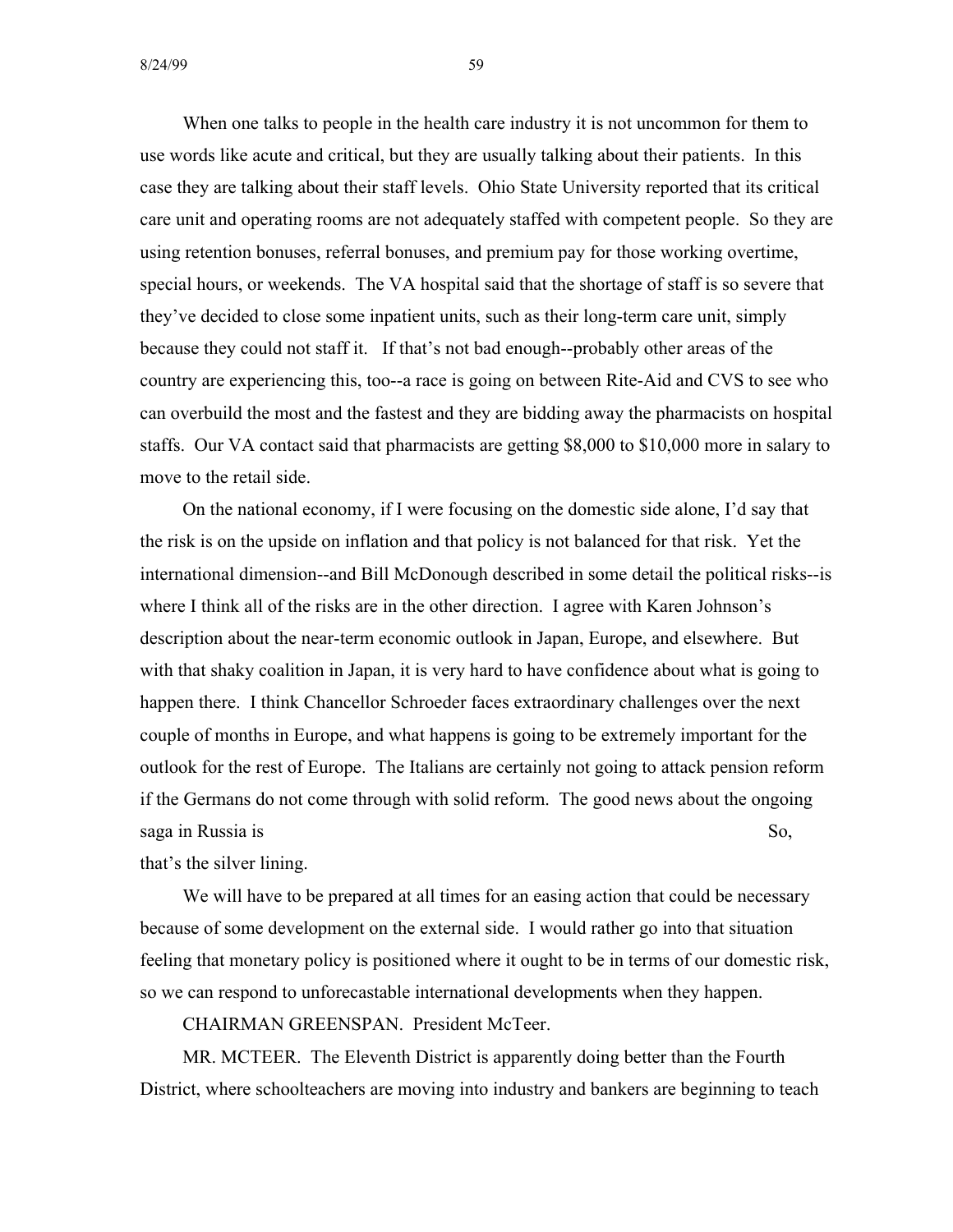When one talks to people in the health care industry it is not uncommon for them to use words like acute and critical, but they are usually talking about their patients. In this case they are talking about their staff levels. Ohio State University reported that its critical care unit and operating rooms are not adequately staffed with competent people. So they are using retention bonuses, referral bonuses, and premium pay for those working overtime, special hours, or weekends. The VA hospital said that the shortage of staff is so severe that they've decided to close some inpatient units, such as their long-term care unit, simply because they could not staff it. If that's not bad enough--probably other areas of the country are experiencing this, too--a race is going on between Rite-Aid and CVS to see who can overbuild the most and the fastest and they are bidding away the pharmacists on hospital staffs. Our VA contact said that pharmacists are getting \$8,000 to \$10,000 more in salary to move to the retail side.

On the national economy, if I were focusing on the domestic side alone, I'd say that the risk is on the upside on inflation and that policy is not balanced for that risk. Yet the international dimension--and Bill McDonough described in some detail the political risks--is where I think all of the risks are in the other direction. I agree with Karen Johnson's description about the near-term economic outlook in Japan, Europe, and elsewhere. But with that shaky coalition in Japan, it is very hard to have confidence about what is going to happen there. I think Chancellor Schroeder faces extraordinary challenges over the next couple of months in Europe, and what happens is going to be extremely important for the outlook for the rest of Europe. The Italians are certainly not going to attack pension reform if the Germans do not come through with solid reform. The good news about the ongoing saga in Russia is So,

that's the silver lining.

We will have to be prepared at all times for an easing action that could be necessary because of some development on the external side. I would rather go into that situation feeling that monetary policy is positioned where it ought to be in terms of our domestic risk, so we can respond to unforecastable international developments when they happen.

CHAIRMAN GREENSPAN. President McTeer.

MR. MCTEER. The Eleventh District is apparently doing better than the Fourth District, where schoolteachers are moving into industry and bankers are beginning to teach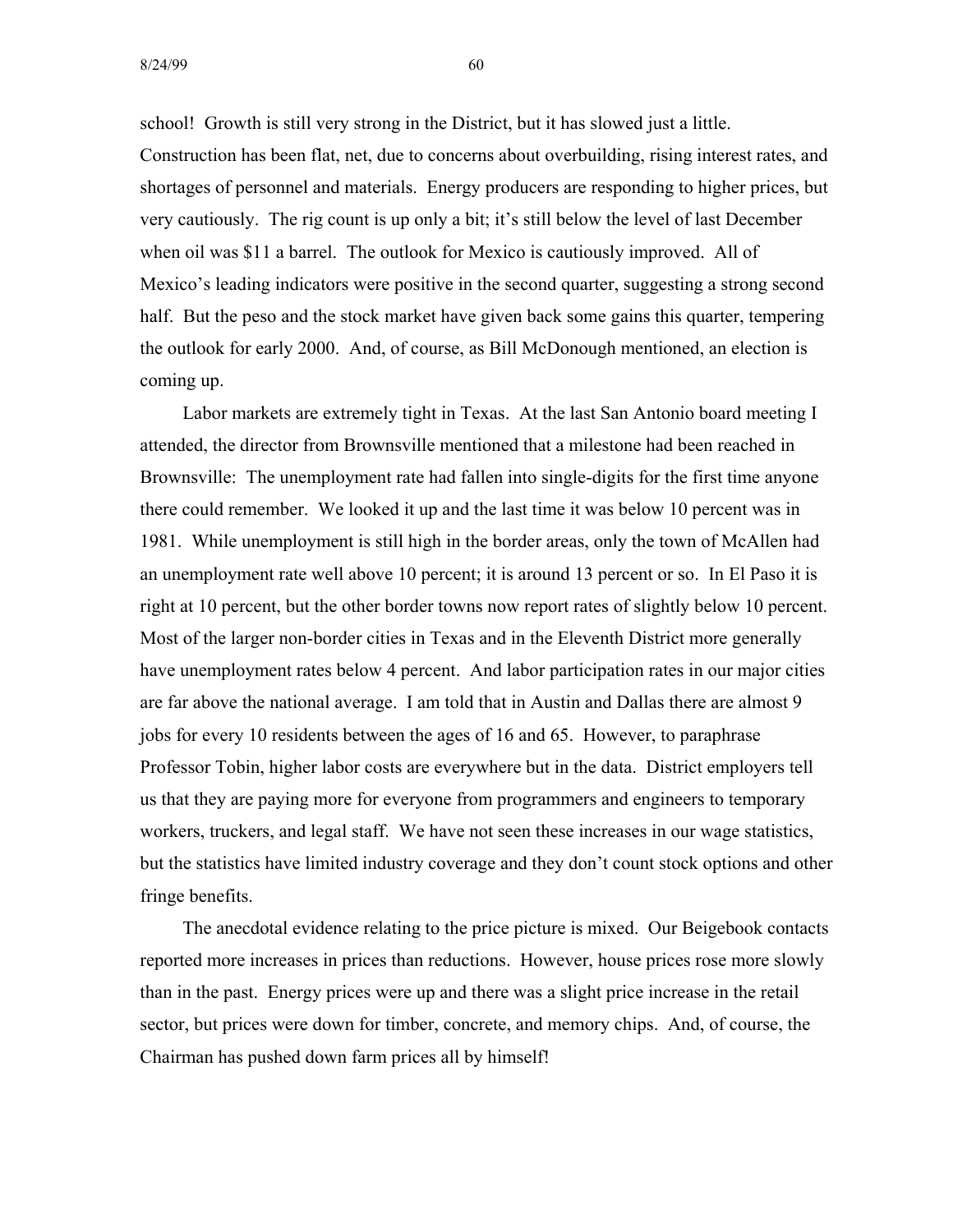8/24/99 60

school! Growth is still very strong in the District, but it has slowed just a little. Construction has been flat, net, due to concerns about overbuilding, rising interest rates, and shortages of personnel and materials. Energy producers are responding to higher prices, but very cautiously. The rig count is up only a bit; it's still below the level of last December when oil was \$11 a barrel. The outlook for Mexico is cautiously improved. All of Mexico's leading indicators were positive in the second quarter, suggesting a strong second half. But the peso and the stock market have given back some gains this quarter, tempering the outlook for early 2000. And, of course, as Bill McDonough mentioned, an election is coming up.

Labor markets are extremely tight in Texas. At the last San Antonio board meeting I attended, the director from Brownsville mentioned that a milestone had been reached in Brownsville: The unemployment rate had fallen into single-digits for the first time anyone there could remember. We looked it up and the last time it was below 10 percent was in 1981. While unemployment is still high in the border areas, only the town of McAllen had an unemployment rate well above 10 percent; it is around 13 percent or so. In El Paso it is right at 10 percent, but the other border towns now report rates of slightly below 10 percent. Most of the larger non-border cities in Texas and in the Eleventh District more generally have unemployment rates below 4 percent. And labor participation rates in our major cities are far above the national average. I am told that in Austin and Dallas there are almost 9 jobs for every 10 residents between the ages of 16 and 65. However, to paraphrase Professor Tobin, higher labor costs are everywhere but in the data. District employers tell us that they are paying more for everyone from programmers and engineers to temporary workers, truckers, and legal staff. We have not seen these increases in our wage statistics, but the statistics have limited industry coverage and they don't count stock options and other fringe benefits.

The anecdotal evidence relating to the price picture is mixed. Our Beigebook contacts reported more increases in prices than reductions. However, house prices rose more slowly than in the past. Energy prices were up and there was a slight price increase in the retail sector, but prices were down for timber, concrete, and memory chips. And, of course, the Chairman has pushed down farm prices all by himself!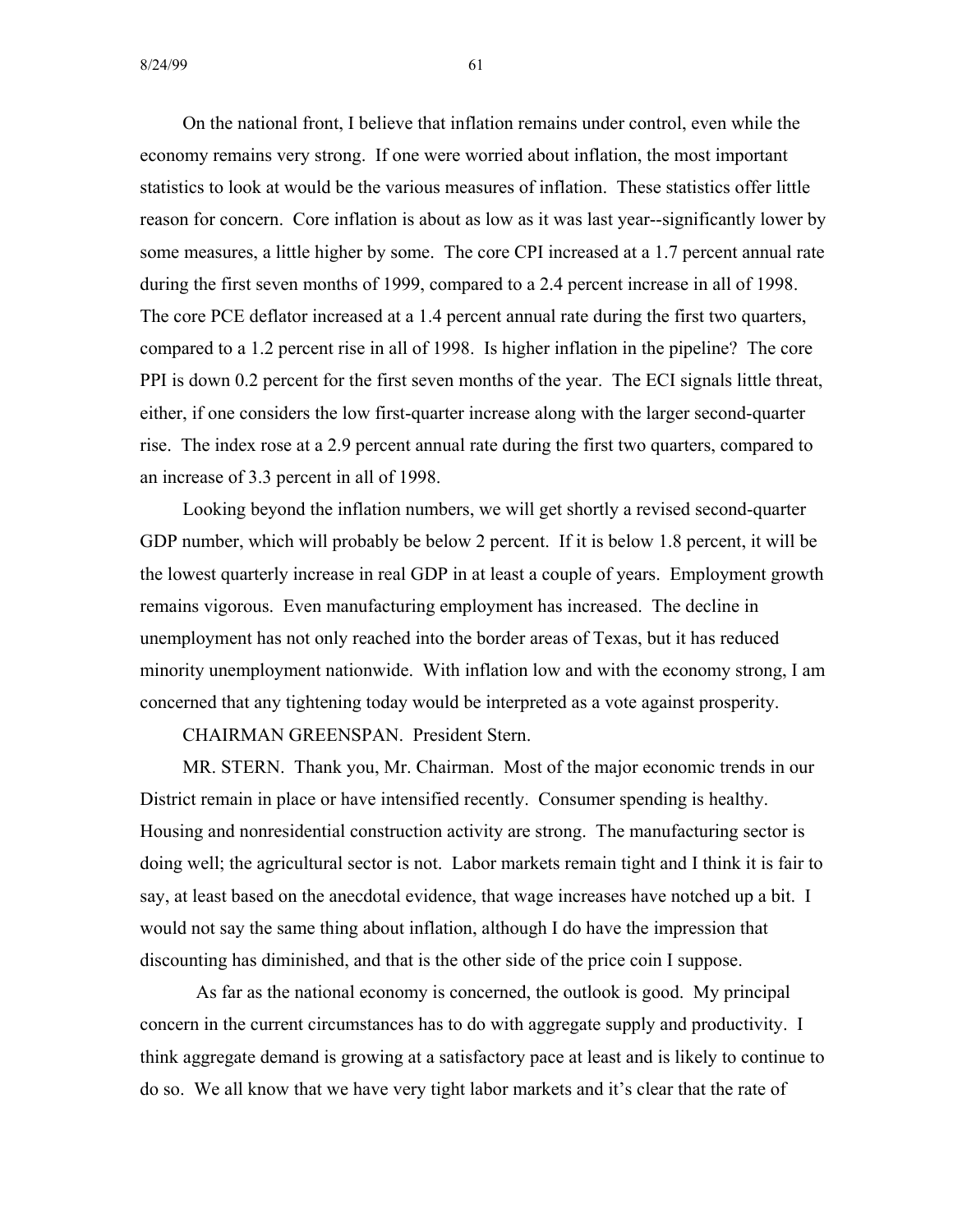On the national front, I believe that inflation remains under control, even while the economy remains very strong. If one were worried about inflation, the most important statistics to look at would be the various measures of inflation. These statistics offer little reason for concern. Core inflation is about as low as it was last year--significantly lower by some measures, a little higher by some. The core CPI increased at a 1.7 percent annual rate during the first seven months of 1999, compared to a 2.4 percent increase in all of 1998. The core PCE deflator increased at a 1.4 percent annual rate during the first two quarters, compared to a 1.2 percent rise in all of 1998. Is higher inflation in the pipeline? The core PPI is down 0.2 percent for the first seven months of the year. The ECI signals little threat, either, if one considers the low first-quarter increase along with the larger second-quarter rise. The index rose at a 2.9 percent annual rate during the first two quarters, compared to an increase of 3.3 percent in all of 1998.

Looking beyond the inflation numbers, we will get shortly a revised second-quarter GDP number, which will probably be below 2 percent. If it is below 1.8 percent, it will be the lowest quarterly increase in real GDP in at least a couple of years. Employment growth remains vigorous. Even manufacturing employment has increased. The decline in unemployment has not only reached into the border areas of Texas, but it has reduced minority unemployment nationwide. With inflation low and with the economy strong, I am concerned that any tightening today would be interpreted as a vote against prosperity.

CHAIRMAN GREENSPAN. President Stern.

MR. STERN. Thank you, Mr. Chairman. Most of the major economic trends in our District remain in place or have intensified recently. Consumer spending is healthy. Housing and nonresidential construction activity are strong. The manufacturing sector is doing well; the agricultural sector is not. Labor markets remain tight and I think it is fair to say, at least based on the anecdotal evidence, that wage increases have notched up a bit. I would not say the same thing about inflation, although I do have the impression that discounting has diminished, and that is the other side of the price coin I suppose.

As far as the national economy is concerned, the outlook is good. My principal concern in the current circumstances has to do with aggregate supply and productivity. I think aggregate demand is growing at a satisfactory pace at least and is likely to continue to do so. We all know that we have very tight labor markets and it's clear that the rate of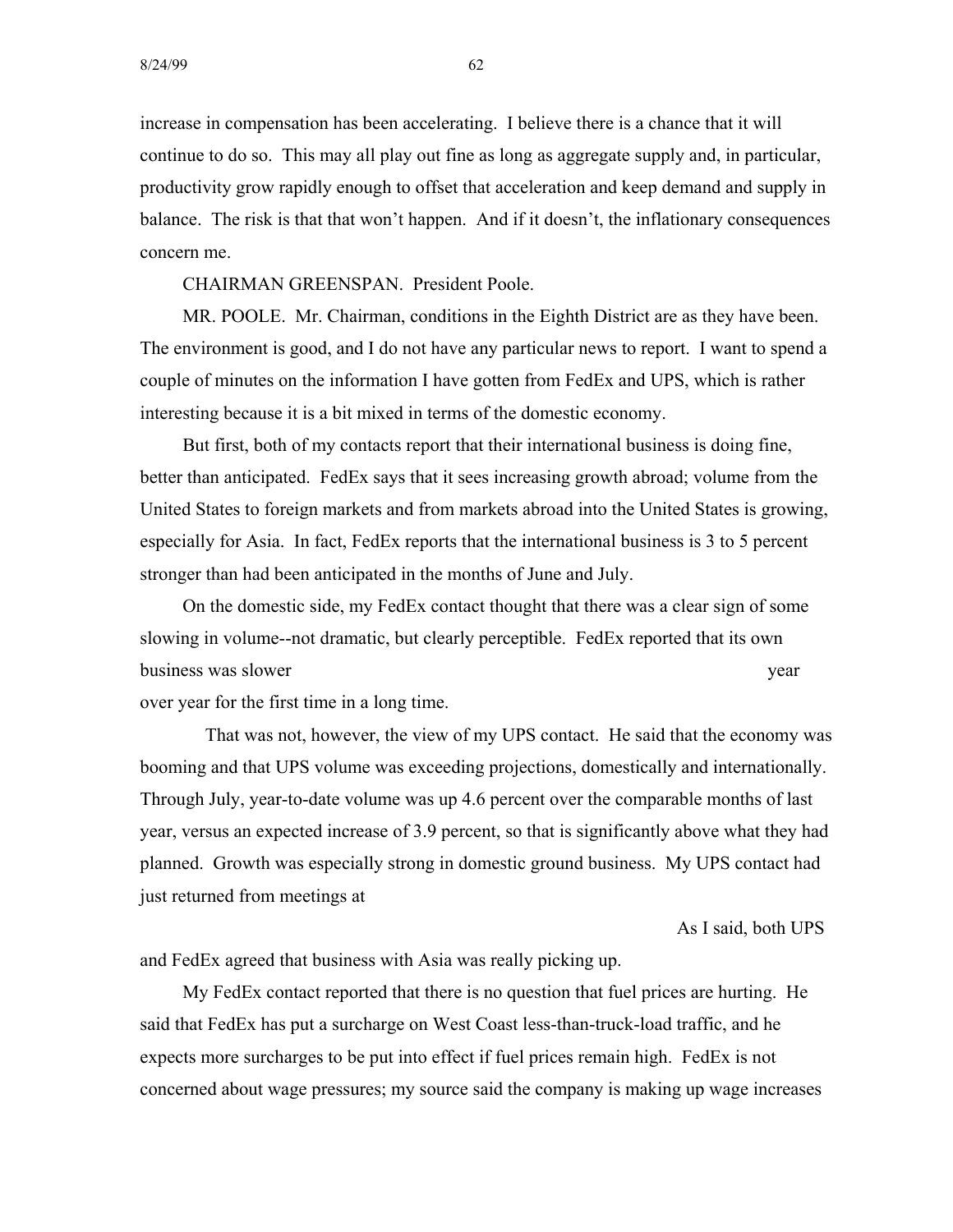increase in compensation has been accelerating. I believe there is a chance that it will continue to do so. This may all play out fine as long as aggregate supply and, in particular, productivity grow rapidly enough to offset that acceleration and keep demand and supply in balance. The risk is that that won't happen. And if it doesn't, the inflationary consequences concern me.

CHAIRMAN GREENSPAN. President Poole.

MR. POOLE. Mr. Chairman, conditions in the Eighth District are as they have been. The environment is good, and I do not have any particular news to report. I want to spend a couple of minutes on the information I have gotten from FedEx and UPS, which is rather interesting because it is a bit mixed in terms of the domestic economy.

But first, both of my contacts report that their international business is doing fine, better than anticipated. FedEx says that it sees increasing growth abroad; volume from the United States to foreign markets and from markets abroad into the United States is growing, especially for Asia. In fact, FedEx reports that the international business is 3 to 5 percent stronger than had been anticipated in the months of June and July.

On the domestic side, my FedEx contact thought that there was a clear sign of some slowing in volume--not dramatic, but clearly perceptible. FedEx reported that its own business was slower year to business was slower year year.

over year for the first time in a long time.

That was not, however, the view of my UPS contact. He said that the economy was booming and that UPS volume was exceeding projections, domestically and internationally. Through July, year-to-date volume was up 4.6 percent over the comparable months of last year, versus an expected increase of 3.9 percent, so that is significantly above what they had planned. Growth was especially strong in domestic ground business. My UPS contact had just returned from meetings at

As I said, both UPS

and FedEx agreed that business with Asia was really picking up.

My FedEx contact reported that there is no question that fuel prices are hurting. He said that FedEx has put a surcharge on West Coast less-than-truck-load traffic, and he expects more surcharges to be put into effect if fuel prices remain high. FedEx is not concerned about wage pressures; my source said the company is making up wage increases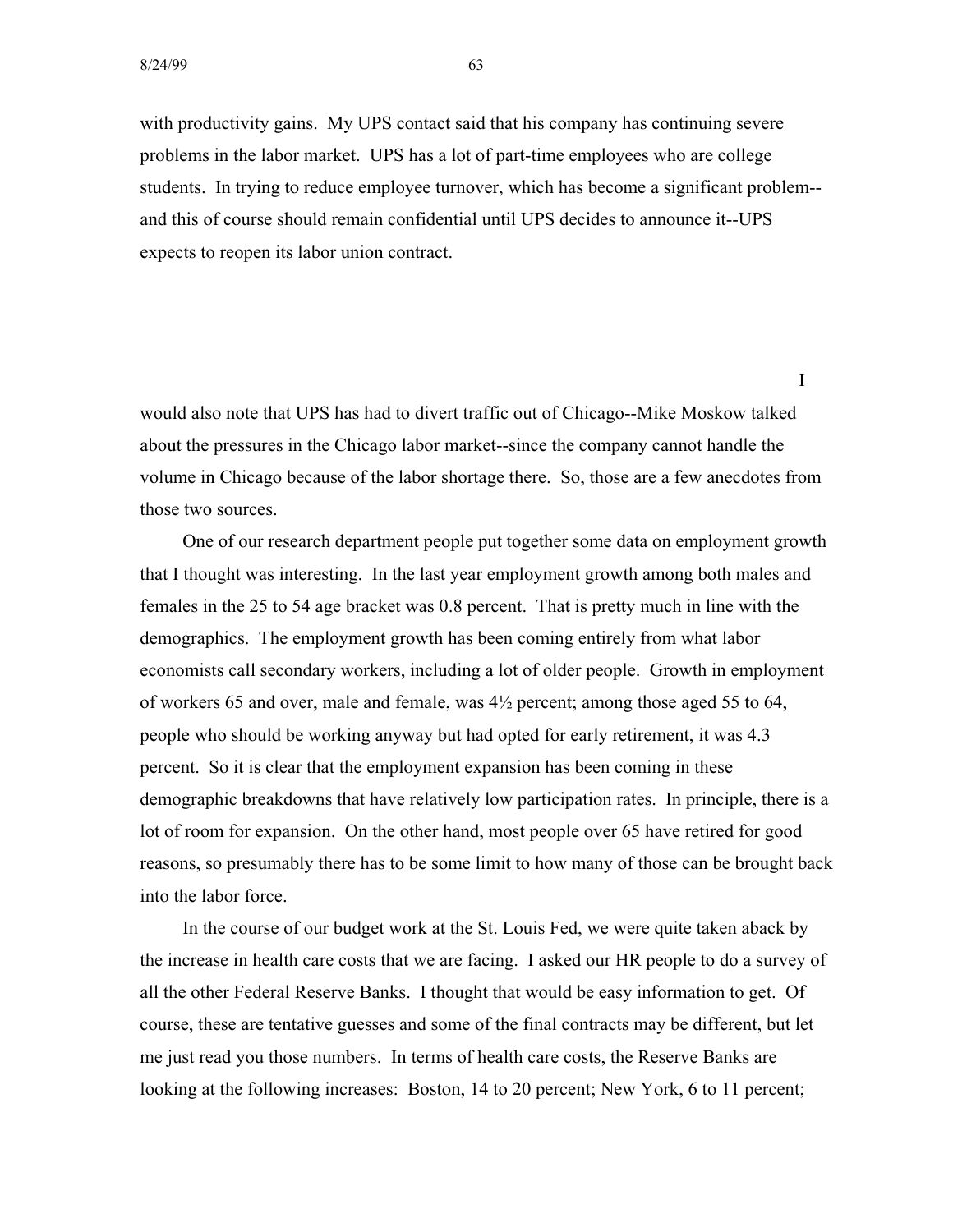with productivity gains. My UPS contact said that his company has continuing severe problems in the labor market. UPS has a lot of part-time employees who are college students. In trying to reduce employee turnover, which has become a significant problem and this of course should remain confidential until UPS decides to announce it--UPS expects to reopen its labor union contract.

would also note that UPS has had to divert traffic out of Chicago--Mike Moskow talked about the pressures in the Chicago labor market--since the company cannot handle the volume in Chicago because of the labor shortage there. So, those are a few anecdotes from those two sources.

I

One of our research department people put together some data on employment growth that I thought was interesting. In the last year employment growth among both males and females in the 25 to 54 age bracket was 0.8 percent. That is pretty much in line with the demographics. The employment growth has been coming entirely from what labor economists call secondary workers, including a lot of older people. Growth in employment of workers 65 and over, male and female, was 4½ percent; among those aged 55 to 64, people who should be working anyway but had opted for early retirement, it was 4.3 percent. So it is clear that the employment expansion has been coming in these demographic breakdowns that have relatively low participation rates. In principle, there is a lot of room for expansion. On the other hand, most people over 65 have retired for good reasons, so presumably there has to be some limit to how many of those can be brought back into the labor force.

In the course of our budget work at the St. Louis Fed, we were quite taken aback by the increase in health care costs that we are facing. I asked our HR people to do a survey of all the other Federal Reserve Banks. I thought that would be easy information to get. Of course, these are tentative guesses and some of the final contracts may be different, but let me just read you those numbers. In terms of health care costs, the Reserve Banks are looking at the following increases: Boston, 14 to 20 percent; New York, 6 to 11 percent;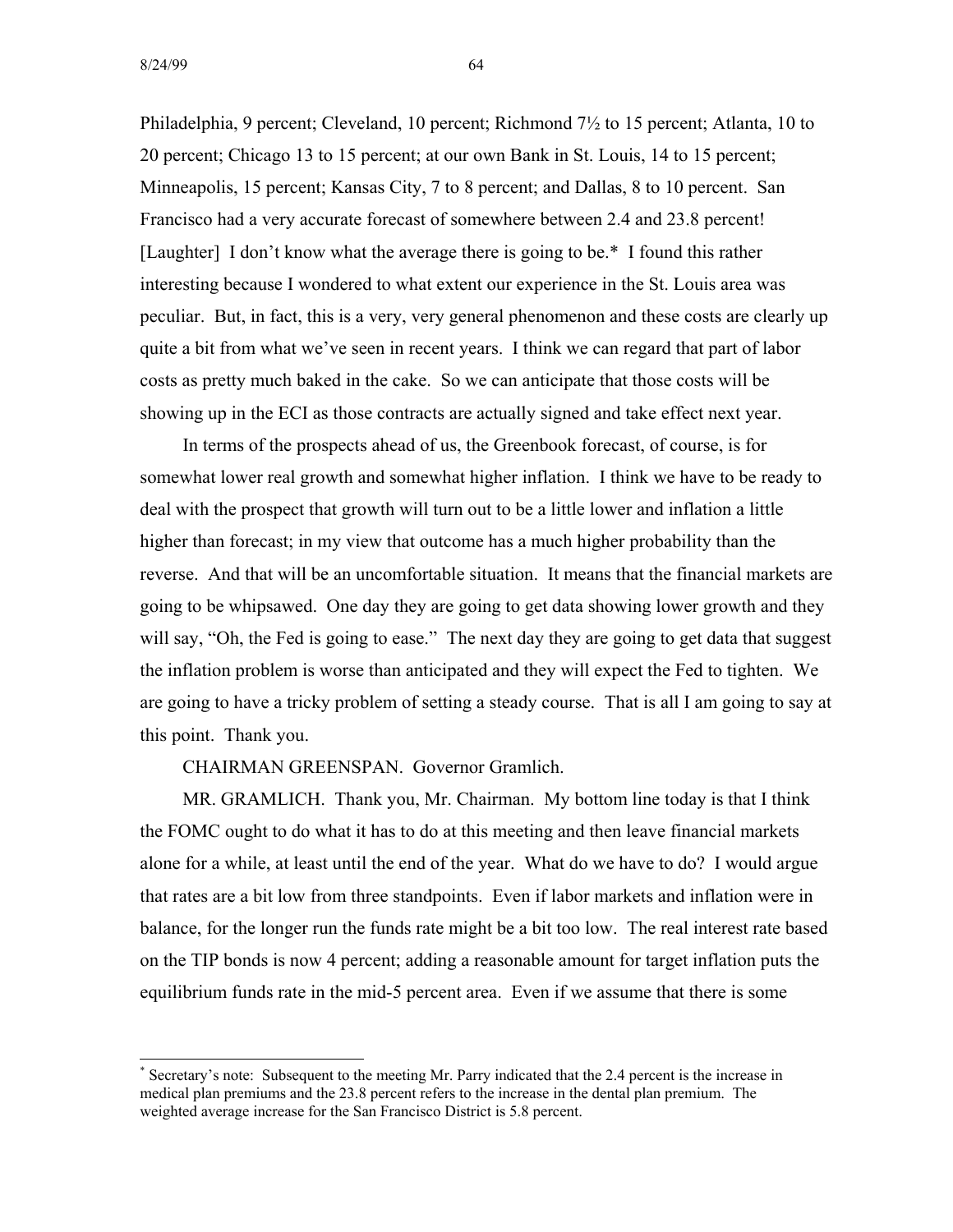Philadelphia, 9 percent; Cleveland, 10 percent; Richmond 7½ to 15 percent; Atlanta, 10 to 20 percent; Chicago 13 to 15 percent; at our own Bank in St. Louis, 14 to 15 percent; Minneapolis, 15 percent; Kansas City, 7 to 8 percent; and Dallas, 8 to 10 percent. San Francisco had a very accurate forecast of somewhere between 2.4 and 23.8 percent! [Laughter] I don't know what the average there is going to be.\* I found this rather interesting because I wondered to what extent our experience in the St. Louis area was peculiar. But, in fact, this is a very, very general phenomenon and these costs are clearly up quite a bit from what we've seen in recent years. I think we can regard that part of labor costs as pretty much baked in the cake. So we can anticipate that those costs will be showing up in the ECI as those contracts are actually signed and take effect next year.

In terms of the prospects ahead of us, the Greenbook forecast, of course, is for somewhat lower real growth and somewhat higher inflation. I think we have to be ready to deal with the prospect that growth will turn out to be a little lower and inflation a little higher than forecast; in my view that outcome has a much higher probability than the reverse. And that will be an uncomfortable situation. It means that the financial markets are going to be whipsawed. One day they are going to get data showing lower growth and they will say, "Oh, the Fed is going to ease." The next day they are going to get data that suggest the inflation problem is worse than anticipated and they will expect the Fed to tighten. We are going to have a tricky problem of setting a steady course. That is all I am going to say at this point. Thank you.

CHAIRMAN GREENSPAN. Governor Gramlich.

MR. GRAMLICH. Thank you, Mr. Chairman. My bottom line today is that I think the FOMC ought to do what it has to do at this meeting and then leave financial markets alone for a while, at least until the end of the year. What do we have to do? I would argue that rates are a bit low from three standpoints. Even if labor markets and inflation were in balance, for the longer run the funds rate might be a bit too low. The real interest rate based on the TIP bonds is now 4 percent; adding a reasonable amount for target inflation puts the equilibrium funds rate in the mid-5 percent area. Even if we assume that there is some

<sup>\*</sup> Secretary's note: Subsequent to the meeting Mr. Parry indicated that the 2.4 percent is the increase in medical plan premiums and the 23.8 percent refers to the increase in the dental plan premium. The weighted average increase for the San Francisco District is 5.8 percent.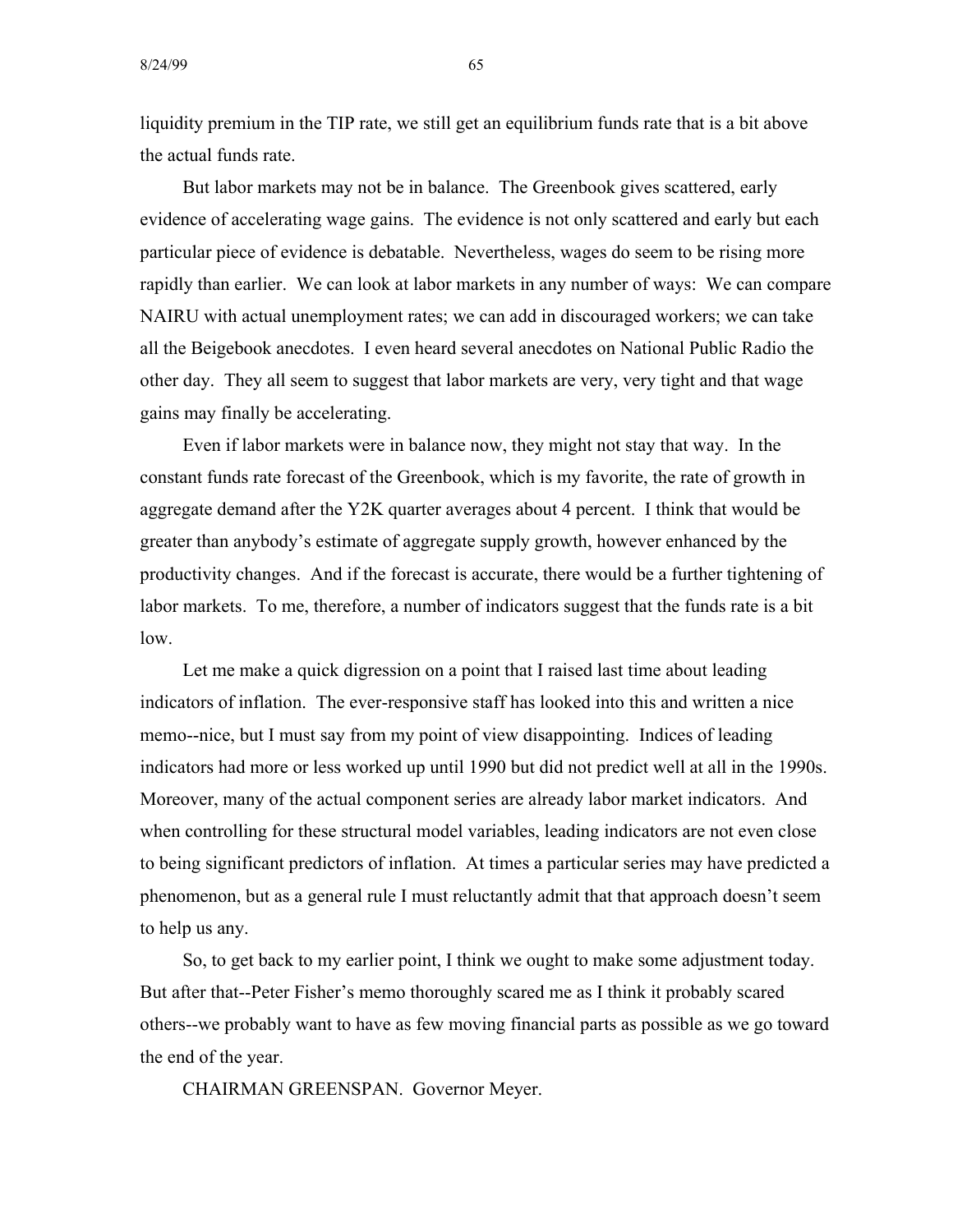liquidity premium in the TIP rate, we still get an equilibrium funds rate that is a bit above the actual funds rate.

But labor markets may not be in balance. The Greenbook gives scattered, early evidence of accelerating wage gains. The evidence is not only scattered and early but each particular piece of evidence is debatable. Nevertheless, wages do seem to be rising more rapidly than earlier. We can look at labor markets in any number of ways: We can compare NAIRU with actual unemployment rates; we can add in discouraged workers; we can take all the Beigebook anecdotes. I even heard several anecdotes on National Public Radio the other day. They all seem to suggest that labor markets are very, very tight and that wage gains may finally be accelerating.

Even if labor markets were in balance now, they might not stay that way. In the constant funds rate forecast of the Greenbook, which is my favorite, the rate of growth in aggregate demand after the Y2K quarter averages about 4 percent. I think that would be greater than anybody's estimate of aggregate supply growth, however enhanced by the productivity changes. And if the forecast is accurate, there would be a further tightening of labor markets. To me, therefore, a number of indicators suggest that the funds rate is a bit low.

Let me make a quick digression on a point that I raised last time about leading indicators of inflation. The ever-responsive staff has looked into this and written a nice memo--nice, but I must say from my point of view disappointing. Indices of leading indicators had more or less worked up until 1990 but did not predict well at all in the 1990s. Moreover, many of the actual component series are already labor market indicators. And when controlling for these structural model variables, leading indicators are not even close to being significant predictors of inflation. At times a particular series may have predicted a phenomenon, but as a general rule I must reluctantly admit that that approach doesn't seem to help us any.

So, to get back to my earlier point, I think we ought to make some adjustment today. But after that--Peter Fisher's memo thoroughly scared me as I think it probably scared others--we probably want to have as few moving financial parts as possible as we go toward the end of the year.

CHAIRMAN GREENSPAN. Governor Meyer.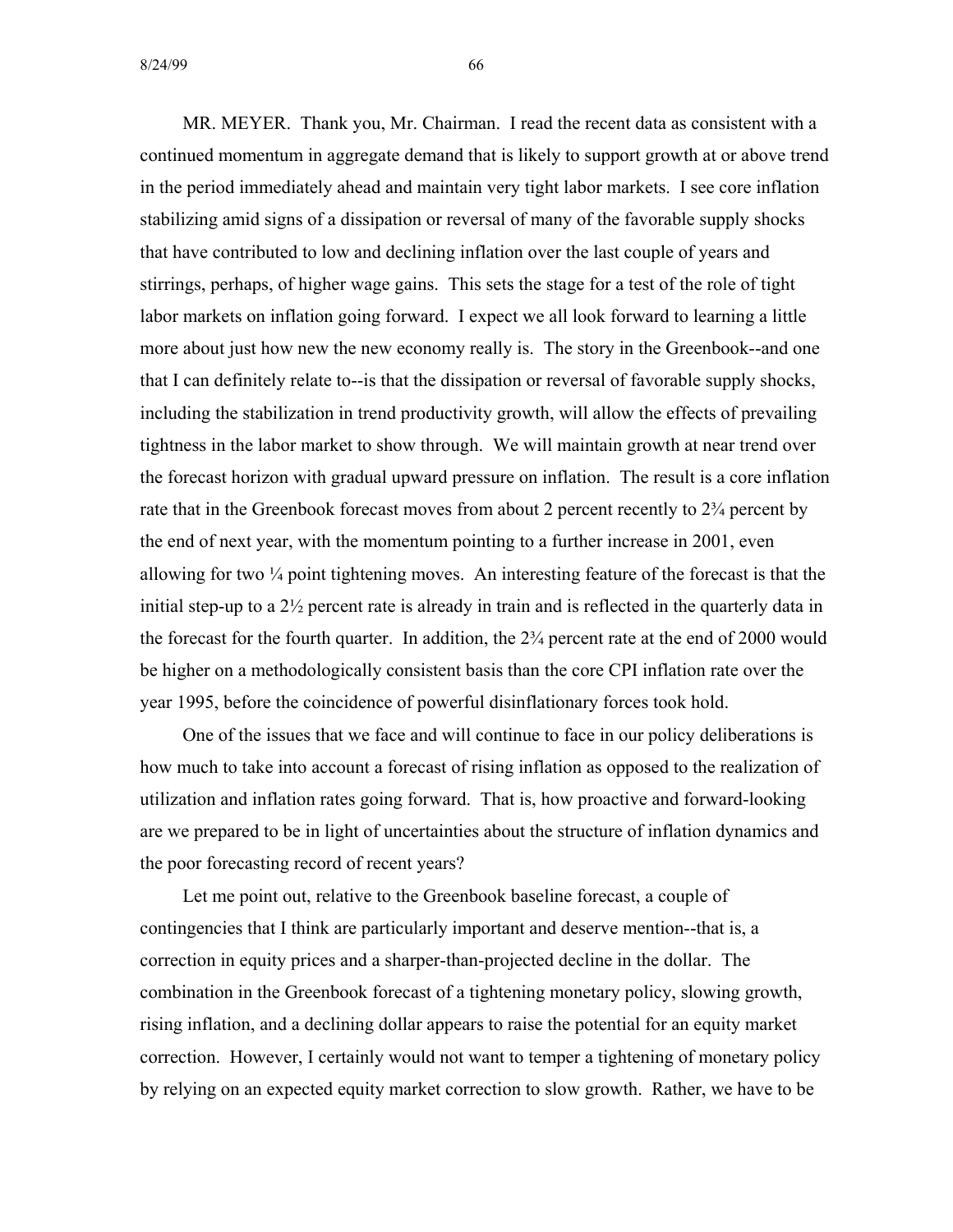MR. MEYER. Thank you, Mr. Chairman. I read the recent data as consistent with a continued momentum in aggregate demand that is likely to support growth at or above trend in the period immediately ahead and maintain very tight labor markets. I see core inflation stabilizing amid signs of a dissipation or reversal of many of the favorable supply shocks that have contributed to low and declining inflation over the last couple of years and stirrings, perhaps, of higher wage gains. This sets the stage for a test of the role of tight labor markets on inflation going forward. I expect we all look forward to learning a little more about just how new the new economy really is. The story in the Greenbook--and one that I can definitely relate to--is that the dissipation or reversal of favorable supply shocks, including the stabilization in trend productivity growth, will allow the effects of prevailing tightness in the labor market to show through. We will maintain growth at near trend over the forecast horizon with gradual upward pressure on inflation. The result is a core inflation rate that in the Greenbook forecast moves from about 2 percent recently to  $2\frac{3}{4}$  percent by the end of next year, with the momentum pointing to a further increase in 2001, even allowing for two ¼ point tightening moves. An interesting feature of the forecast is that the initial step-up to a 2½ percent rate is already in train and is reflected in the quarterly data in the forecast for the fourth quarter. In addition, the 2¾ percent rate at the end of 2000 would be higher on a methodologically consistent basis than the core CPI inflation rate over the year 1995, before the coincidence of powerful disinflationary forces took hold.

One of the issues that we face and will continue to face in our policy deliberations is how much to take into account a forecast of rising inflation as opposed to the realization of utilization and inflation rates going forward. That is, how proactive and forward-looking are we prepared to be in light of uncertainties about the structure of inflation dynamics and the poor forecasting record of recent years?

Let me point out, relative to the Greenbook baseline forecast, a couple of contingencies that I think are particularly important and deserve mention--that is, a correction in equity prices and a sharper-than-projected decline in the dollar. The combination in the Greenbook forecast of a tightening monetary policy, slowing growth, rising inflation, and a declining dollar appears to raise the potential for an equity market correction. However, I certainly would not want to temper a tightening of monetary policy by relying on an expected equity market correction to slow growth. Rather, we have to be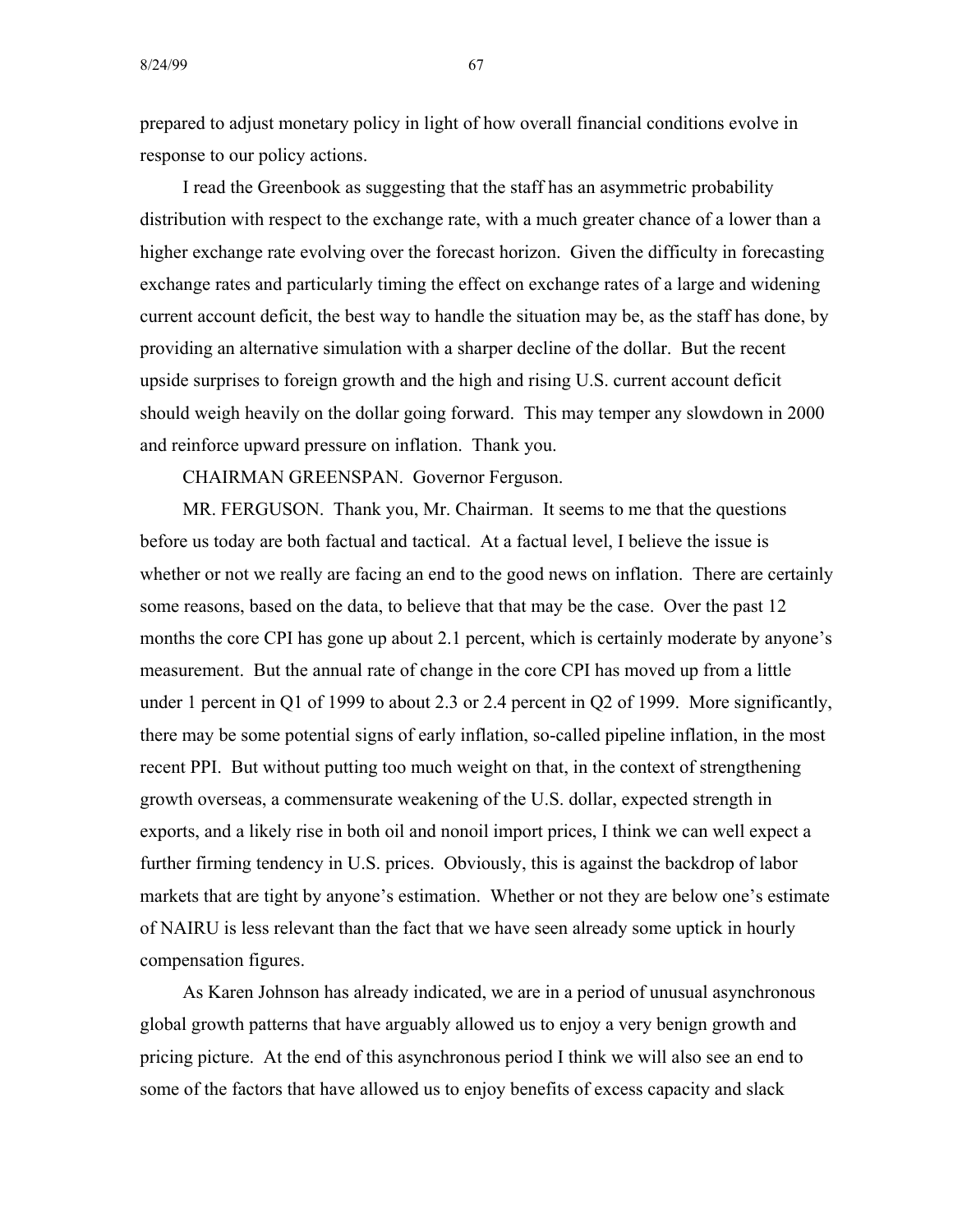prepared to adjust monetary policy in light of how overall financial conditions evolve in response to our policy actions.

I read the Greenbook as suggesting that the staff has an asymmetric probability distribution with respect to the exchange rate, with a much greater chance of a lower than a higher exchange rate evolving over the forecast horizon. Given the difficulty in forecasting exchange rates and particularly timing the effect on exchange rates of a large and widening current account deficit, the best way to handle the situation may be, as the staff has done, by providing an alternative simulation with a sharper decline of the dollar. But the recent upside surprises to foreign growth and the high and rising U.S. current account deficit should weigh heavily on the dollar going forward. This may temper any slowdown in 2000 and reinforce upward pressure on inflation. Thank you.

CHAIRMAN GREENSPAN. Governor Ferguson.

MR. FERGUSON. Thank you, Mr. Chairman. It seems to me that the questions before us today are both factual and tactical. At a factual level, I believe the issue is whether or not we really are facing an end to the good news on inflation. There are certainly some reasons, based on the data, to believe that that may be the case. Over the past 12 months the core CPI has gone up about 2.1 percent, which is certainly moderate by anyone's measurement. But the annual rate of change in the core CPI has moved up from a little under 1 percent in Q1 of 1999 to about 2.3 or 2.4 percent in Q2 of 1999. More significantly, there may be some potential signs of early inflation, so-called pipeline inflation, in the most recent PPI. But without putting too much weight on that, in the context of strengthening growth overseas, a commensurate weakening of the U.S. dollar, expected strength in exports, and a likely rise in both oil and nonoil import prices, I think we can well expect a further firming tendency in U.S. prices. Obviously, this is against the backdrop of labor markets that are tight by anyone's estimation. Whether or not they are below one's estimate of NAIRU is less relevant than the fact that we have seen already some uptick in hourly compensation figures.

As Karen Johnson has already indicated, we are in a period of unusual asynchronous global growth patterns that have arguably allowed us to enjoy a very benign growth and pricing picture. At the end of this asynchronous period I think we will also see an end to some of the factors that have allowed us to enjoy benefits of excess capacity and slack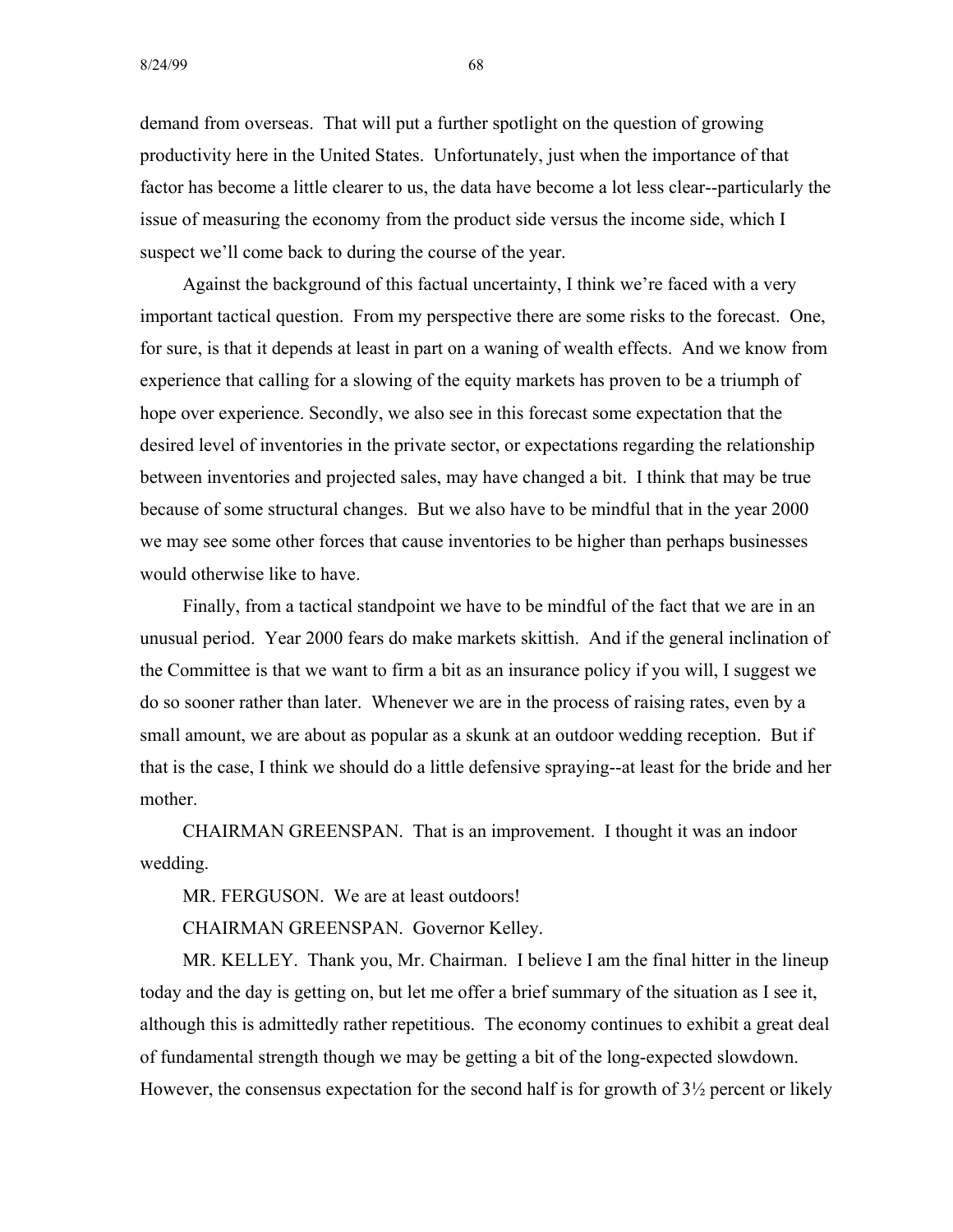demand from overseas. That will put a further spotlight on the question of growing productivity here in the United States. Unfortunately, just when the importance of that factor has become a little clearer to us, the data have become a lot less clear--particularly the issue of measuring the economy from the product side versus the income side, which I suspect we'll come back to during the course of the year.

Against the background of this factual uncertainty, I think we're faced with a very important tactical question. From my perspective there are some risks to the forecast. One, for sure, is that it depends at least in part on a waning of wealth effects. And we know from experience that calling for a slowing of the equity markets has proven to be a triumph of hope over experience. Secondly, we also see in this forecast some expectation that the desired level of inventories in the private sector, or expectations regarding the relationship between inventories and projected sales, may have changed a bit. I think that may be true because of some structural changes. But we also have to be mindful that in the year 2000 we may see some other forces that cause inventories to be higher than perhaps businesses would otherwise like to have.

Finally, from a tactical standpoint we have to be mindful of the fact that we are in an unusual period. Year 2000 fears do make markets skittish. And if the general inclination of the Committee is that we want to firm a bit as an insurance policy if you will, I suggest we do so sooner rather than later. Whenever we are in the process of raising rates, even by a small amount, we are about as popular as a skunk at an outdoor wedding reception. But if that is the case, I think we should do a little defensive spraying--at least for the bride and her mother.

CHAIRMAN GREENSPAN. That is an improvement. I thought it was an indoor wedding.

MR. FERGUSON. We are at least outdoors!

CHAIRMAN GREENSPAN. Governor Kelley.

MR. KELLEY. Thank you, Mr. Chairman. I believe I am the final hitter in the lineup today and the day is getting on, but let me offer a brief summary of the situation as I see it, although this is admittedly rather repetitious. The economy continues to exhibit a great deal of fundamental strength though we may be getting a bit of the long-expected slowdown. However, the consensus expectation for the second half is for growth of  $3\frac{1}{2}$  percent or likely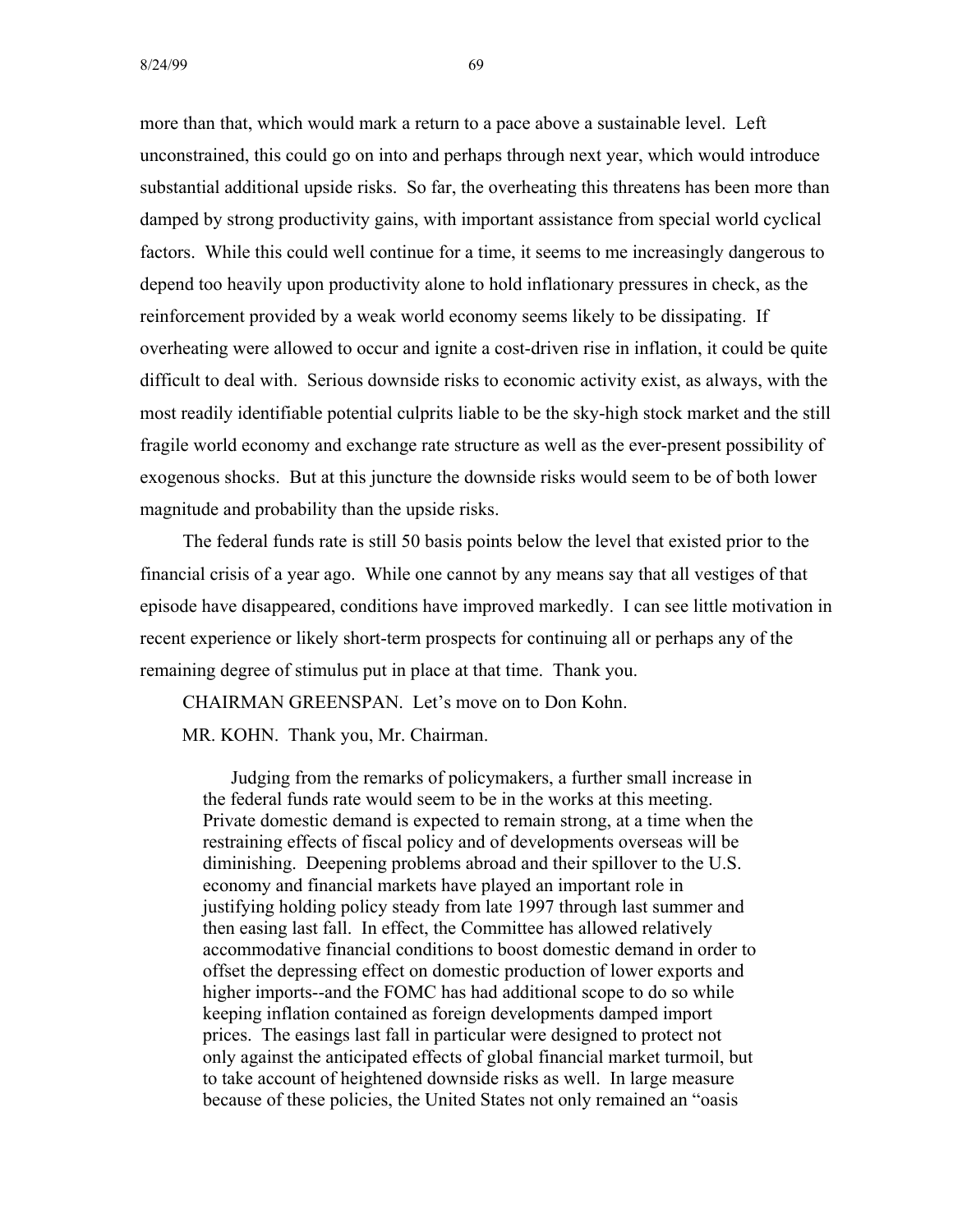more than that, which would mark a return to a pace above a sustainable level. Left unconstrained, this could go on into and perhaps through next year, which would introduce substantial additional upside risks. So far, the overheating this threatens has been more than damped by strong productivity gains, with important assistance from special world cyclical factors. While this could well continue for a time, it seems to me increasingly dangerous to depend too heavily upon productivity alone to hold inflationary pressures in check, as the reinforcement provided by a weak world economy seems likely to be dissipating. If overheating were allowed to occur and ignite a cost-driven rise in inflation, it could be quite difficult to deal with. Serious downside risks to economic activity exist, as always, with the most readily identifiable potential culprits liable to be the sky-high stock market and the still fragile world economy and exchange rate structure as well as the ever-present possibility of exogenous shocks. But at this juncture the downside risks would seem to be of both lower magnitude and probability than the upside risks.

The federal funds rate is still 50 basis points below the level that existed prior to the financial crisis of a year ago. While one cannot by any means say that all vestiges of that episode have disappeared, conditions have improved markedly. I can see little motivation in recent experience or likely short-term prospects for continuing all or perhaps any of the remaining degree of stimulus put in place at that time. Thank you.

CHAIRMAN GREENSPAN. Let's move on to Don Kohn. MR. KOHN. Thank you, Mr. Chairman.

Judging from the remarks of policymakers, a further small increase in the federal funds rate would seem to be in the works at this meeting. Private domestic demand is expected to remain strong, at a time when the restraining effects of fiscal policy and of developments overseas will be diminishing. Deepening problems abroad and their spillover to the U.S. economy and financial markets have played an important role in justifying holding policy steady from late 1997 through last summer and then easing last fall. In effect, the Committee has allowed relatively accommodative financial conditions to boost domestic demand in order to offset the depressing effect on domestic production of lower exports and higher imports--and the FOMC has had additional scope to do so while keeping inflation contained as foreign developments damped import prices. The easings last fall in particular were designed to protect not only against the anticipated effects of global financial market turmoil, but to take account of heightened downside risks as well. In large measure because of these policies, the United States not only remained an "oasis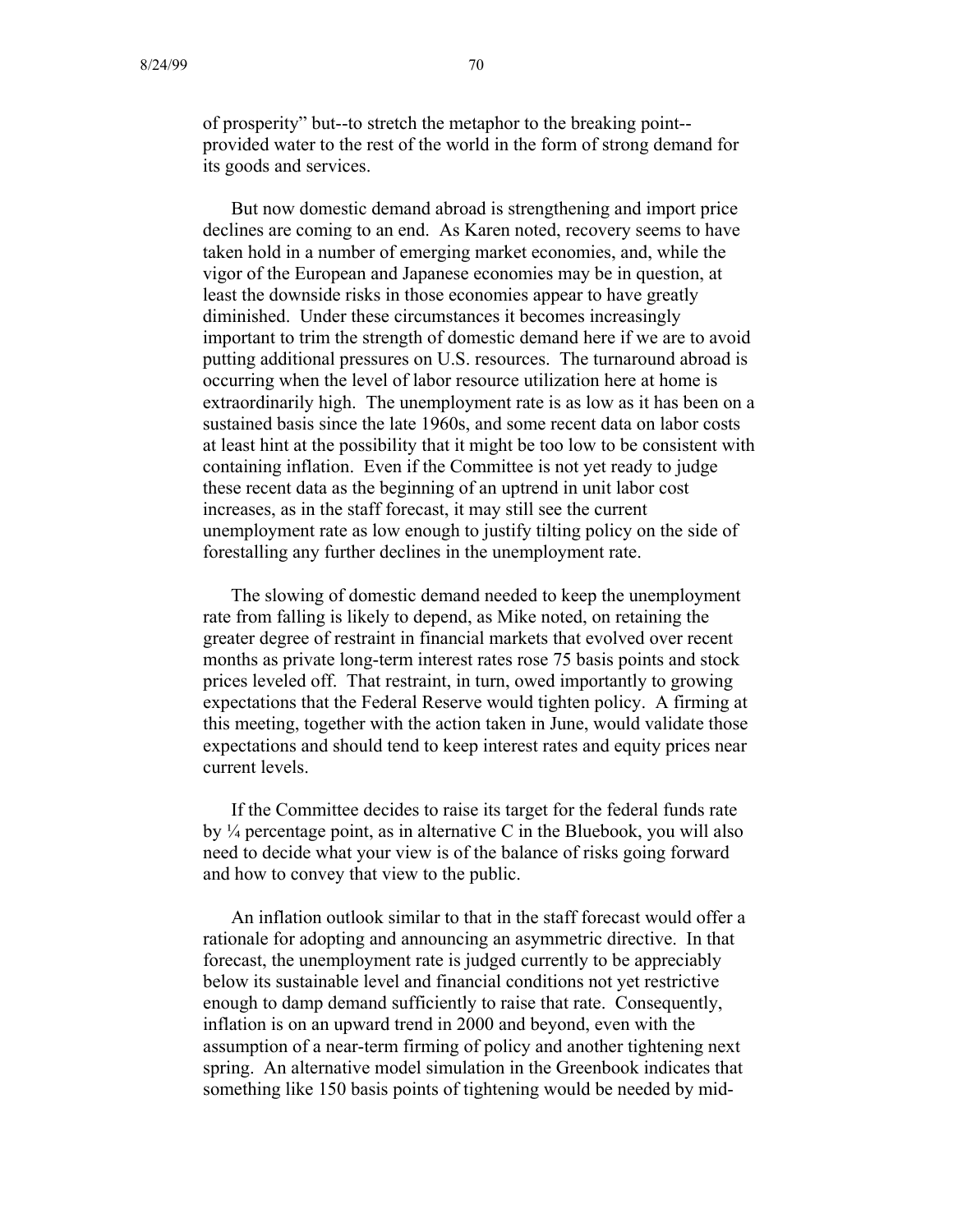of prosperity" but--to stretch the metaphor to the breaking point provided water to the rest of the world in the form of strong demand for its goods and services.

But now domestic demand abroad is strengthening and import price declines are coming to an end. As Karen noted, recovery seems to have taken hold in a number of emerging market economies, and, while the vigor of the European and Japanese economies may be in question, at least the downside risks in those economies appear to have greatly diminished. Under these circumstances it becomes increasingly important to trim the strength of domestic demand here if we are to avoid putting additional pressures on U.S. resources. The turnaround abroad is occurring when the level of labor resource utilization here at home is extraordinarily high. The unemployment rate is as low as it has been on a sustained basis since the late 1960s, and some recent data on labor costs at least hint at the possibility that it might be too low to be consistent with containing inflation. Even if the Committee is not yet ready to judge these recent data as the beginning of an uptrend in unit labor cost increases, as in the staff forecast, it may still see the current unemployment rate as low enough to justify tilting policy on the side of forestalling any further declines in the unemployment rate.

The slowing of domestic demand needed to keep the unemployment rate from falling is likely to depend, as Mike noted, on retaining the greater degree of restraint in financial markets that evolved over recent months as private long-term interest rates rose 75 basis points and stock prices leveled off. That restraint, in turn, owed importantly to growing expectations that the Federal Reserve would tighten policy. A firming at this meeting, together with the action taken in June, would validate those expectations and should tend to keep interest rates and equity prices near current levels.

If the Committee decides to raise its target for the federal funds rate by  $\frac{1}{4}$  percentage point, as in alternative C in the Bluebook, you will also need to decide what your view is of the balance of risks going forward and how to convey that view to the public.

An inflation outlook similar to that in the staff forecast would offer a rationale for adopting and announcing an asymmetric directive. In that forecast, the unemployment rate is judged currently to be appreciably below its sustainable level and financial conditions not yet restrictive enough to damp demand sufficiently to raise that rate. Consequently, inflation is on an upward trend in 2000 and beyond, even with the assumption of a near-term firming of policy and another tightening next spring. An alternative model simulation in the Greenbook indicates that something like 150 basis points of tightening would be needed by mid-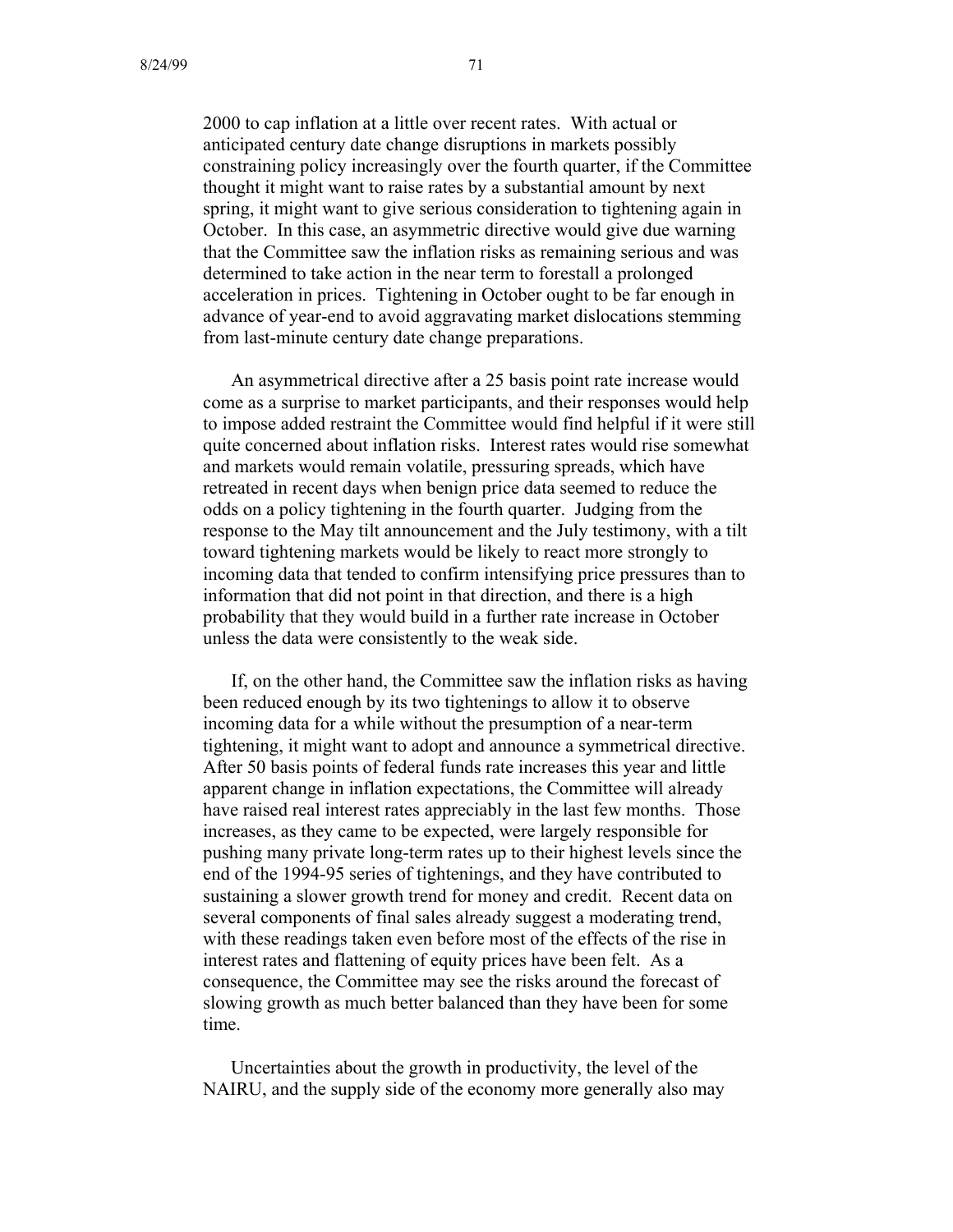2000 to cap inflation at a little over recent rates. With actual or anticipated century date change disruptions in markets possibly constraining policy increasingly over the fourth quarter, if the Committee thought it might want to raise rates by a substantial amount by next spring, it might want to give serious consideration to tightening again in October. In this case, an asymmetric directive would give due warning that the Committee saw the inflation risks as remaining serious and was determined to take action in the near term to forestall a prolonged acceleration in prices. Tightening in October ought to be far enough in advance of year-end to avoid aggravating market dislocations stemming from last-minute century date change preparations.

An asymmetrical directive after a 25 basis point rate increase would come as a surprise to market participants, and their responses would help to impose added restraint the Committee would find helpful if it were still quite concerned about inflation risks. Interest rates would rise somewhat and markets would remain volatile, pressuring spreads, which have retreated in recent days when benign price data seemed to reduce the odds on a policy tightening in the fourth quarter. Judging from the response to the May tilt announcement and the July testimony, with a tilt toward tightening markets would be likely to react more strongly to incoming data that tended to confirm intensifying price pressures than to information that did not point in that direction, and there is a high probability that they would build in a further rate increase in October unless the data were consistently to the weak side.

If, on the other hand, the Committee saw the inflation risks as having been reduced enough by its two tightenings to allow it to observe incoming data for a while without the presumption of a near-term tightening, it might want to adopt and announce a symmetrical directive. After 50 basis points of federal funds rate increases this year and little apparent change in inflation expectations, the Committee will already have raised real interest rates appreciably in the last few months. Those increases, as they came to be expected, were largely responsible for pushing many private long-term rates up to their highest levels since the end of the 1994-95 series of tightenings, and they have contributed to sustaining a slower growth trend for money and credit. Recent data on several components of final sales already suggest a moderating trend, with these readings taken even before most of the effects of the rise in interest rates and flattening of equity prices have been felt. As a consequence, the Committee may see the risks around the forecast of slowing growth as much better balanced than they have been for some time.

Uncertainties about the growth in productivity, the level of the NAIRU, and the supply side of the economy more generally also may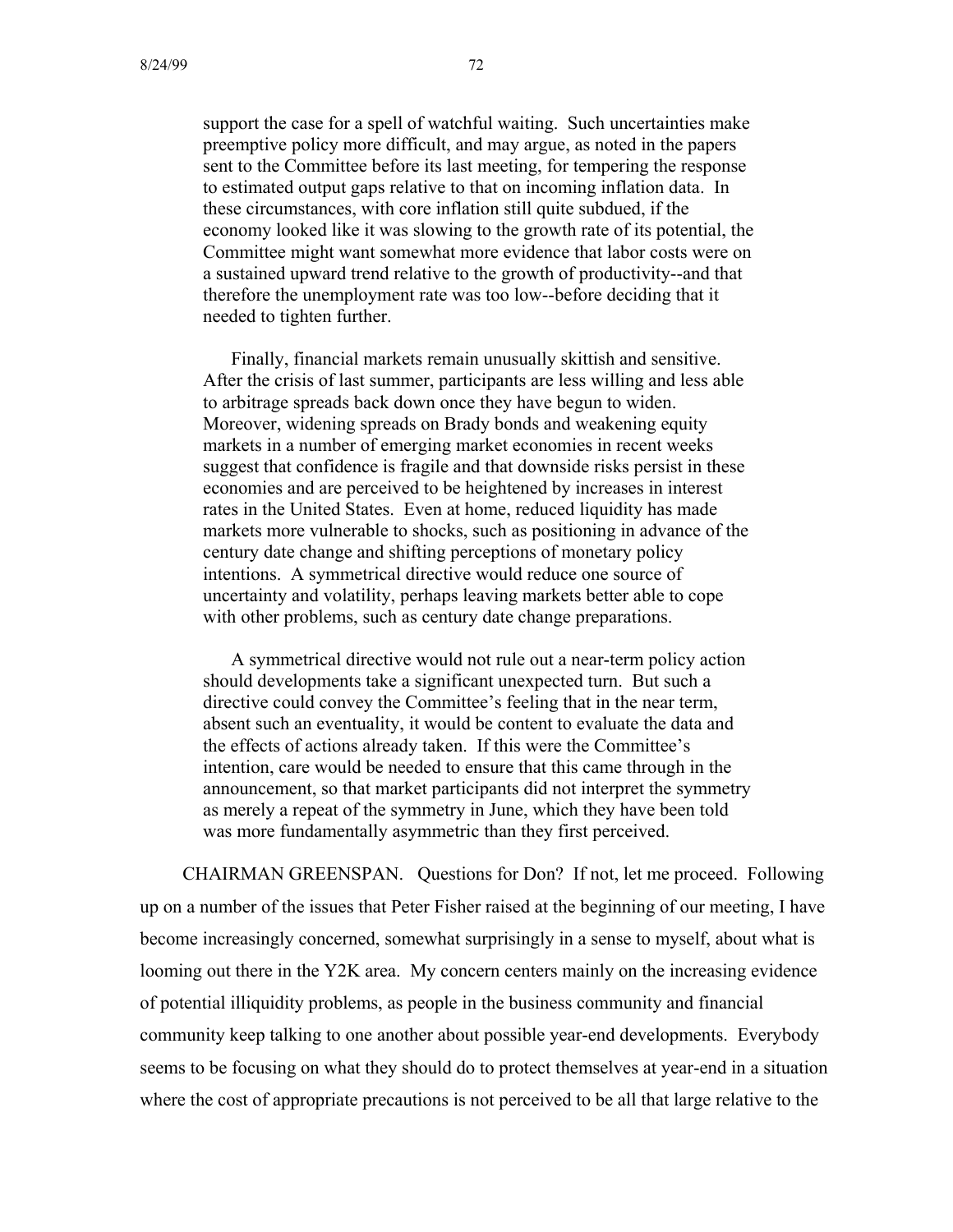support the case for a spell of watchful waiting. Such uncertainties make preemptive policy more difficult, and may argue, as noted in the papers sent to the Committee before its last meeting, for tempering the response to estimated output gaps relative to that on incoming inflation data. In these circumstances, with core inflation still quite subdued, if the economy looked like it was slowing to the growth rate of its potential, the Committee might want somewhat more evidence that labor costs were on a sustained upward trend relative to the growth of productivity--and that therefore the unemployment rate was too low--before deciding that it needed to tighten further.

Finally, financial markets remain unusually skittish and sensitive. After the crisis of last summer, participants are less willing and less able to arbitrage spreads back down once they have begun to widen. Moreover, widening spreads on Brady bonds and weakening equity markets in a number of emerging market economies in recent weeks suggest that confidence is fragile and that downside risks persist in these economies and are perceived to be heightened by increases in interest rates in the United States. Even at home, reduced liquidity has made markets more vulnerable to shocks, such as positioning in advance of the century date change and shifting perceptions of monetary policy intentions. A symmetrical directive would reduce one source of uncertainty and volatility, perhaps leaving markets better able to cope with other problems, such as century date change preparations.

A symmetrical directive would not rule out a near-term policy action should developments take a significant unexpected turn. But such a directive could convey the Committee's feeling that in the near term, absent such an eventuality, it would be content to evaluate the data and the effects of actions already taken. If this were the Committee's intention, care would be needed to ensure that this came through in the announcement, so that market participants did not interpret the symmetry as merely a repeat of the symmetry in June, which they have been told was more fundamentally asymmetric than they first perceived.

CHAIRMAN GREENSPAN. Questions for Don? If not, let me proceed. Following up on a number of the issues that Peter Fisher raised at the beginning of our meeting, I have become increasingly concerned, somewhat surprisingly in a sense to myself, about what is looming out there in the Y2K area. My concern centers mainly on the increasing evidence of potential illiquidity problems, as people in the business community and financial community keep talking to one another about possible year-end developments. Everybody seems to be focusing on what they should do to protect themselves at year-end in a situation where the cost of appropriate precautions is not perceived to be all that large relative to the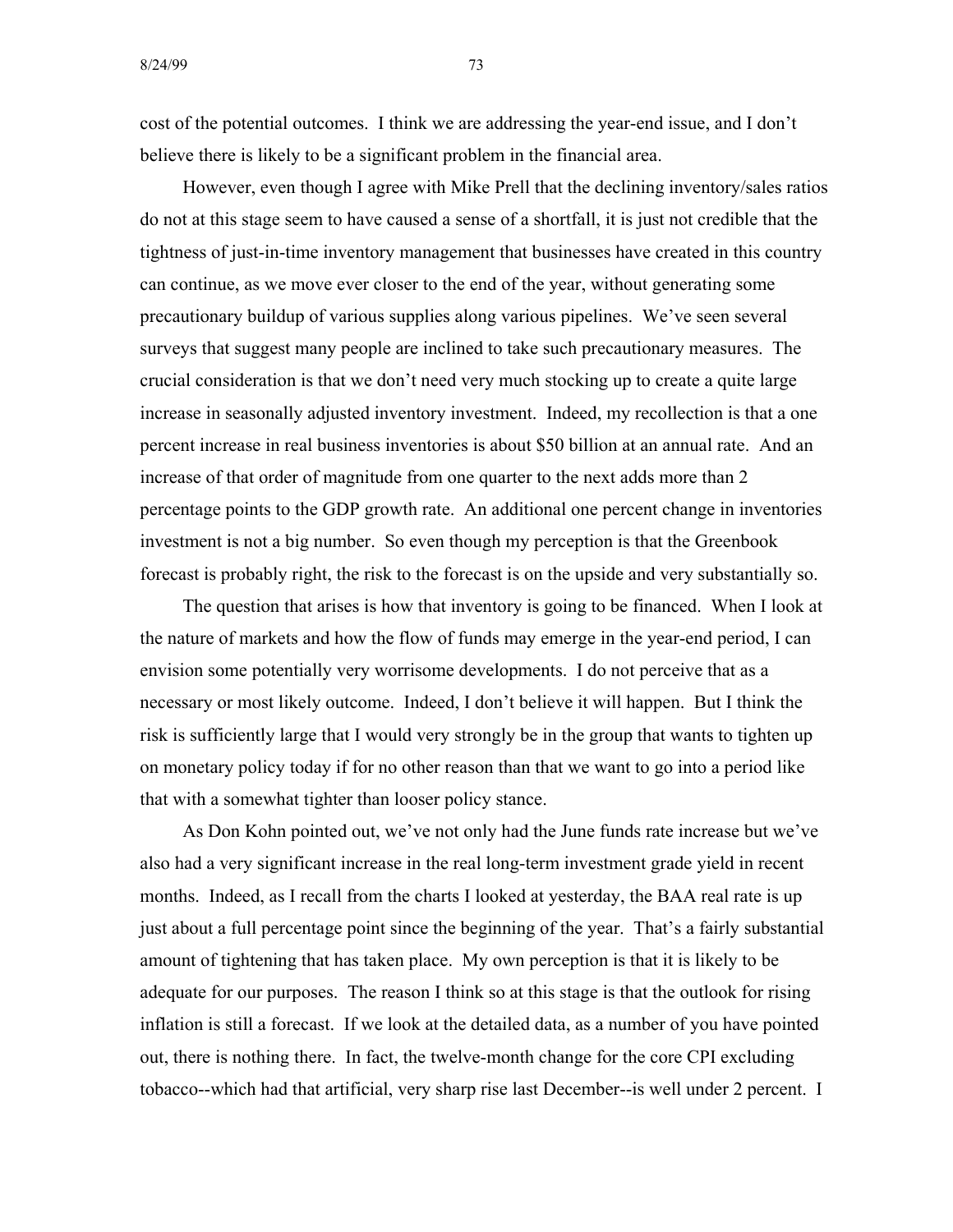cost of the potential outcomes. I think we are addressing the year-end issue, and I don't believe there is likely to be a significant problem in the financial area.

However, even though I agree with Mike Prell that the declining inventory/sales ratios do not at this stage seem to have caused a sense of a shortfall, it is just not credible that the tightness of just-in-time inventory management that businesses have created in this country can continue, as we move ever closer to the end of the year, without generating some precautionary buildup of various supplies along various pipelines. We've seen several surveys that suggest many people are inclined to take such precautionary measures. The crucial consideration is that we don't need very much stocking up to create a quite large increase in seasonally adjusted inventory investment. Indeed, my recollection is that a one percent increase in real business inventories is about \$50 billion at an annual rate. And an increase of that order of magnitude from one quarter to the next adds more than 2 percentage points to the GDP growth rate. An additional one percent change in inventories investment is not a big number. So even though my perception is that the Greenbook forecast is probably right, the risk to the forecast is on the upside and very substantially so.

The question that arises is how that inventory is going to be financed. When I look at the nature of markets and how the flow of funds may emerge in the year-end period, I can envision some potentially very worrisome developments. I do not perceive that as a necessary or most likely outcome. Indeed, I don't believe it will happen. But I think the risk is sufficiently large that I would very strongly be in the group that wants to tighten up on monetary policy today if for no other reason than that we want to go into a period like that with a somewhat tighter than looser policy stance.

As Don Kohn pointed out, we've not only had the June funds rate increase but we've also had a very significant increase in the real long-term investment grade yield in recent months. Indeed, as I recall from the charts I looked at yesterday, the BAA real rate is up just about a full percentage point since the beginning of the year. That's a fairly substantial amount of tightening that has taken place. My own perception is that it is likely to be adequate for our purposes. The reason I think so at this stage is that the outlook for rising inflation is still a forecast. If we look at the detailed data, as a number of you have pointed out, there is nothing there. In fact, the twelve-month change for the core CPI excluding tobacco--which had that artificial, very sharp rise last December--is well under 2 percent. I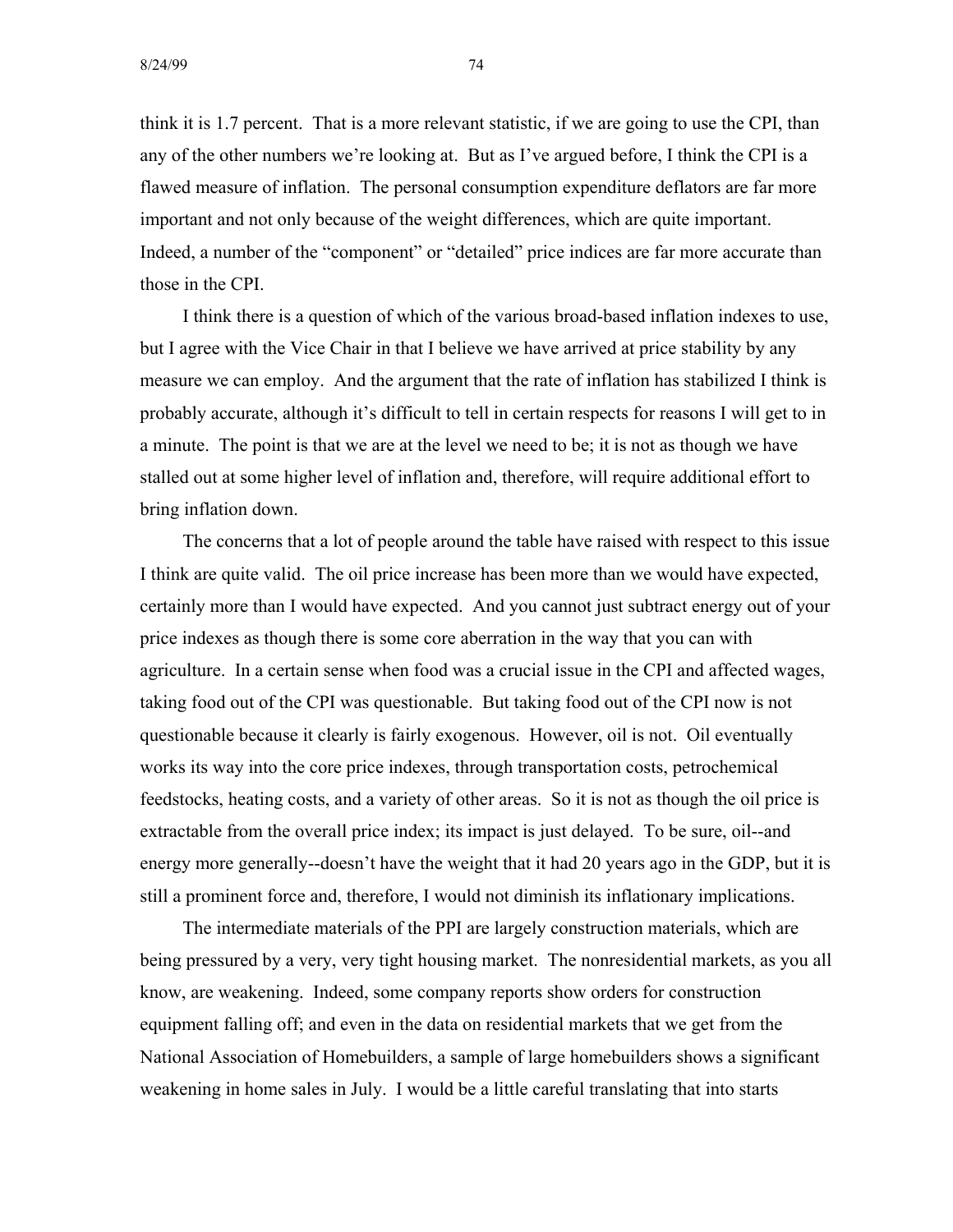think it is 1.7 percent. That is a more relevant statistic, if we are going to use the CPI, than any of the other numbers we're looking at. But as I've argued before, I think the CPI is a flawed measure of inflation. The personal consumption expenditure deflators are far more important and not only because of the weight differences, which are quite important. Indeed, a number of the "component" or "detailed" price indices are far more accurate than those in the CPI.

I think there is a question of which of the various broad-based inflation indexes to use, but I agree with the Vice Chair in that I believe we have arrived at price stability by any measure we can employ. And the argument that the rate of inflation has stabilized I think is probably accurate, although it's difficult to tell in certain respects for reasons I will get to in a minute. The point is that we are at the level we need to be; it is not as though we have stalled out at some higher level of inflation and, therefore, will require additional effort to bring inflation down.

The concerns that a lot of people around the table have raised with respect to this issue I think are quite valid. The oil price increase has been more than we would have expected, certainly more than I would have expected. And you cannot just subtract energy out of your price indexes as though there is some core aberration in the way that you can with agriculture. In a certain sense when food was a crucial issue in the CPI and affected wages, taking food out of the CPI was questionable. But taking food out of the CPI now is not questionable because it clearly is fairly exogenous. However, oil is not. Oil eventually works its way into the core price indexes, through transportation costs, petrochemical feedstocks, heating costs, and a variety of other areas. So it is not as though the oil price is extractable from the overall price index; its impact is just delayed. To be sure, oil--and energy more generally--doesn't have the weight that it had 20 years ago in the GDP, but it is still a prominent force and, therefore, I would not diminish its inflationary implications.

The intermediate materials of the PPI are largely construction materials, which are being pressured by a very, very tight housing market. The nonresidential markets, as you all know, are weakening. Indeed, some company reports show orders for construction equipment falling off; and even in the data on residential markets that we get from the National Association of Homebuilders, a sample of large homebuilders shows a significant weakening in home sales in July. I would be a little careful translating that into starts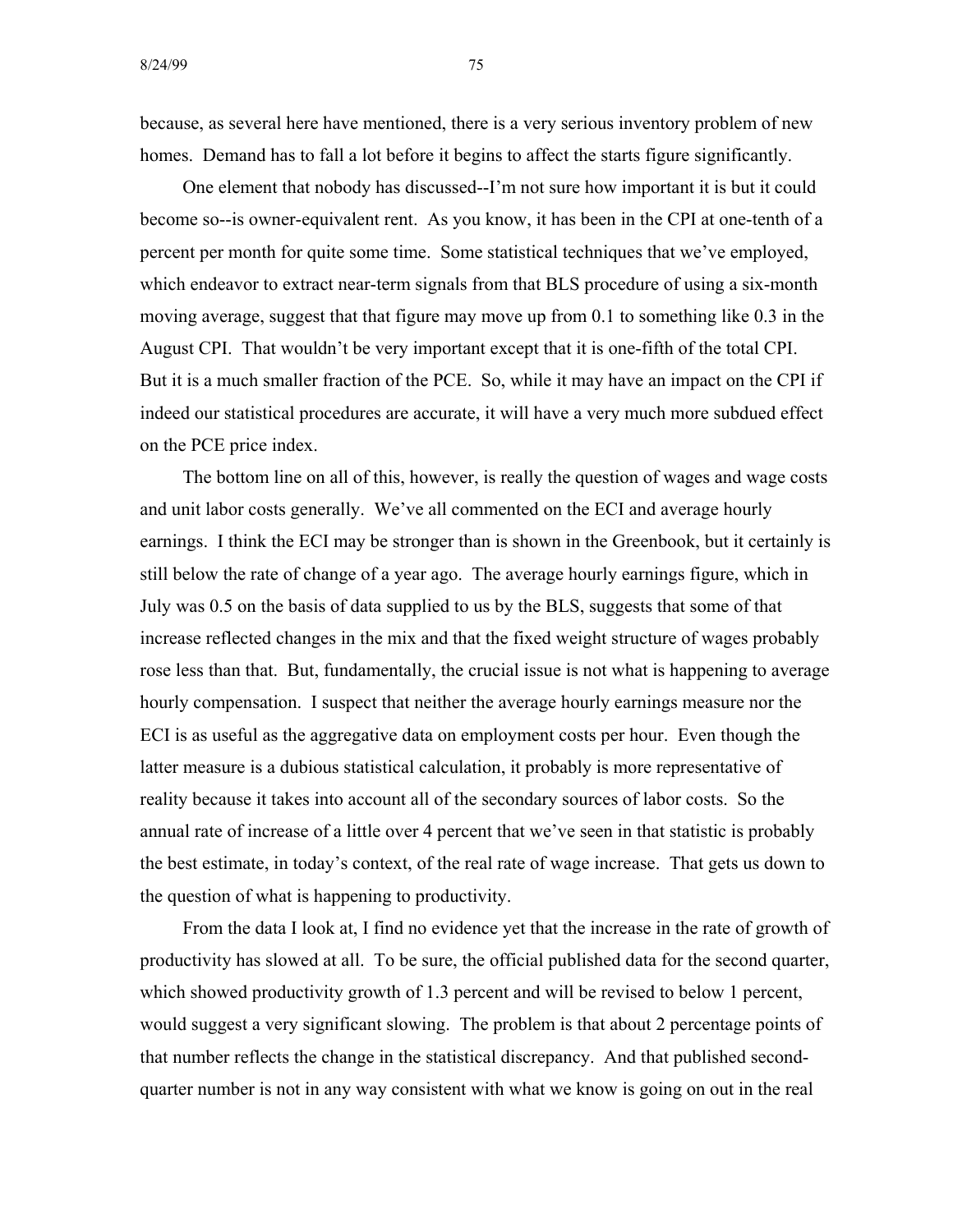because, as several here have mentioned, there is a very serious inventory problem of new homes. Demand has to fall a lot before it begins to affect the starts figure significantly.

One element that nobody has discussed--I'm not sure how important it is but it could become so--is owner-equivalent rent. As you know, it has been in the CPI at one-tenth of a percent per month for quite some time. Some statistical techniques that we've employed, which endeavor to extract near-term signals from that BLS procedure of using a six-month moving average, suggest that that figure may move up from 0.1 to something like 0.3 in the August CPI. That wouldn't be very important except that it is one-fifth of the total CPI. But it is a much smaller fraction of the PCE. So, while it may have an impact on the CPI if indeed our statistical procedures are accurate, it will have a very much more subdued effect on the PCE price index.

The bottom line on all of this, however, is really the question of wages and wage costs and unit labor costs generally. We've all commented on the ECI and average hourly earnings. I think the ECI may be stronger than is shown in the Greenbook, but it certainly is still below the rate of change of a year ago. The average hourly earnings figure, which in July was 0.5 on the basis of data supplied to us by the BLS, suggests that some of that increase reflected changes in the mix and that the fixed weight structure of wages probably rose less than that. But, fundamentally, the crucial issue is not what is happening to average hourly compensation. I suspect that neither the average hourly earnings measure nor the ECI is as useful as the aggregative data on employment costs per hour. Even though the latter measure is a dubious statistical calculation, it probably is more representative of reality because it takes into account all of the secondary sources of labor costs. So the annual rate of increase of a little over 4 percent that we've seen in that statistic is probably the best estimate, in today's context, of the real rate of wage increase. That gets us down to the question of what is happening to productivity.

From the data I look at, I find no evidence yet that the increase in the rate of growth of productivity has slowed at all. To be sure, the official published data for the second quarter, which showed productivity growth of 1.3 percent and will be revised to below 1 percent, would suggest a very significant slowing. The problem is that about 2 percentage points of that number reflects the change in the statistical discrepancy. And that published secondquarter number is not in any way consistent with what we know is going on out in the real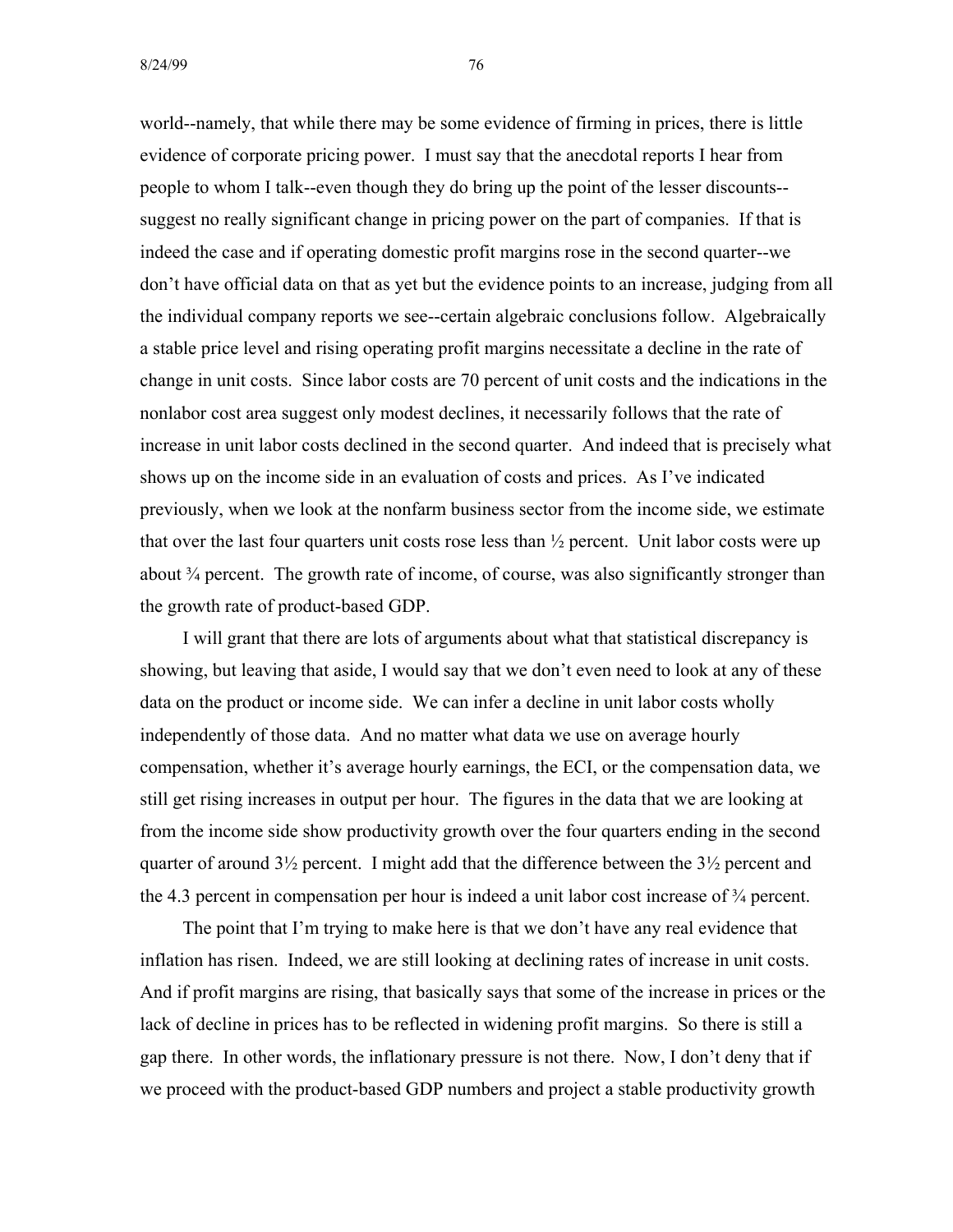world--namely, that while there may be some evidence of firming in prices, there is little evidence of corporate pricing power. I must say that the anecdotal reports I hear from people to whom I talk--even though they do bring up the point of the lesser discounts suggest no really significant change in pricing power on the part of companies. If that is indeed the case and if operating domestic profit margins rose in the second quarter--we don't have official data on that as yet but the evidence points to an increase, judging from all the individual company reports we see--certain algebraic conclusions follow. Algebraically a stable price level and rising operating profit margins necessitate a decline in the rate of change in unit costs. Since labor costs are 70 percent of unit costs and the indications in the nonlabor cost area suggest only modest declines, it necessarily follows that the rate of increase in unit labor costs declined in the second quarter. And indeed that is precisely what shows up on the income side in an evaluation of costs and prices. As I've indicated previously, when we look at the nonfarm business sector from the income side, we estimate that over the last four quarters unit costs rose less than  $\frac{1}{2}$  percent. Unit labor costs were up about  $\frac{3}{4}$  percent. The growth rate of income, of course, was also significantly stronger than the growth rate of product-based GDP.

I will grant that there are lots of arguments about what that statistical discrepancy is showing, but leaving that aside, I would say that we don't even need to look at any of these data on the product or income side. We can infer a decline in unit labor costs wholly independently of those data. And no matter what data we use on average hourly compensation, whether it's average hourly earnings, the ECI, or the compensation data, we still get rising increases in output per hour. The figures in the data that we are looking at from the income side show productivity growth over the four quarters ending in the second quarter of around 3½ percent. I might add that the difference between the 3½ percent and the 4.3 percent in compensation per hour is indeed a unit labor cost increase of ¾ percent.

The point that I'm trying to make here is that we don't have any real evidence that inflation has risen. Indeed, we are still looking at declining rates of increase in unit costs. And if profit margins are rising, that basically says that some of the increase in prices or the lack of decline in prices has to be reflected in widening profit margins. So there is still a gap there. In other words, the inflationary pressure is not there. Now, I don't deny that if we proceed with the product-based GDP numbers and project a stable productivity growth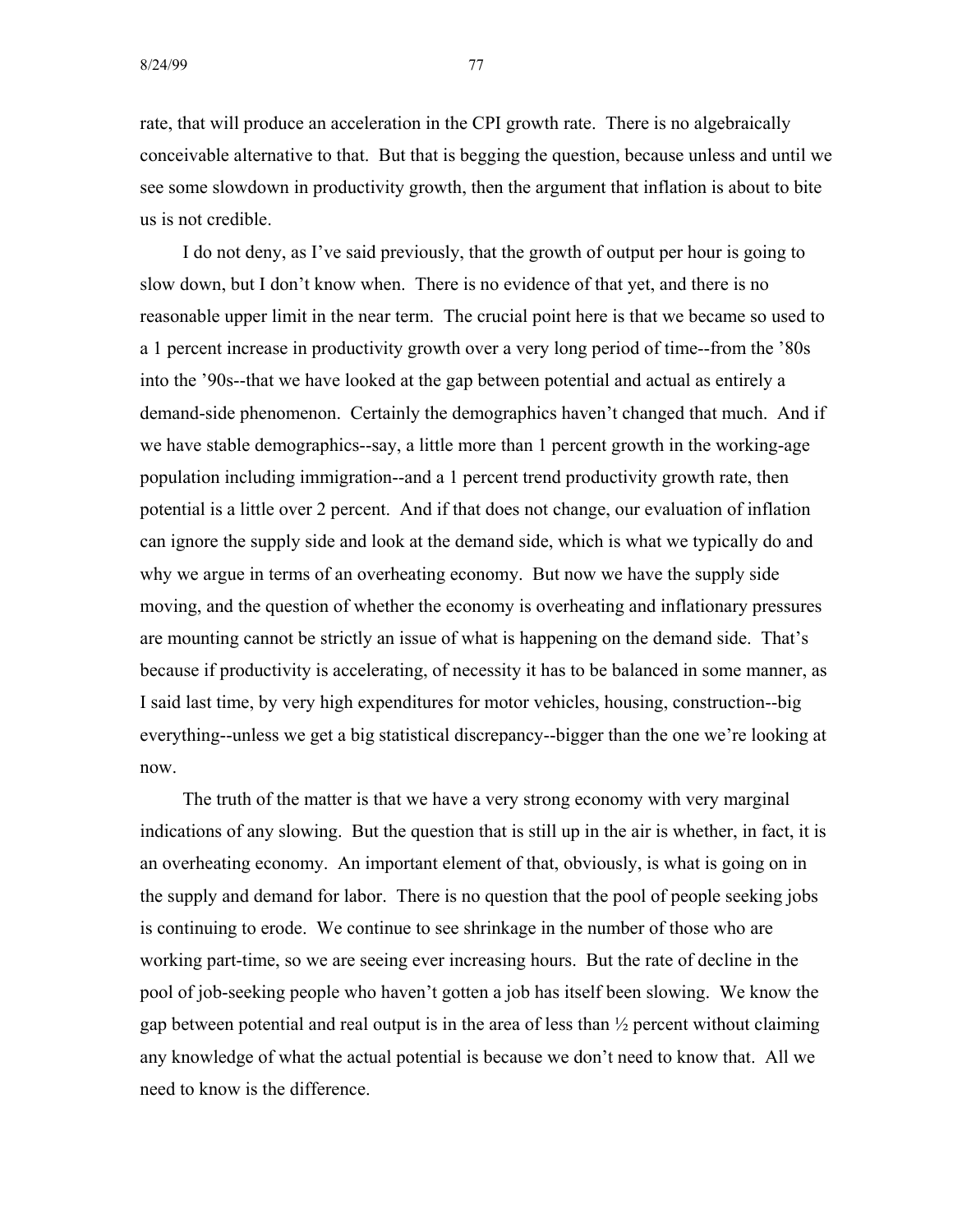rate, that will produce an acceleration in the CPI growth rate. There is no algebraically conceivable alternative to that. But that is begging the question, because unless and until we see some slowdown in productivity growth, then the argument that inflation is about to bite us is not credible.

I do not deny, as I've said previously, that the growth of output per hour is going to slow down, but I don't know when. There is no evidence of that yet, and there is no reasonable upper limit in the near term. The crucial point here is that we became so used to a 1 percent increase in productivity growth over a very long period of time--from the '80s into the '90s--that we have looked at the gap between potential and actual as entirely a demand-side phenomenon. Certainly the demographics haven't changed that much. And if we have stable demographics--say, a little more than 1 percent growth in the working-age population including immigration--and a 1 percent trend productivity growth rate, then potential is a little over 2 percent. And if that does not change, our evaluation of inflation can ignore the supply side and look at the demand side, which is what we typically do and why we argue in terms of an overheating economy. But now we have the supply side moving, and the question of whether the economy is overheating and inflationary pressures are mounting cannot be strictly an issue of what is happening on the demand side. That's because if productivity is accelerating, of necessity it has to be balanced in some manner, as I said last time, by very high expenditures for motor vehicles, housing, construction--big everything--unless we get a big statistical discrepancy--bigger than the one we're looking at now.

The truth of the matter is that we have a very strong economy with very marginal indications of any slowing. But the question that is still up in the air is whether, in fact, it is an overheating economy. An important element of that, obviously, is what is going on in the supply and demand for labor. There is no question that the pool of people seeking jobs is continuing to erode. We continue to see shrinkage in the number of those who are working part-time, so we are seeing ever increasing hours. But the rate of decline in the pool of job-seeking people who haven't gotten a job has itself been slowing. We know the gap between potential and real output is in the area of less than ½ percent without claiming any knowledge of what the actual potential is because we don't need to know that. All we need to know is the difference.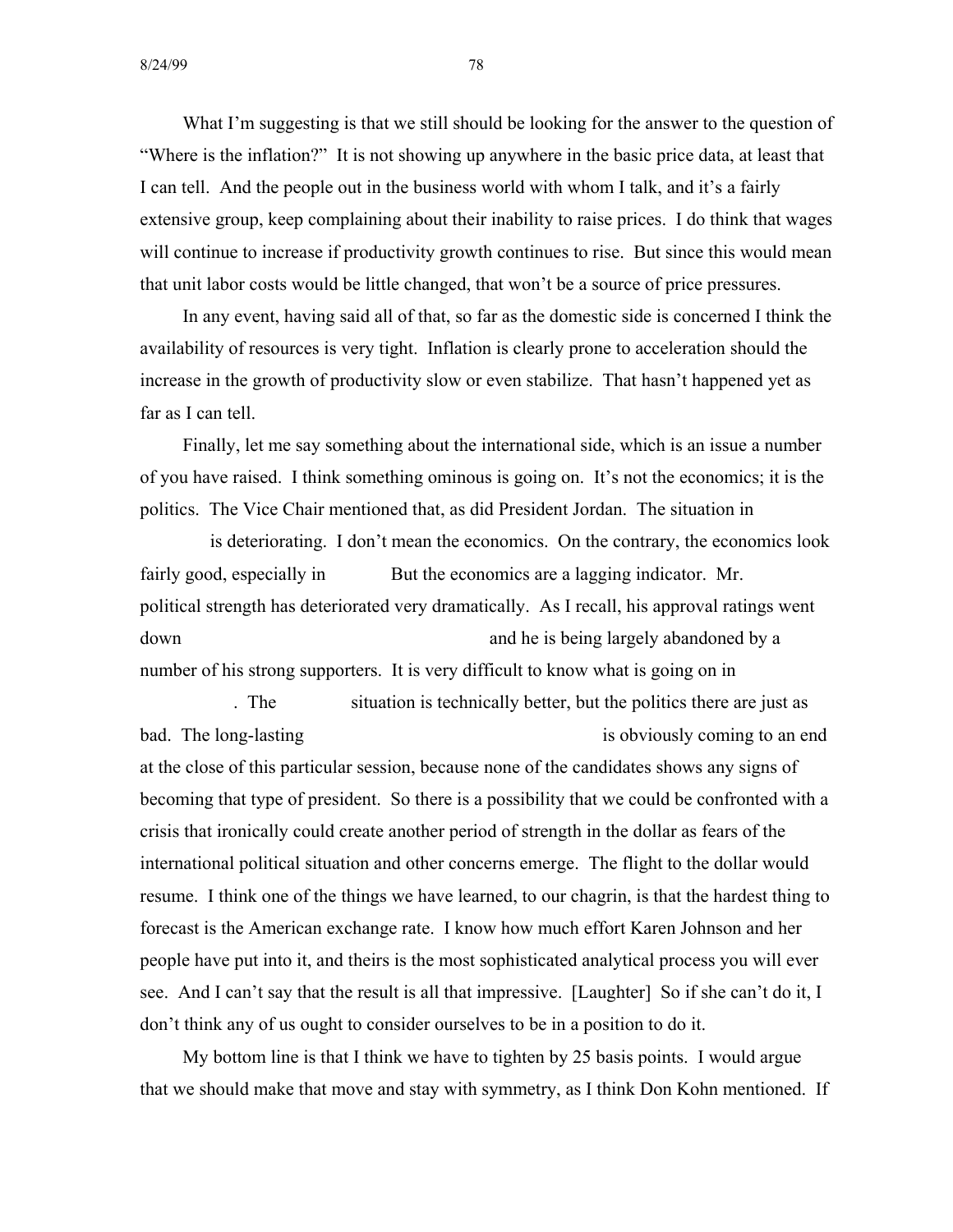What I'm suggesting is that we still should be looking for the answer to the question of "Where is the inflation?" It is not showing up anywhere in the basic price data, at least that I can tell. And the people out in the business world with whom I talk, and it's a fairly extensive group, keep complaining about their inability to raise prices. I do think that wages will continue to increase if productivity growth continues to rise. But since this would mean that unit labor costs would be little changed, that won't be a source of price pressures.

In any event, having said all of that, so far as the domestic side is concerned I think the availability of resources is very tight. Inflation is clearly prone to acceleration should the increase in the growth of productivity slow or even stabilize. That hasn't happened yet as far as I can tell.

Finally, let me say something about the international side, which is an issue a number of you have raised. I think something ominous is going on. It's not the economics; it is the politics. The Vice Chair mentioned that, as did President Jordan. The situation in

is deteriorating. I don't mean the economics. On the contrary, the economics look fairly good, especially in But the economics are a lagging indicator. Mr. political strength has deteriorated very dramatically. As I recall, his approval ratings went down and he is being largely abandoned by a number of his strong supporters. It is very difficult to know what is going on in

. The situation is technically better, but the politics there are just as bad. The long-lasting is obviously coming to an end at the close of this particular session, because none of the candidates shows any signs of becoming that type of president. So there is a possibility that we could be confronted with a crisis that ironically could create another period of strength in the dollar as fears of the international political situation and other concerns emerge. The flight to the dollar would resume. I think one of the things we have learned, to our chagrin, is that the hardest thing to forecast is the American exchange rate. I know how much effort Karen Johnson and her people have put into it, and theirs is the most sophisticated analytical process you will ever see. And I can't say that the result is all that impressive. [Laughter] So if she can't do it, I don't think any of us ought to consider ourselves to be in a position to do it.

My bottom line is that I think we have to tighten by 25 basis points. I would argue that we should make that move and stay with symmetry, as I think Don Kohn mentioned. If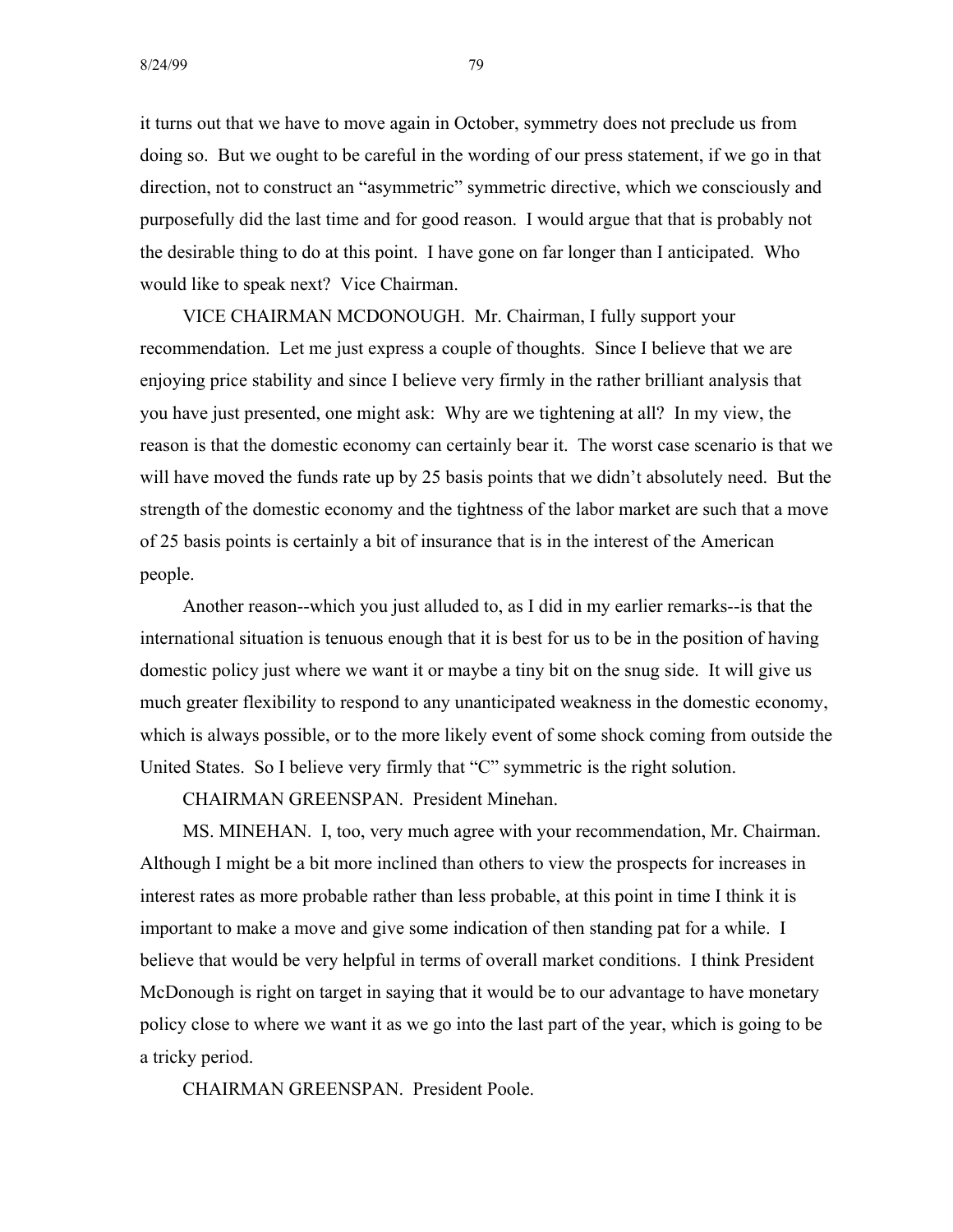8/24/99 79

it turns out that we have to move again in October, symmetry does not preclude us from doing so. But we ought to be careful in the wording of our press statement, if we go in that direction, not to construct an "asymmetric" symmetric directive, which we consciously and purposefully did the last time and for good reason. I would argue that that is probably not the desirable thing to do at this point. I have gone on far longer than I anticipated. Who would like to speak next? Vice Chairman.

VICE CHAIRMAN MCDONOUGH. Mr. Chairman, I fully support your recommendation. Let me just express a couple of thoughts. Since I believe that we are enjoying price stability and since I believe very firmly in the rather brilliant analysis that you have just presented, one might ask: Why are we tightening at all? In my view, the reason is that the domestic economy can certainly bear it. The worst case scenario is that we will have moved the funds rate up by 25 basis points that we didn't absolutely need. But the strength of the domestic economy and the tightness of the labor market are such that a move of 25 basis points is certainly a bit of insurance that is in the interest of the American people.

Another reason--which you just alluded to, as I did in my earlier remarks--is that the international situation is tenuous enough that it is best for us to be in the position of having domestic policy just where we want it or maybe a tiny bit on the snug side. It will give us much greater flexibility to respond to any unanticipated weakness in the domestic economy, which is always possible, or to the more likely event of some shock coming from outside the United States. So I believe very firmly that "C" symmetric is the right solution.

CHAIRMAN GREENSPAN. President Minehan.

MS. MINEHAN. I, too, very much agree with your recommendation, Mr. Chairman. Although I might be a bit more inclined than others to view the prospects for increases in interest rates as more probable rather than less probable, at this point in time I think it is important to make a move and give some indication of then standing pat for a while. I believe that would be very helpful in terms of overall market conditions. I think President McDonough is right on target in saying that it would be to our advantage to have monetary policy close to where we want it as we go into the last part of the year, which is going to be a tricky period.

CHAIRMAN GREENSPAN. President Poole.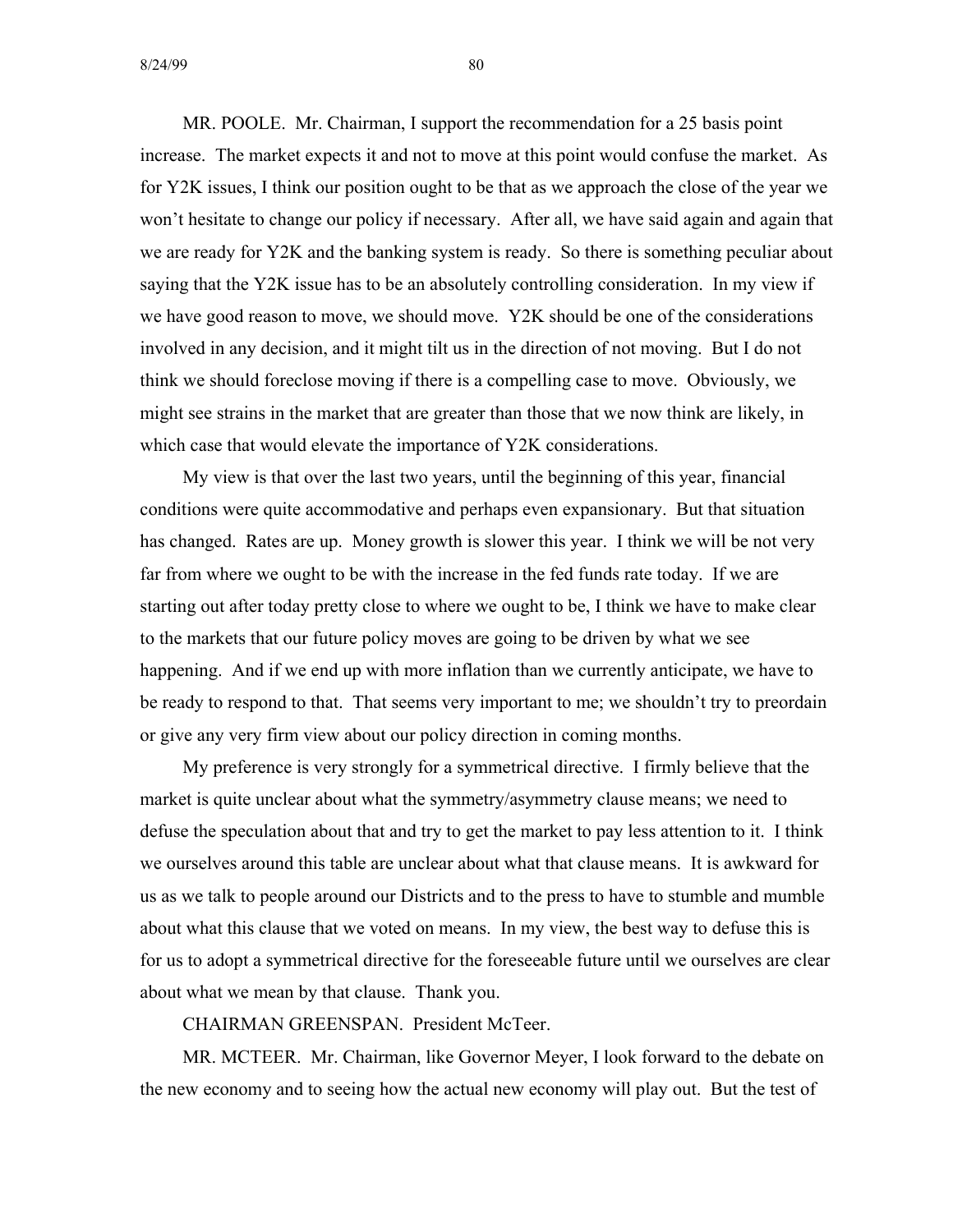$8/24/99$  80

MR. POOLE. Mr. Chairman, I support the recommendation for a 25 basis point increase. The market expects it and not to move at this point would confuse the market. As for Y2K issues, I think our position ought to be that as we approach the close of the year we won't hesitate to change our policy if necessary. After all, we have said again and again that we are ready for Y2K and the banking system is ready. So there is something peculiar about saying that the Y2K issue has to be an absolutely controlling consideration. In my view if we have good reason to move, we should move. Y2K should be one of the considerations involved in any decision, and it might tilt us in the direction of not moving. But I do not think we should foreclose moving if there is a compelling case to move. Obviously, we might see strains in the market that are greater than those that we now think are likely, in which case that would elevate the importance of Y2K considerations.

My view is that over the last two years, until the beginning of this year, financial conditions were quite accommodative and perhaps even expansionary. But that situation has changed. Rates are up. Money growth is slower this year. I think we will be not very far from where we ought to be with the increase in the fed funds rate today. If we are starting out after today pretty close to where we ought to be, I think we have to make clear to the markets that our future policy moves are going to be driven by what we see happening. And if we end up with more inflation than we currently anticipate, we have to be ready to respond to that. That seems very important to me; we shouldn't try to preordain or give any very firm view about our policy direction in coming months.

My preference is very strongly for a symmetrical directive. I firmly believe that the market is quite unclear about what the symmetry/asymmetry clause means; we need to defuse the speculation about that and try to get the market to pay less attention to it. I think we ourselves around this table are unclear about what that clause means. It is awkward for us as we talk to people around our Districts and to the press to have to stumble and mumble about what this clause that we voted on means. In my view, the best way to defuse this is for us to adopt a symmetrical directive for the foreseeable future until we ourselves are clear about what we mean by that clause. Thank you.

CHAIRMAN GREENSPAN. President McTeer.

MR. MCTEER. Mr. Chairman, like Governor Meyer, I look forward to the debate on the new economy and to seeing how the actual new economy will play out. But the test of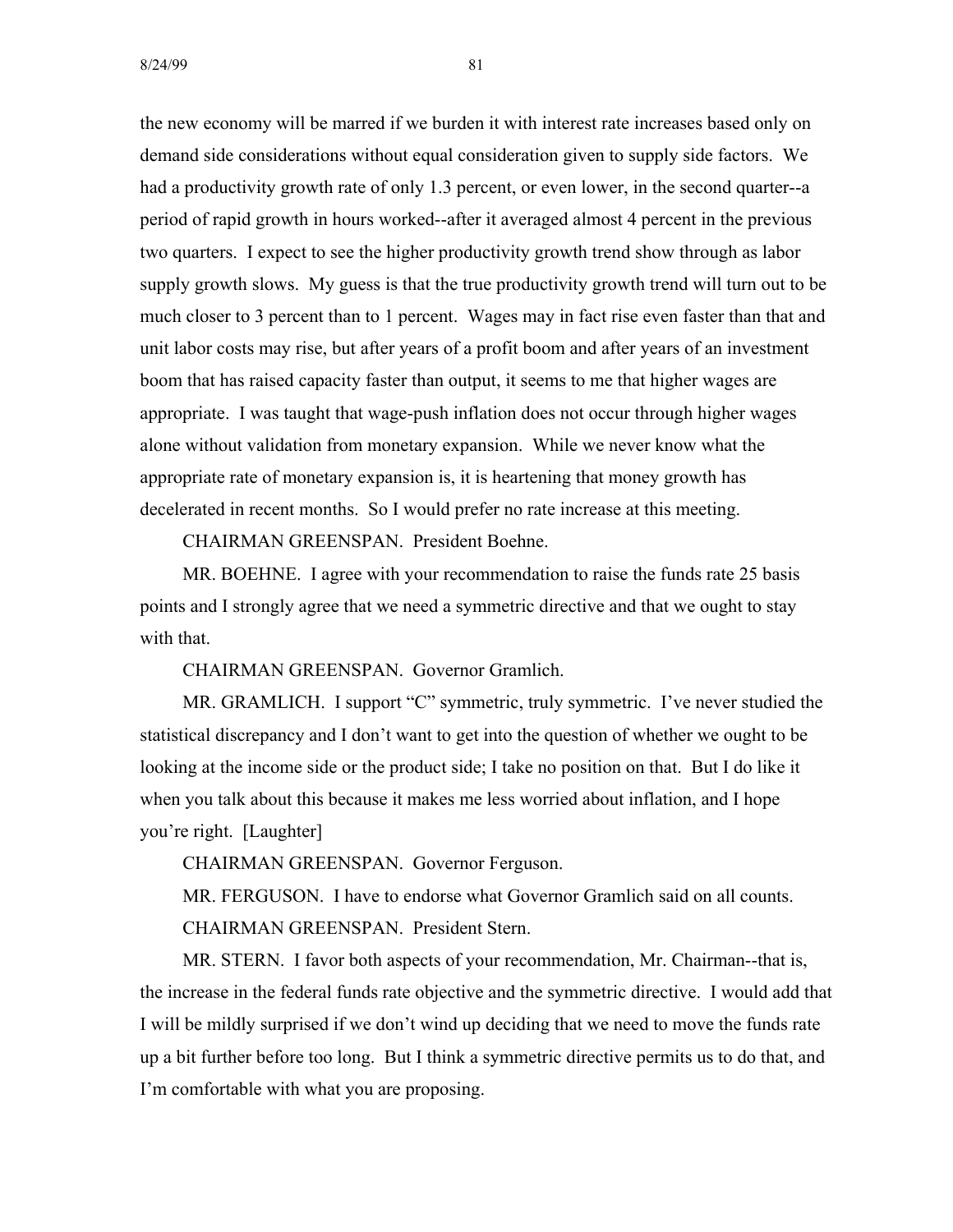the new economy will be marred if we burden it with interest rate increases based only on demand side considerations without equal consideration given to supply side factors. We had a productivity growth rate of only 1.3 percent, or even lower, in the second quarter--a period of rapid growth in hours worked--after it averaged almost 4 percent in the previous two quarters. I expect to see the higher productivity growth trend show through as labor supply growth slows. My guess is that the true productivity growth trend will turn out to be much closer to 3 percent than to 1 percent. Wages may in fact rise even faster than that and unit labor costs may rise, but after years of a profit boom and after years of an investment boom that has raised capacity faster than output, it seems to me that higher wages are appropriate. I was taught that wage-push inflation does not occur through higher wages alone without validation from monetary expansion. While we never know what the appropriate rate of monetary expansion is, it is heartening that money growth has decelerated in recent months. So I would prefer no rate increase at this meeting.

CHAIRMAN GREENSPAN. President Boehne.

MR. BOEHNE. I agree with your recommendation to raise the funds rate 25 basis points and I strongly agree that we need a symmetric directive and that we ought to stay with that.

CHAIRMAN GREENSPAN. Governor Gramlich.

MR. GRAMLICH. I support "C" symmetric, truly symmetric. I've never studied the statistical discrepancy and I don't want to get into the question of whether we ought to be looking at the income side or the product side; I take no position on that. But I do like it when you talk about this because it makes me less worried about inflation, and I hope you're right. [Laughter]

CHAIRMAN GREENSPAN. Governor Ferguson.

MR. FERGUSON. I have to endorse what Governor Gramlich said on all counts. CHAIRMAN GREENSPAN. President Stern.

MR. STERN. I favor both aspects of your recommendation, Mr. Chairman--that is, the increase in the federal funds rate objective and the symmetric directive. I would add that I will be mildly surprised if we don't wind up deciding that we need to move the funds rate up a bit further before too long. But I think a symmetric directive permits us to do that, and I'm comfortable with what you are proposing.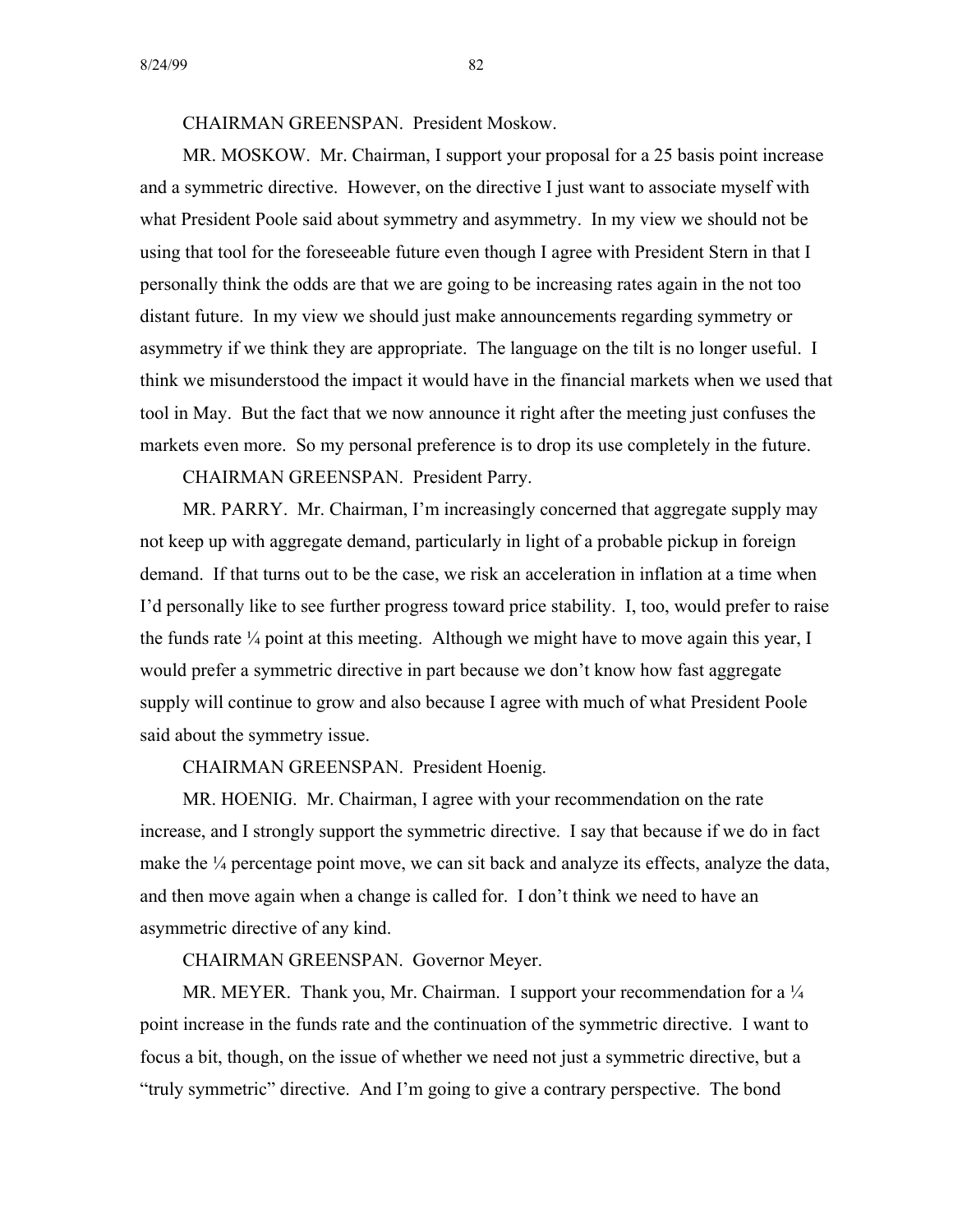CHAIRMAN GREENSPAN. President Moskow.

MR. MOSKOW. Mr. Chairman, I support your proposal for a 25 basis point increase and a symmetric directive. However, on the directive I just want to associate myself with what President Poole said about symmetry and asymmetry. In my view we should not be using that tool for the foreseeable future even though I agree with President Stern in that I personally think the odds are that we are going to be increasing rates again in the not too distant future. In my view we should just make announcements regarding symmetry or asymmetry if we think they are appropriate. The language on the tilt is no longer useful. I think we misunderstood the impact it would have in the financial markets when we used that tool in May. But the fact that we now announce it right after the meeting just confuses the markets even more. So my personal preference is to drop its use completely in the future.

CHAIRMAN GREENSPAN. President Parry.

MR. PARRY. Mr. Chairman, I'm increasingly concerned that aggregate supply may not keep up with aggregate demand, particularly in light of a probable pickup in foreign demand. If that turns out to be the case, we risk an acceleration in inflation at a time when I'd personally like to see further progress toward price stability. I, too, would prefer to raise the funds rate  $\frac{1}{4}$  point at this meeting. Although we might have to move again this year, I would prefer a symmetric directive in part because we don't know how fast aggregate supply will continue to grow and also because I agree with much of what President Poole said about the symmetry issue.

CHAIRMAN GREENSPAN. President Hoenig.

MR. HOENIG. Mr. Chairman, I agree with your recommendation on the rate increase, and I strongly support the symmetric directive. I say that because if we do in fact make the  $\frac{1}{4}$  percentage point move, we can sit back and analyze its effects, analyze the data, and then move again when a change is called for. I don't think we need to have an asymmetric directive of any kind.

CHAIRMAN GREENSPAN. Governor Meyer.

MR. MEYER. Thank you, Mr. Chairman. I support your recommendation for a  $\frac{1}{4}$ point increase in the funds rate and the continuation of the symmetric directive. I want to focus a bit, though, on the issue of whether we need not just a symmetric directive, but a "truly symmetric" directive. And I'm going to give a contrary perspective. The bond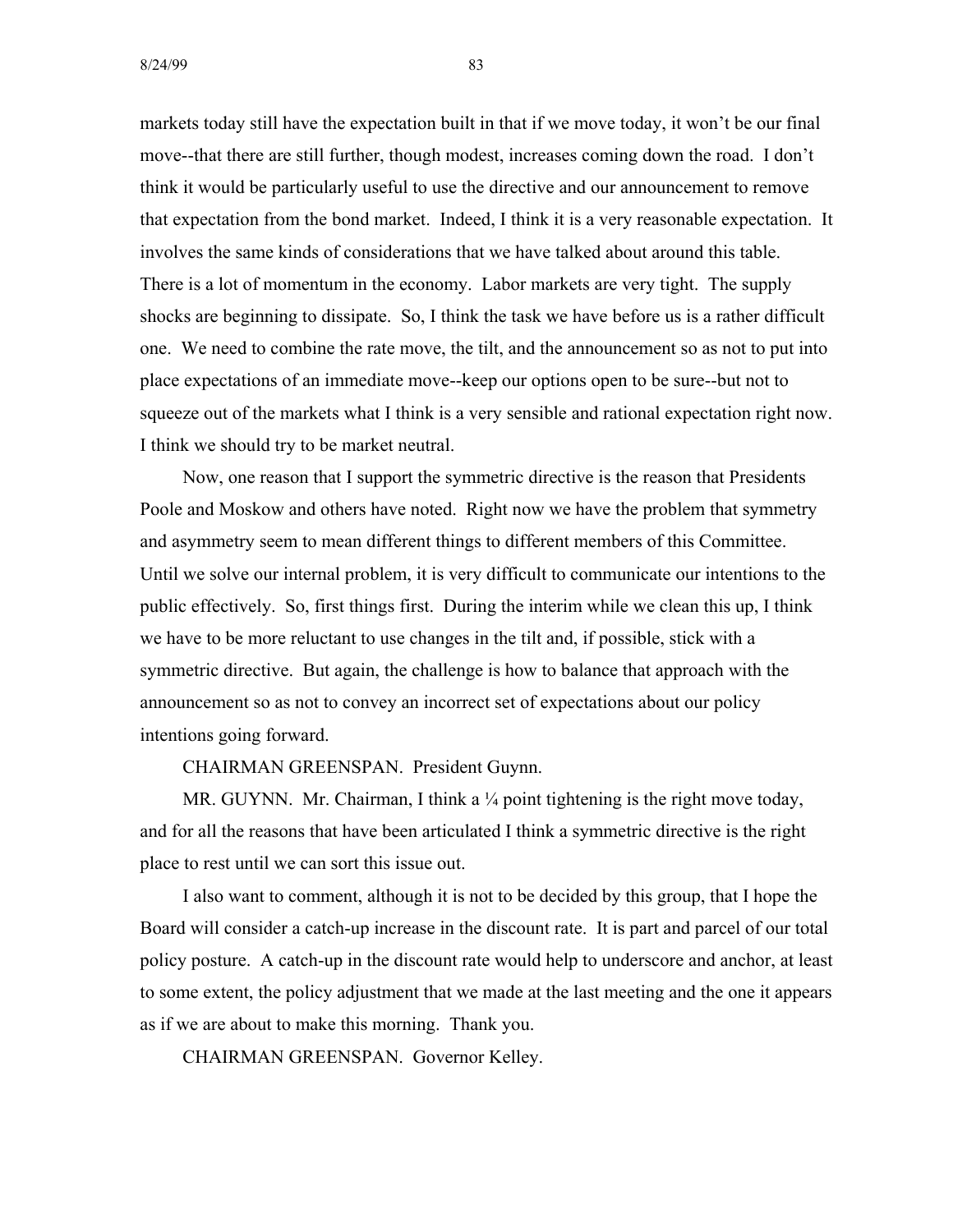markets today still have the expectation built in that if we move today, it won't be our final move--that there are still further, though modest, increases coming down the road. I don't think it would be particularly useful to use the directive and our announcement to remove that expectation from the bond market. Indeed, I think it is a very reasonable expectation. It involves the same kinds of considerations that we have talked about around this table. There is a lot of momentum in the economy. Labor markets are very tight. The supply shocks are beginning to dissipate. So, I think the task we have before us is a rather difficult one. We need to combine the rate move, the tilt, and the announcement so as not to put into place expectations of an immediate move--keep our options open to be sure--but not to squeeze out of the markets what I think is a very sensible and rational expectation right now. I think we should try to be market neutral.

Now, one reason that I support the symmetric directive is the reason that Presidents Poole and Moskow and others have noted. Right now we have the problem that symmetry and asymmetry seem to mean different things to different members of this Committee. Until we solve our internal problem, it is very difficult to communicate our intentions to the public effectively. So, first things first. During the interim while we clean this up, I think we have to be more reluctant to use changes in the tilt and, if possible, stick with a symmetric directive. But again, the challenge is how to balance that approach with the announcement so as not to convey an incorrect set of expectations about our policy intentions going forward.

CHAIRMAN GREENSPAN. President Guynn.

MR. GUYNN. Mr. Chairman, I think a  $\frac{1}{4}$  point tightening is the right move today, and for all the reasons that have been articulated I think a symmetric directive is the right place to rest until we can sort this issue out.

I also want to comment, although it is not to be decided by this group, that I hope the Board will consider a catch-up increase in the discount rate. It is part and parcel of our total policy posture. A catch-up in the discount rate would help to underscore and anchor, at least to some extent, the policy adjustment that we made at the last meeting and the one it appears as if we are about to make this morning. Thank you.

CHAIRMAN GREENSPAN. Governor Kelley.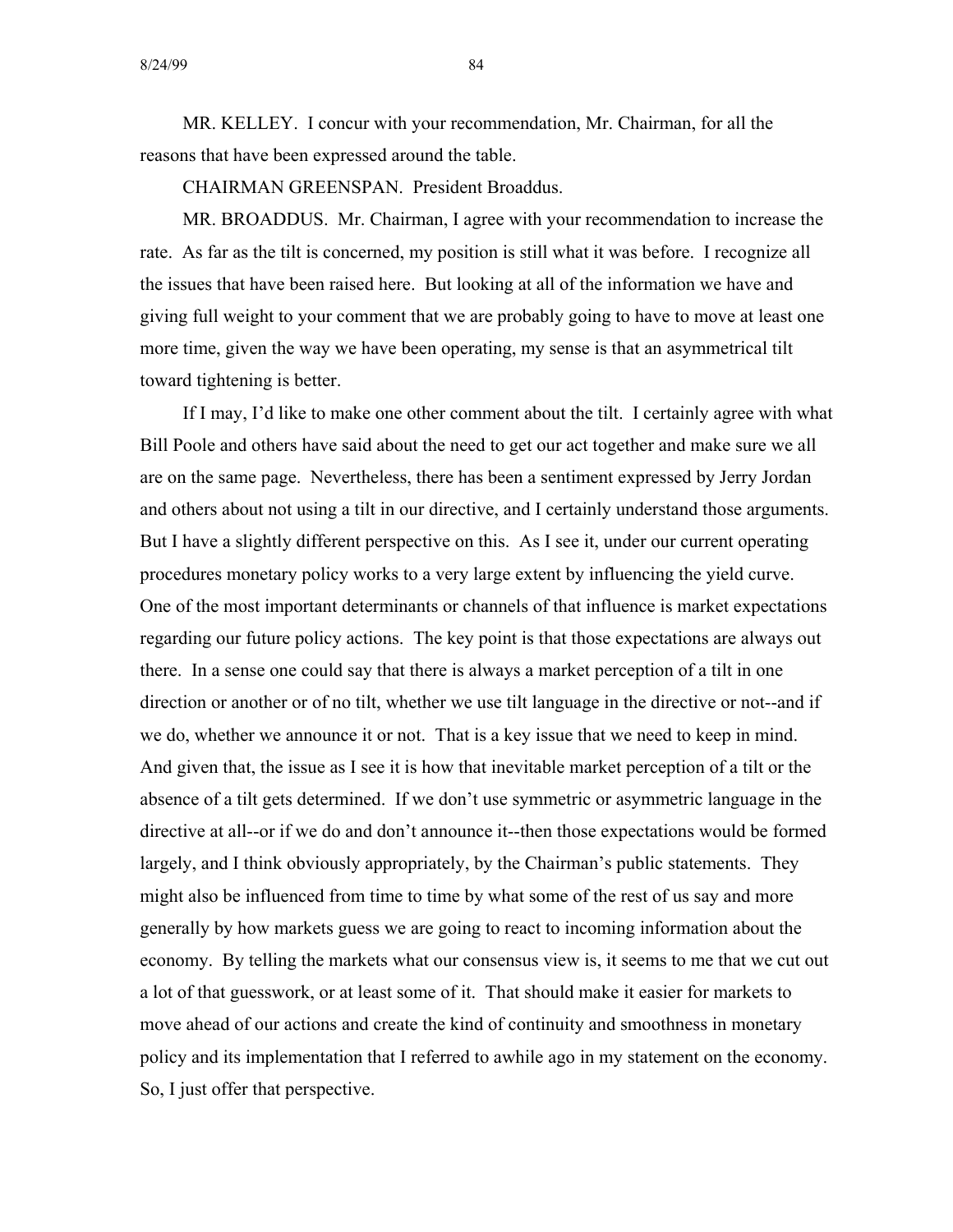MR. KELLEY. I concur with your recommendation, Mr. Chairman, for all the reasons that have been expressed around the table.

CHAIRMAN GREENSPAN. President Broaddus.

MR. BROADDUS. Mr. Chairman, I agree with your recommendation to increase the rate. As far as the tilt is concerned, my position is still what it was before. I recognize all the issues that have been raised here. But looking at all of the information we have and giving full weight to your comment that we are probably going to have to move at least one more time, given the way we have been operating, my sense is that an asymmetrical tilt toward tightening is better.

If I may, I'd like to make one other comment about the tilt. I certainly agree with what Bill Poole and others have said about the need to get our act together and make sure we all are on the same page. Nevertheless, there has been a sentiment expressed by Jerry Jordan and others about not using a tilt in our directive, and I certainly understand those arguments. But I have a slightly different perspective on this. As I see it, under our current operating procedures monetary policy works to a very large extent by influencing the yield curve. One of the most important determinants or channels of that influence is market expectations regarding our future policy actions. The key point is that those expectations are always out there. In a sense one could say that there is always a market perception of a tilt in one direction or another or of no tilt, whether we use tilt language in the directive or not--and if we do, whether we announce it or not. That is a key issue that we need to keep in mind. And given that, the issue as I see it is how that inevitable market perception of a tilt or the absence of a tilt gets determined. If we don't use symmetric or asymmetric language in the directive at all--or if we do and don't announce it--then those expectations would be formed largely, and I think obviously appropriately, by the Chairman's public statements. They might also be influenced from time to time by what some of the rest of us say and more generally by how markets guess we are going to react to incoming information about the economy. By telling the markets what our consensus view is, it seems to me that we cut out a lot of that guesswork, or at least some of it. That should make it easier for markets to move ahead of our actions and create the kind of continuity and smoothness in monetary policy and its implementation that I referred to awhile ago in my statement on the economy. So, I just offer that perspective.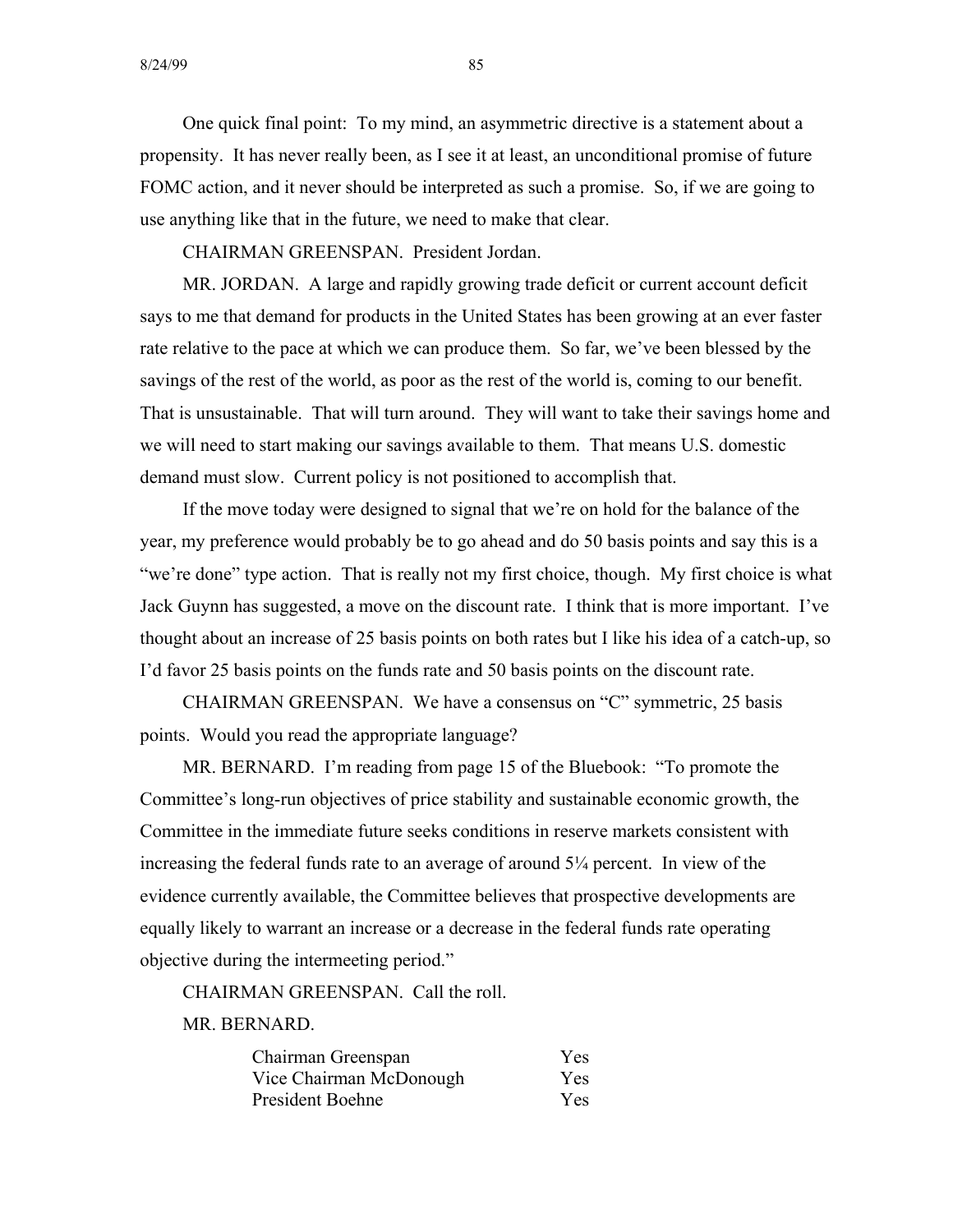One quick final point: To my mind, an asymmetric directive is a statement about a propensity. It has never really been, as I see it at least, an unconditional promise of future FOMC action, and it never should be interpreted as such a promise. So, if we are going to use anything like that in the future, we need to make that clear.

CHAIRMAN GREENSPAN. President Jordan.

MR. JORDAN. A large and rapidly growing trade deficit or current account deficit says to me that demand for products in the United States has been growing at an ever faster rate relative to the pace at which we can produce them. So far, we've been blessed by the savings of the rest of the world, as poor as the rest of the world is, coming to our benefit. That is unsustainable. That will turn around. They will want to take their savings home and we will need to start making our savings available to them. That means U.S. domestic demand must slow. Current policy is not positioned to accomplish that.

If the move today were designed to signal that we're on hold for the balance of the year, my preference would probably be to go ahead and do 50 basis points and say this is a "we're done" type action. That is really not my first choice, though. My first choice is what Jack Guynn has suggested, a move on the discount rate. I think that is more important. I've thought about an increase of 25 basis points on both rates but I like his idea of a catch-up, so I'd favor 25 basis points on the funds rate and 50 basis points on the discount rate.

CHAIRMAN GREENSPAN. We have a consensus on "C" symmetric, 25 basis points. Would you read the appropriate language?

MR. BERNARD. I'm reading from page 15 of the Bluebook: "To promote the Committee's long-run objectives of price stability and sustainable economic growth, the Committee in the immediate future seeks conditions in reserve markets consistent with increasing the federal funds rate to an average of around 5¼ percent. In view of the evidence currently available, the Committee believes that prospective developments are equally likely to warrant an increase or a decrease in the federal funds rate operating objective during the intermeeting period."

CHAIRMAN GREENSPAN. Call the roll.

MR. BERNARD.

| Chairman Greenspan      | Yes. |
|-------------------------|------|
| Vice Chairman McDonough | Yes. |
| <b>President Boehne</b> | Yes. |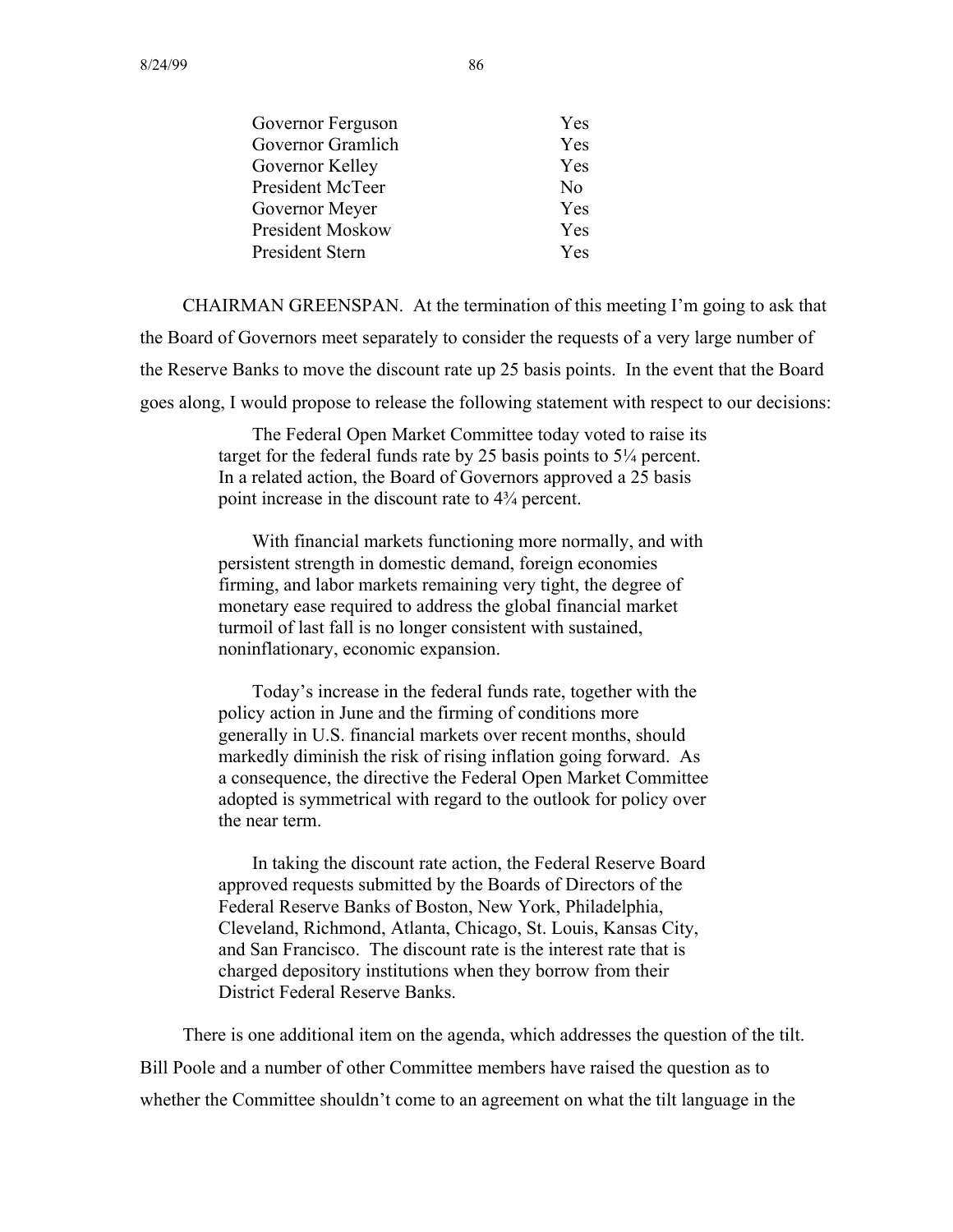| Governor Ferguson | Yes            |
|-------------------|----------------|
| Governor Gramlich | Yes            |
| Governor Kelley   | Yes            |
| President McTeer  | N <sub>0</sub> |
| Governor Meyer    | Yes            |
| President Moskow  | Yes            |
| President Stern   | <b>Yes</b>     |
|                   |                |

CHAIRMAN GREENSPAN. At the termination of this meeting I'm going to ask that the Board of Governors meet separately to consider the requests of a very large number of the Reserve Banks to move the discount rate up 25 basis points. In the event that the Board goes along, I would propose to release the following statement with respect to our decisions:

> The Federal Open Market Committee today voted to raise its target for the federal funds rate by 25 basis points to  $5\frac{1}{4}$  percent. In a related action, the Board of Governors approved a 25 basis point increase in the discount rate to 4¾ percent.

> With financial markets functioning more normally, and with persistent strength in domestic demand, foreign economies firming, and labor markets remaining very tight, the degree of monetary ease required to address the global financial market turmoil of last fall is no longer consistent with sustained, noninflationary, economic expansion.

Today's increase in the federal funds rate, together with the policy action in June and the firming of conditions more generally in U.S. financial markets over recent months, should markedly diminish the risk of rising inflation going forward. As a consequence, the directive the Federal Open Market Committee adopted is symmetrical with regard to the outlook for policy over the near term.

In taking the discount rate action, the Federal Reserve Board approved requests submitted by the Boards of Directors of the Federal Reserve Banks of Boston, New York, Philadelphia, Cleveland, Richmond, Atlanta, Chicago, St. Louis, Kansas City, and San Francisco. The discount rate is the interest rate that is charged depository institutions when they borrow from their District Federal Reserve Banks.

There is one additional item on the agenda, which addresses the question of the tilt. Bill Poole and a number of other Committee members have raised the question as to whether the Committee shouldn't come to an agreement on what the tilt language in the